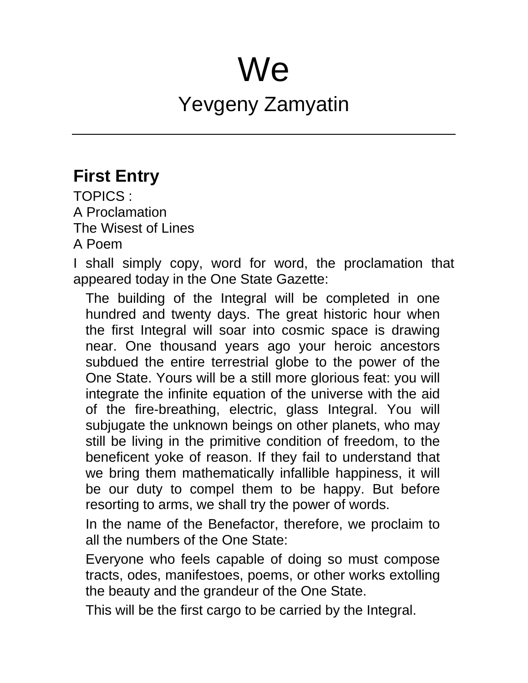# We Yevgeny Zamyatin

## **First Entry**

TOPICS : A Proclamation The Wisest of Lines A Poem

I shall simply copy, word for word, the proclamation that appeared today in the One State Gazette:

The building of the Integral will be completed in one hundred and twenty days. The great historic hour when the first Integral will soar into cosmic space is drawing near. One thousand years ago your heroic ancestors subdued the entire terrestrial globe to the power of the One State. Yours will be a still more glorious feat: you will integrate the infinite equation of the universe with the aid of the fire-breathing, electric, glass Integral. You will subjugate the unknown beings on other planets, who may still be living in the primitive condition of freedom, to the beneficent yoke of reason. If they fail to understand that we bring them mathematically infallible happiness, it will be our duty to compel them to be happy. But before resorting to arms, we shall try the power of words.

In the name of the Benefactor, therefore, we proclaim to all the numbers of the One State:

Everyone who feels capable of doing so must compose tracts, odes, manifestoes, poems, or other works extolling the beauty and the grandeur of the One State.

This will be the first cargo to be carried by the Integral.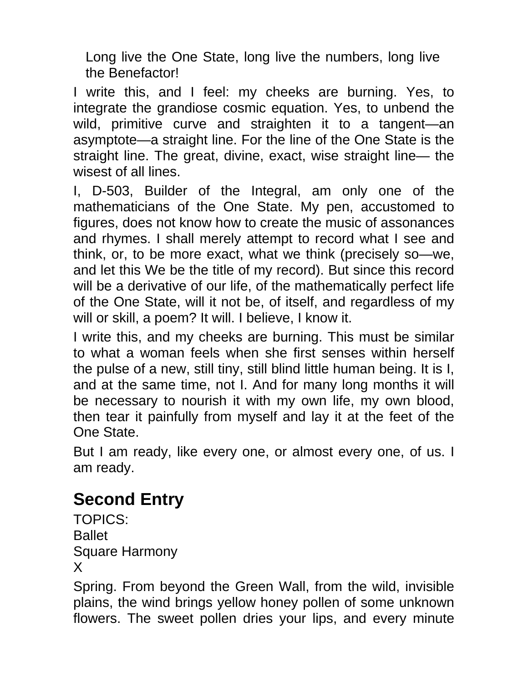Long live the One State, long live the numbers, long live the Benefactor!

I write this, and I feel: my cheeks are burning. Yes, to integrate the grandiose cosmic equation. Yes, to unbend the wild, primitive curve and straighten it to a tangent—an asymptote—a straight line. For the line of the One State is the straight line. The great, divine, exact, wise straight line— the wisest of all lines.

I, D-503, Builder of the Integral, am only one of the mathematicians of the One State. My pen, accustomed to figures, does not know how to create the music of assonances and rhymes. I shall merely attempt to record what I see and think, or, to be more exact, what we think (precisely so—we, and let this We be the title of my record). But since this record will be a derivative of our life, of the mathematically perfect life of the One State, will it not be, of itself, and regardless of my will or skill, a poem? It will. I believe, I know it.

I write this, and my cheeks are burning. This must be similar to what a woman feels when she first senses within herself the pulse of a new, still tiny, still blind little human being. It is I, and at the same time, not I. And for many long months it will be necessary to nourish it with my own life, my own blood, then tear it painfully from myself and lay it at the feet of the One State.

But I am ready, like every one, or almost every one, of us. I am ready.

## **Second Entry**

TOPICS: Ballet Square Harmony X

Spring. From beyond the Green Wall, from the wild, invisible plains, the wind brings yellow honey pollen of some unknown flowers. The sweet pollen dries your lips, and every minute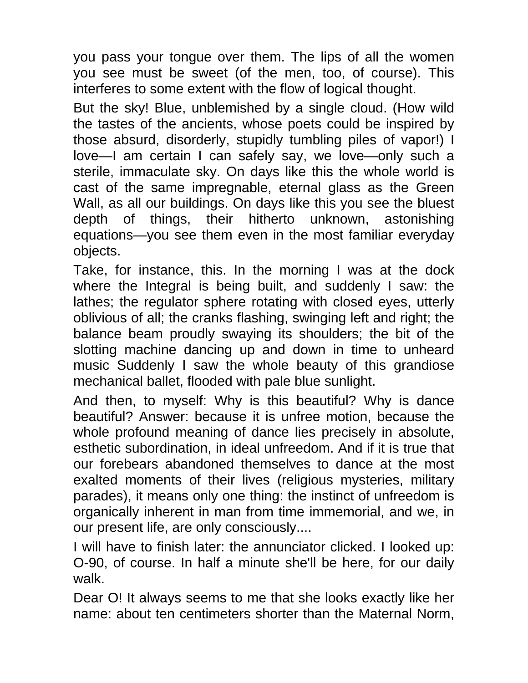you pass your tongue over them. The lips of all the women you see must be sweet (of the men, too, of course). This interferes to some extent with the flow of logical thought.

But the sky! Blue, unblemished by a single cloud. (How wild the tastes of the ancients, whose poets could be inspired by those absurd, disorderly, stupidly tumbling piles of vapor!) I love—I am certain I can safely say, we love—only such a sterile, immaculate sky. On days like this the whole world is cast of the same impregnable, eternal glass as the Green Wall, as all our buildings. On days like this you see the bluest depth of things, their hitherto unknown, astonishing equations—you see them even in the most familiar everyday objects.

Take, for instance, this. In the morning I was at the dock where the Integral is being built, and suddenly I saw: the lathes; the regulator sphere rotating with closed eyes, utterly oblivious of all; the cranks flashing, swinging left and right; the balance beam proudly swaying its shoulders; the bit of the slotting machine dancing up and down in time to unheard music Suddenly I saw the whole beauty of this grandiose mechanical ballet, flooded with pale blue sunlight.

And then, to myself: Why is this beautiful? Why is dance beautiful? Answer: because it is unfree motion, because the whole profound meaning of dance lies precisely in absolute, esthetic subordination, in ideal unfreedom. And if it is true that our forebears abandoned themselves to dance at the most exalted moments of their lives (religious mysteries, military parades), it means only one thing: the instinct of unfreedom is organically inherent in man from time immemorial, and we, in our present life, are only consciously....

I will have to finish later: the annunciator clicked. I looked up: O-90, of course. In half a minute she'll be here, for our daily walk.

Dear O! It always seems to me that she looks exactly like her name: about ten centimeters shorter than the Maternal Norm,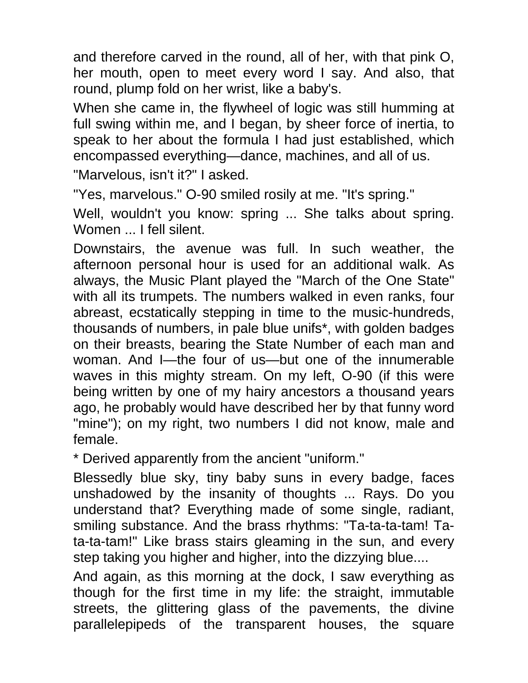and therefore carved in the round, all of her, with that pink O, her mouth, open to meet every word I say. And also, that round, plump fold on her wrist, like a baby's.

When she came in, the flywheel of logic was still humming at full swing within me, and I began, by sheer force of inertia, to speak to her about the formula I had just established, which encompassed everything—dance, machines, and all of us.

"Marvelous, isn't it?" I asked.

"Yes, marvelous." O-90 smiled rosily at me. "It's spring."

Well, wouldn't you know: spring ... She talks about spring. Women ... I fell silent.

Downstairs, the avenue was full. In such weather, the afternoon personal hour is used for an additional walk. As always, the Music Plant played the "March of the One State" with all its trumpets. The numbers walked in even ranks, four abreast, ecstatically stepping in time to the music-hundreds, thousands of numbers, in pale blue unifs\*, with golden badges on their breasts, bearing the State Number of each man and woman. And I—the four of us—but one of the innumerable waves in this mighty stream. On my left, O-90 (if this were being written by one of my hairy ancestors a thousand years ago, he probably would have described her by that funny word "mine"); on my right, two numbers I did not know, male and female.

\* Derived apparently from the ancient "uniform."

Blessedly blue sky, tiny baby suns in every badge, faces unshadowed by the insanity of thoughts ... Rays. Do you understand that? Everything made of some single, radiant, smiling substance. And the brass rhythms: "Ta-ta-ta-tam! Tata-ta-tam!" Like brass stairs gleaming in the sun, and every step taking you higher and higher, into the dizzying blue....

And again, as this morning at the dock, I saw everything as though for the first time in my life: the straight, immutable streets, the glittering glass of the pavements, the divine parallelepipeds of the transparent houses, the square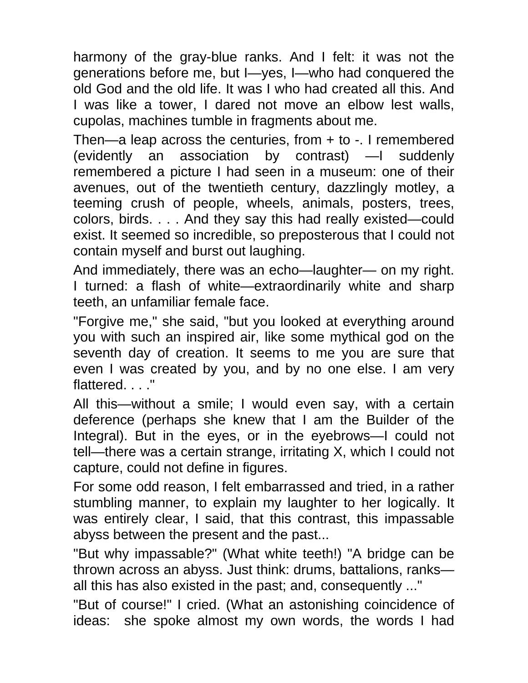harmony of the gray-blue ranks. And I felt: it was not the generations before me, but I—yes, I—who had conquered the old God and the old life. It was I who had created all this. And I was like a tower, I dared not move an elbow lest walls, cupolas, machines tumble in fragments about me.

Then—a leap across the centuries, from + to -. I remembered (evidently an association by contrast) —I suddenly remembered a picture I had seen in a museum: one of their avenues, out of the twentieth century, dazzlingly motley, a teeming crush of people, wheels, animals, posters, trees, colors, birds. . . . And they say this had really existed—could exist. It seemed so incredible, so preposterous that I could not contain myself and burst out laughing.

And immediately, there was an echo—laughter— on my right. I turned: a flash of white—extraordinarily white and sharp teeth, an unfamiliar female face.

"Forgive me," she said, "but you looked at everything around you with such an inspired air, like some mythical god on the seventh day of creation. It seems to me you are sure that even I was created by you, and by no one else. I am very flattered. . . ."

All this—without a smile; I would even say, with a certain deference (perhaps she knew that I am the Builder of the Integral). But in the eyes, or in the eyebrows—I could not tell—there was a certain strange, irritating X, which I could not capture, could not define in figures.

For some odd reason, I felt embarrassed and tried, in a rather stumbling manner, to explain my laughter to her logically. It was entirely clear, I said, that this contrast, this impassable abyss between the present and the past...

"But why impassable?" (What white teeth!) "A bridge can be thrown across an abyss. Just think: drums, battalions, ranks all this has also existed in the past; and, consequently ..."

"But of course!" I cried. (What an astonishing coincidence of ideas: she spoke almost my own words, the words I had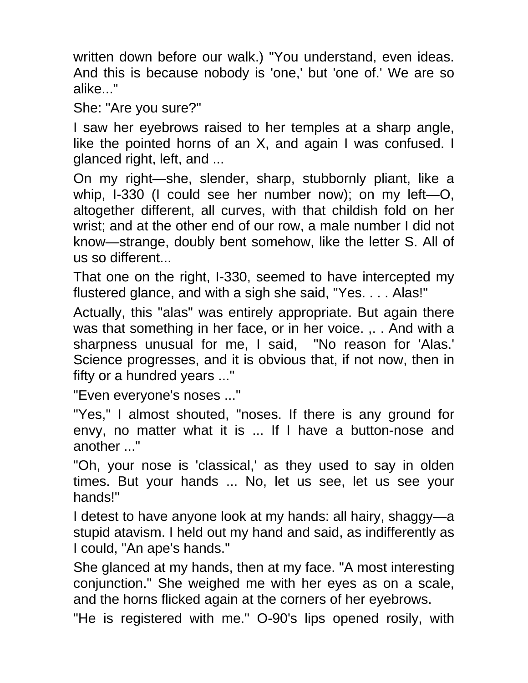written down before our walk.) "You understand, even ideas. And this is because nobody is 'one,' but 'one of.' We are so alike..."

She: "Are you sure?"

I saw her eyebrows raised to her temples at a sharp angle, like the pointed horns of an X, and again I was confused. I glanced right, left, and ...

On my right—she, slender, sharp, stubbornly pliant, like a whip, I-330 (I could see her number now); on my left—O, altogether different, all curves, with that childish fold on her wrist; and at the other end of our row, a male number I did not know—strange, doubly bent somehow, like the letter S. All of us so different...

That one on the right, I-330, seemed to have intercepted my flustered glance, and with a sigh she said, "Yes. . . . Alas!"

Actually, this "alas" was entirely appropriate. But again there was that something in her face, or in her voice. ,. . And with a sharpness unusual for me, I said, "No reason for 'Alas.' Science progresses, and it is obvious that, if not now, then in fifty or a hundred years ..."

"Even everyone's noses ..."

"Yes," I almost shouted, "noses. If there is any ground for envy, no matter what it is ... If I have a button-nose and another ..."

"Oh, your nose is 'classical,' as they used to say in olden times. But your hands ... No, let us see, let us see your hands!"

I detest to have anyone look at my hands: all hairy, shaggy—a stupid atavism. I held out my hand and said, as indifferently as I could, "An ape's hands."

She glanced at my hands, then at my face. "A most interesting conjunction." She weighed me with her eyes as on a scale, and the horns flicked again at the corners of her eyebrows.

"He is registered with me." O-90's lips opened rosily, with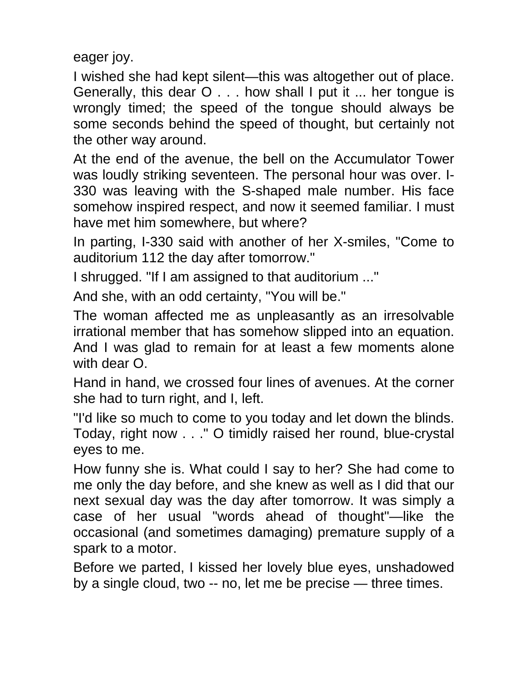eager joy.

I wished she had kept silent—this was altogether out of place. Generally, this dear O . . . how shall I put it ... her tongue is wrongly timed; the speed of the tongue should always be some seconds behind the speed of thought, but certainly not the other way around.

At the end of the avenue, the bell on the Accumulator Tower was loudly striking seventeen. The personal hour was over. I-330 was leaving with the S-shaped male number. His face somehow inspired respect, and now it seemed familiar. I must have met him somewhere, but where?

In parting, I-330 said with another of her X-smiles, "Come to auditorium 112 the day after tomorrow."

I shrugged. "If I am assigned to that auditorium ..."

And she, with an odd certainty, "You will be."

The woman affected me as unpleasantly as an irresolvable irrational member that has somehow slipped into an equation. And I was glad to remain for at least a few moments alone with dear O.

Hand in hand, we crossed four lines of avenues. At the corner she had to turn right, and I, left.

"I'd like so much to come to you today and let down the blinds. Today, right now . . ." O timidly raised her round, blue-crystal eyes to me.

How funny she is. What could I say to her? She had come to me only the day before, and she knew as well as I did that our next sexual day was the day after tomorrow. It was simply a case of her usual "words ahead of thought"—like the occasional (and sometimes damaging) premature supply of a spark to a motor.

Before we parted, I kissed her lovely blue eyes, unshadowed by a single cloud, two -- no, let me be precise — three times.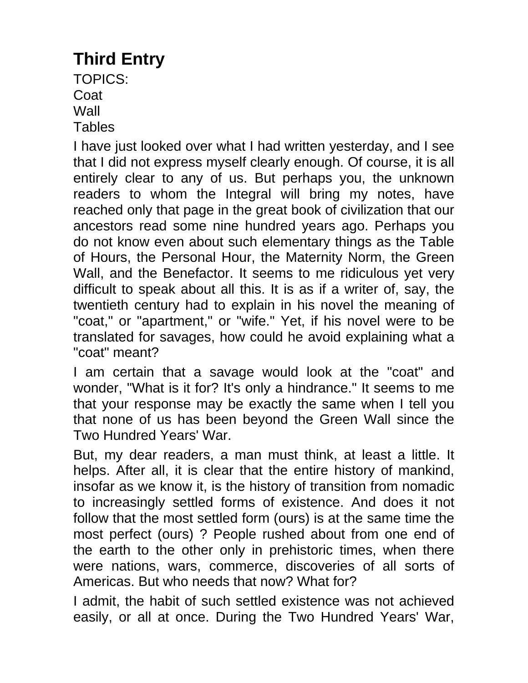## **Third Entry**

TOPICS: Coat Wall **Tables** 

I have just looked over what I had written yesterday, and I see that I did not express myself clearly enough. Of course, it is all entirely clear to any of us. But perhaps you, the unknown readers to whom the Integral will bring my notes, have reached only that page in the great book of civilization that our ancestors read some nine hundred years ago. Perhaps you do not know even about such elementary things as the Table of Hours, the Personal Hour, the Maternity Norm, the Green Wall, and the Benefactor. It seems to me ridiculous yet very difficult to speak about all this. It is as if a writer of, say, the twentieth century had to explain in his novel the meaning of "coat," or "apartment," or "wife." Yet, if his novel were to be translated for savages, how could he avoid explaining what a "coat" meant?

I am certain that a savage would look at the "coat" and wonder, "What is it for? It's only a hindrance." It seems to me that your response may be exactly the same when I tell you that none of us has been beyond the Green Wall since the Two Hundred Years' War.

But, my dear readers, a man must think, at least a little. It helps. After all, it is clear that the entire history of mankind, insofar as we know it, is the history of transition from nomadic to increasingly settled forms of existence. And does it not follow that the most settled form (ours) is at the same time the most perfect (ours) ? People rushed about from one end of the earth to the other only in prehistoric times, when there were nations, wars, commerce, discoveries of all sorts of Americas. But who needs that now? What for?

I admit, the habit of such settled existence was not achieved easily, or all at once. During the Two Hundred Years' War,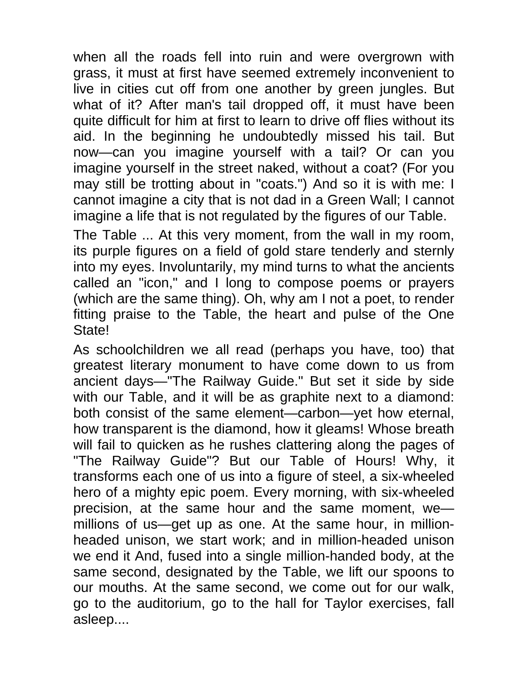when all the roads fell into ruin and were overgrown with grass, it must at first have seemed extremely inconvenient to live in cities cut off from one another by green jungles. But what of it? After man's tail dropped off, it must have been quite difficult for him at first to learn to drive off flies without its aid. In the beginning he undoubtedly missed his tail. But now—can you imagine yourself with a tail? Or can you imagine yourself in the street naked, without a coat? (For you may still be trotting about in "coats.") And so it is with me: I cannot imagine a city that is not dad in a Green Wall; I cannot imagine a life that is not regulated by the figures of our Table.

The Table ... At this very moment, from the wall in my room, its purple figures on a field of gold stare tenderly and sternly into my eyes. Involuntarily, my mind turns to what the ancients called an "icon," and I long to compose poems or prayers (which are the same thing). Oh, why am I not a poet, to render fitting praise to the Table, the heart and pulse of the One State!

As schoolchildren we all read (perhaps you have, too) that greatest literary monument to have come down to us from ancient days—"The Railway Guide." But set it side by side with our Table, and it will be as graphite next to a diamond: both consist of the same element—carbon—yet how eternal, how transparent is the diamond, how it gleams! Whose breath will fail to quicken as he rushes clattering along the pages of "The Railway Guide"? But our Table of Hours! Why, it transforms each one of us into a figure of steel, a six-wheeled hero of a mighty epic poem. Every morning, with six-wheeled precision, at the same hour and the same moment, we millions of us—get up as one. At the same hour, in millionheaded unison, we start work; and in million-headed unison we end it And, fused into a single million-handed body, at the same second, designated by the Table, we lift our spoons to our mouths. At the same second, we come out for our walk, go to the auditorium, go to the hall for Taylor exercises, fall asleep....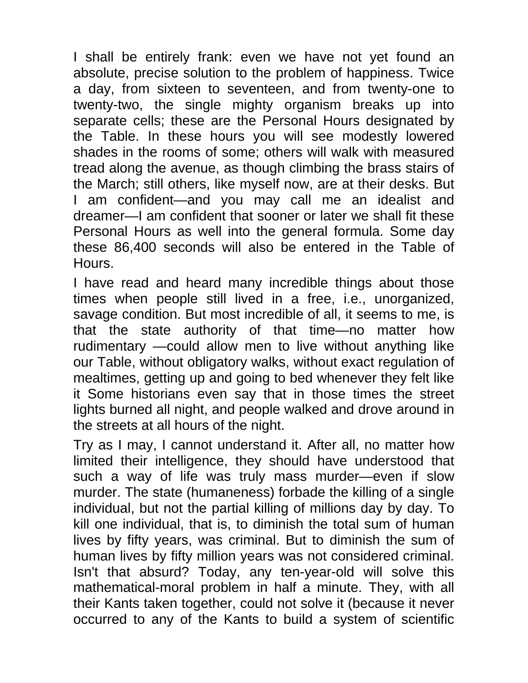I shall be entirely frank: even we have not yet found an absolute, precise solution to the problem of happiness. Twice a day, from sixteen to seventeen, and from twenty-one to twenty-two, the single mighty organism breaks up into separate cells; these are the Personal Hours designated by the Table. In these hours you will see modestly lowered shades in the rooms of some; others will walk with measured tread along the avenue, as though climbing the brass stairs of the March; still others, like myself now, are at their desks. But I am confident—and you may call me an idealist and dreamer—I am confident that sooner or later we shall fit these Personal Hours as well into the general formula. Some day these 86,400 seconds will also be entered in the Table of Hours.

I have read and heard many incredible things about those times when people still lived in a free, i.e., unorganized, savage condition. But most incredible of all, it seems to me, is that the state authority of that time—no matter how rudimentary —could allow men to live without anything like our Table, without obligatory walks, without exact regulation of mealtimes, getting up and going to bed whenever they felt like it Some historians even say that in those times the street lights burned all night, and people walked and drove around in the streets at all hours of the night.

Try as I may, I cannot understand it. After all, no matter how limited their intelligence, they should have understood that such a way of life was truly mass murder—even if slow murder. The state (humaneness) forbade the killing of a single individual, but not the partial killing of millions day by day. To kill one individual, that is, to diminish the total sum of human lives by fifty years, was criminal. But to diminish the sum of human lives by fifty million years was not considered criminal. Isn't that absurd? Today, any ten-year-old will solve this mathematical-moral problem in half a minute. They, with all their Kants taken together, could not solve it (because it never occurred to any of the Kants to build a system of scientific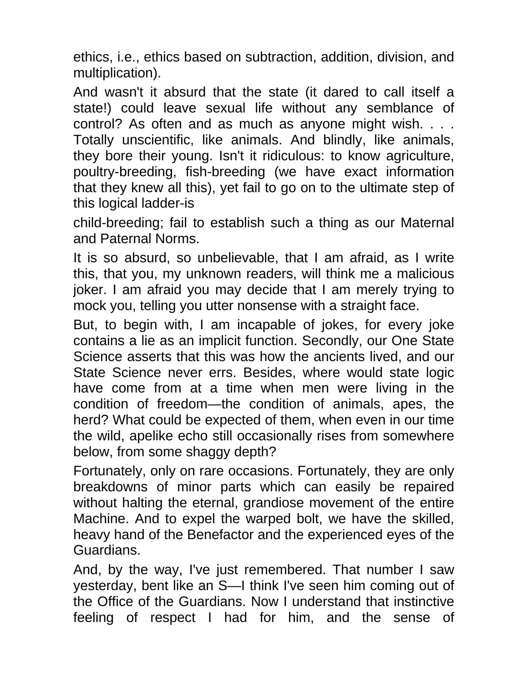ethics, i.e., ethics based on subtraction, addition, division, and multiplication).

And wasn't it absurd that the state (it dared to call itself a state!) could leave sexual life without any semblance of control? As often and as much as anyone might wish. . . . Totally unscientific, like animals. And blindly, like animals, they bore their young. Isn't it ridiculous: to know agriculture, poultry-breeding, fish-breeding (we have exact information that they knew all this), yet fail to go on to the ultimate step of this logical ladder-is

child-breeding; fail to establish such a thing as our Maternal and Paternal Norms.

It is so absurd, so unbelievable, that I am afraid, as I write this, that you, my unknown readers, will think me a malicious joker. I am afraid you may decide that I am merely trying to mock you, telling you utter nonsense with a straight face.

But, to begin with, I am incapable of jokes, for every joke contains a lie as an implicit function. Secondly, our One State Science asserts that this was how the ancients lived, and our State Science never errs. Besides, where would state logic have come from at a time when men were living in the condition of freedom—the condition of animals, apes, the herd? What could be expected of them, when even in our time the wild, apelike echo still occasionally rises from somewhere below, from some shaggy depth?

Fortunately, only on rare occasions. Fortunately, they are only breakdowns of minor parts which can easily be repaired without halting the eternal, grandiose movement of the entire Machine. And to expel the warped bolt, we have the skilled, heavy hand of the Benefactor and the experienced eyes of the Guardians.

And, by the way, I've just remembered. That number I saw yesterday, bent like an S—I think I've seen him coming out of the Office of the Guardians. Now I understand that instinctive feeling of respect I had for him, and the sense of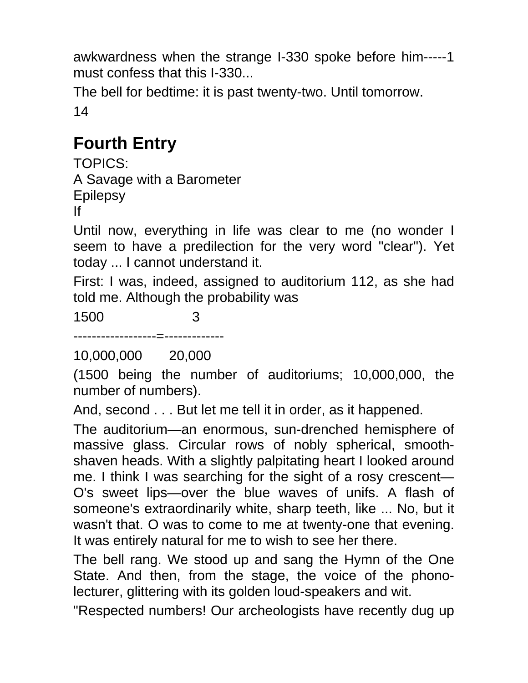awkwardness when the strange I-330 spoke before him-----1 must confess that this I-330...

The bell for bedtime: it is past twenty-two. Until tomorrow. 14

## **Fourth Entry**

```
TOPICS: 
A Savage with a Barometer 
Epilepsy
If
```
Until now, everything in life was clear to me (no wonder I seem to have a predilection for the very word "clear"). Yet today ... I cannot understand it.

First: I was, indeed, assigned to auditorium 112, as she had told me. Although the probability was

1500 3

------------------=-------------

10,000,000 20,000

(1500 being the number of auditoriums; 10,000,000, the number of numbers).

And, second . . . But let me tell it in order, as it happened.

The auditorium—an enormous, sun-drenched hemisphere of massive glass. Circular rows of nobly spherical, smoothshaven heads. With a slightly palpitating heart I looked around me. I think I was searching for the sight of a rosy crescent— O's sweet lips—over the blue waves of unifs. A flash of someone's extraordinarily white, sharp teeth, like ... No, but it wasn't that. O was to come to me at twenty-one that evening. It was entirely natural for me to wish to see her there.

The bell rang. We stood up and sang the Hymn of the One State. And then, from the stage, the voice of the phonolecturer, glittering with its golden loud-speakers and wit.

"Respected numbers! Our archeologists have recently dug up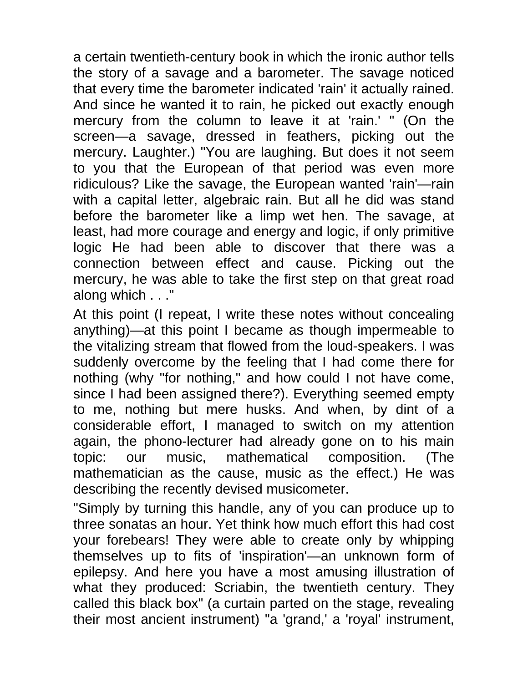a certain twentieth-century book in which the ironic author tells the story of a savage and a barometer. The savage noticed that every time the barometer indicated 'rain' it actually rained. And since he wanted it to rain, he picked out exactly enough mercury from the column to leave it at 'rain.' " (On the screen—a savage, dressed in feathers, picking out the mercury. Laughter.) "You are laughing. But does it not seem to you that the European of that period was even more ridiculous? Like the savage, the European wanted 'rain'—rain with a capital letter, algebraic rain. But all he did was stand before the barometer like a limp wet hen. The savage, at least, had more courage and energy and logic, if only primitive logic He had been able to discover that there was a connection between effect and cause. Picking out the mercury, he was able to take the first step on that great road along which . . ."

At this point (I repeat, I write these notes without concealing anything)—at this point I became as though impermeable to the vitalizing stream that flowed from the loud-speakers. I was suddenly overcome by the feeling that I had come there for nothing (why "for nothing," and how could I not have come, since I had been assigned there?). Everything seemed empty to me, nothing but mere husks. And when, by dint of a considerable effort, I managed to switch on my attention again, the phono-lecturer had already gone on to his main topic: our music, mathematical composition. (The mathematician as the cause, music as the effect.) He was describing the recently devised musicometer.

"Simply by turning this handle, any of you can produce up to three sonatas an hour. Yet think how much effort this had cost your forebears! They were able to create only by whipping themselves up to fits of 'inspiration'—an unknown form of epilepsy. And here you have a most amusing illustration of what they produced: Scriabin, the twentieth century. They called this black box" (a curtain parted on the stage, revealing their most ancient instrument) "a 'grand,' a 'royal' instrument,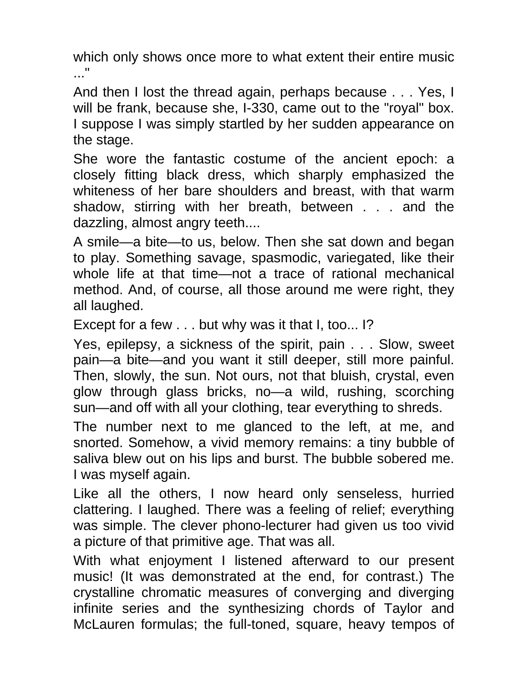which only shows once more to what extent their entire music ..."

And then I lost the thread again, perhaps because . . . Yes, I will be frank, because she, I-330, came out to the "royal" box. I suppose I was simply startled by her sudden appearance on the stage.

She wore the fantastic costume of the ancient epoch: a closely fitting black dress, which sharply emphasized the whiteness of her bare shoulders and breast, with that warm shadow, stirring with her breath, between . . . and the dazzling, almost angry teeth....

A smile—a bite—to us, below. Then she sat down and began to play. Something savage, spasmodic, variegated, like their whole life at that time—not a trace of rational mechanical method. And, of course, all those around me were right, they all laughed.

Except for a few . . . but why was it that I, too... I?

Yes, epilepsy, a sickness of the spirit, pain . . . Slow, sweet pain—a bite—and you want it still deeper, still more painful. Then, slowly, the sun. Not ours, not that bluish, crystal, even glow through glass bricks, no—a wild, rushing, scorching sun—and off with all your clothing, tear everything to shreds.

The number next to me glanced to the left, at me, and snorted. Somehow, a vivid memory remains: a tiny bubble of saliva blew out on his lips and burst. The bubble sobered me. I was myself again.

Like all the others, I now heard only senseless, hurried clattering. I laughed. There was a feeling of relief; everything was simple. The clever phono-lecturer had given us too vivid a picture of that primitive age. That was all.

With what enjoyment I listened afterward to our present music! (It was demonstrated at the end, for contrast.) The crystalline chromatic measures of converging and diverging infinite series and the synthesizing chords of Taylor and McLauren formulas; the full-toned, square, heavy tempos of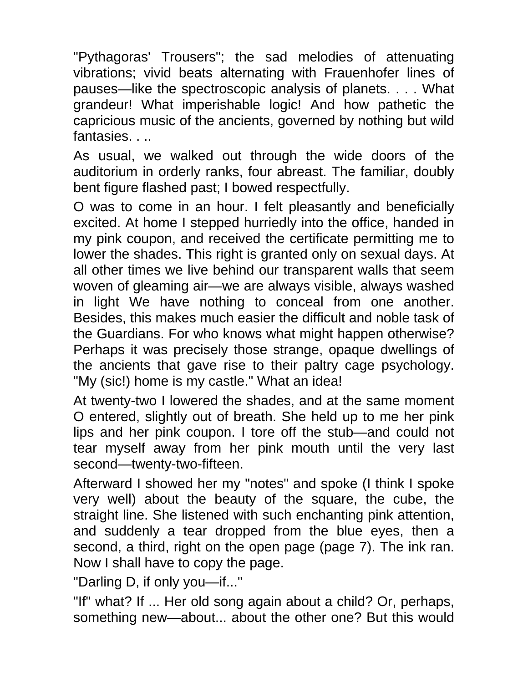"Pythagoras' Trousers"; the sad melodies of attenuating vibrations; vivid beats alternating with Frauenhofer lines of pauses—like the spectroscopic analysis of planets. . . . What grandeur! What imperishable logic! And how pathetic the capricious music of the ancients, governed by nothing but wild fantasies. . ..

As usual, we walked out through the wide doors of the auditorium in orderly ranks, four abreast. The familiar, doubly bent figure flashed past; I bowed respectfully.

O was to come in an hour. I felt pleasantly and beneficially excited. At home I stepped hurriedly into the office, handed in my pink coupon, and received the certificate permitting me to lower the shades. This right is granted only on sexual days. At all other times we live behind our transparent walls that seem woven of gleaming air—we are always visible, always washed in light We have nothing to conceal from one another. Besides, this makes much easier the difficult and noble task of the Guardians. For who knows what might happen otherwise? Perhaps it was precisely those strange, opaque dwellings of the ancients that gave rise to their paltry cage psychology. "My (sic!) home is my castle." What an idea!

At twenty-two I lowered the shades, and at the same moment O entered, slightly out of breath. She held up to me her pink lips and her pink coupon. I tore off the stub—and could not tear myself away from her pink mouth until the very last second—twenty-two-fifteen.

Afterward I showed her my "notes" and spoke (I think I spoke very well) about the beauty of the square, the cube, the straight line. She listened with such enchanting pink attention, and suddenly a tear dropped from the blue eyes, then a second, a third, right on the open page (page 7). The ink ran. Now I shall have to copy the page.

"Darling D, if only you—if..."

"If" what? If ... Her old song again about a child? Or, perhaps, something new—about... about the other one? But this would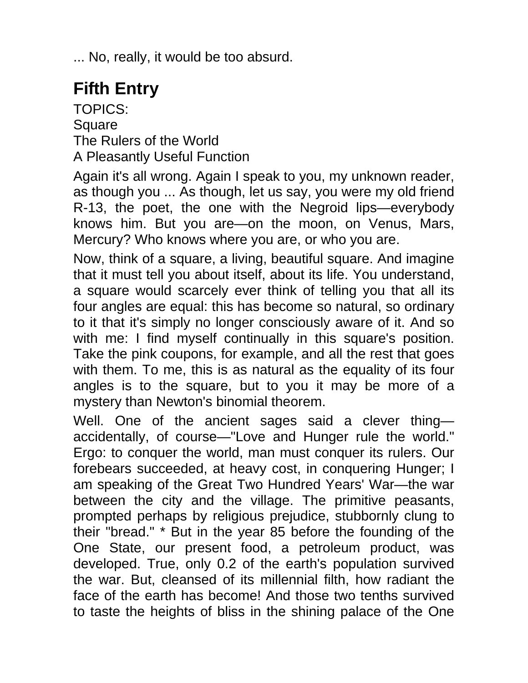... No, really, it would be too absurd.

## **Fifth Entry**

TOPICS: Square The Rulers of the World A Pleasantly Useful Function

Again it's all wrong. Again I speak to you, my unknown reader, as though you ... As though, let us say, you were my old friend R-13, the poet, the one with the Negroid lips—everybody knows him. But you are—on the moon, on Venus, Mars, Mercury? Who knows where you are, or who you are.

Now, think of a square, a living, beautiful square. And imagine that it must tell you about itself, about its life. You understand, a square would scarcely ever think of telling you that all its four angles are equal: this has become so natural, so ordinary to it that it's simply no longer consciously aware of it. And so with me: I find myself continually in this square's position. Take the pink coupons, for example, and all the rest that goes with them. To me, this is as natural as the equality of its four angles is to the square, but to you it may be more of a mystery than Newton's binomial theorem.

Well. One of the ancient sages said a clever thing accidentally, of course—"Love and Hunger rule the world." Ergo: to conquer the world, man must conquer its rulers. Our forebears succeeded, at heavy cost, in conquering Hunger; I am speaking of the Great Two Hundred Years' War—the war between the city and the village. The primitive peasants, prompted perhaps by religious prejudice, stubbornly clung to their "bread." \* But in the year 85 before the founding of the One State, our present food, a petroleum product, was developed. True, only 0.2 of the earth's population survived the war. But, cleansed of its millennial filth, how radiant the face of the earth has become! And those two tenths survived to taste the heights of bliss in the shining palace of the One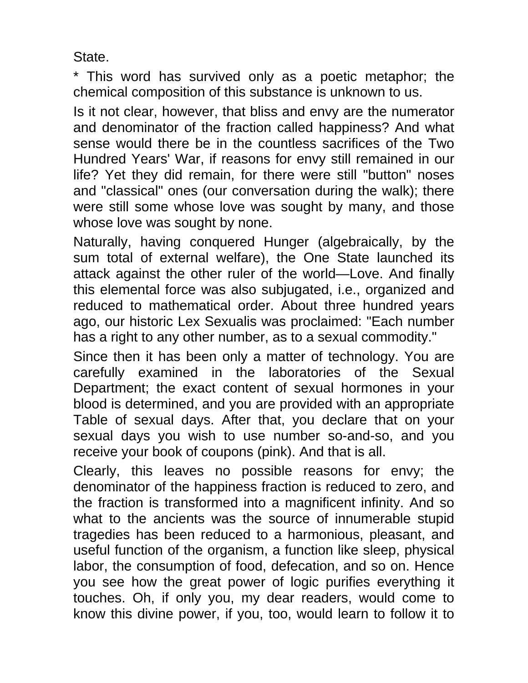State.

\* This word has survived only as a poetic metaphor; the chemical composition of this substance is unknown to us.

Is it not clear, however, that bliss and envy are the numerator and denominator of the fraction called happiness? And what sense would there be in the countless sacrifices of the Two Hundred Years' War, if reasons for envy still remained in our life? Yet they did remain, for there were still "button" noses and "classical" ones (our conversation during the walk); there were still some whose love was sought by many, and those whose love was sought by none.

Naturally, having conquered Hunger (algebraically, by the sum total of external welfare), the One State launched its attack against the other ruler of the world—Love. And finally this elemental force was also subjugated, i.e., organized and reduced to mathematical order. About three hundred years ago, our historic Lex Sexualis was proclaimed: "Each number has a right to any other number, as to a sexual commodity."

Since then it has been only a matter of technology. You are carefully examined in the laboratories of the Sexual Department; the exact content of sexual hormones in your blood is determined, and you are provided with an appropriate Table of sexual days. After that, you declare that on your sexual days you wish to use number so-and-so, and you receive your book of coupons (pink). And that is all.

Clearly, this leaves no possible reasons for envy; the denominator of the happiness fraction is reduced to zero, and the fraction is transformed into a magnificent infinity. And so what to the ancients was the source of innumerable stupid tragedies has been reduced to a harmonious, pleasant, and useful function of the organism, a function like sleep, physical labor, the consumption of food, defecation, and so on. Hence you see how the great power of logic purifies everything it touches. Oh, if only you, my dear readers, would come to know this divine power, if you, too, would learn to follow it to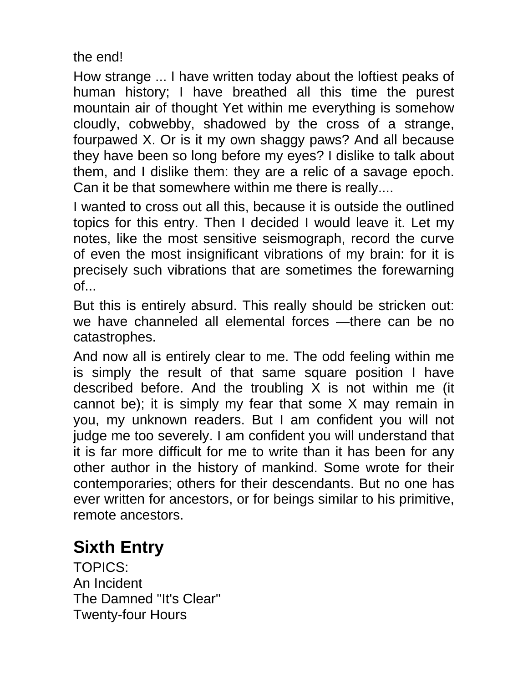the end!

How strange ... I have written today about the loftiest peaks of human history; I have breathed all this time the purest mountain air of thought Yet within me everything is somehow cloudly, cobwebby, shadowed by the cross of a strange, fourpawed X. Or is it my own shaggy paws? And all because they have been so long before my eyes? I dislike to talk about them, and I dislike them: they are a relic of a savage epoch. Can it be that somewhere within me there is really....

I wanted to cross out all this, because it is outside the outlined topics for this entry. Then I decided I would leave it. Let my notes, like the most sensitive seismograph, record the curve of even the most insignificant vibrations of my brain: for it is precisely such vibrations that are sometimes the forewarning  $of...$ 

But this is entirely absurd. This really should be stricken out: we have channeled all elemental forces —there can be no catastrophes.

And now all is entirely clear to me. The odd feeling within me is simply the result of that same square position I have described before. And the troubling X is not within me (it cannot be); it is simply my fear that some X may remain in you, my unknown readers. But I am confident you will not judge me too severely. I am confident you will understand that it is far more difficult for me to write than it has been for any other author in the history of mankind. Some wrote for their contemporaries; others for their descendants. But no one has ever written for ancestors, or for beings similar to his primitive, remote ancestors.

## **Sixth Entry**

TOPICS: An Incident The Damned "It's Clear" Twenty-four Hours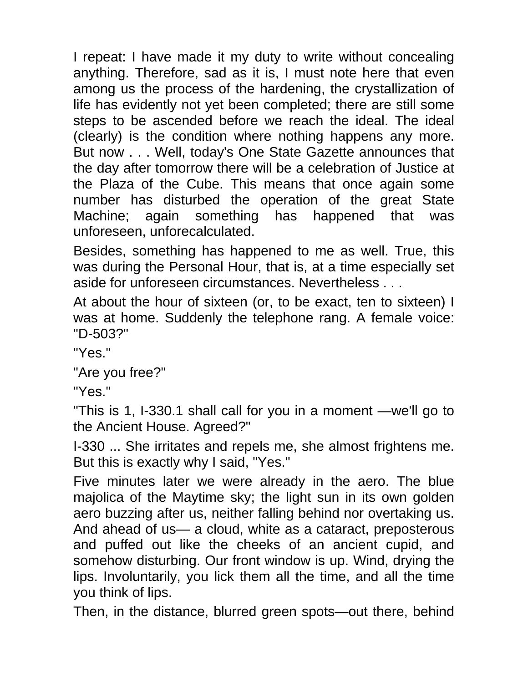I repeat: I have made it my duty to write without concealing anything. Therefore, sad as it is, I must note here that even among us the process of the hardening, the crystallization of life has evidently not yet been completed; there are still some steps to be ascended before we reach the ideal. The ideal (clearly) is the condition where nothing happens any more. But now . . . Well, today's One State Gazette announces that the day after tomorrow there will be a celebration of Justice at the Plaza of the Cube. This means that once again some number has disturbed the operation of the great State Machine; again something has happened that was unforeseen, unforecalculated.

Besides, something has happened to me as well. True, this was during the Personal Hour, that is, at a time especially set aside for unforeseen circumstances. Nevertheless . . .

At about the hour of sixteen (or, to be exact, ten to sixteen) I was at home. Suddenly the telephone rang. A female voice: "D-503?"

"Yes."

"Are you free?"

"Yes."

"This is 1, I-330.1 shall call for you in a moment —we'll go to the Ancient House. Agreed?"

I-330 ... She irritates and repels me, she almost frightens me. But this is exactly why I said, "Yes."

Five minutes later we were already in the aero. The blue majolica of the Maytime sky; the light sun in its own golden aero buzzing after us, neither falling behind nor overtaking us. And ahead of us— a cloud, white as a cataract, preposterous and puffed out like the cheeks of an ancient cupid, and somehow disturbing. Our front window is up. Wind, drying the lips. Involuntarily, you lick them all the time, and all the time you think of lips.

Then, in the distance, blurred green spots—out there, behind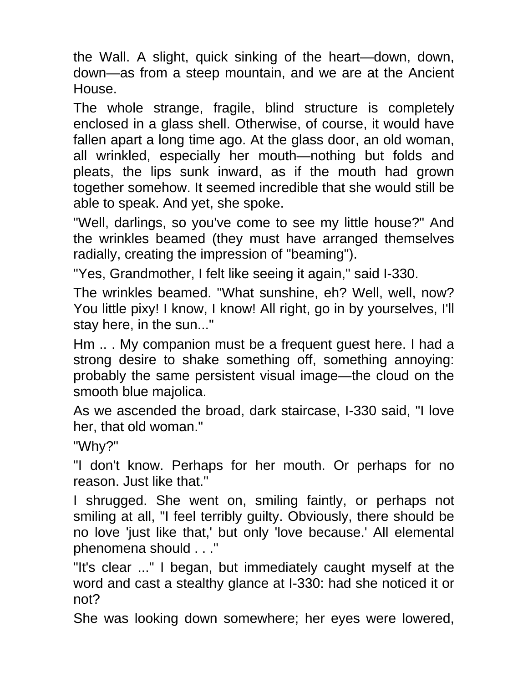the Wall. A slight, quick sinking of the heart—down, down, down—as from a steep mountain, and we are at the Ancient House.

The whole strange, fragile, blind structure is completely enclosed in a glass shell. Otherwise, of course, it would have fallen apart a long time ago. At the glass door, an old woman, all wrinkled, especially her mouth—nothing but folds and pleats, the lips sunk inward, as if the mouth had grown together somehow. It seemed incredible that she would still be able to speak. And yet, she spoke.

"Well, darlings, so you've come to see my little house?" And the wrinkles beamed (they must have arranged themselves radially, creating the impression of "beaming").

"Yes, Grandmother, I felt like seeing it again," said I-330.

The wrinkles beamed. "What sunshine, eh? Well, well, now? You little pixy! I know, I know! All right, go in by yourselves, I'll stay here, in the sun..."

Hm .. . My companion must be a frequent guest here. I had a strong desire to shake something off, something annoying: probably the same persistent visual image—the cloud on the smooth blue majolica.

As we ascended the broad, dark staircase, I-330 said, "I love her, that old woman."

"Why?"

"I don't know. Perhaps for her mouth. Or perhaps for no reason. Just like that."

I shrugged. She went on, smiling faintly, or perhaps not smiling at all, "I feel terribly guilty. Obviously, there should be no love 'just like that,' but only 'love because.' All elemental phenomena should . . ."

"It's clear ..." I began, but immediately caught myself at the word and cast a stealthy glance at I-330: had she noticed it or not?

She was looking down somewhere; her eyes were lowered,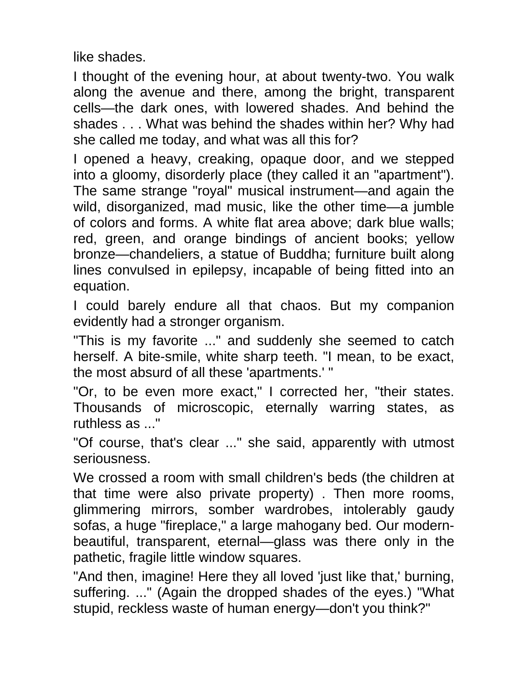like shades.

I thought of the evening hour, at about twenty-two. You walk along the avenue and there, among the bright, transparent cells—the dark ones, with lowered shades. And behind the shades . . . What was behind the shades within her? Why had she called me today, and what was all this for?

I opened a heavy, creaking, opaque door, and we stepped into a gloomy, disorderly place (they called it an "apartment"). The same strange "royal" musical instrument—and again the wild, disorganized, mad music, like the other time—a jumble of colors and forms. A white flat area above; dark blue walls; red, green, and orange bindings of ancient books; yellow bronze—chandeliers, a statue of Buddha; furniture built along lines convulsed in epilepsy, incapable of being fitted into an equation.

I could barely endure all that chaos. But my companion evidently had a stronger organism.

"This is my favorite ..." and suddenly she seemed to catch herself. A bite-smile, white sharp teeth. "I mean, to be exact, the most absurd of all these 'apartments.' "

"Or, to be even more exact," I corrected her, "their states. Thousands of microscopic, eternally warring states, as ruthless as ..."

"Of course, that's clear ..." she said, apparently with utmost seriousness.

We crossed a room with small children's beds (the children at that time were also private property) . Then more rooms, glimmering mirrors, somber wardrobes, intolerably gaudy sofas, a huge "fireplace," a large mahogany bed. Our modernbeautiful, transparent, eternal—glass was there only in the pathetic, fragile little window squares.

"And then, imagine! Here they all loved 'just like that,' burning, suffering. ..." (Again the dropped shades of the eyes.) "What stupid, reckless waste of human energy—don't you think?"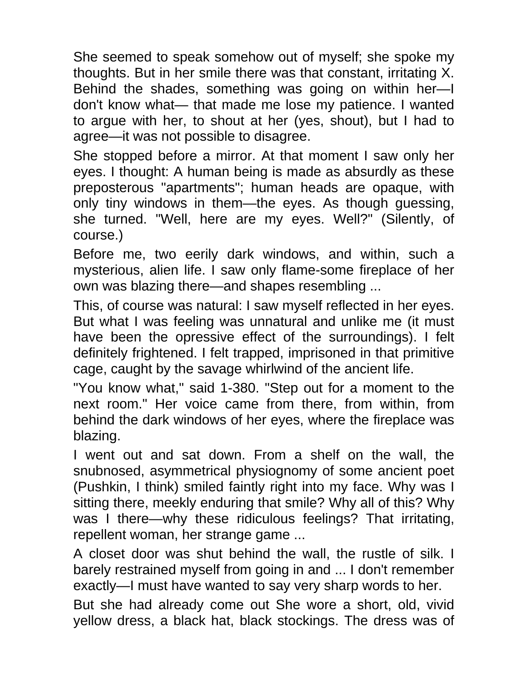She seemed to speak somehow out of myself; she spoke my thoughts. But in her smile there was that constant, irritating X. Behind the shades, something was going on within her—I don't know what— that made me lose my patience. I wanted to argue with her, to shout at her (yes, shout), but I had to agree—it was not possible to disagree.

She stopped before a mirror. At that moment I saw only her eyes. I thought: A human being is made as absurdly as these preposterous "apartments"; human heads are opaque, with only tiny windows in them—the eyes. As though guessing, she turned. "Well, here are my eyes. Well?" (Silently, of course.)

Before me, two eerily dark windows, and within, such a mysterious, alien life. I saw only flame-some fireplace of her own was blazing there—and shapes resembling ...

This, of course was natural: I saw myself reflected in her eyes. But what I was feeling was unnatural and unlike me (it must have been the opressive effect of the surroundings). I felt definitely frightened. I felt trapped, imprisoned in that primitive cage, caught by the savage whirlwind of the ancient life.

"You know what," said 1-380. "Step out for a moment to the next room." Her voice came from there, from within, from behind the dark windows of her eyes, where the fireplace was blazing.

I went out and sat down. From a shelf on the wall, the snubnosed, asymmetrical physiognomy of some ancient poet (Pushkin, I think) smiled faintly right into my face. Why was I sitting there, meekly enduring that smile? Why all of this? Why was I there—why these ridiculous feelings? That irritating, repellent woman, her strange game ...

A closet door was shut behind the wall, the rustle of silk. I barely restrained myself from going in and ... I don't remember exactly—I must have wanted to say very sharp words to her.

But she had already come out She wore a short, old, vivid yellow dress, a black hat, black stockings. The dress was of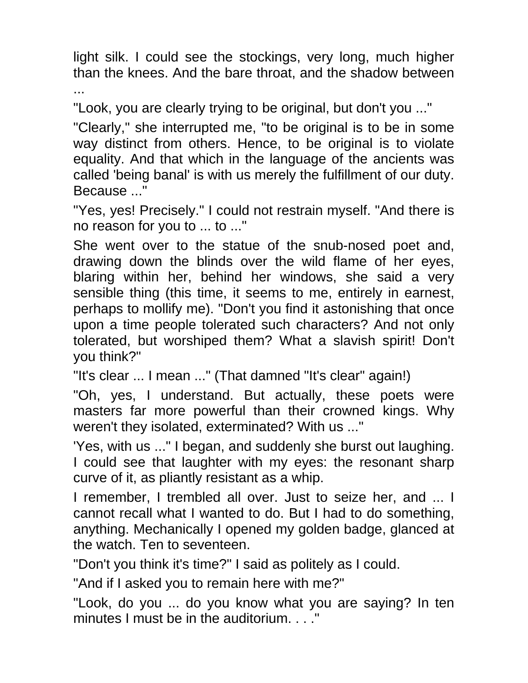light silk. I could see the stockings, very long, much higher than the knees. And the bare throat, and the shadow between ...

"Look, you are clearly trying to be original, but don't you ..."

"Clearly," she interrupted me, "to be original is to be in some way distinct from others. Hence, to be original is to violate equality. And that which in the language of the ancients was called 'being banal' is with us merely the fulfillment of our duty. Because ..."

"Yes, yes! Precisely." I could not restrain myself. "And there is no reason for you to ... to ..."

She went over to the statue of the snub-nosed poet and, drawing down the blinds over the wild flame of her eyes, blaring within her, behind her windows, she said a very sensible thing (this time, it seems to me, entirely in earnest, perhaps to mollify me). "Don't you find it astonishing that once upon a time people tolerated such characters? And not only tolerated, but worshiped them? What a slavish spirit! Don't you think?"

"It's clear ... I mean ..." (That damned "It's clear" again!)

"Oh, yes, I understand. But actually, these poets were masters far more powerful than their crowned kings. Why weren't they isolated, exterminated? With us ..."

'Yes, with us ..." I began, and suddenly she burst out laughing. I could see that laughter with my eyes: the resonant sharp curve of it, as pliantly resistant as a whip.

I remember, I trembled all over. Just to seize her, and ... I cannot recall what I wanted to do. But I had to do something, anything. Mechanically I opened my golden badge, glanced at the watch. Ten to seventeen.

"Don't you think it's time?" I said as politely as I could.

"And if I asked you to remain here with me?"

"Look, do you ... do you know what you are saying? In ten minutes I must be in the auditorium. . . . "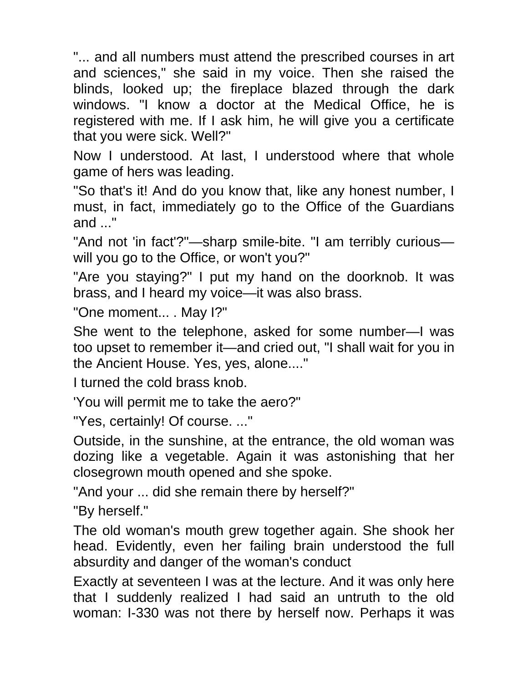"... and all numbers must attend the prescribed courses in art and sciences," she said in my voice. Then she raised the blinds, looked up; the fireplace blazed through the dark windows. "I know a doctor at the Medical Office, he is registered with me. If I ask him, he will give you a certificate that you were sick. Well?"

Now I understood. At last, I understood where that whole game of hers was leading.

"So that's it! And do you know that, like any honest number, I must, in fact, immediately go to the Office of the Guardians and ..."

"And not 'in fact'?"—sharp smile-bite. "I am terribly curious will you go to the Office, or won't you?"

"Are you staying?" I put my hand on the doorknob. It was brass, and I heard my voice—it was also brass.

"One moment... . May I?"

She went to the telephone, asked for some number—I was too upset to remember it—and cried out, "I shall wait for you in the Ancient House. Yes, yes, alone...."

I turned the cold brass knob.

'You will permit me to take the aero?"

"Yes, certainly! Of course. ..."

Outside, in the sunshine, at the entrance, the old woman was dozing like a vegetable. Again it was astonishing that her closegrown mouth opened and she spoke.

"And your ... did she remain there by herself?"

"By herself."

The old woman's mouth grew together again. She shook her head. Evidently, even her failing brain understood the full absurdity and danger of the woman's conduct

Exactly at seventeen I was at the lecture. And it was only here that I suddenly realized I had said an untruth to the old woman: I-330 was not there by herself now. Perhaps it was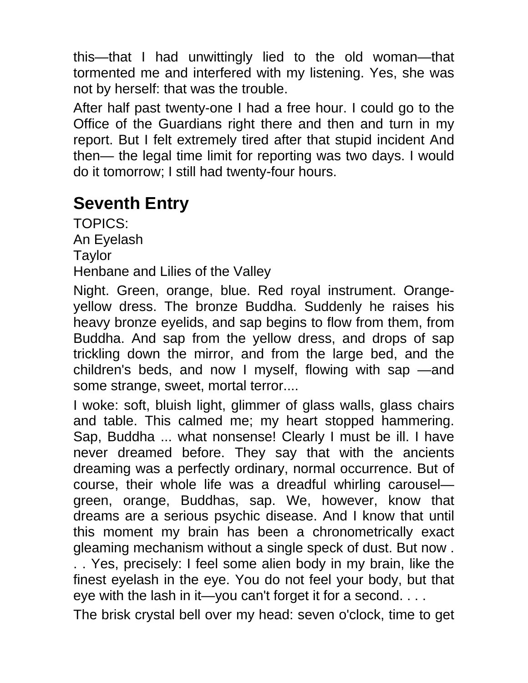this—that I had unwittingly lied to the old woman—that tormented me and interfered with my listening. Yes, she was not by herself: that was the trouble.

After half past twenty-one I had a free hour. I could go to the Office of the Guardians right there and then and turn in my report. But I felt extremely tired after that stupid incident And then— the legal time limit for reporting was two days. I would do it tomorrow; I still had twenty-four hours.

## **Seventh Entry**

TOPICS:

An Eyelash

Taylor

Henbane and Lilies of the Valley

Night. Green, orange, blue. Red royal instrument. Orangeyellow dress. The bronze Buddha. Suddenly he raises his heavy bronze eyelids, and sap begins to flow from them, from Buddha. And sap from the yellow dress, and drops of sap trickling down the mirror, and from the large bed, and the children's beds, and now I myself, flowing with sap —and some strange, sweet, mortal terror....

I woke: soft, bluish light, glimmer of glass walls, glass chairs and table. This calmed me; my heart stopped hammering. Sap, Buddha ... what nonsense! Clearly I must be ill. I have never dreamed before. They say that with the ancients dreaming was a perfectly ordinary, normal occurrence. But of course, their whole life was a dreadful whirling carousel green, orange, Buddhas, sap. We, however, know that dreams are a serious psychic disease. And I know that until this moment my brain has been a chronometrically exact gleaming mechanism without a single speck of dust. But now . . . Yes, precisely: I feel some alien body in my brain, like the finest eyelash in the eye. You do not feel your body, but that eye with the lash in it—you can't forget it for a second. . . .

The brisk crystal bell over my head: seven o'clock, time to get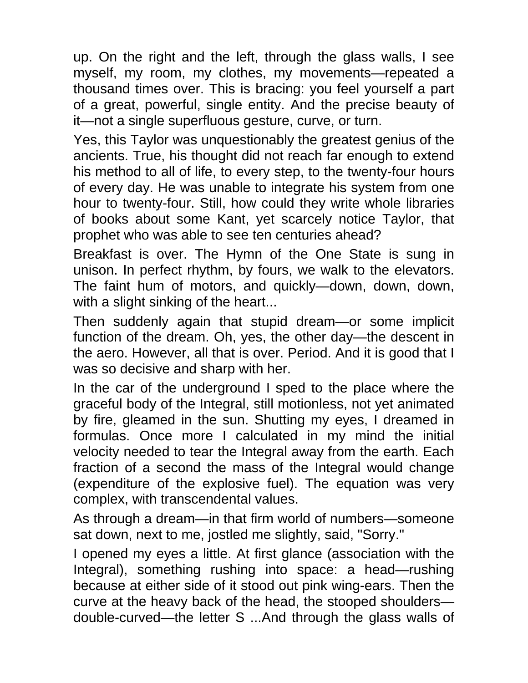up. On the right and the left, through the glass walls, I see myself, my room, my clothes, my movements—repeated a thousand times over. This is bracing: you feel yourself a part of a great, powerful, single entity. And the precise beauty of it—not a single superfluous gesture, curve, or turn.

Yes, this Taylor was unquestionably the greatest genius of the ancients. True, his thought did not reach far enough to extend his method to all of life, to every step, to the twenty-four hours of every day. He was unable to integrate his system from one hour to twenty-four. Still, how could they write whole libraries of books about some Kant, yet scarcely notice Taylor, that prophet who was able to see ten centuries ahead?

Breakfast is over. The Hymn of the One State is sung in unison. In perfect rhythm, by fours, we walk to the elevators. The faint hum of motors, and quickly—down, down, down, with a slight sinking of the heart...

Then suddenly again that stupid dream—or some implicit function of the dream. Oh, yes, the other day—the descent in the aero. However, all that is over. Period. And it is good that I was so decisive and sharp with her.

In the car of the underground I sped to the place where the graceful body of the Integral, still motionless, not yet animated by fire, gleamed in the sun. Shutting my eyes, I dreamed in formulas. Once more I calculated in my mind the initial velocity needed to tear the Integral away from the earth. Each fraction of a second the mass of the Integral would change (expenditure of the explosive fuel). The equation was very complex, with transcendental values.

As through a dream—in that firm world of numbers—someone sat down, next to me, jostled me slightly, said, "Sorry."

I opened my eyes a little. At first glance (association with the Integral), something rushing into space: a head—rushing because at either side of it stood out pink wing-ears. Then the curve at the heavy back of the head, the stooped shoulders double-curved—the letter S ...And through the glass walls of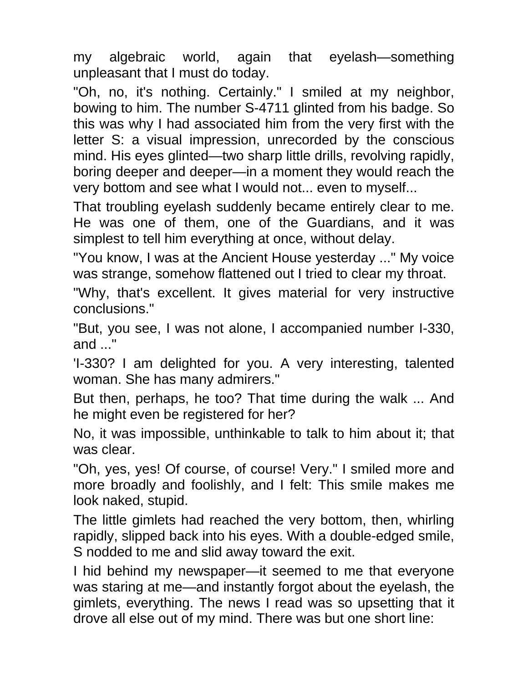my algebraic world, again that eyelash—something unpleasant that I must do today.

"Oh, no, it's nothing. Certainly." I smiled at my neighbor, bowing to him. The number S-4711 glinted from his badge. So this was why I had associated him from the very first with the letter S: a visual impression, unrecorded by the conscious mind. His eyes glinted—two sharp little drills, revolving rapidly, boring deeper and deeper—in a moment they would reach the very bottom and see what I would not... even to myself...

That troubling eyelash suddenly became entirely clear to me. He was one of them, one of the Guardians, and it was simplest to tell him everything at once, without delay.

"You know, I was at the Ancient House yesterday ..." My voice was strange, somehow flattened out I tried to clear my throat.

"Why, that's excellent. It gives material for very instructive conclusions."

"But, you see, I was not alone, I accompanied number I-330, and ..."

'I-330? I am delighted for you. A very interesting, talented woman. She has many admirers."

But then, perhaps, he too? That time during the walk ... And he might even be registered for her?

No, it was impossible, unthinkable to talk to him about it; that was clear.

"Oh, yes, yes! Of course, of course! Very." I smiled more and more broadly and foolishly, and I felt: This smile makes me look naked, stupid.

The little gimlets had reached the very bottom, then, whirling rapidly, slipped back into his eyes. With a double-edged smile, S nodded to me and slid away toward the exit.

I hid behind my newspaper—it seemed to me that everyone was staring at me—and instantly forgot about the eyelash, the gimlets, everything. The news I read was so upsetting that it drove all else out of my mind. There was but one short line: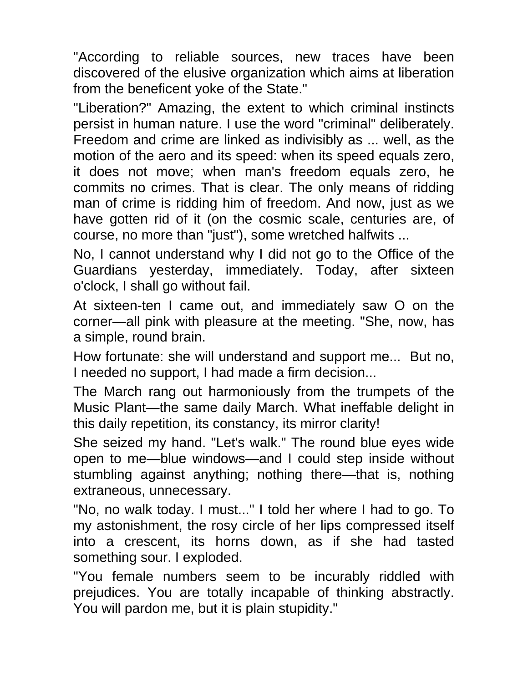"According to reliable sources, new traces have been discovered of the elusive organization which aims at liberation from the beneficent yoke of the State."

"Liberation?" Amazing, the extent to which criminal instincts persist in human nature. I use the word "criminal" deliberately. Freedom and crime are linked as indivisibly as ... well, as the motion of the aero and its speed: when its speed equals zero, it does not move; when man's freedom equals zero, he commits no crimes. That is clear. The only means of ridding man of crime is ridding him of freedom. And now, just as we have gotten rid of it (on the cosmic scale, centuries are, of course, no more than "just"), some wretched halfwits ...

No, I cannot understand why I did not go to the Office of the Guardians yesterday, immediately. Today, after sixteen o'clock, I shall go without fail.

At sixteen-ten I came out, and immediately saw O on the corner—all pink with pleasure at the meeting. "She, now, has a simple, round brain.

How fortunate: she will understand and support me... But no, I needed no support, I had made a firm decision...

The March rang out harmoniously from the trumpets of the Music Plant—the same daily March. What ineffable delight in this daily repetition, its constancy, its mirror clarity!

She seized my hand. "Let's walk." The round blue eyes wide open to me—blue windows—and I could step inside without stumbling against anything; nothing there—that is, nothing extraneous, unnecessary.

"No, no walk today. I must..." I told her where I had to go. To my astonishment, the rosy circle of her lips compressed itself into a crescent, its horns down, as if she had tasted something sour. I exploded.

"You female numbers seem to be incurably riddled with prejudices. You are totally incapable of thinking abstractly. You will pardon me, but it is plain stupidity."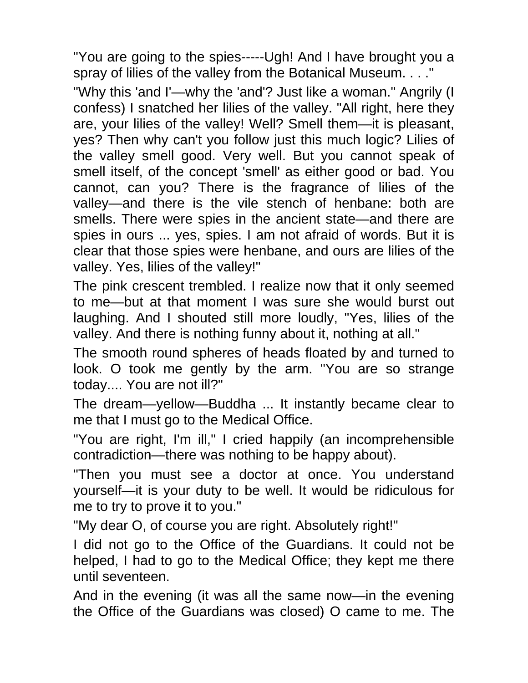"You are going to the spies-----Ugh! And I have brought you a spray of lilies of the valley from the Botanical Museum. . . . "

"Why this 'and I'—why the 'and'? Just like a woman." Angrily (I confess) I snatched her lilies of the valley. "All right, here they are, your lilies of the valley! Well? Smell them—it is pleasant, yes? Then why can't you follow just this much logic? Lilies of the valley smell good. Very well. But you cannot speak of smell itself, of the concept 'smell' as either good or bad. You cannot, can you? There is the fragrance of lilies of the valley—and there is the vile stench of henbane: both are smells. There were spies in the ancient state—and there are spies in ours ... yes, spies. I am not afraid of words. But it is clear that those spies were henbane, and ours are lilies of the valley. Yes, lilies of the valley!"

The pink crescent trembled. I realize now that it only seemed to me—but at that moment I was sure she would burst out laughing. And I shouted still more loudly, "Yes, lilies of the valley. And there is nothing funny about it, nothing at all."

The smooth round spheres of heads floated by and turned to look. O took me gently by the arm. "You are so strange today.... You are not ill?"

The dream—yellow—Buddha ... It instantly became clear to me that I must go to the Medical Office.

"You are right, I'm ill," I cried happily (an incomprehensible contradiction—there was nothing to be happy about).

"Then you must see a doctor at once. You understand yourself—it is your duty to be well. It would be ridiculous for me to try to prove it to you."

"My dear O, of course you are right. Absolutely right!"

I did not go to the Office of the Guardians. It could not be helped, I had to go to the Medical Office; they kept me there until seventeen.

And in the evening (it was all the same now—in the evening the Office of the Guardians was closed) O came to me. The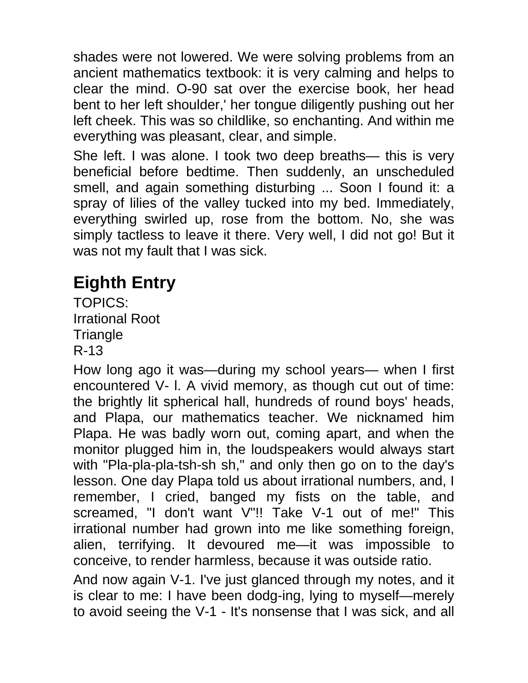shades were not lowered. We were solving problems from an ancient mathematics textbook: it is very calming and helps to clear the mind. O-90 sat over the exercise book, her head bent to her left shoulder,' her tongue diligently pushing out her left cheek. This was so childlike, so enchanting. And within me everything was pleasant, clear, and simple.

She left. I was alone. I took two deep breaths— this is very beneficial before bedtime. Then suddenly, an unscheduled smell, and again something disturbing ... Soon I found it: a spray of lilies of the valley tucked into my bed. Immediately, everything swirled up, rose from the bottom. No, she was simply tactless to leave it there. Very well, I did not go! But it was not my fault that I was sick.

## **Eighth Entry**

TOPICS: Irrational Root **Triangle** R-13

How long ago it was—during my school years— when I first encountered V- l. A vivid memory, as though cut out of time: the brightly lit spherical hall, hundreds of round boys' heads, and Plapa, our mathematics teacher. We nicknamed him Plapa. He was badly worn out, coming apart, and when the monitor plugged him in, the loudspeakers would always start with "Pla-pla-pla-tsh-sh sh," and only then go on to the day's lesson. One day Plapa told us about irrational numbers, and, I remember, I cried, banged my fists on the table, and screamed, "I don't want V"!! Take V-1 out of me!" This irrational number had grown into me like something foreign, alien, terrifying. It devoured me—it was impossible to conceive, to render harmless, because it was outside ratio.

And now again V-1. I've just glanced through my notes, and it is clear to me: I have been dodg-ing, lying to myself—merely to avoid seeing the V-1 - It's nonsense that I was sick, and all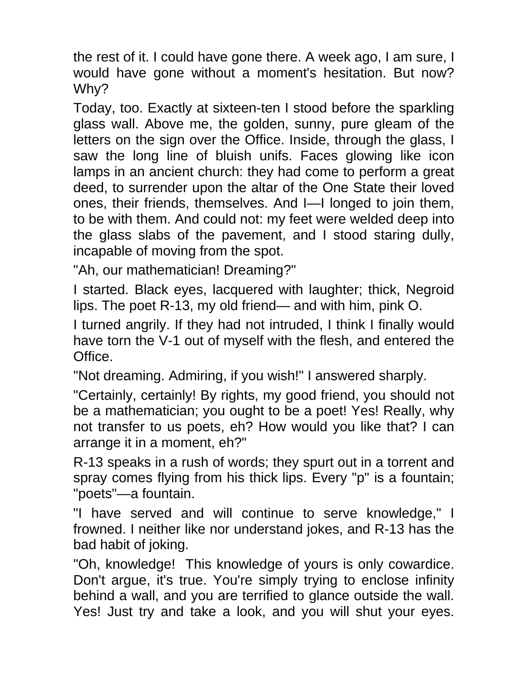the rest of it. I could have gone there. A week ago, I am sure, I would have gone without a moment's hesitation. But now? Why?

Today, too. Exactly at sixteen-ten I stood before the sparkling glass wall. Above me, the golden, sunny, pure gleam of the letters on the sign over the Office. Inside, through the glass, I saw the long line of bluish unifs. Faces glowing like icon lamps in an ancient church: they had come to perform a great deed, to surrender upon the altar of the One State their loved ones, their friends, themselves. And I—I longed to join them, to be with them. And could not: my feet were welded deep into the glass slabs of the pavement, and I stood staring dully, incapable of moving from the spot.

"Ah, our mathematician! Dreaming?"

I started. Black eyes, lacquered with laughter; thick, Negroid lips. The poet R-13, my old friend— and with him, pink O.

I turned angrily. If they had not intruded, I think I finally would have torn the V-1 out of myself with the flesh, and entered the Office.

"Not dreaming. Admiring, if you wish!" I answered sharply.

"Certainly, certainly! By rights, my good friend, you should not be a mathematician; you ought to be a poet! Yes! Really, why not transfer to us poets, eh? How would you like that? I can arrange it in a moment, eh?"

R-13 speaks in a rush of words; they spurt out in a torrent and spray comes flying from his thick lips. Every "p" is a fountain; "poets"—a fountain.

"I have served and will continue to serve knowledge," I frowned. I neither like nor understand jokes, and R-13 has the bad habit of joking.

"Oh, knowledge! This knowledge of yours is only cowardice. Don't argue, it's true. You're simply trying to enclose infinity behind a wall, and you are terrified to glance outside the wall. Yes! Just try and take a look, and you will shut your eyes.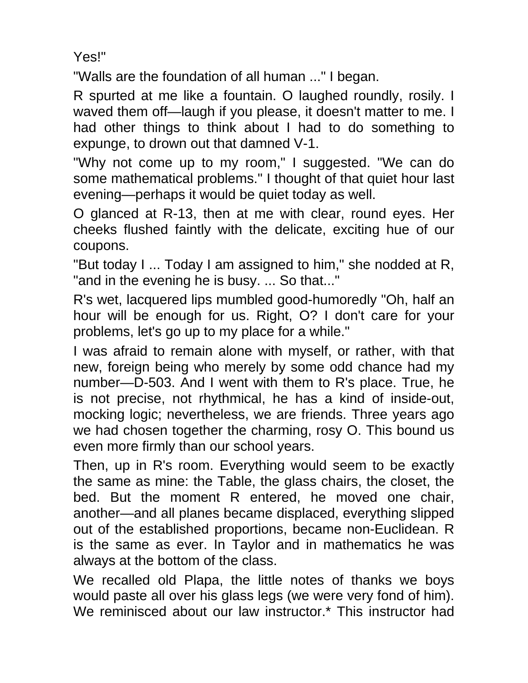Yes!"

"Walls are the foundation of all human ..." I began.

R spurted at me like a fountain. O laughed roundly, rosily. I waved them off—laugh if you please, it doesn't matter to me. I had other things to think about I had to do something to expunge, to drown out that damned V-1.

"Why not come up to my room," I suggested. "We can do some mathematical problems." I thought of that quiet hour last evening—perhaps it would be quiet today as well.

O glanced at R-13, then at me with clear, round eyes. Her cheeks flushed faintly with the delicate, exciting hue of our coupons.

"But today I ... Today I am assigned to him," she nodded at R, "and in the evening he is busy. ... So that...'

R's wet, lacquered lips mumbled good-humoredly "Oh, half an hour will be enough for us. Right, O? I don't care for your problems, let's go up to my place for a while."

I was afraid to remain alone with myself, or rather, with that new, foreign being who merely by some odd chance had my number—D-503. And I went with them to R's place. True, he is not precise, not rhythmical, he has a kind of inside-out, mocking logic; nevertheless, we are friends. Three years ago we had chosen together the charming, rosy O. This bound us even more firmly than our school years.

Then, up in R's room. Everything would seem to be exactly the same as mine: the Table, the glass chairs, the closet, the bed. But the moment R entered, he moved one chair, another—and all planes became displaced, everything slipped out of the established proportions, became non-Euclidean. R is the same as ever. In Taylor and in mathematics he was always at the bottom of the class.

We recalled old Plapa, the little notes of thanks we boys would paste all over his glass legs (we were very fond of him). We reminisced about our law instructor.\* This instructor had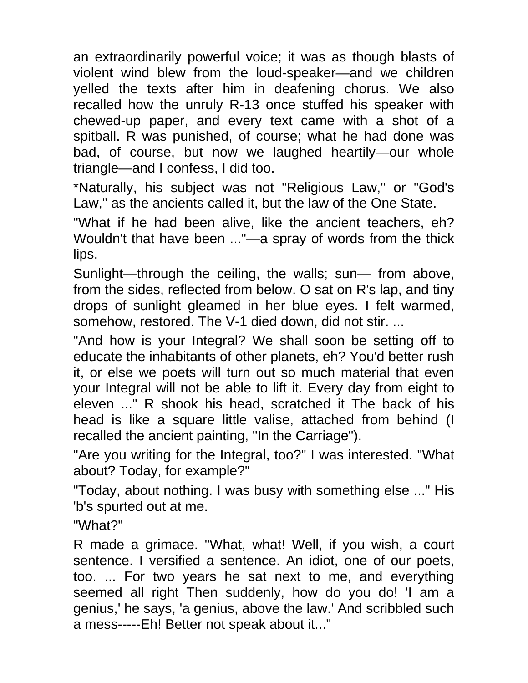an extraordinarily powerful voice; it was as though blasts of violent wind blew from the loud-speaker—and we children yelled the texts after him in deafening chorus. We also recalled how the unruly R-13 once stuffed his speaker with chewed-up paper, and every text came with a shot of a spitball. R was punished, of course; what he had done was bad, of course, but now we laughed heartily—our whole triangle—and I confess, I did too.

\*Naturally, his subject was not "Religious Law," or "God's Law," as the ancients called it, but the law of the One State.

"What if he had been alive, like the ancient teachers, eh? Wouldn't that have been ..."—a spray of words from the thick lips.

Sunlight—through the ceiling, the walls; sun— from above, from the sides, reflected from below. O sat on R's lap, and tiny drops of sunlight gleamed in her blue eyes. I felt warmed, somehow, restored. The V-1 died down, did not stir. ...

"And how is your Integral? We shall soon be setting off to educate the inhabitants of other planets, eh? You'd better rush it, or else we poets will turn out so much material that even your Integral will not be able to lift it. Every day from eight to eleven ..." R shook his head, scratched it The back of his head is like a square little valise, attached from behind (I recalled the ancient painting, "In the Carriage").

"Are you writing for the Integral, too?" I was interested. "What about? Today, for example?"

"Today, about nothing. I was busy with something else ..." His 'b's spurted out at me.

"What?"

R made a grimace. "What, what! Well, if you wish, a court sentence. I versified a sentence. An idiot, one of our poets, too. ... For two years he sat next to me, and everything seemed all right Then suddenly, how do you do! 'I am a genius,' he says, 'a genius, above the law.' And scribbled such a mess-----Eh! Better not speak about it..."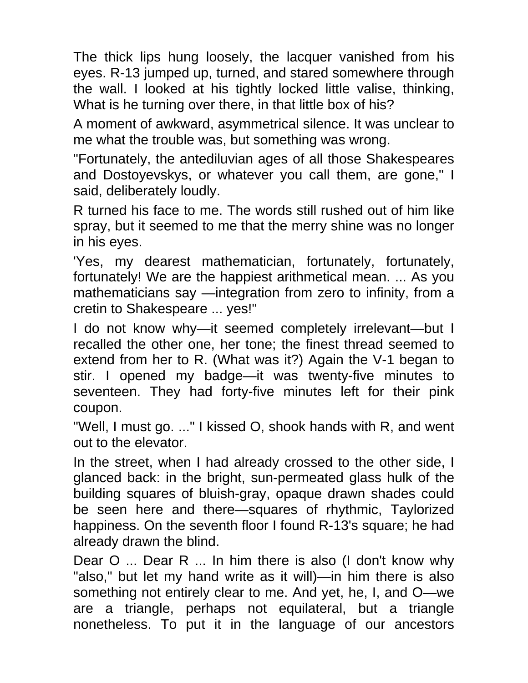The thick lips hung loosely, the lacquer vanished from his eyes. R-13 jumped up, turned, and stared somewhere through the wall. I looked at his tightly locked little valise, thinking, What is he turning over there, in that little box of his?

A moment of awkward, asymmetrical silence. It was unclear to me what the trouble was, but something was wrong.

"Fortunately, the antediluvian ages of all those Shakespeares and Dostoyevskys, or whatever you call them, are gone," I said, deliberately loudly.

R turned his face to me. The words still rushed out of him like spray, but it seemed to me that the merry shine was no longer in his eyes.

'Yes, my dearest mathematician, fortunately, fortunately, fortunately! We are the happiest arithmetical mean. ... As you mathematicians say —integration from zero to infinity, from a cretin to Shakespeare ... yes!"

I do not know why—it seemed completely irrelevant—but I recalled the other one, her tone; the finest thread seemed to extend from her to R. (What was it?) Again the V-1 began to stir. I opened my badge—it was twenty-five minutes to seventeen. They had forty-five minutes left for their pink coupon.

"Well, I must go. ..." I kissed O, shook hands with R, and went out to the elevator.

In the street, when I had already crossed to the other side, I glanced back: in the bright, sun-permeated glass hulk of the building squares of bluish-gray, opaque drawn shades could be seen here and there—squares of rhythmic, Taylorized happiness. On the seventh floor I found R-13's square; he had already drawn the blind.

Dear O ... Dear R ... In him there is also (I don't know why "also," but let my hand write as it will)—in him there is also something not entirely clear to me. And yet, he, I, and O—we are a triangle, perhaps not equilateral, but a triangle nonetheless. To put it in the language of our ancestors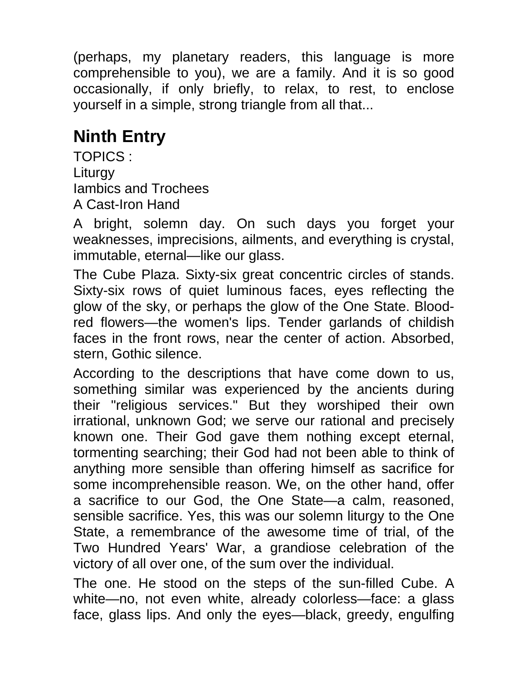(perhaps, my planetary readers, this language is more comprehensible to you), we are a family. And it is so good occasionally, if only briefly, to relax, to rest, to enclose yourself in a simple, strong triangle from all that...

## **Ninth Entry**

TOPICS : **Liturgy** Iambics and Trochees A Cast-Iron Hand

A bright, solemn day. On such days you forget your weaknesses, imprecisions, ailments, and everything is crystal, immutable, eternal—like our glass.

The Cube Plaza. Sixty-six great concentric circles of stands. Sixty-six rows of quiet luminous faces, eyes reflecting the glow of the sky, or perhaps the glow of the One State. Bloodred flowers—the women's lips. Tender garlands of childish faces in the front rows, near the center of action. Absorbed, stern, Gothic silence.

According to the descriptions that have come down to us, something similar was experienced by the ancients during their "religious services." But they worshiped their own irrational, unknown God; we serve our rational and precisely known one. Their God gave them nothing except eternal, tormenting searching; their God had not been able to think of anything more sensible than offering himself as sacrifice for some incomprehensible reason. We, on the other hand, offer a sacrifice to our God, the One State—a calm, reasoned, sensible sacrifice. Yes, this was our solemn liturgy to the One State, a remembrance of the awesome time of trial, of the Two Hundred Years' War, a grandiose celebration of the victory of all over one, of the sum over the individual.

The one. He stood on the steps of the sun-filled Cube. A white—no, not even white, already colorless—face: a glass face, glass lips. And only the eyes—black, greedy, engulfing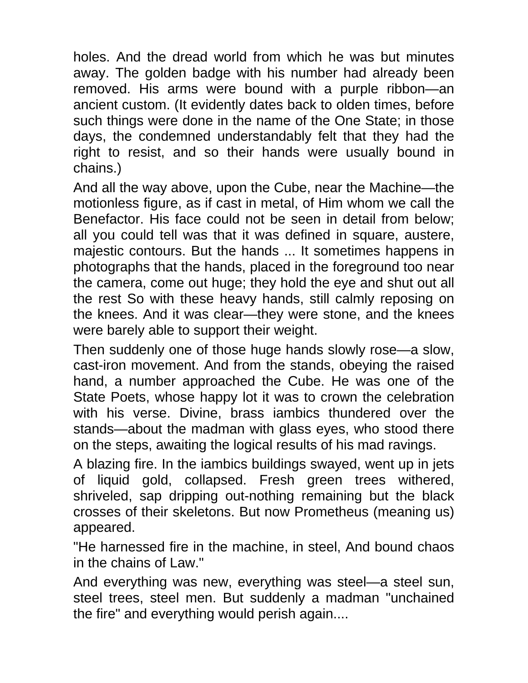holes. And the dread world from which he was but minutes away. The golden badge with his number had already been removed. His arms were bound with a purple ribbon—an ancient custom. (It evidently dates back to olden times, before such things were done in the name of the One State; in those days, the condemned understandably felt that they had the right to resist, and so their hands were usually bound in chains.)

And all the way above, upon the Cube, near the Machine—the motionless figure, as if cast in metal, of Him whom we call the Benefactor. His face could not be seen in detail from below; all you could tell was that it was defined in square, austere, majestic contours. But the hands ... It sometimes happens in photographs that the hands, placed in the foreground too near the camera, come out huge; they hold the eye and shut out all the rest So with these heavy hands, still calmly reposing on the knees. And it was clear—they were stone, and the knees were barely able to support their weight.

Then suddenly one of those huge hands slowly rose—a slow, cast-iron movement. And from the stands, obeying the raised hand, a number approached the Cube. He was one of the State Poets, whose happy lot it was to crown the celebration with his verse. Divine, brass iambics thundered over the stands—about the madman with glass eyes, who stood there on the steps, awaiting the logical results of his mad ravings.

A blazing fire. In the iambics buildings swayed, went up in jets of liquid gold, collapsed. Fresh green trees withered, shriveled, sap dripping out-nothing remaining but the black crosses of their skeletons. But now Prometheus (meaning us) appeared.

"He harnessed fire in the machine, in steel, And bound chaos in the chains of Law."

And everything was new, everything was steel—a steel sun, steel trees, steel men. But suddenly a madman "unchained the fire" and everything would perish again....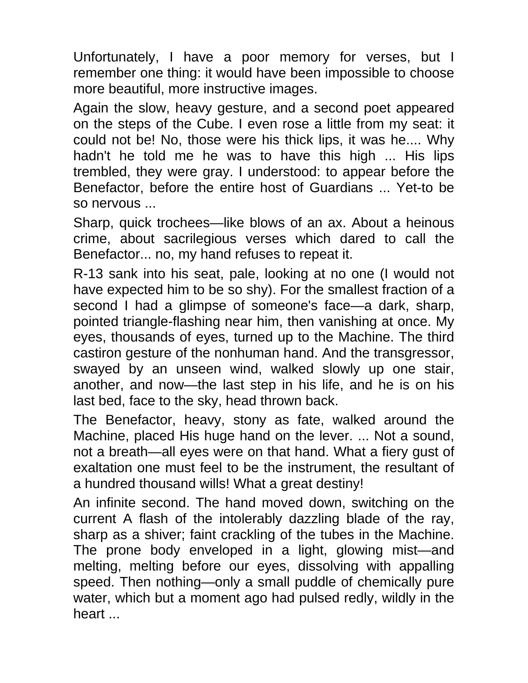Unfortunately, I have a poor memory for verses, but I remember one thing: it would have been impossible to choose more beautiful, more instructive images.

Again the slow, heavy gesture, and a second poet appeared on the steps of the Cube. I even rose a little from my seat: it could not be! No, those were his thick lips, it was he.... Why hadn't he told me he was to have this high ... His lips trembled, they were gray. I understood: to appear before the Benefactor, before the entire host of Guardians ... Yet-to be so nervous ...

Sharp, quick trochees—like blows of an ax. About a heinous crime, about sacrilegious verses which dared to call the Benefactor... no, my hand refuses to repeat it.

R-13 sank into his seat, pale, looking at no one (I would not have expected him to be so shy). For the smallest fraction of a second I had a glimpse of someone's face—a dark, sharp, pointed triangle-flashing near him, then vanishing at once. My eyes, thousands of eyes, turned up to the Machine. The third castiron gesture of the nonhuman hand. And the transgressor, swayed by an unseen wind, walked slowly up one stair, another, and now—the last step in his life, and he is on his last bed, face to the sky, head thrown back.

The Benefactor, heavy, stony as fate, walked around the Machine, placed His huge hand on the lever. ... Not a sound, not a breath—all eyes were on that hand. What a fiery gust of exaltation one must feel to be the instrument, the resultant of a hundred thousand wills! What a great destiny!

An infinite second. The hand moved down, switching on the current A flash of the intolerably dazzling blade of the ray, sharp as a shiver; faint crackling of the tubes in the Machine. The prone body enveloped in a light, glowing mist—and melting, melting before our eyes, dissolving with appalling speed. Then nothing—only a small puddle of chemically pure water, which but a moment ago had pulsed redly, wildly in the heart ...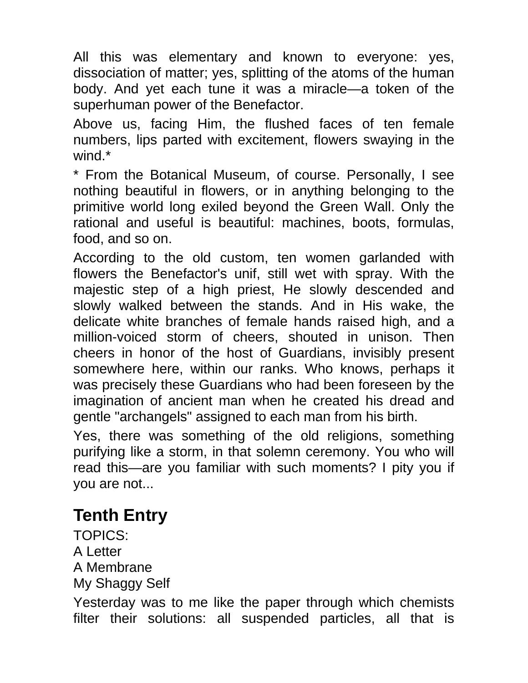All this was elementary and known to everyone: yes, dissociation of matter; yes, splitting of the atoms of the human body. And yet each tune it was a miracle—a token of the superhuman power of the Benefactor.

Above us, facing Him, the flushed faces of ten female numbers, lips parted with excitement, flowers swaying in the wind.\*

\* From the Botanical Museum, of course. Personally, I see nothing beautiful in flowers, or in anything belonging to the primitive world long exiled beyond the Green Wall. Only the rational and useful is beautiful: machines, boots, formulas, food, and so on.

According to the old custom, ten women garlanded with flowers the Benefactor's unif, still wet with spray. With the majestic step of a high priest, He slowly descended and slowly walked between the stands. And in His wake, the delicate white branches of female hands raised high, and a million-voiced storm of cheers, shouted in unison. Then cheers in honor of the host of Guardians, invisibly present somewhere here, within our ranks. Who knows, perhaps it was precisely these Guardians who had been foreseen by the imagination of ancient man when he created his dread and gentle "archangels" assigned to each man from his birth.

Yes, there was something of the old religions, something purifying like a storm, in that solemn ceremony. You who will read this—are you familiar with such moments? I pity you if you are not...

#### **Tenth Entry**

TOPICS: A Letter A Membrane My Shaggy Self

Yesterday was to me like the paper through which chemists filter their solutions: all suspended particles, all that is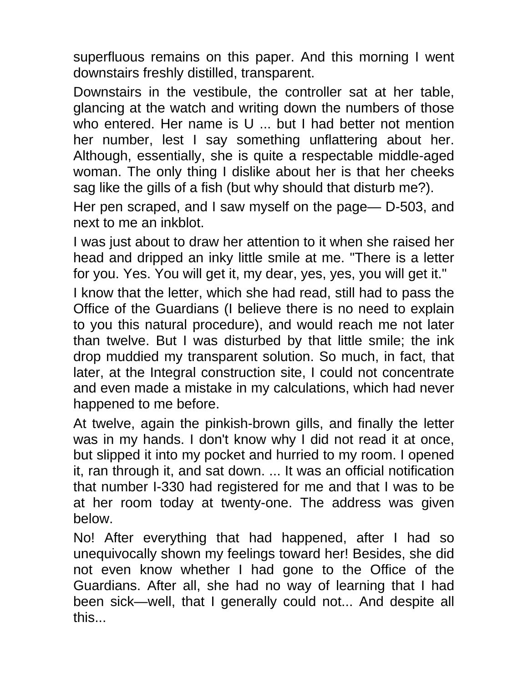superfluous remains on this paper. And this morning I went downstairs freshly distilled, transparent.

Downstairs in the vestibule, the controller sat at her table, glancing at the watch and writing down the numbers of those who entered. Her name is U ... but I had better not mention her number, lest I say something unflattering about her. Although, essentially, she is quite a respectable middle-aged woman. The only thing I dislike about her is that her cheeks sag like the gills of a fish (but why should that disturb me?).

Her pen scraped, and I saw myself on the page— D-503, and next to me an inkblot.

I was just about to draw her attention to it when she raised her head and dripped an inky little smile at me. "There is a letter for you. Yes. You will get it, my dear, yes, yes, you will get it."

I know that the letter, which she had read, still had to pass the Office of the Guardians (I believe there is no need to explain to you this natural procedure), and would reach me not later than twelve. But I was disturbed by that little smile; the ink drop muddied my transparent solution. So much, in fact, that later, at the Integral construction site, I could not concentrate and even made a mistake in my calculations, which had never happened to me before.

At twelve, again the pinkish-brown gills, and finally the letter was in my hands. I don't know why I did not read it at once, but slipped it into my pocket and hurried to my room. I opened it, ran through it, and sat down. ... It was an official notification that number I-330 had registered for me and that I was to be at her room today at twenty-one. The address was given below.

No! After everything that had happened, after I had so unequivocally shown my feelings toward her! Besides, she did not even know whether I had gone to the Office of the Guardians. After all, she had no way of learning that I had been sick—well, that I generally could not... And despite all this...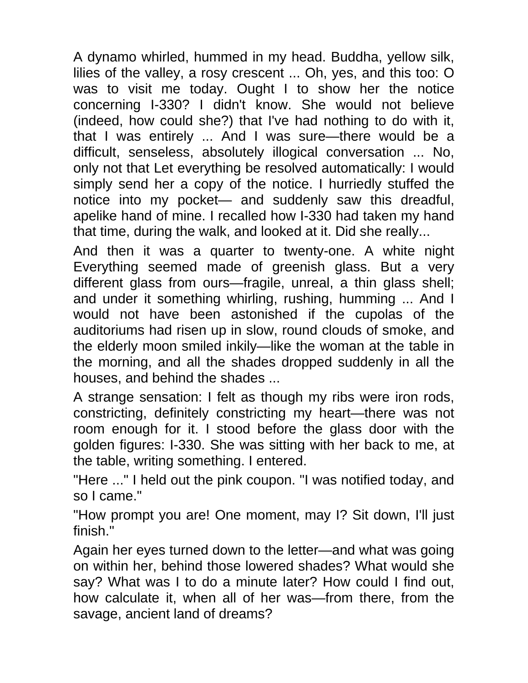A dynamo whirled, hummed in my head. Buddha, yellow silk, lilies of the valley, a rosy crescent ... Oh, yes, and this too: O was to visit me today. Ought I to show her the notice concerning I-330? I didn't know. She would not believe (indeed, how could she?) that I've had nothing to do with it, that I was entirely ... And I was sure—there would be a difficult, senseless, absolutely illogical conversation ... No, only not that Let everything be resolved automatically: I would simply send her a copy of the notice. I hurriedly stuffed the notice into my pocket— and suddenly saw this dreadful, apelike hand of mine. I recalled how I-330 had taken my hand that time, during the walk, and looked at it. Did she really...

And then it was a quarter to twenty-one. A white night Everything seemed made of greenish glass. But a very different glass from ours—fragile, unreal, a thin glass shell; and under it something whirling, rushing, humming ... And I would not have been astonished if the cupolas of the auditoriums had risen up in slow, round clouds of smoke, and the elderly moon smiled inkily—like the woman at the table in the morning, and all the shades dropped suddenly in all the houses, and behind the shades ...

A strange sensation: I felt as though my ribs were iron rods, constricting, definitely constricting my heart—there was not room enough for it. I stood before the glass door with the golden figures: I-330. She was sitting with her back to me, at the table, writing something. I entered.

"Here ..." I held out the pink coupon. "I was notified today, and so I came."

"How prompt you are! One moment, may I? Sit down, I'll just finish."

Again her eyes turned down to the letter—and what was going on within her, behind those lowered shades? What would she say? What was I to do a minute later? How could I find out, how calculate it, when all of her was—from there, from the savage, ancient land of dreams?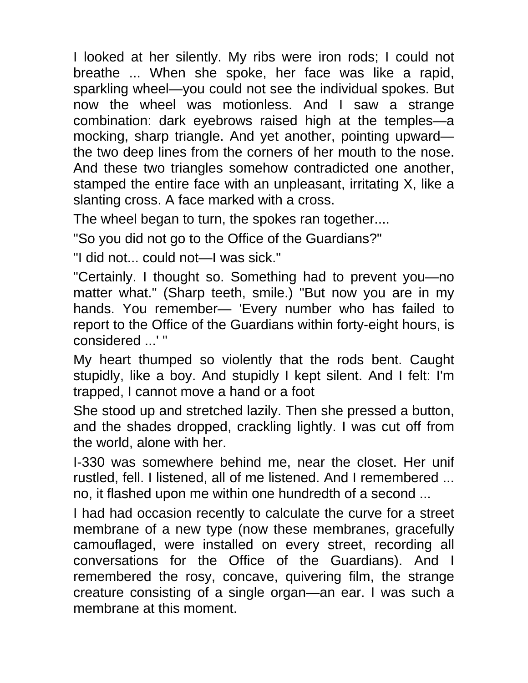I looked at her silently. My ribs were iron rods; I could not breathe ... When she spoke, her face was like a rapid, sparkling wheel—you could not see the individual spokes. But now the wheel was motionless. And I saw a strange combination: dark eyebrows raised high at the temples—a mocking, sharp triangle. And yet another, pointing upward the two deep lines from the corners of her mouth to the nose. And these two triangles somehow contradicted one another, stamped the entire face with an unpleasant, irritating X, like a slanting cross. A face marked with a cross.

The wheel began to turn, the spokes ran together....

"So you did not go to the Office of the Guardians?"

"I did not... could not—I was sick."

"Certainly. I thought so. Something had to prevent you—no matter what." (Sharp teeth, smile.) "But now you are in my hands. You remember— 'Every number who has failed to report to the Office of the Guardians within forty-eight hours, is considered ...' "

My heart thumped so violently that the rods bent. Caught stupidly, like a boy. And stupidly I kept silent. And I felt: I'm trapped, I cannot move a hand or a foot

She stood up and stretched lazily. Then she pressed a button, and the shades dropped, crackling lightly. I was cut off from the world, alone with her.

I-330 was somewhere behind me, near the closet. Her unif rustled, fell. I listened, all of me listened. And I remembered ... no, it flashed upon me within one hundredth of a second ...

I had had occasion recently to calculate the curve for a street membrane of a new type (now these membranes, gracefully camouflaged, were installed on every street, recording all conversations for the Office of the Guardians). And I remembered the rosy, concave, quivering film, the strange creature consisting of a single organ—an ear. I was such a membrane at this moment.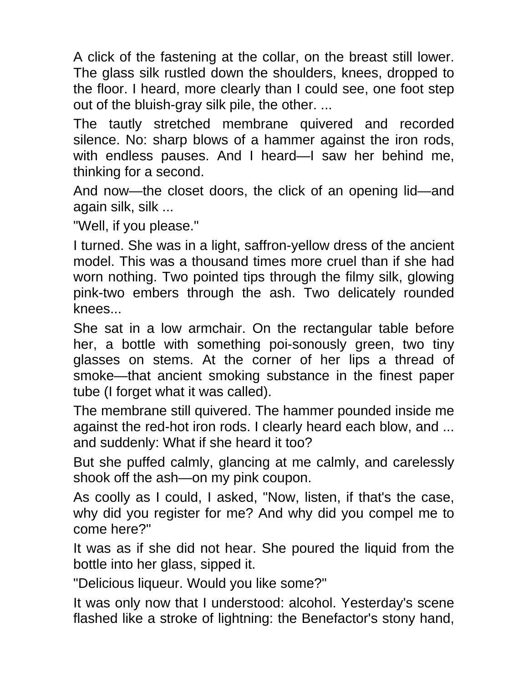A click of the fastening at the collar, on the breast still lower. The glass silk rustled down the shoulders, knees, dropped to the floor. I heard, more clearly than I could see, one foot step out of the bluish-gray silk pile, the other. ...

The tautly stretched membrane quivered and recorded silence. No: sharp blows of a hammer against the iron rods, with endless pauses. And I heard—I saw her behind me, thinking for a second.

And now—the closet doors, the click of an opening lid—and again silk, silk ...

"Well, if you please."

I turned. She was in a light, saffron-yellow dress of the ancient model. This was a thousand times more cruel than if she had worn nothing. Two pointed tips through the filmy silk, glowing pink-two embers through the ash. Two delicately rounded knees...

She sat in a low armchair. On the rectangular table before her, a bottle with something poi-sonously green, two tiny glasses on stems. At the corner of her lips a thread of smoke—that ancient smoking substance in the finest paper tube (I forget what it was called).

The membrane still quivered. The hammer pounded inside me against the red-hot iron rods. I clearly heard each blow, and ... and suddenly: What if she heard it too?

But she puffed calmly, glancing at me calmly, and carelessly shook off the ash—on my pink coupon.

As coolly as I could, I asked, "Now, listen, if that's the case, why did you register for me? And why did you compel me to come here?"

It was as if she did not hear. She poured the liquid from the bottle into her glass, sipped it.

"Delicious liqueur. Would you like some?"

It was only now that I understood: alcohol. Yesterday's scene flashed like a stroke of lightning: the Benefactor's stony hand,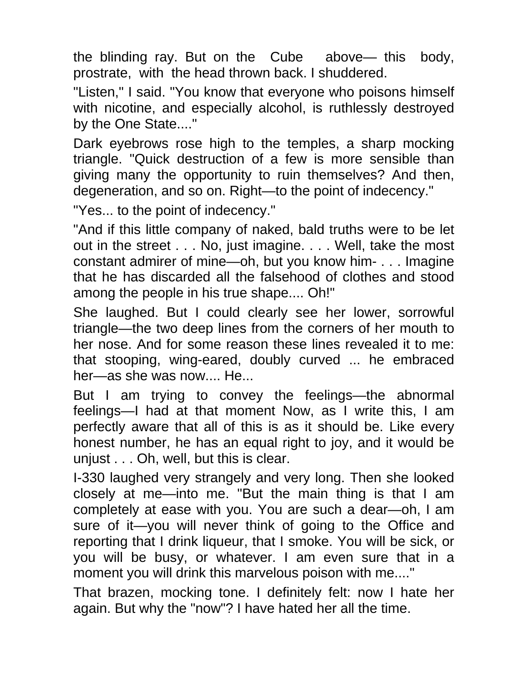the blinding ray. But on the Cube above— this body, prostrate, with the head thrown back. I shuddered.

"Listen," I said. "You know that everyone who poisons himself with nicotine, and especially alcohol, is ruthlessly destroyed by the One State...."

Dark eyebrows rose high to the temples, a sharp mocking triangle. "Quick destruction of a few is more sensible than giving many the opportunity to ruin themselves? And then, degeneration, and so on. Right—to the point of indecency."

"Yes... to the point of indecency."

"And if this little company of naked, bald truths were to be let out in the street . . . No, just imagine. . . . Well, take the most constant admirer of mine—oh, but you know him- . . . Imagine that he has discarded all the falsehood of clothes and stood among the people in his true shape.... Oh!"

She laughed. But I could clearly see her lower, sorrowful triangle—the two deep lines from the corners of her mouth to her nose. And for some reason these lines revealed it to me: that stooping, wing-eared, doubly curved ... he embraced her—as she was now.... He...

But I am trying to convey the feelings—the abnormal feelings—I had at that moment Now, as I write this, I am perfectly aware that all of this is as it should be. Like every honest number, he has an equal right to joy, and it would be unjust . . . Oh, well, but this is clear.

I-330 laughed very strangely and very long. Then she looked closely at me—into me. "But the main thing is that I am completely at ease with you. You are such a dear—oh, I am sure of it—you will never think of going to the Office and reporting that I drink liqueur, that I smoke. You will be sick, or you will be busy, or whatever. I am even sure that in a moment you will drink this marvelous poison with me...."

That brazen, mocking tone. I definitely felt: now I hate her again. But why the "now"? I have hated her all the time.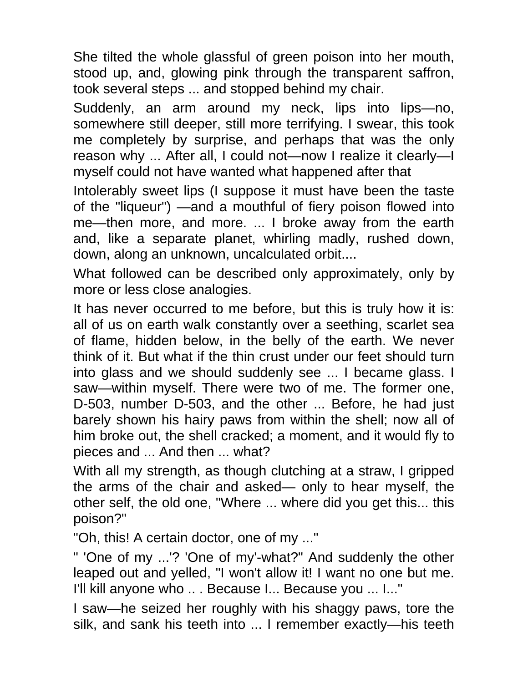She tilted the whole glassful of green poison into her mouth, stood up, and, glowing pink through the transparent saffron, took several steps ... and stopped behind my chair.

Suddenly, an arm around my neck, lips into lips—no, somewhere still deeper, still more terrifying. I swear, this took me completely by surprise, and perhaps that was the only reason why ... After all, I could not—now I realize it clearly—I myself could not have wanted what happened after that

Intolerably sweet lips (I suppose it must have been the taste of the "liqueur") —and a mouthful of fiery poison flowed into me—then more, and more. ... I broke away from the earth and, like a separate planet, whirling madly, rushed down, down, along an unknown, uncalculated orbit....

What followed can be described only approximately, only by more or less close analogies.

It has never occurred to me before, but this is truly how it is: all of us on earth walk constantly over a seething, scarlet sea of flame, hidden below, in the belly of the earth. We never think of it. But what if the thin crust under our feet should turn into glass and we should suddenly see ... I became glass. I saw—within myself. There were two of me. The former one, D-503, number D-503, and the other ... Before, he had just barely shown his hairy paws from within the shell; now all of him broke out, the shell cracked; a moment, and it would fly to pieces and ... And then ... what?

With all my strength, as though clutching at a straw, I gripped the arms of the chair and asked— only to hear myself, the other self, the old one, "Where ... where did you get this... this poison?"

"Oh, this! A certain doctor, one of my ..."

" 'One of my ...'? 'One of my'-what?" And suddenly the other leaped out and yelled, "I won't allow it! I want no one but me. I'll kill anyone who .. . Because I... Because you ... I..."

I saw—he seized her roughly with his shaggy paws, tore the silk, and sank his teeth into ... I remember exactly—his teeth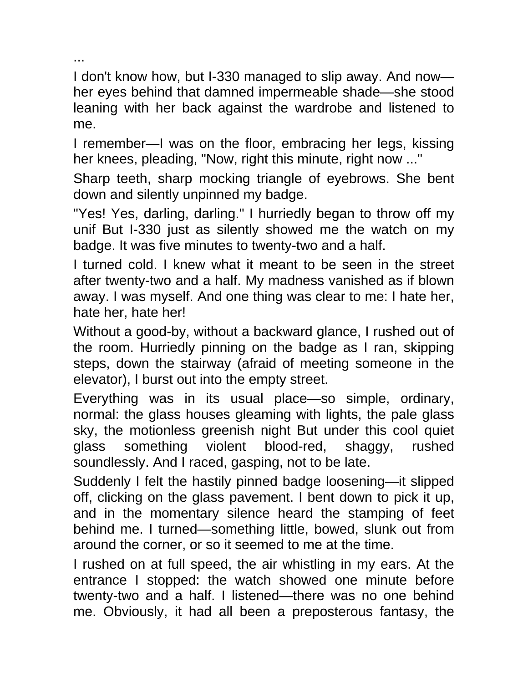...

I don't know how, but I-330 managed to slip away. And now her eyes behind that damned impermeable shade—she stood leaning with her back against the wardrobe and listened to me.

I remember—I was on the floor, embracing her legs, kissing her knees, pleading, "Now, right this minute, right now ..."

Sharp teeth, sharp mocking triangle of eyebrows. She bent down and silently unpinned my badge.

"Yes! Yes, darling, darling." I hurriedly began to throw off my unif But I-330 just as silently showed me the watch on my badge. It was five minutes to twenty-two and a half.

I turned cold. I knew what it meant to be seen in the street after twenty-two and a half. My madness vanished as if blown away. I was myself. And one thing was clear to me: I hate her, hate her, hate her!

Without a good-by, without a backward glance, I rushed out of the room. Hurriedly pinning on the badge as I ran, skipping steps, down the stairway (afraid of meeting someone in the elevator), I burst out into the empty street.

Everything was in its usual place—so simple, ordinary, normal: the glass houses gleaming with lights, the pale glass sky, the motionless greenish night But under this cool quiet glass something violent blood-red, shaggy, rushed soundlessly. And I raced, gasping, not to be late.

Suddenly I felt the hastily pinned badge loosening—it slipped off, clicking on the glass pavement. I bent down to pick it up, and in the momentary silence heard the stamping of feet behind me. I turned—something little, bowed, slunk out from around the corner, or so it seemed to me at the time.

I rushed on at full speed, the air whistling in my ears. At the entrance I stopped: the watch showed one minute before twenty-two and a half. I listened—there was no one behind me. Obviously, it had all been a preposterous fantasy, the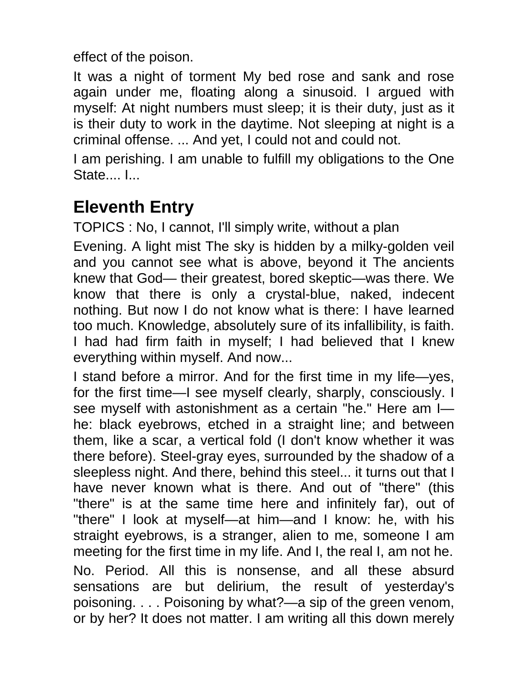effect of the poison.

It was a night of torment My bed rose and sank and rose again under me, floating along a sinusoid. I argued with myself: At night numbers must sleep; it is their duty, just as it is their duty to work in the daytime. Not sleeping at night is a criminal offense. ... And yet, I could not and could not.

I am perishing. I am unable to fulfill my obligations to the One State.... I...

#### **Eleventh Entry**

TOPICS : No, I cannot, I'll simply write, without a plan

Evening. A light mist The sky is hidden by a milky-golden veil and you cannot see what is above, beyond it The ancients knew that God— their greatest, bored skeptic—was there. We know that there is only a crystal-blue, naked, indecent nothing. But now I do not know what is there: I have learned too much. Knowledge, absolutely sure of its infallibility, is faith. I had had firm faith in myself; I had believed that I knew everything within myself. And now...

I stand before a mirror. And for the first time in my life—yes, for the first time—I see myself clearly, sharply, consciously. I see myself with astonishment as a certain "he." Here am I he: black eyebrows, etched in a straight line; and between them, like a scar, a vertical fold (I don't know whether it was there before). Steel-gray eyes, surrounded by the shadow of a sleepless night. And there, behind this steel... it turns out that I have never known what is there. And out of "there" (this "there" is at the same time here and infinitely far), out of "there" I look at myself—at him—and I know: he, with his straight eyebrows, is a stranger, alien to me, someone I am meeting for the first time in my life. And I, the real I, am not he. No. Period. All this is nonsense, and all these absurd sensations are but delirium, the result of yesterday's poisoning. . . . Poisoning by what?—a sip of the green venom, or by her? It does not matter. I am writing all this down merely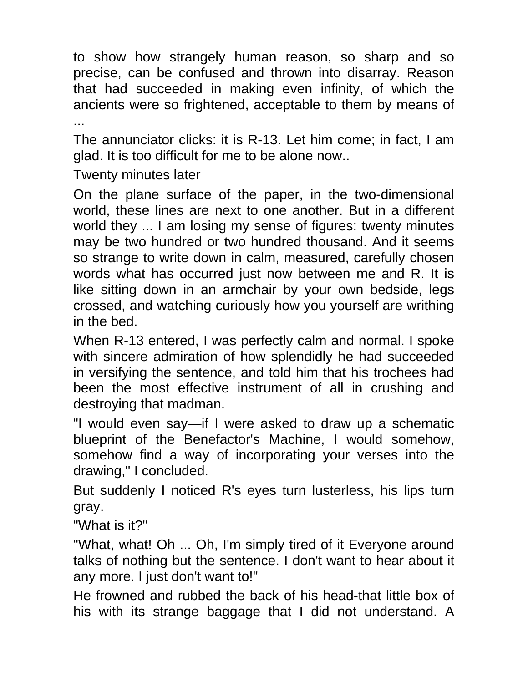to show how strangely human reason, so sharp and so precise, can be confused and thrown into disarray. Reason that had succeeded in making even infinity, of which the ancients were so frightened, acceptable to them by means of ...

The annunciator clicks: it is R-13. Let him come; in fact, I am glad. It is too difficult for me to be alone now..

Twenty minutes later

On the plane surface of the paper, in the two-dimensional world, these lines are next to one another. But in a different world they ... I am losing my sense of figures: twenty minutes may be two hundred or two hundred thousand. And it seems so strange to write down in calm, measured, carefully chosen words what has occurred just now between me and R. It is like sitting down in an armchair by your own bedside, legs crossed, and watching curiously how you yourself are writhing in the bed.

When R-13 entered, I was perfectly calm and normal. I spoke with sincere admiration of how splendidly he had succeeded in versifying the sentence, and told him that his trochees had been the most effective instrument of all in crushing and destroying that madman.

"I would even say—if I were asked to draw up a schematic blueprint of the Benefactor's Machine, I would somehow, somehow find a way of incorporating your verses into the drawing," I concluded.

But suddenly I noticed R's eyes turn lusterless, his lips turn gray.

"What is it?"

"What, what! Oh ... Oh, I'm simply tired of it Everyone around talks of nothing but the sentence. I don't want to hear about it any more. I just don't want to!"

He frowned and rubbed the back of his head-that little box of his with its strange baggage that I did not understand. A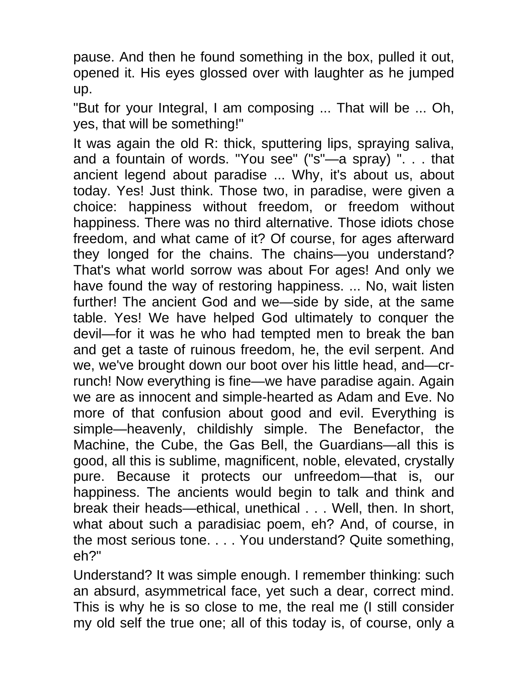pause. And then he found something in the box, pulled it out, opened it. His eyes glossed over with laughter as he jumped up.

"But for your Integral, I am composing ... That will be ... Oh, yes, that will be something!"

It was again the old R: thick, sputtering lips, spraying saliva, and a fountain of words. "You see" ("s"—a spray) ". . . that ancient legend about paradise ... Why, it's about us, about today. Yes! Just think. Those two, in paradise, were given a choice: happiness without freedom, or freedom without happiness. There was no third alternative. Those idiots chose freedom, and what came of it? Of course, for ages afterward they longed for the chains. The chains—you understand? That's what world sorrow was about For ages! And only we have found the way of restoring happiness. ... No, wait listen further! The ancient God and we—side by side, at the same table. Yes! We have helped God ultimately to conquer the devil—for it was he who had tempted men to break the ban and get a taste of ruinous freedom, he, the evil serpent. And we, we've brought down our boot over his little head, and—crrunch! Now everything is fine—we have paradise again. Again we are as innocent and simple-hearted as Adam and Eve. No more of that confusion about good and evil. Everything is simple—heavenly, childishly simple. The Benefactor, the Machine, the Cube, the Gas Bell, the Guardians—all this is good, all this is sublime, magnificent, noble, elevated, crystally pure. Because it protects our unfreedom—that is, our happiness. The ancients would begin to talk and think and break their heads—ethical, unethical . . . Well, then. In short, what about such a paradisiac poem, eh? And, of course, in the most serious tone. . . . You understand? Quite something, eh?"

Understand? It was simple enough. I remember thinking: such an absurd, asymmetrical face, yet such a dear, correct mind. This is why he is so close to me, the real me (I still consider my old self the true one; all of this today is, of course, only a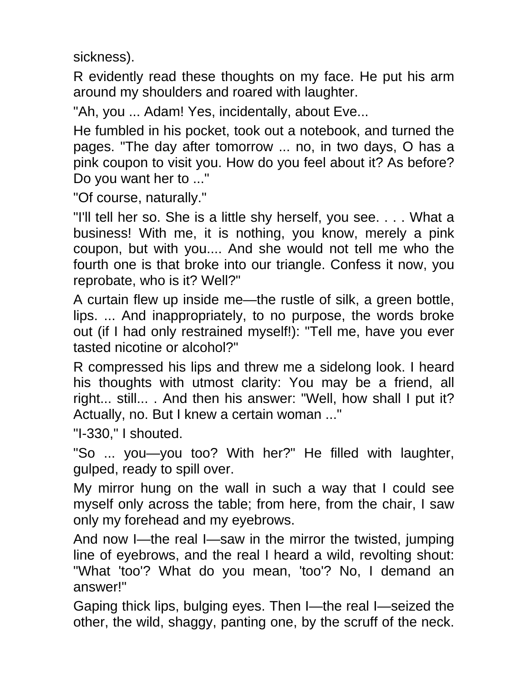sickness).

R evidently read these thoughts on my face. He put his arm around my shoulders and roared with laughter.

"Ah, you ... Adam! Yes, incidentally, about Eve...

He fumbled in his pocket, took out a notebook, and turned the pages. "The day after tomorrow ... no, in two days, O has a pink coupon to visit you. How do you feel about it? As before? Do you want her to ..."

"Of course, naturally."

"I'll tell her so. She is a little shy herself, you see. . . . What a business! With me, it is nothing, you know, merely a pink coupon, but with you.... And she would not tell me who the fourth one is that broke into our triangle. Confess it now, you reprobate, who is it? Well?"

A curtain flew up inside me—the rustle of silk, a green bottle, lips. ... And inappropriately, to no purpose, the words broke out (if I had only restrained myself!): "Tell me, have you ever tasted nicotine or alcohol?"

R compressed his lips and threw me a sidelong look. I heard his thoughts with utmost clarity: You may be a friend, all right... still... . And then his answer: "Well, how shall I put it? Actually, no. But I knew a certain woman ..."

"I-330," I shouted.

"So ... you—you too? With her?" He filled with laughter, gulped, ready to spill over.

My mirror hung on the wall in such a way that I could see myself only across the table; from here, from the chair, I saw only my forehead and my eyebrows.

And now I—the real I—saw in the mirror the twisted, jumping line of eyebrows, and the real I heard a wild, revolting shout: "What 'too'? What do you mean, 'too'? No, I demand an answer!"

Gaping thick lips, bulging eyes. Then I—the real I—seized the other, the wild, shaggy, panting one, by the scruff of the neck.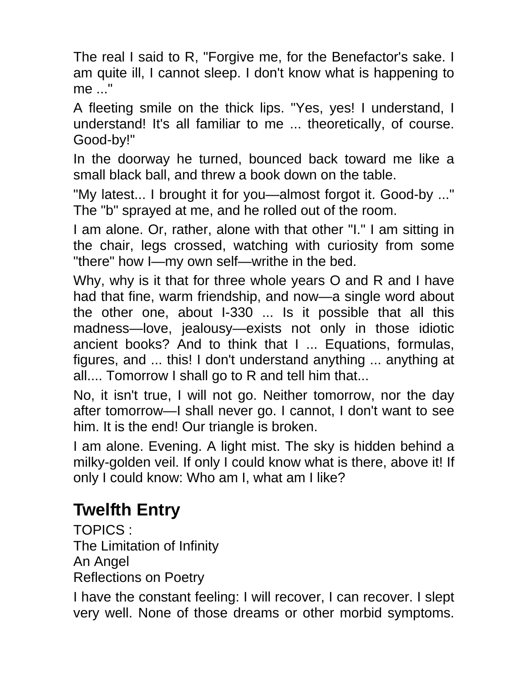The real I said to R, "Forgive me, for the Benefactor's sake. I am quite ill, I cannot sleep. I don't know what is happening to me ..."

A fleeting smile on the thick lips. "Yes, yes! I understand, I understand! It's all familiar to me ... theoretically, of course. Good-by!"

In the doorway he turned, bounced back toward me like a small black ball, and threw a book down on the table.

"My latest... I brought it for you—almost forgot it. Good-by ..." The "b" sprayed at me, and he rolled out of the room.

I am alone. Or, rather, alone with that other "I." I am sitting in the chair, legs crossed, watching with curiosity from some "there" how I—my own self—writhe in the bed.

Why, why is it that for three whole years O and R and I have had that fine, warm friendship, and now—a single word about the other one, about I-330 ... Is it possible that all this madness—love, jealousy—exists not only in those idiotic ancient books? And to think that I ... Equations, formulas, figures, and ... this! I don't understand anything ... anything at all.... Tomorrow I shall go to R and tell him that...

No, it isn't true, I will not go. Neither tomorrow, nor the day after tomorrow—I shall never go. I cannot, I don't want to see him. It is the end! Our triangle is broken.

I am alone. Evening. A light mist. The sky is hidden behind a milky-golden veil. If only I could know what is there, above it! If only I could know: Who am I, what am I like?

# **Twelfth Entry**

TOPICS : The Limitation of Infinity An Angel Reflections on Poetry

I have the constant feeling: I will recover, I can recover. I slept very well. None of those dreams or other morbid symptoms.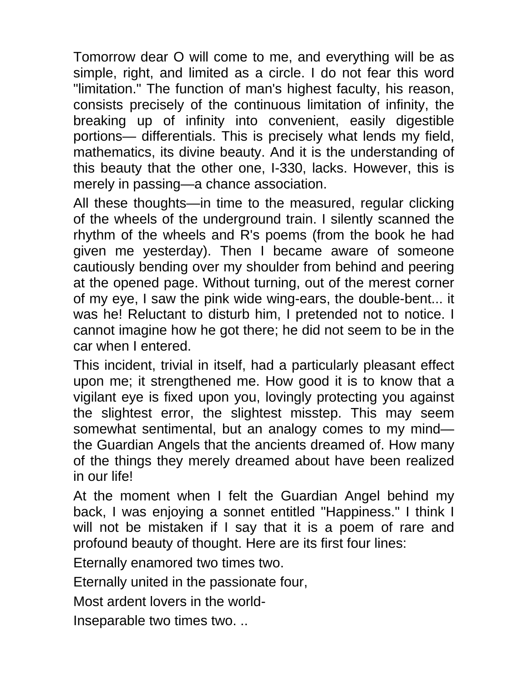Tomorrow dear O will come to me, and everything will be as simple, right, and limited as a circle. I do not fear this word "limitation." The function of man's highest faculty, his reason, consists precisely of the continuous limitation of infinity, the breaking up of infinity into convenient, easily digestible portions— differentials. This is precisely what lends my field, mathematics, its divine beauty. And it is the understanding of this beauty that the other one, I-330, lacks. However, this is merely in passing—a chance association.

All these thoughts—in time to the measured, regular clicking of the wheels of the underground train. I silently scanned the rhythm of the wheels and R's poems (from the book he had given me yesterday). Then I became aware of someone cautiously bending over my shoulder from behind and peering at the opened page. Without turning, out of the merest corner of my eye, I saw the pink wide wing-ears, the double-bent... it was he! Reluctant to disturb him, I pretended not to notice. I cannot imagine how he got there; he did not seem to be in the car when I entered.

This incident, trivial in itself, had a particularly pleasant effect upon me; it strengthened me. How good it is to know that a vigilant eye is fixed upon you, lovingly protecting you against the slightest error, the slightest misstep. This may seem somewhat sentimental, but an analogy comes to my mind the Guardian Angels that the ancients dreamed of. How many of the things they merely dreamed about have been realized in our life!

At the moment when I felt the Guardian Angel behind my back, I was enjoying a sonnet entitled "Happiness." I think I will not be mistaken if I say that it is a poem of rare and profound beauty of thought. Here are its first four lines:

Eternally enamored two times two.

Eternally united in the passionate four,

Most ardent lovers in the world-

Inseparable two times two. ..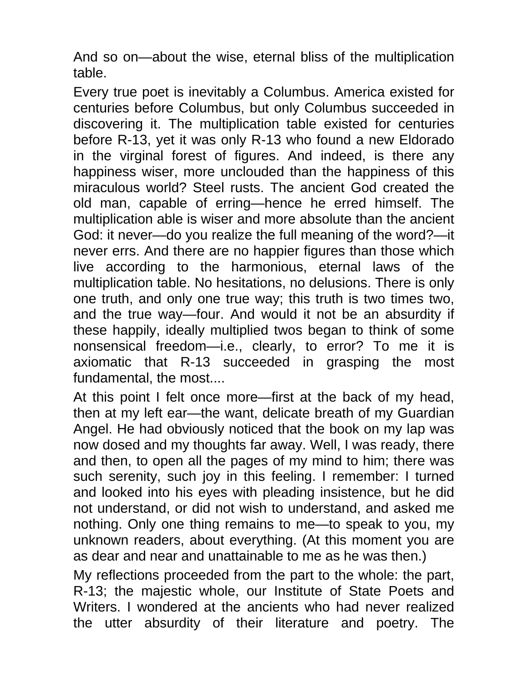And so on—about the wise, eternal bliss of the multiplication table.

Every true poet is inevitably a Columbus. America existed for centuries before Columbus, but only Columbus succeeded in discovering it. The multiplication table existed for centuries before R-13, yet it was only R-13 who found a new Eldorado in the virginal forest of figures. And indeed, is there any happiness wiser, more unclouded than the happiness of this miraculous world? Steel rusts. The ancient God created the old man, capable of erring—hence he erred himself. The multiplication able is wiser and more absolute than the ancient God: it never—do you realize the full meaning of the word?—it never errs. And there are no happier figures than those which live according to the harmonious, eternal laws of the multiplication table. No hesitations, no delusions. There is only one truth, and only one true way; this truth is two times two, and the true way—four. And would it not be an absurdity if these happily, ideally multiplied twos began to think of some nonsensical freedom—i.e., clearly, to error? To me it is axiomatic that R-13 succeeded in grasping the most fundamental, the most....

At this point I felt once more—first at the back of my head, then at my left ear—the want, delicate breath of my Guardian Angel. He had obviously noticed that the book on my lap was now dosed and my thoughts far away. Well, I was ready, there and then, to open all the pages of my mind to him; there was such serenity, such joy in this feeling. I remember: I turned and looked into his eyes with pleading insistence, but he did not understand, or did not wish to understand, and asked me nothing. Only one thing remains to me—to speak to you, my unknown readers, about everything. (At this moment you are as dear and near and unattainable to me as he was then.)

My reflections proceeded from the part to the whole: the part, R-13; the majestic whole, our Institute of State Poets and Writers. I wondered at the ancients who had never realized the utter absurdity of their literature and poetry. The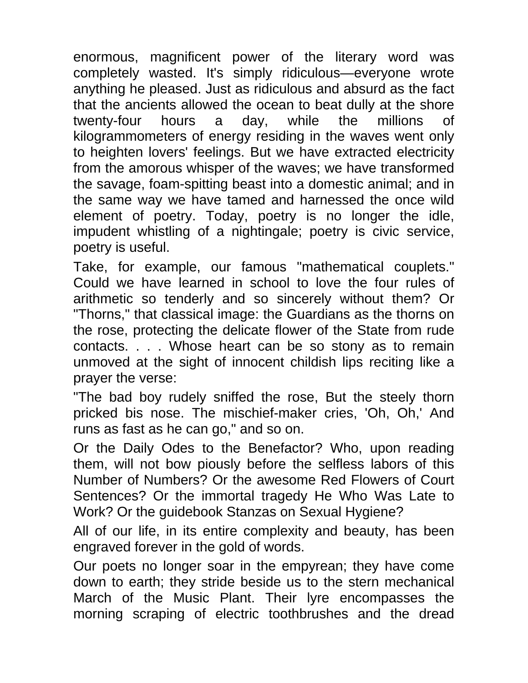enormous, magnificent power of the literary word was completely wasted. It's simply ridiculous—everyone wrote anything he pleased. Just as ridiculous and absurd as the fact that the ancients allowed the ocean to beat dully at the shore twenty-four hours a day, while the millions of kilogrammometers of energy residing in the waves went only to heighten lovers' feelings. But we have extracted electricity from the amorous whisper of the waves; we have transformed the savage, foam-spitting beast into a domestic animal; and in the same way we have tamed and harnessed the once wild element of poetry. Today, poetry is no longer the idle, impudent whistling of a nightingale; poetry is civic service, poetry is useful.

Take, for example, our famous "mathematical couplets." Could we have learned in school to love the four rules of arithmetic so tenderly and so sincerely without them? Or "Thorns," that classical image: the Guardians as the thorns on the rose, protecting the delicate flower of the State from rude contacts. . . . Whose heart can be so stony as to remain unmoved at the sight of innocent childish lips reciting like a prayer the verse:

"The bad boy rudely sniffed the rose, But the steely thorn pricked bis nose. The mischief-maker cries, 'Oh, Oh,' And runs as fast as he can go," and so on.

Or the Daily Odes to the Benefactor? Who, upon reading them, will not bow piously before the selfless labors of this Number of Numbers? Or the awesome Red Flowers of Court Sentences? Or the immortal tragedy He Who Was Late to Work? Or the guidebook Stanzas on Sexual Hygiene?

All of our life, in its entire complexity and beauty, has been engraved forever in the gold of words.

Our poets no longer soar in the empyrean; they have come down to earth; they stride beside us to the stern mechanical March of the Music Plant. Their lyre encompasses the morning scraping of electric toothbrushes and the dread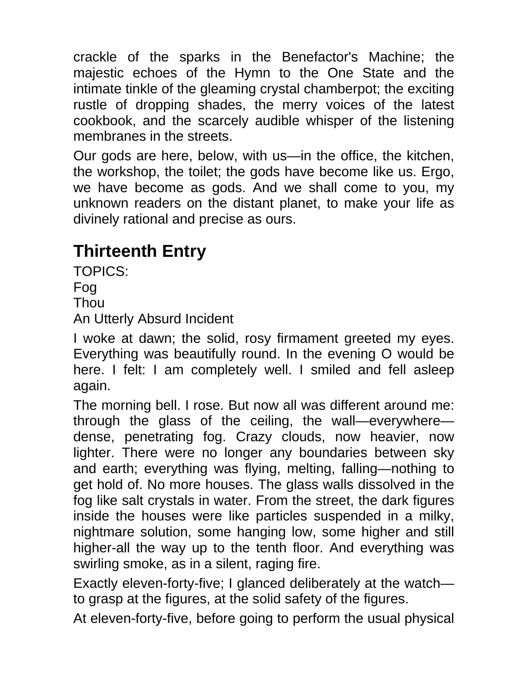crackle of the sparks in the Benefactor's Machine; the majestic echoes of the Hymn to the One State and the intimate tinkle of the gleaming crystal chamberpot; the exciting rustle of dropping shades, the merry voices of the latest cookbook, and the scarcely audible whisper of the listening membranes in the streets.

Our gods are here, below, with us—in the office, the kitchen, the workshop, the toilet; the gods have become like us. Ergo, we have become as gods. And we shall come to you, my unknown readers on the distant planet, to make your life as divinely rational and precise as ours.

## **Thirteenth Entry**

TOPICS:

Fog

Thou

An Utterly Absurd Incident

I woke at dawn; the solid, rosy firmament greeted my eyes. Everything was beautifully round. In the evening O would be here. I felt: I am completely well. I smiled and fell asleep again.

The morning bell. I rose. But now all was different around me: through the glass of the ceiling, the wall—everywhere dense, penetrating fog. Crazy clouds, now heavier, now lighter. There were no longer any boundaries between sky and earth; everything was flying, melting, falling—nothing to get hold of. No more houses. The glass walls dissolved in the fog like salt crystals in water. From the street, the dark figures inside the houses were like particles suspended in a milky, nightmare solution, some hanging low, some higher and still higher-all the way up to the tenth floor. And everything was swirling smoke, as in a silent, raging fire.

Exactly eleven-forty-five; I glanced deliberately at the watch to grasp at the figures, at the solid safety of the figures.

At eleven-forty-five, before going to perform the usual physical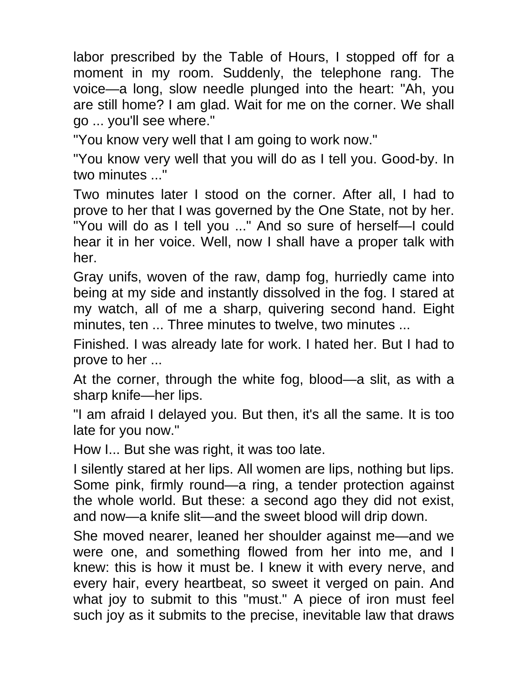labor prescribed by the Table of Hours, I stopped off for a moment in my room. Suddenly, the telephone rang. The voice—a long, slow needle plunged into the heart: "Ah, you are still home? I am glad. Wait for me on the corner. We shall go ... you'll see where."

"You know very well that I am going to work now."

"You know very well that you will do as I tell you. Good-by. In two minutes ..."

Two minutes later I stood on the corner. After all, I had to prove to her that I was governed by the One State, not by her. "You will do as I tell you ..." And so sure of herself—I could hear it in her voice. Well, now I shall have a proper talk with her.

Gray unifs, woven of the raw, damp fog, hurriedly came into being at my side and instantly dissolved in the fog. I stared at my watch, all of me a sharp, quivering second hand. Eight minutes, ten ... Three minutes to twelve, two minutes ...

Finished. I was already late for work. I hated her. But I had to prove to her ...

At the corner, through the white fog, blood—a slit, as with a sharp knife—her lips.

"I am afraid I delayed you. But then, it's all the same. It is too late for you now."

How I... But she was right, it was too late.

I silently stared at her lips. All women are lips, nothing but lips. Some pink, firmly round—a ring, a tender protection against the whole world. But these: a second ago they did not exist, and now—a knife slit—and the sweet blood will drip down.

She moved nearer, leaned her shoulder against me—and we were one, and something flowed from her into me, and I knew: this is how it must be. I knew it with every nerve, and every hair, every heartbeat, so sweet it verged on pain. And what joy to submit to this "must." A piece of iron must feel such joy as it submits to the precise, inevitable law that draws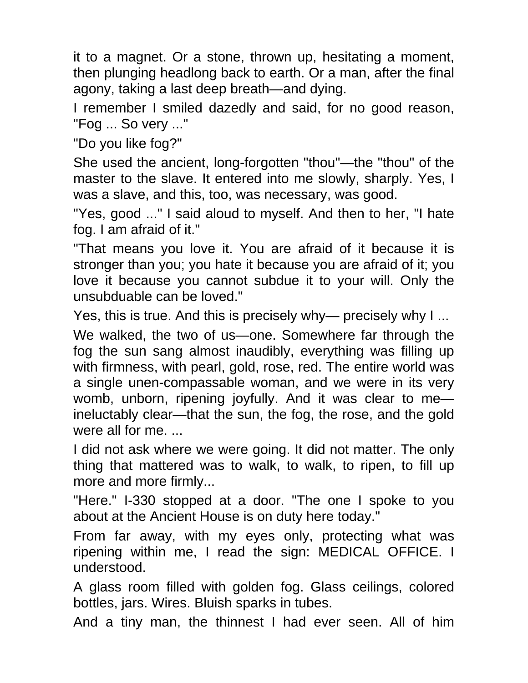it to a magnet. Or a stone, thrown up, hesitating a moment, then plunging headlong back to earth. Or a man, after the final agony, taking a last deep breath—and dying.

I remember I smiled dazedly and said, for no good reason, "Fog ... So very ..."

"Do you like fog?"

She used the ancient, long-forgotten "thou"—the "thou" of the master to the slave. It entered into me slowly, sharply. Yes, I was a slave, and this, too, was necessary, was good.

"Yes, good ..." I said aloud to myself. And then to her, "I hate fog. I am afraid of it."

"That means you love it. You are afraid of it because it is stronger than you; you hate it because you are afraid of it; you love it because you cannot subdue it to your will. Only the unsubduable can be loved."

Yes, this is true. And this is precisely why— precisely why I ...

We walked, the two of us—one. Somewhere far through the fog the sun sang almost inaudibly, everything was filling up with firmness, with pearl, gold, rose, red. The entire world was a single unen-compassable woman, and we were in its very womb, unborn, ripening joyfully. And it was clear to me ineluctably clear—that the sun, the fog, the rose, and the gold were all for me. ...

I did not ask where we were going. It did not matter. The only thing that mattered was to walk, to walk, to ripen, to fill up more and more firmly...

"Here." I-330 stopped at a door. "The one I spoke to you about at the Ancient House is on duty here today."

From far away, with my eyes only, protecting what was ripening within me, I read the sign: MEDICAL OFFICE. I understood.

A glass room filled with golden fog. Glass ceilings, colored bottles, jars. Wires. Bluish sparks in tubes.

And a tiny man, the thinnest I had ever seen. All of him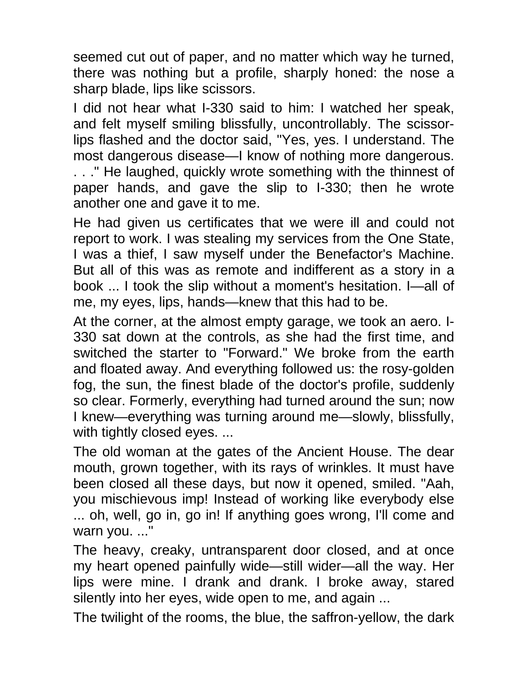seemed cut out of paper, and no matter which way he turned, there was nothing but a profile, sharply honed: the nose a sharp blade, lips like scissors.

I did not hear what I-330 said to him: I watched her speak, and felt myself smiling blissfully, uncontrollably. The scissorlips flashed and the doctor said, "Yes, yes. I understand. The most dangerous disease—I know of nothing more dangerous. . . ." He laughed, quickly wrote something with the thinnest of paper hands, and gave the slip to I-330; then he wrote another one and gave it to me.

He had given us certificates that we were ill and could not report to work. I was stealing my services from the One State, I was a thief, I saw myself under the Benefactor's Machine. But all of this was as remote and indifferent as a story in a book ... I took the slip without a moment's hesitation. I—all of me, my eyes, lips, hands—knew that this had to be.

At the corner, at the almost empty garage, we took an aero. I-330 sat down at the controls, as she had the first time, and switched the starter to "Forward." We broke from the earth and floated away. And everything followed us: the rosy-golden fog, the sun, the finest blade of the doctor's profile, suddenly so clear. Formerly, everything had turned around the sun; now I knew—everything was turning around me—slowly, blissfully, with tightly closed eyes. ...

The old woman at the gates of the Ancient House. The dear mouth, grown together, with its rays of wrinkles. It must have been closed all these days, but now it opened, smiled. "Aah, you mischievous imp! Instead of working like everybody else ... oh, well, go in, go in! If anything goes wrong, I'll come and warn you. ..."

The heavy, creaky, untransparent door closed, and at once my heart opened painfully wide—still wider—all the way. Her lips were mine. I drank and drank. I broke away, stared silently into her eyes, wide open to me, and again ...

The twilight of the rooms, the blue, the saffron-yellow, the dark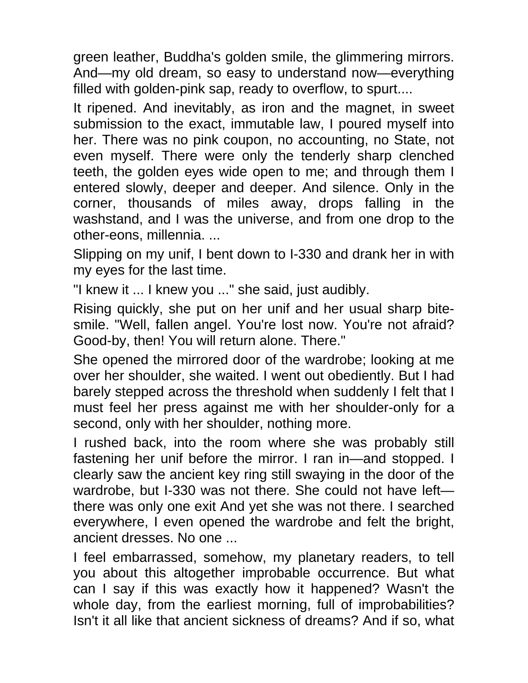green leather, Buddha's golden smile, the glimmering mirrors. And—my old dream, so easy to understand now—everything filled with golden-pink sap, ready to overflow, to spurt....

It ripened. And inevitably, as iron and the magnet, in sweet submission to the exact, immutable law, I poured myself into her. There was no pink coupon, no accounting, no State, not even myself. There were only the tenderly sharp clenched teeth, the golden eyes wide open to me; and through them I entered slowly, deeper and deeper. And silence. Only in the corner, thousands of miles away, drops falling in the washstand, and I was the universe, and from one drop to the other-eons, millennia. ...

Slipping on my unif, I bent down to I-330 and drank her in with my eyes for the last time.

"I knew it ... I knew you ..." she said, just audibly.

Rising quickly, she put on her unif and her usual sharp bitesmile. "Well, fallen angel. You're lost now. You're not afraid? Good-by, then! You will return alone. There."

She opened the mirrored door of the wardrobe; looking at me over her shoulder, she waited. I went out obediently. But I had barely stepped across the threshold when suddenly I felt that I must feel her press against me with her shoulder-only for a second, only with her shoulder, nothing more.

I rushed back, into the room where she was probably still fastening her unif before the mirror. I ran in—and stopped. I clearly saw the ancient key ring still swaying in the door of the wardrobe, but I-330 was not there. She could not have left there was only one exit And yet she was not there. I searched everywhere, I even opened the wardrobe and felt the bright, ancient dresses. No one ...

I feel embarrassed, somehow, my planetary readers, to tell you about this altogether improbable occurrence. But what can I say if this was exactly how it happened? Wasn't the whole day, from the earliest morning, full of improbabilities? Isn't it all like that ancient sickness of dreams? And if so, what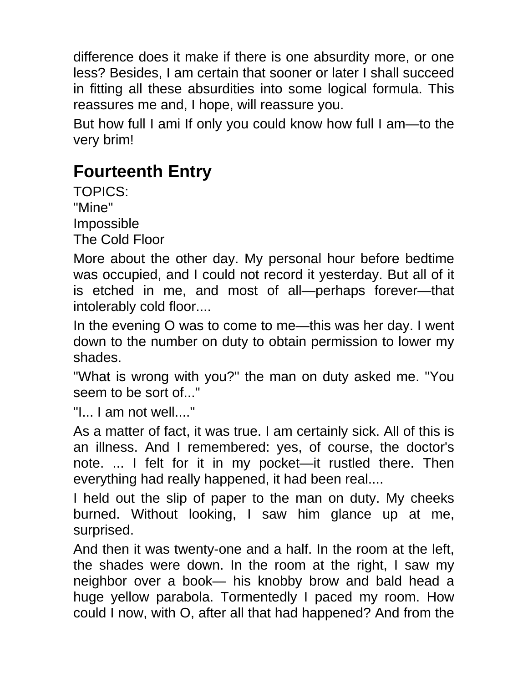difference does it make if there is one absurdity more, or one less? Besides, I am certain that sooner or later I shall succeed in fitting all these absurdities into some logical formula. This reassures me and, I hope, will reassure you.

But how full I ami If only you could know how full I am—to the very brim!

### **Fourteenth Entry**

TOPICS: "Mine" Impossible The Cold Floor

More about the other day. My personal hour before bedtime was occupied, and I could not record it yesterday. But all of it is etched in me, and most of all—perhaps forever—that intolerably cold floor....

In the evening O was to come to me—this was her day. I went down to the number on duty to obtain permission to lower my shades.

"What is wrong with you?" the man on duty asked me. "You seem to be sort of..."

"I... I am not well...."

As a matter of fact, it was true. I am certainly sick. All of this is an illness. And I remembered: yes, of course, the doctor's note. ... I felt for it in my pocket—it rustled there. Then everything had really happened, it had been real....

I held out the slip of paper to the man on duty. My cheeks burned. Without looking, I saw him glance up at me, surprised.

And then it was twenty-one and a half. In the room at the left, the shades were down. In the room at the right, I saw my neighbor over a book— his knobby brow and bald head a huge yellow parabola. Tormentedly I paced my room. How could I now, with O, after all that had happened? And from the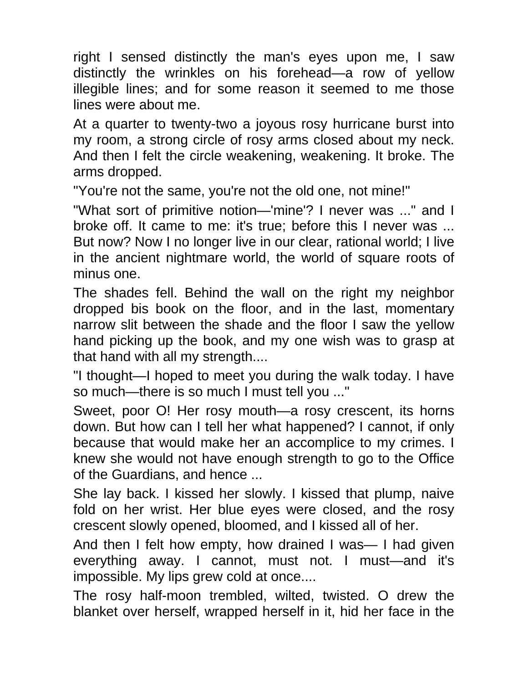right I sensed distinctly the man's eyes upon me, I saw distinctly the wrinkles on his forehead—a row of yellow illegible lines; and for some reason it seemed to me those lines were about me.

At a quarter to twenty-two a joyous rosy hurricane burst into my room, a strong circle of rosy arms closed about my neck. And then I felt the circle weakening, weakening. It broke. The arms dropped.

"You're not the same, you're not the old one, not mine!"

"What sort of primitive notion—'mine'? I never was ..." and I broke off. It came to me: it's true; before this I never was ... But now? Now I no longer live in our clear, rational world; I live in the ancient nightmare world, the world of square roots of minus one.

The shades fell. Behind the wall on the right my neighbor dropped bis book on the floor, and in the last, momentary narrow slit between the shade and the floor I saw the yellow hand picking up the book, and my one wish was to grasp at that hand with all my strength....

"I thought—I hoped to meet you during the walk today. I have so much—there is so much I must tell you ..."

Sweet, poor O! Her rosy mouth—a rosy crescent, its horns down. But how can I tell her what happened? I cannot, if only because that would make her an accomplice to my crimes. I knew she would not have enough strength to go to the Office of the Guardians, and hence ...

She lay back. I kissed her slowly. I kissed that plump, naive fold on her wrist. Her blue eyes were closed, and the rosy crescent slowly opened, bloomed, and I kissed all of her.

And then I felt how empty, how drained I was— I had given everything away. I cannot, must not. I must—and it's impossible. My lips grew cold at once....

The rosy half-moon trembled, wilted, twisted. O drew the blanket over herself, wrapped herself in it, hid her face in the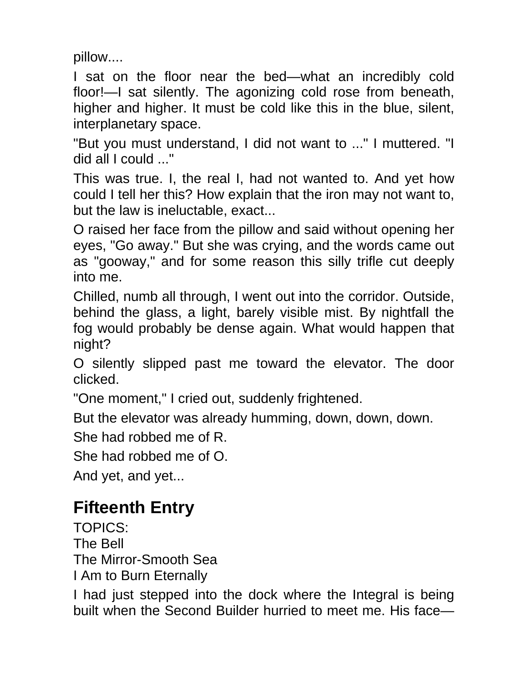pillow....

I sat on the floor near the bed—what an incredibly cold floor!—I sat silently. The agonizing cold rose from beneath, higher and higher. It must be cold like this in the blue, silent, interplanetary space.

"But you must understand, I did not want to ..." I muttered. "I did all I could ..."

This was true. I, the real I, had not wanted to. And yet how could I tell her this? How explain that the iron may not want to, but the law is ineluctable, exact...

O raised her face from the pillow and said without opening her eyes, "Go away." But she was crying, and the words came out as "gooway," and for some reason this silly trifle cut deeply into me.

Chilled, numb all through, I went out into the corridor. Outside, behind the glass, a light, barely visible mist. By nightfall the fog would probably be dense again. What would happen that night?

O silently slipped past me toward the elevator. The door clicked.

"One moment," I cried out, suddenly frightened.

But the elevator was already humming, down, down, down.

She had robbed me of R.

She had robbed me of O.

And yet, and yet...

### **Fifteenth Entry**

TOPICS: The Bell The Mirror-Smooth Sea I Am to Burn Eternally

I had just stepped into the dock where the Integral is being built when the Second Builder hurried to meet me. His face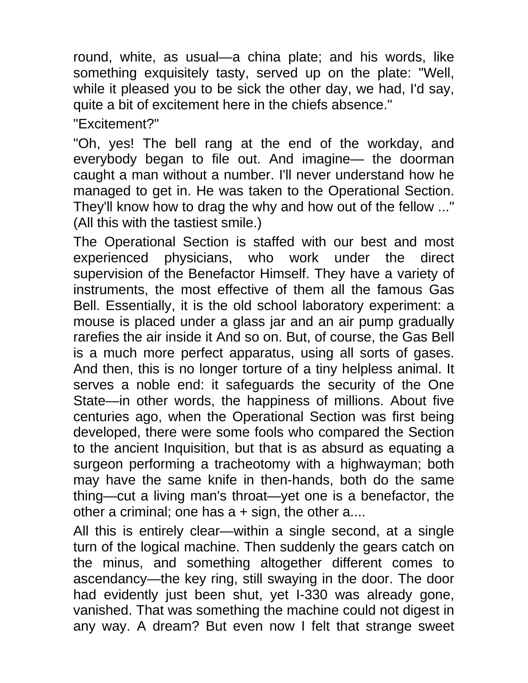round, white, as usual—a china plate; and his words, like something exquisitely tasty, served up on the plate: "Well, while it pleased you to be sick the other day, we had, I'd say, quite a bit of excitement here in the chiefs absence."

"Excitement?"

"Oh, yes! The bell rang at the end of the workday, and everybody began to file out. And imagine— the doorman caught a man without a number. I'll never understand how he managed to get in. He was taken to the Operational Section. They'll know how to drag the why and how out of the fellow ..." (All this with the tastiest smile.)

The Operational Section is staffed with our best and most experienced physicians, who work under the direct supervision of the Benefactor Himself. They have a variety of instruments, the most effective of them all the famous Gas Bell. Essentially, it is the old school laboratory experiment: a mouse is placed under a glass jar and an air pump gradually rarefies the air inside it And so on. But, of course, the Gas Bell is a much more perfect apparatus, using all sorts of gases. And then, this is no longer torture of a tiny helpless animal. It serves a noble end: it safeguards the security of the One State—in other words, the happiness of millions. About five centuries ago, when the Operational Section was first being developed, there were some fools who compared the Section to the ancient Inquisition, but that is as absurd as equating a surgeon performing a tracheotomy with a highwayman; both may have the same knife in then-hands, both do the same thing—cut a living man's throat—yet one is a benefactor, the other a criminal; one has a + sign, the other a....

All this is entirely clear—within a single second, at a single turn of the logical machine. Then suddenly the gears catch on the minus, and something altogether different comes to ascendancy—the key ring, still swaying in the door. The door had evidently just been shut, yet I-330 was already gone, vanished. That was something the machine could not digest in any way. A dream? But even now I felt that strange sweet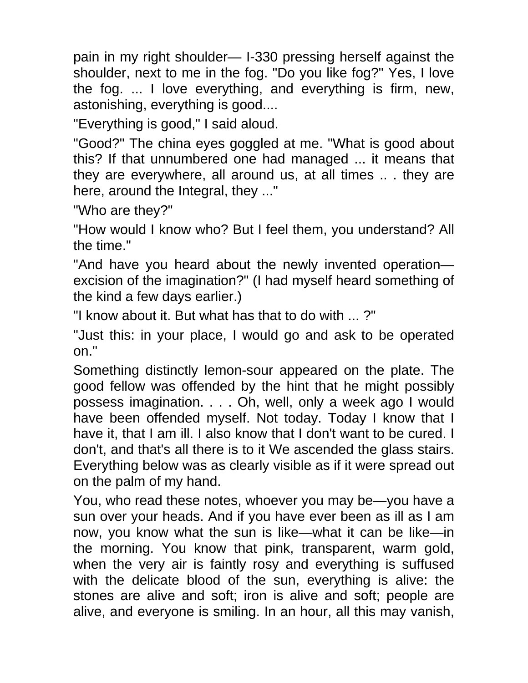pain in my right shoulder— I-330 pressing herself against the shoulder, next to me in the fog. "Do you like fog?" Yes, I love the fog. ... I love everything, and everything is firm, new, astonishing, everything is good....

"Everything is good," I said aloud.

"Good?" The china eyes goggled at me. "What is good about this? If that unnumbered one had managed ... it means that they are everywhere, all around us, at all times .. . they are here, around the Integral, they ..."

"Who are they?"

"How would I know who? But I feel them, you understand? All the time."

"And have you heard about the newly invented operation excision of the imagination?" (I had myself heard something of the kind a few days earlier.)

"I know about it. But what has that to do with ... ?"

"Just this: in your place, I would go and ask to be operated on."

Something distinctly lemon-sour appeared on the plate. The good fellow was offended by the hint that he might possibly possess imagination. . . . Oh, well, only a week ago I would have been offended myself. Not today. Today I know that I have it, that I am ill. I also know that I don't want to be cured. I don't, and that's all there is to it We ascended the glass stairs. Everything below was as clearly visible as if it were spread out on the palm of my hand.

You, who read these notes, whoever you may be—you have a sun over your heads. And if you have ever been as ill as I am now, you know what the sun is like—what it can be like—in the morning. You know that pink, transparent, warm gold, when the very air is faintly rosy and everything is suffused with the delicate blood of the sun, everything is alive: the stones are alive and soft; iron is alive and soft; people are alive, and everyone is smiling. In an hour, all this may vanish,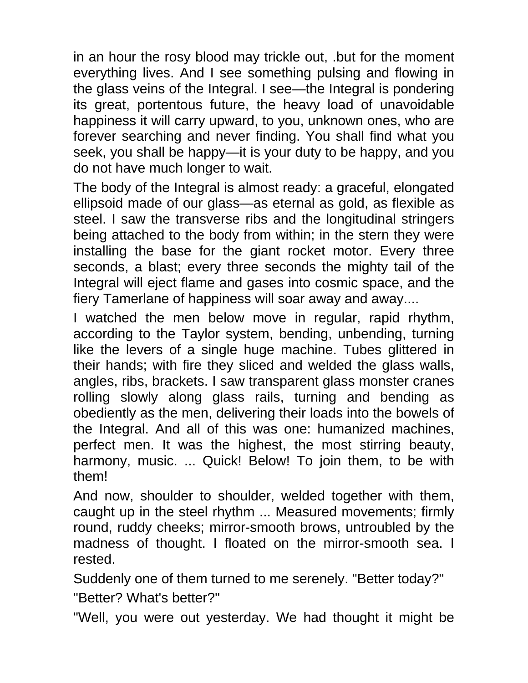in an hour the rosy blood may trickle out, .but for the moment everything lives. And I see something pulsing and flowing in the glass veins of the Integral. I see—the Integral is pondering its great, portentous future, the heavy load of unavoidable happiness it will carry upward, to you, unknown ones, who are forever searching and never finding. You shall find what you seek, you shall be happy—it is your duty to be happy, and you do not have much longer to wait.

The body of the Integral is almost ready: a graceful, elongated ellipsoid made of our glass—as eternal as gold, as flexible as steel. I saw the transverse ribs and the longitudinal stringers being attached to the body from within; in the stern they were installing the base for the giant rocket motor. Every three seconds, a blast; every three seconds the mighty tail of the Integral will eject flame and gases into cosmic space, and the fiery Tamerlane of happiness will soar away and away....

I watched the men below move in regular, rapid rhythm, according to the Taylor system, bending, unbending, turning like the levers of a single huge machine. Tubes glittered in their hands; with fire they sliced and welded the glass walls, angles, ribs, brackets. I saw transparent glass monster cranes rolling slowly along glass rails, turning and bending as obediently as the men, delivering their loads into the bowels of the Integral. And all of this was one: humanized machines, perfect men. It was the highest, the most stirring beauty, harmony, music. ... Quick! Below! To join them, to be with them!

And now, shoulder to shoulder, welded together with them, caught up in the steel rhythm ... Measured movements; firmly round, ruddy cheeks; mirror-smooth brows, untroubled by the madness of thought. I floated on the mirror-smooth sea. I rested.

Suddenly one of them turned to me serenely. "Better today?" "Better? What's better?"

"Well, you were out yesterday. We had thought it might be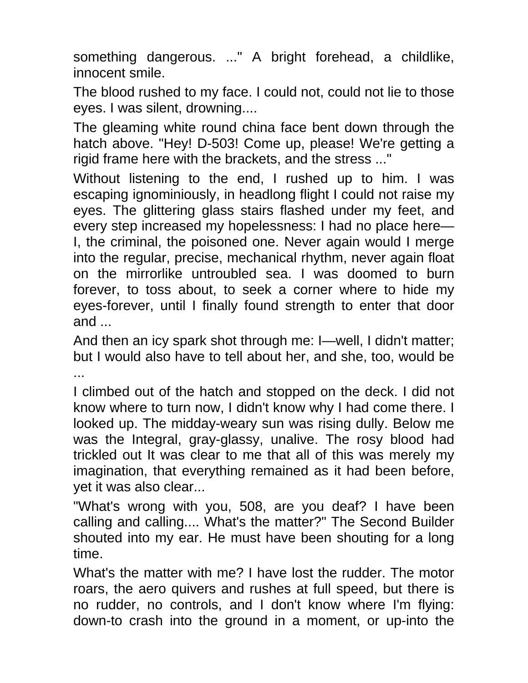something dangerous. ..." A bright forehead, a childlike, innocent smile.

The blood rushed to my face. I could not, could not lie to those eyes. I was silent, drowning....

The gleaming white round china face bent down through the hatch above. "Hey! D-503! Come up, please! We're getting a rigid frame here with the brackets, and the stress ..."

Without listening to the end, I rushed up to him. I was escaping ignominiously, in headlong flight I could not raise my eyes. The glittering glass stairs flashed under my feet, and every step increased my hopelessness: I had no place here— I, the criminal, the poisoned one. Never again would I merge into the regular, precise, mechanical rhythm, never again float on the mirrorlike untroubled sea. I was doomed to burn forever, to toss about, to seek a corner where to hide my eyes-forever, until I finally found strength to enter that door and ...

And then an icy spark shot through me: I—well, I didn't matter; but I would also have to tell about her, and she, too, would be ...

I climbed out of the hatch and stopped on the deck. I did not know where to turn now, I didn't know why I had come there. I looked up. The midday-weary sun was rising dully. Below me was the Integral, gray-glassy, unalive. The rosy blood had trickled out It was clear to me that all of this was merely my imagination, that everything remained as it had been before, yet it was also clear...

"What's wrong with you, 508, are you deaf? I have been calling and calling.... What's the matter?" The Second Builder shouted into my ear. He must have been shouting for a long time.

What's the matter with me? I have lost the rudder. The motor roars, the aero quivers and rushes at full speed, but there is no rudder, no controls, and I don't know where I'm flying: down-to crash into the ground in a moment, or up-into the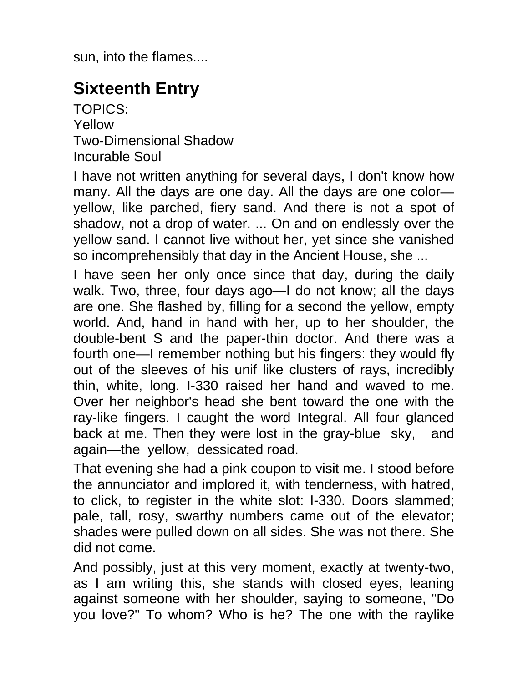sun, into the flames....

## **Sixteenth Entry**

TOPICS: Yellow Two-Dimensional Shadow Incurable Soul

I have not written anything for several days, I don't know how many. All the days are one day. All the days are one color yellow, like parched, fiery sand. And there is not a spot of shadow, not a drop of water. ... On and on endlessly over the yellow sand. I cannot live without her, yet since she vanished so incomprehensibly that day in the Ancient House, she ...

I have seen her only once since that day, during the daily walk. Two, three, four days ago—I do not know; all the days are one. She flashed by, filling for a second the yellow, empty world. And, hand in hand with her, up to her shoulder, the double-bent S and the paper-thin doctor. And there was a fourth one—I remember nothing but his fingers: they would fly out of the sleeves of his unif like clusters of rays, incredibly thin, white, long. I-330 raised her hand and waved to me. Over her neighbor's head she bent toward the one with the ray-like fingers. I caught the word Integral. All four glanced back at me. Then they were lost in the gray-blue sky, and again—the yellow, dessicated road.

That evening she had a pink coupon to visit me. I stood before the annunciator and implored it, with tenderness, with hatred, to click, to register in the white slot: I-330. Doors slammed; pale, tall, rosy, swarthy numbers came out of the elevator; shades were pulled down on all sides. She was not there. She did not come.

And possibly, just at this very moment, exactly at twenty-two, as I am writing this, she stands with closed eyes, leaning against someone with her shoulder, saying to someone, "Do you love?" To whom? Who is he? The one with the raylike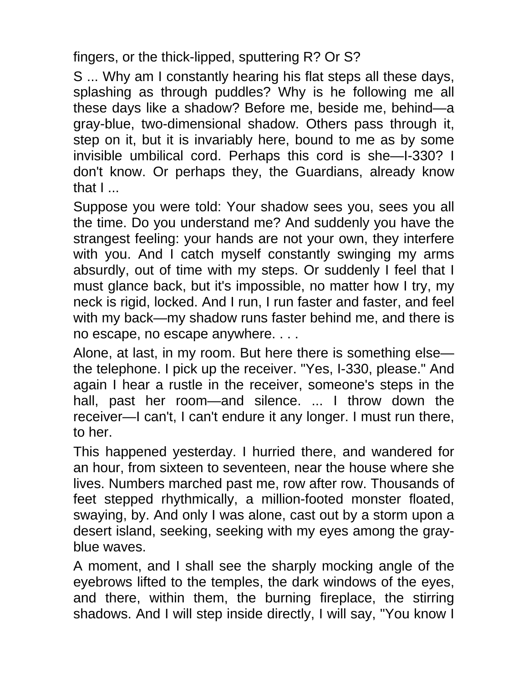fingers, or the thick-lipped, sputtering R? Or S?

S ... Why am I constantly hearing his flat steps all these days, splashing as through puddles? Why is he following me all these days like a shadow? Before me, beside me, behind—a gray-blue, two-dimensional shadow. Others pass through it, step on it, but it is invariably here, bound to me as by some invisible umbilical cord. Perhaps this cord is she—I-330? I don't know. Or perhaps they, the Guardians, already know that  $I...$ 

Suppose you were told: Your shadow sees you, sees you all the time. Do you understand me? And suddenly you have the strangest feeling: your hands are not your own, they interfere with you. And I catch myself constantly swinging my arms absurdly, out of time with my steps. Or suddenly I feel that I must glance back, but it's impossible, no matter how I try, my neck is rigid, locked. And I run, I run faster and faster, and feel with my back—my shadow runs faster behind me, and there is no escape, no escape anywhere. . . .

Alone, at last, in my room. But here there is something else the telephone. I pick up the receiver. "Yes, I-330, please." And again I hear a rustle in the receiver, someone's steps in the hall, past her room—and silence. ... I throw down the receiver—I can't, I can't endure it any longer. I must run there, to her.

This happened yesterday. I hurried there, and wandered for an hour, from sixteen to seventeen, near the house where she lives. Numbers marched past me, row after row. Thousands of feet stepped rhythmically, a million-footed monster floated, swaying, by. And only I was alone, cast out by a storm upon a desert island, seeking, seeking with my eyes among the grayblue waves.

A moment, and I shall see the sharply mocking angle of the eyebrows lifted to the temples, the dark windows of the eyes, and there, within them, the burning fireplace, the stirring shadows. And I will step inside directly, I will say, "You know I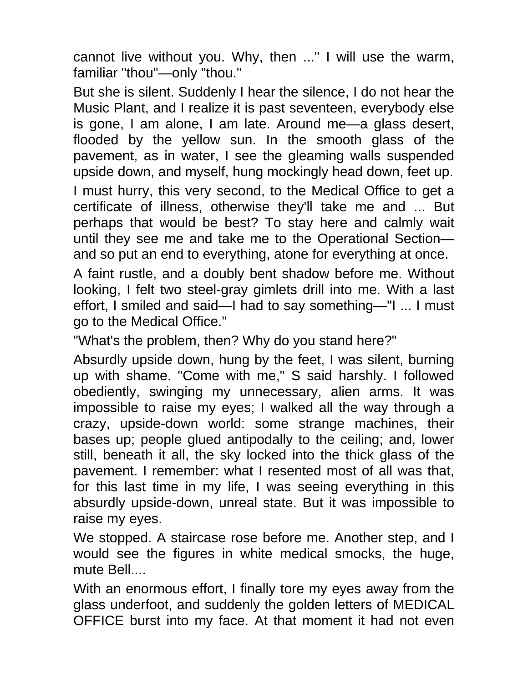cannot live without you. Why, then ..." I will use the warm, familiar "thou"—only "thou."

But she is silent. Suddenly I hear the silence, I do not hear the Music Plant, and I realize it is past seventeen, everybody else is gone, I am alone, I am late. Around me—a glass desert, flooded by the yellow sun. In the smooth glass of the pavement, as in water, I see the gleaming walls suspended upside down, and myself, hung mockingly head down, feet up. I must hurry, this very second, to the Medical Office to get a certificate of illness, otherwise they'll take me and ... But perhaps that would be best? To stay here and calmly wait until they see me and take me to the Operational Section and so put an end to everything, atone for everything at once.

A faint rustle, and a doubly bent shadow before me. Without looking, I felt two steel-gray gimlets drill into me. With a last effort, I smiled and said—I had to say something—"I ... I must go to the Medical Office."

"What's the problem, then? Why do you stand here?"

Absurdly upside down, hung by the feet, I was silent, burning up with shame. "Come with me," S said harshly. I followed obediently, swinging my unnecessary, alien arms. It was impossible to raise my eyes; I walked all the way through a crazy, upside-down world: some strange machines, their bases up; people glued antipodally to the ceiling; and, lower still, beneath it all, the sky locked into the thick glass of the pavement. I remember: what I resented most of all was that, for this last time in my life, I was seeing everything in this absurdly upside-down, unreal state. But it was impossible to raise my eyes.

We stopped. A staircase rose before me. Another step, and I would see the figures in white medical smocks, the huge, mute Bell....

With an enormous effort, I finally tore my eyes away from the glass underfoot, and suddenly the golden letters of MEDICAL OFFICE burst into my face. At that moment it had not even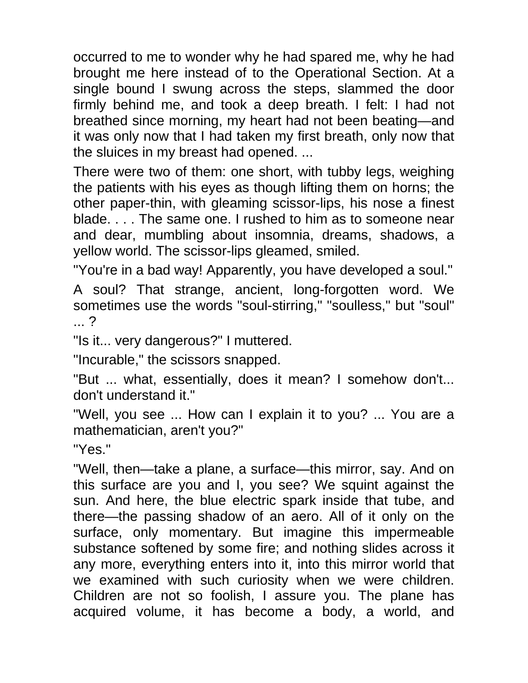occurred to me to wonder why he had spared me, why he had brought me here instead of to the Operational Section. At a single bound I swung across the steps, slammed the door firmly behind me, and took a deep breath. I felt: I had not breathed since morning, my heart had not been beating—and it was only now that I had taken my first breath, only now that the sluices in my breast had opened. ...

There were two of them: one short, with tubby legs, weighing the patients with his eyes as though lifting them on horns; the other paper-thin, with gleaming scissor-lips, his nose a finest blade. . . . The same one. I rushed to him as to someone near and dear, mumbling about insomnia, dreams, shadows, a yellow world. The scissor-lips gleamed, smiled.

"You're in a bad way! Apparently, you have developed a soul."

A soul? That strange, ancient, long-forgotten word. We sometimes use the words "soul-stirring," "soulless," but "soul" ... ?

"Is it... very dangerous?" I muttered.

"Incurable," the scissors snapped.

"But ... what, essentially, does it mean? I somehow don't... don't understand it."

"Well, you see ... How can I explain it to you? ... You are a mathematician, aren't you?"

"Yes."

"Well, then—take a plane, a surface—this mirror, say. And on this surface are you and I, you see? We squint against the sun. And here, the blue electric spark inside that tube, and there—the passing shadow of an aero. All of it only on the surface, only momentary. But imagine this impermeable substance softened by some fire; and nothing slides across it any more, everything enters into it, into this mirror world that we examined with such curiosity when we were children. Children are not so foolish, I assure you. The plane has acquired volume, it has become a body, a world, and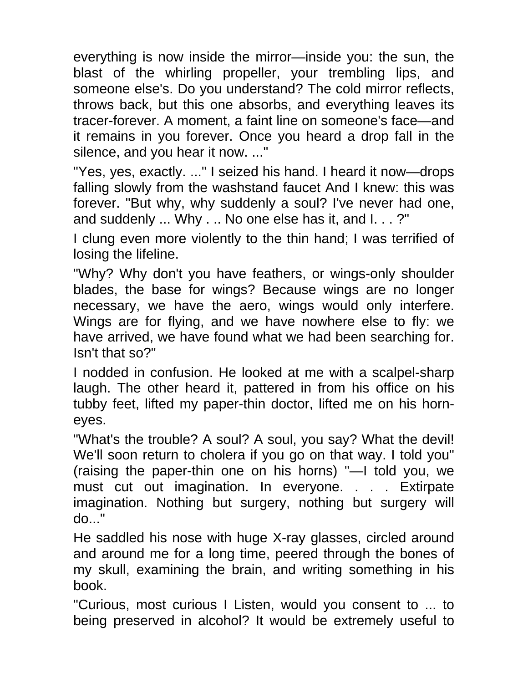everything is now inside the mirror—inside you: the sun, the blast of the whirling propeller, your trembling lips, and someone else's. Do you understand? The cold mirror reflects, throws back, but this one absorbs, and everything leaves its tracer-forever. A moment, a faint line on someone's face—and it remains in you forever. Once you heard a drop fall in the silence, and you hear it now. ..."

"Yes, yes, exactly. ..." I seized his hand. I heard it now—drops falling slowly from the washstand faucet And I knew: this was forever. "But why, why suddenly a soul? I've never had one, and suddenly ... Why . .. No one else has it, and I. . . ?"

I clung even more violently to the thin hand; I was terrified of losing the lifeline.

"Why? Why don't you have feathers, or wings-only shoulder blades, the base for wings? Because wings are no longer necessary, we have the aero, wings would only interfere. Wings are for flying, and we have nowhere else to fly: we have arrived, we have found what we had been searching for. Isn't that so?"

I nodded in confusion. He looked at me with a scalpel-sharp laugh. The other heard it, pattered in from his office on his tubby feet, lifted my paper-thin doctor, lifted me on his horneyes.

"What's the trouble? A soul? A soul, you say? What the devil! We'll soon return to cholera if you go on that way. I told you" (raising the paper-thin one on his horns) "—I told you, we must cut out imagination. In everyone. . . . Extirpate imagination. Nothing but surgery, nothing but surgery will do..."

He saddled his nose with huge X-ray glasses, circled around and around me for a long time, peered through the bones of my skull, examining the brain, and writing something in his book.

"Curious, most curious I Listen, would you consent to ... to being preserved in alcohol? It would be extremely useful to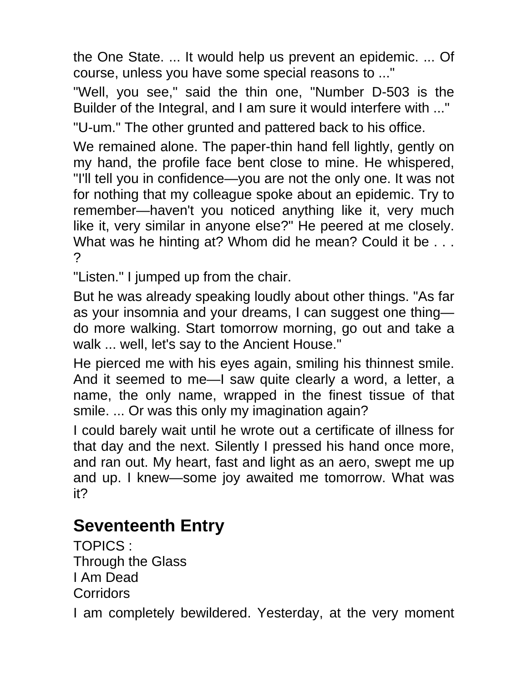the One State. ... It would help us prevent an epidemic. ... Of course, unless you have some special reasons to ..."

"Well, you see," said the thin one, "Number D-503 is the Builder of the Integral, and I am sure it would interfere with ..."

"U-um." The other grunted and pattered back to his office.

We remained alone. The paper-thin hand fell lightly, gently on my hand, the profile face bent close to mine. He whispered, "I'll tell you in confidence—you are not the only one. It was not for nothing that my colleague spoke about an epidemic. Try to remember—haven't you noticed anything like it, very much like it, very similar in anyone else?" He peered at me closely. What was he hinting at? Whom did he mean? Could it be . . . ?

"Listen." I jumped up from the chair.

But he was already speaking loudly about other things. "As far as your insomnia and your dreams, I can suggest one thing do more walking. Start tomorrow morning, go out and take a walk ... well, let's say to the Ancient House."

He pierced me with his eyes again, smiling his thinnest smile. And it seemed to me—I saw quite clearly a word, a letter, a name, the only name, wrapped in the finest tissue of that smile. ... Or was this only my imagination again?

I could barely wait until he wrote out a certificate of illness for that day and the next. Silently I pressed his hand once more, and ran out. My heart, fast and light as an aero, swept me up and up. I knew—some joy awaited me tomorrow. What was it?

#### **Seventeenth Entry**

TOPICS : Through the Glass I Am Dead **Corridors** I am completely bewildered. Yesterday, at the very moment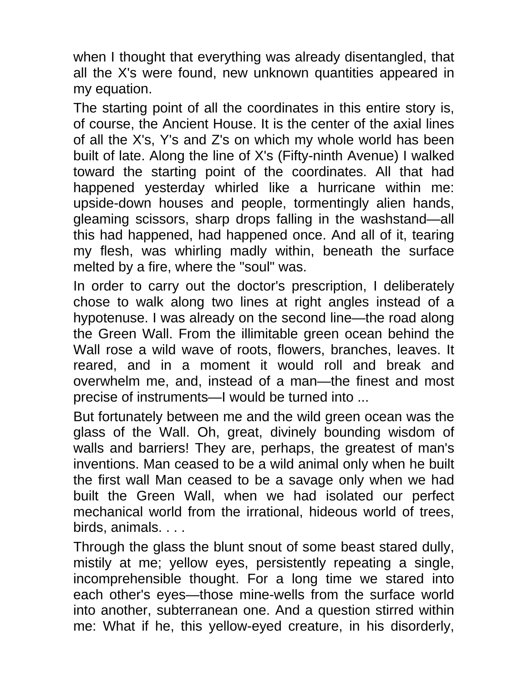when I thought that everything was already disentangled, that all the X's were found, new unknown quantities appeared in my equation.

The starting point of all the coordinates in this entire story is, of course, the Ancient House. It is the center of the axial lines of all the X's, Y's and Z's on which my whole world has been built of late. Along the line of X's (Fifty-ninth Avenue) I walked toward the starting point of the coordinates. All that had happened yesterday whirled like a hurricane within me: upside-down houses and people, tormentingly alien hands, gleaming scissors, sharp drops falling in the washstand—all this had happened, had happened once. And all of it, tearing my flesh, was whirling madly within, beneath the surface melted by a fire, where the "soul" was.

In order to carry out the doctor's prescription, I deliberately chose to walk along two lines at right angles instead of a hypotenuse. I was already on the second line—the road along the Green Wall. From the illimitable green ocean behind the Wall rose a wild wave of roots, flowers, branches, leaves. It reared, and in a moment it would roll and break and overwhelm me, and, instead of a man—the finest and most precise of instruments—I would be turned into ...

But fortunately between me and the wild green ocean was the glass of the Wall. Oh, great, divinely bounding wisdom of walls and barriers! They are, perhaps, the greatest of man's inventions. Man ceased to be a wild animal only when he built the first wall Man ceased to be a savage only when we had built the Green Wall, when we had isolated our perfect mechanical world from the irrational, hideous world of trees, birds, animals. . . .

Through the glass the blunt snout of some beast stared dully, mistily at me; yellow eyes, persistently repeating a single, incomprehensible thought. For a long time we stared into each other's eyes—those mine-wells from the surface world into another, subterranean one. And a question stirred within me: What if he, this yellow-eyed creature, in his disorderly,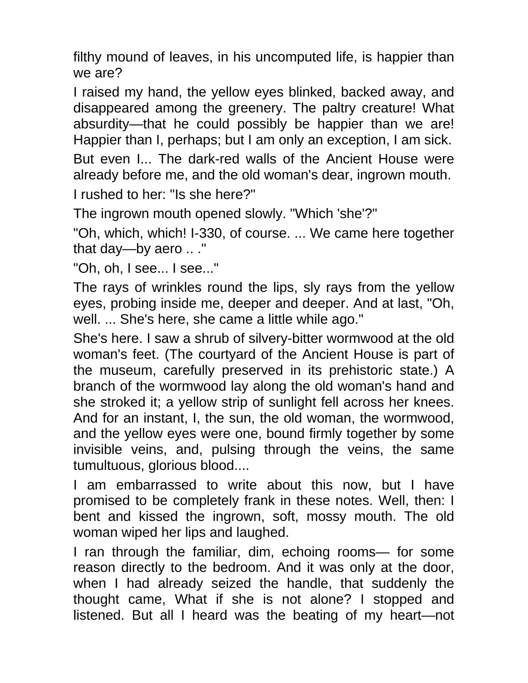filthy mound of leaves, in his uncomputed life, is happier than we are?

I raised my hand, the yellow eyes blinked, backed away, and disappeared among the greenery. The paltry creature! What absurdity—that he could possibly be happier than we are! Happier than I, perhaps; but I am only an exception, I am sick. But even I... The dark-red walls of the Ancient House were already before me, and the old woman's dear, ingrown mouth. I rushed to her: "Is she here?"

The ingrown mouth opened slowly. "Which 'she'?"

"Oh, which, which! I-330, of course. ... We came here together that day—by aero .. ."

"Oh, oh, I see... I see..."

The rays of wrinkles round the lips, sly rays from the yellow eyes, probing inside me, deeper and deeper. And at last, "Oh, well. ... She's here, she came a little while ago."

She's here. I saw a shrub of silvery-bitter wormwood at the old woman's feet. (The courtyard of the Ancient House is part of the museum, carefully preserved in its prehistoric state.) A branch of the wormwood lay along the old woman's hand and she stroked it; a yellow strip of sunlight fell across her knees. And for an instant, I, the sun, the old woman, the wormwood, and the yellow eyes were one, bound firmly together by some invisible veins, and, pulsing through the veins, the same tumultuous, glorious blood....

I am embarrassed to write about this now, but I have promised to be completely frank in these notes. Well, then: I bent and kissed the ingrown, soft, mossy mouth. The old woman wiped her lips and laughed.

I ran through the familiar, dim, echoing rooms— for some reason directly to the bedroom. And it was only at the door, when I had already seized the handle, that suddenly the thought came, What if she is not alone? I stopped and listened. But all I heard was the beating of my heart—not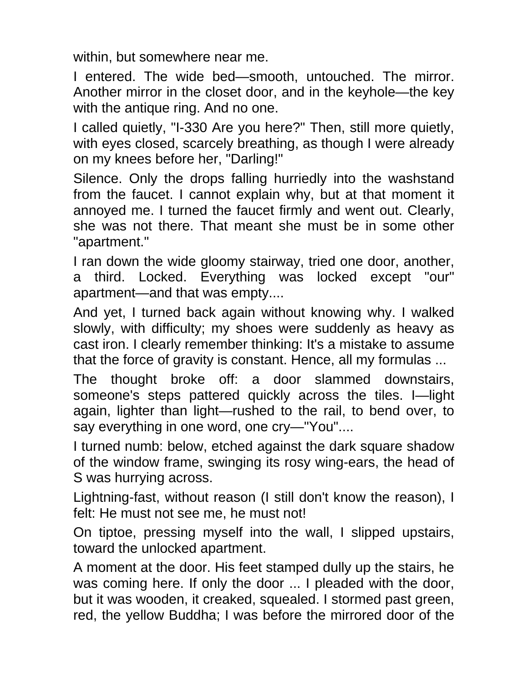within, but somewhere near me.

I entered. The wide bed—smooth, untouched. The mirror. Another mirror in the closet door, and in the keyhole—the key with the antique ring. And no one.

I called quietly, "I-330 Are you here?" Then, still more quietly, with eyes closed, scarcely breathing, as though I were already on my knees before her, "Darling!"

Silence. Only the drops falling hurriedly into the washstand from the faucet. I cannot explain why, but at that moment it annoyed me. I turned the faucet firmly and went out. Clearly, she was not there. That meant she must be in some other "apartment."

I ran down the wide gloomy stairway, tried one door, another, a third. Locked. Everything was locked except "our" apartment—and that was empty....

And yet, I turned back again without knowing why. I walked slowly, with difficulty; my shoes were suddenly as heavy as cast iron. I clearly remember thinking: It's a mistake to assume that the force of gravity is constant. Hence, all my formulas ...

The thought broke off: a door slammed downstairs, someone's steps pattered quickly across the tiles. I—light again, lighter than light—rushed to the rail, to bend over, to say everything in one word, one cry—"You"....

I turned numb: below, etched against the dark square shadow of the window frame, swinging its rosy wing-ears, the head of S was hurrying across.

Lightning-fast, without reason (I still don't know the reason), I felt: He must not see me, he must not!

On tiptoe, pressing myself into the wall, I slipped upstairs, toward the unlocked apartment.

A moment at the door. His feet stamped dully up the stairs, he was coming here. If only the door ... I pleaded with the door, but it was wooden, it creaked, squealed. I stormed past green, red, the yellow Buddha; I was before the mirrored door of the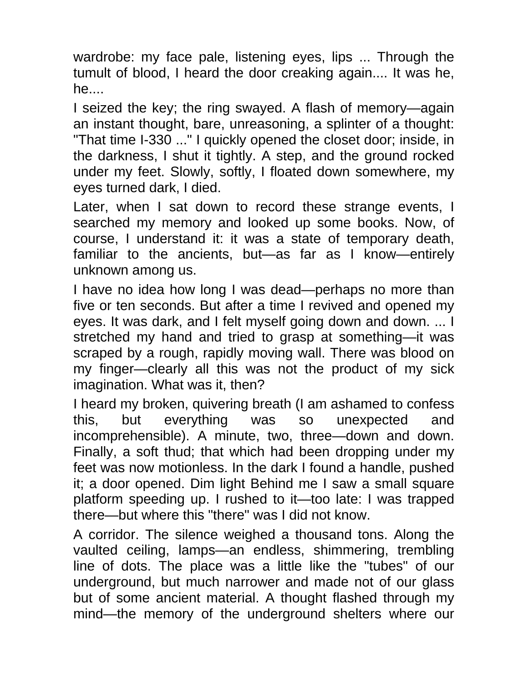wardrobe: my face pale, listening eyes, lips ... Through the tumult of blood, I heard the door creaking again.... It was he, he....

I seized the key; the ring swayed. A flash of memory—again an instant thought, bare, unreasoning, a splinter of a thought: "That time I-330 ..." I quickly opened the closet door; inside, in the darkness, I shut it tightly. A step, and the ground rocked under my feet. Slowly, softly, I floated down somewhere, my eyes turned dark, I died.

Later, when I sat down to record these strange events, I searched my memory and looked up some books. Now, of course, I understand it: it was a state of temporary death, familiar to the ancients, but—as far as I know—entirely unknown among us.

I have no idea how long I was dead—perhaps no more than five or ten seconds. But after a time I revived and opened my eyes. It was dark, and I felt myself going down and down. ... I stretched my hand and tried to grasp at something—it was scraped by a rough, rapidly moving wall. There was blood on my finger—clearly all this was not the product of my sick imagination. What was it, then?

I heard my broken, quivering breath (I am ashamed to confess this, but everything was so unexpected and incomprehensible). A minute, two, three—down and down. Finally, a soft thud; that which had been dropping under my feet was now motionless. In the dark I found a handle, pushed it; a door opened. Dim light Behind me I saw a small square platform speeding up. I rushed to it—too late: I was trapped there—but where this "there" was I did not know.

A corridor. The silence weighed a thousand tons. Along the vaulted ceiling, lamps—an endless, shimmering, trembling line of dots. The place was a little like the "tubes" of our underground, but much narrower and made not of our glass but of some ancient material. A thought flashed through my mind—the memory of the underground shelters where our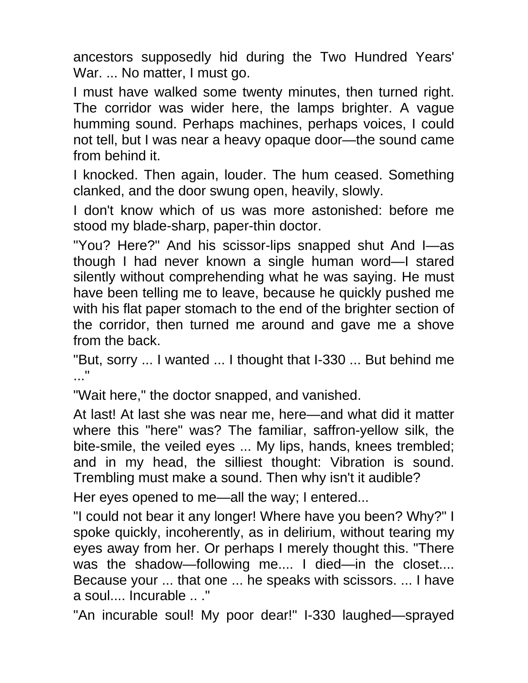ancestors supposedly hid during the Two Hundred Years' War. ... No matter, I must go.

I must have walked some twenty minutes, then turned right. The corridor was wider here, the lamps brighter. A vague humming sound. Perhaps machines, perhaps voices, I could not tell, but I was near a heavy opaque door—the sound came from behind it.

I knocked. Then again, louder. The hum ceased. Something clanked, and the door swung open, heavily, slowly.

I don't know which of us was more astonished: before me stood my blade-sharp, paper-thin doctor.

"You? Here?" And his scissor-lips snapped shut And I—as though I had never known a single human word—I stared silently without comprehending what he was saying. He must have been telling me to leave, because he quickly pushed me with his flat paper stomach to the end of the brighter section of the corridor, then turned me around and gave me a shove from the back.

"But, sorry ... I wanted ... I thought that I-330 ... But behind me ..."

"Wait here," the doctor snapped, and vanished.

At last! At last she was near me, here—and what did it matter where this "here" was? The familiar, saffron-yellow silk, the bite-smile, the veiled eyes ... My lips, hands, knees trembled; and in my head, the silliest thought: Vibration is sound. Trembling must make a sound. Then why isn't it audible?

Her eyes opened to me—all the way; I entered...

"I could not bear it any longer! Where have you been? Why?" I spoke quickly, incoherently, as in delirium, without tearing my eyes away from her. Or perhaps I merely thought this. "There was the shadow—following me.... I died—in the closet.... Because your ... that one ... he speaks with scissors. ... I have a soul.... Incurable .. ."

"An incurable soul! My poor dear!" I-330 laughed—sprayed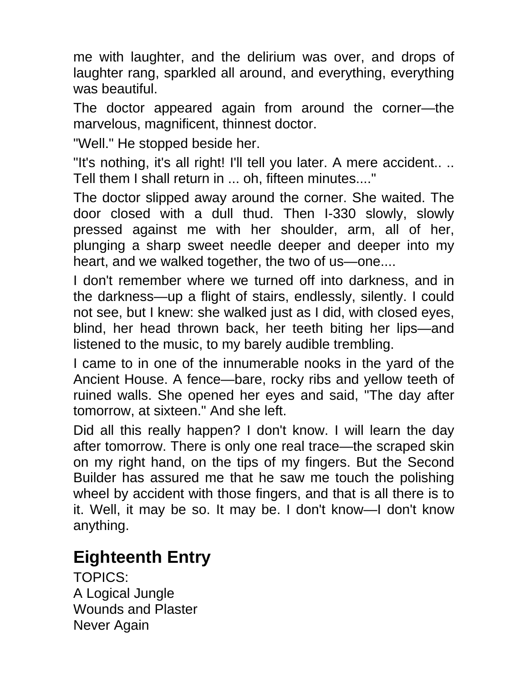me with laughter, and the delirium was over, and drops of laughter rang, sparkled all around, and everything, everything was beautiful.

The doctor appeared again from around the corner—the marvelous, magnificent, thinnest doctor.

"Well." He stopped beside her.

"It's nothing, it's all right! I'll tell you later. A mere accident.. .. Tell them I shall return in ... oh, fifteen minutes...."

The doctor slipped away around the corner. She waited. The door closed with a dull thud. Then I-330 slowly, slowly pressed against me with her shoulder, arm, all of her, plunging a sharp sweet needle deeper and deeper into my heart, and we walked together, the two of us—one....

I don't remember where we turned off into darkness, and in the darkness—up a flight of stairs, endlessly, silently. I could not see, but I knew: she walked just as I did, with closed eyes, blind, her head thrown back, her teeth biting her lips—and listened to the music, to my barely audible trembling.

I came to in one of the innumerable nooks in the yard of the Ancient House. A fence—bare, rocky ribs and yellow teeth of ruined walls. She opened her eyes and said, "The day after tomorrow, at sixteen." And she left.

Did all this really happen? I don't know. I will learn the day after tomorrow. There is only one real trace—the scraped skin on my right hand, on the tips of my fingers. But the Second Builder has assured me that he saw me touch the polishing wheel by accident with those fingers, and that is all there is to it. Well, it may be so. It may be. I don't know—I don't know anything.

## **Eighteenth Entry**

TOPICS: A Logical Jungle Wounds and Plaster Never Again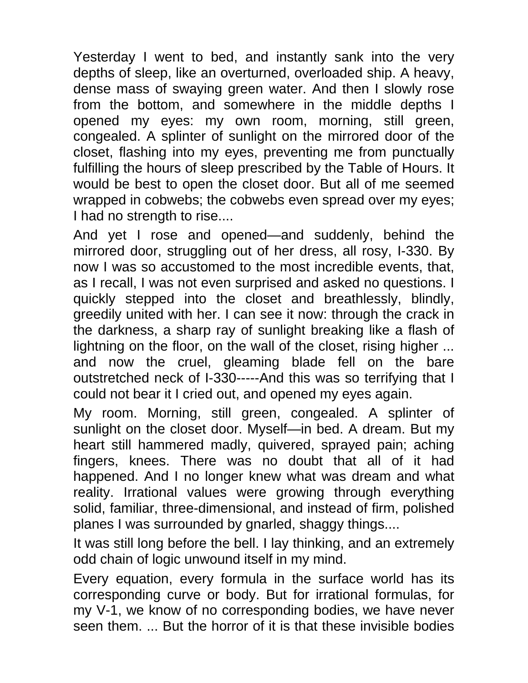Yesterday I went to bed, and instantly sank into the very depths of sleep, like an overturned, overloaded ship. A heavy, dense mass of swaying green water. And then I slowly rose from the bottom, and somewhere in the middle depths I opened my eyes: my own room, morning, still green, congealed. A splinter of sunlight on the mirrored door of the closet, flashing into my eyes, preventing me from punctually fulfilling the hours of sleep prescribed by the Table of Hours. It would be best to open the closet door. But all of me seemed wrapped in cobwebs; the cobwebs even spread over my eyes; I had no strength to rise....

And yet I rose and opened—and suddenly, behind the mirrored door, struggling out of her dress, all rosy, I-330. By now I was so accustomed to the most incredible events, that, as I recall, I was not even surprised and asked no questions. I quickly stepped into the closet and breathlessly, blindly, greedily united with her. I can see it now: through the crack in the darkness, a sharp ray of sunlight breaking like a flash of lightning on the floor, on the wall of the closet, rising higher ... and now the cruel, gleaming blade fell on the bare outstretched neck of I-330-----And this was so terrifying that I could not bear it I cried out, and opened my eyes again.

My room. Morning, still green, congealed. A splinter of sunlight on the closet door. Myself—in bed. A dream. But my heart still hammered madly, quivered, sprayed pain; aching fingers, knees. There was no doubt that all of it had happened. And I no longer knew what was dream and what reality. Irrational values were growing through everything solid, familiar, three-dimensional, and instead of firm, polished planes I was surrounded by gnarled, shaggy things....

It was still long before the bell. I lay thinking, and an extremely odd chain of logic unwound itself in my mind.

Every equation, every formula in the surface world has its corresponding curve or body. But for irrational formulas, for my V-1, we know of no corresponding bodies, we have never seen them. ... But the horror of it is that these invisible bodies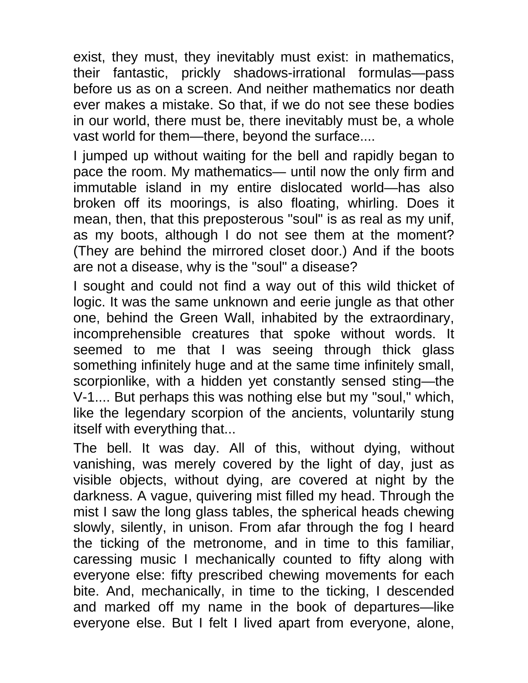exist, they must, they inevitably must exist: in mathematics, their fantastic, prickly shadows-irrational formulas—pass before us as on a screen. And neither mathematics nor death ever makes a mistake. So that, if we do not see these bodies in our world, there must be, there inevitably must be, a whole vast world for them—there, beyond the surface....

I jumped up without waiting for the bell and rapidly began to pace the room. My mathematics— until now the only firm and immutable island in my entire dislocated world—has also broken off its moorings, is also floating, whirling. Does it mean, then, that this preposterous "soul" is as real as my unif, as my boots, although I do not see them at the moment? (They are behind the mirrored closet door.) And if the boots are not a disease, why is the "soul" a disease?

I sought and could not find a way out of this wild thicket of logic. It was the same unknown and eerie jungle as that other one, behind the Green Wall, inhabited by the extraordinary, incomprehensible creatures that spoke without words. It seemed to me that I was seeing through thick glass something infinitely huge and at the same time infinitely small, scorpionlike, with a hidden yet constantly sensed sting—the V-1.... But perhaps this was nothing else but my "soul," which, like the legendary scorpion of the ancients, voluntarily stung itself with everything that...

The bell. It was day. All of this, without dying, without vanishing, was merely covered by the light of day, just as visible objects, without dying, are covered at night by the darkness. A vague, quivering mist filled my head. Through the mist I saw the long glass tables, the spherical heads chewing slowly, silently, in unison. From afar through the fog I heard the ticking of the metronome, and in time to this familiar, caressing music I mechanically counted to fifty along with everyone else: fifty prescribed chewing movements for each bite. And, mechanically, in time to the ticking, I descended and marked off my name in the book of departures—like everyone else. But I felt I lived apart from everyone, alone,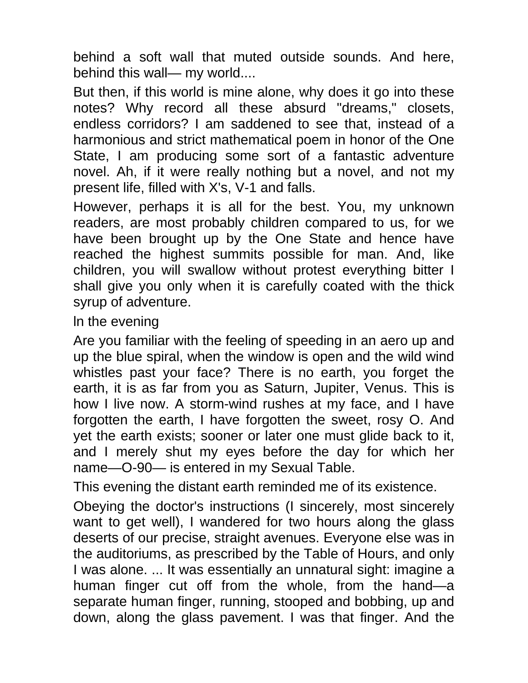behind a soft wall that muted outside sounds. And here, behind this wall— my world....

But then, if this world is mine alone, why does it go into these notes? Why record all these absurd "dreams," closets, endless corridors? I am saddened to see that, instead of a harmonious and strict mathematical poem in honor of the One State, I am producing some sort of a fantastic adventure novel. Ah, if it were really nothing but a novel, and not my present life, filled with X's, V-1 and falls.

However, perhaps it is all for the best. You, my unknown readers, are most probably children compared to us, for we have been brought up by the One State and hence have reached the highest summits possible for man. And, like children, you will swallow without protest everything bitter I shall give you only when it is carefully coated with the thick syrup of adventure.

ln the evening

Are you familiar with the feeling of speeding in an aero up and up the blue spiral, when the window is open and the wild wind whistles past your face? There is no earth, you forget the earth, it is as far from you as Saturn, Jupiter, Venus. This is how I live now. A storm-wind rushes at my face, and I have forgotten the earth, I have forgotten the sweet, rosy O. And yet the earth exists; sooner or later one must glide back to it, and I merely shut my eyes before the day for which her name—O-90— is entered in my Sexual Table.

This evening the distant earth reminded me of its existence.

Obeying the doctor's instructions (I sincerely, most sincerely want to get well), I wandered for two hours along the glass deserts of our precise, straight avenues. Everyone else was in the auditoriums, as prescribed by the Table of Hours, and only I was alone. ... It was essentially an unnatural sight: imagine a human finger cut off from the whole, from the hand—a separate human finger, running, stooped and bobbing, up and down, along the glass pavement. I was that finger. And the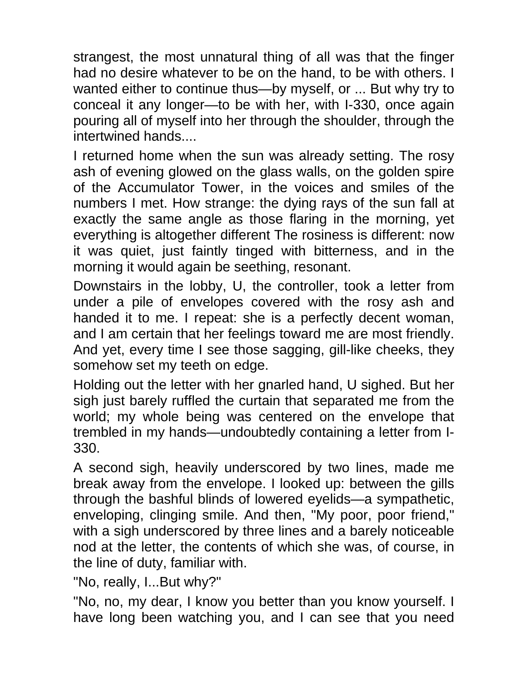strangest, the most unnatural thing of all was that the finger had no desire whatever to be on the hand, to be with others. I wanted either to continue thus—by myself, or ... But why try to conceal it any longer—to be with her, with I-330, once again pouring all of myself into her through the shoulder, through the intertwined hands....

I returned home when the sun was already setting. The rosy ash of evening glowed on the glass walls, on the golden spire of the Accumulator Tower, in the voices and smiles of the numbers I met. How strange: the dying rays of the sun fall at exactly the same angle as those flaring in the morning, yet everything is altogether different The rosiness is different: now it was quiet, just faintly tinged with bitterness, and in the morning it would again be seething, resonant.

Downstairs in the lobby, U, the controller, took a letter from under a pile of envelopes covered with the rosy ash and handed it to me. I repeat: she is a perfectly decent woman, and I am certain that her feelings toward me are most friendly. And yet, every time I see those sagging, gill-like cheeks, they somehow set my teeth on edge.

Holding out the letter with her gnarled hand, U sighed. But her sigh just barely ruffled the curtain that separated me from the world; my whole being was centered on the envelope that trembled in my hands—undoubtedly containing a letter from I-330.

A second sigh, heavily underscored by two lines, made me break away from the envelope. I looked up: between the gills through the bashful blinds of lowered eyelids—a sympathetic, enveloping, clinging smile. And then, "My poor, poor friend," with a sigh underscored by three lines and a barely noticeable nod at the letter, the contents of which she was, of course, in the line of duty, familiar with.

"No, really, I...But why?"

"No, no, my dear, I know you better than you know yourself. I have long been watching you, and I can see that you need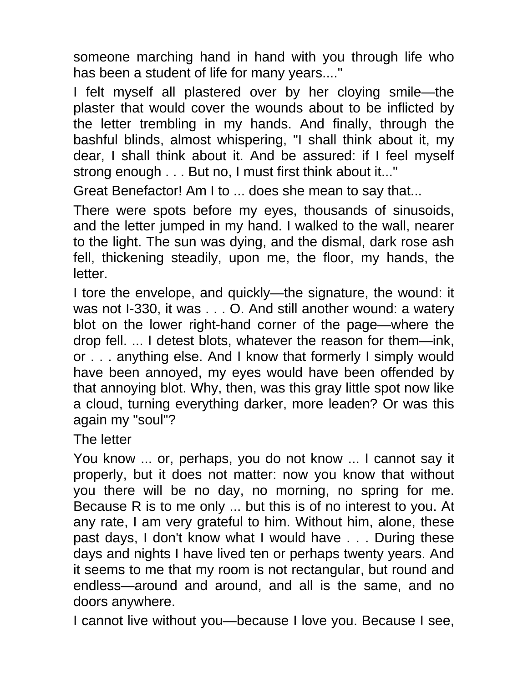someone marching hand in hand with you through life who has been a student of life for many years...."

I felt myself all plastered over by her cloying smile—the plaster that would cover the wounds about to be inflicted by the letter trembling in my hands. And finally, through the bashful blinds, almost whispering, "I shall think about it, my dear, I shall think about it. And be assured: if I feel myself strong enough . . . But no, I must first think about it..."

Great Benefactor! Am I to ... does she mean to say that...

There were spots before my eyes, thousands of sinusoids, and the letter jumped in my hand. I walked to the wall, nearer to the light. The sun was dying, and the dismal, dark rose ash fell, thickening steadily, upon me, the floor, my hands, the letter.

I tore the envelope, and quickly—the signature, the wound: it was not I-330, it was . . . O. And still another wound: a watery blot on the lower right-hand corner of the page—where the drop fell. ... I detest blots, whatever the reason for them—ink, or . . . anything else. And I know that formerly I simply would have been annoyed, my eyes would have been offended by that annoying blot. Why, then, was this gray little spot now like a cloud, turning everything darker, more leaden? Or was this again my "soul"?

The letter

You know ... or, perhaps, you do not know ... I cannot say it properly, but it does not matter: now you know that without you there will be no day, no morning, no spring for me. Because R is to me only ... but this is of no interest to you. At any rate, I am very grateful to him. Without him, alone, these past days, I don't know what I would have . . . During these days and nights I have lived ten or perhaps twenty years. And it seems to me that my room is not rectangular, but round and endless—around and around, and all is the same, and no doors anywhere.

I cannot live without you—because I love you. Because I see,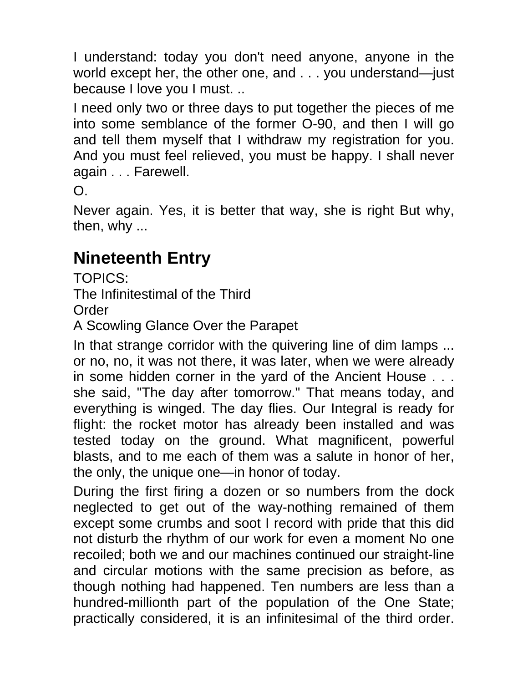I understand: today you don't need anyone, anyone in the world except her, the other one, and . . . you understand—just because I love you I must. ..

I need only two or three days to put together the pieces of me into some semblance of the former O-90, and then I will go and tell them myself that I withdraw my registration for you. And you must feel relieved, you must be happy. I shall never again . . . Farewell.

 $O<sub>1</sub>$ 

Never again. Yes, it is better that way, she is right But why, then, why ...

## **Nineteenth Entry**

TOPICS:

The Infinitestimal of the Third **Order** 

A Scowling Glance Over the Parapet

In that strange corridor with the quivering line of dim lamps ... or no, no, it was not there, it was later, when we were already in some hidden corner in the yard of the Ancient House . . . she said, "The day after tomorrow." That means today, and everything is winged. The day flies. Our Integral is ready for flight: the rocket motor has already been installed and was tested today on the ground. What magnificent, powerful blasts, and to me each of them was a salute in honor of her, the only, the unique one—in honor of today.

During the first firing a dozen or so numbers from the dock neglected to get out of the way-nothing remained of them except some crumbs and soot I record with pride that this did not disturb the rhythm of our work for even a moment No one recoiled; both we and our machines continued our straight-line and circular motions with the same precision as before, as though nothing had happened. Ten numbers are less than a hundred-millionth part of the population of the One State; practically considered, it is an infinitesimal of the third order.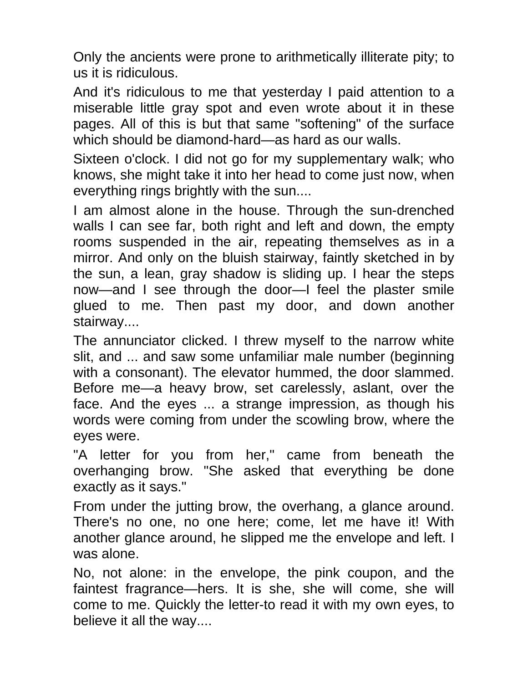Only the ancients were prone to arithmetically illiterate pity; to us it is ridiculous.

And it's ridiculous to me that yesterday I paid attention to a miserable little gray spot and even wrote about it in these pages. All of this is but that same "softening" of the surface which should be diamond-hard—as hard as our walls.

Sixteen o'clock. I did not go for my supplementary walk; who knows, she might take it into her head to come just now, when everything rings brightly with the sun....

I am almost alone in the house. Through the sun-drenched walls I can see far, both right and left and down, the empty rooms suspended in the air, repeating themselves as in a mirror. And only on the bluish stairway, faintly sketched in by the sun, a lean, gray shadow is sliding up. I hear the steps now—and I see through the door—I feel the plaster smile glued to me. Then past my door, and down another stairway....

The annunciator clicked. I threw myself to the narrow white slit, and ... and saw some unfamiliar male number (beginning with a consonant). The elevator hummed, the door slammed. Before me—a heavy brow, set carelessly, aslant, over the face. And the eyes ... a strange impression, as though his words were coming from under the scowling brow, where the eyes were.

"A letter for you from her," came from beneath the overhanging brow. "She asked that everything be done exactly as it says."

From under the jutting brow, the overhang, a glance around. There's no one, no one here; come, let me have it! With another glance around, he slipped me the envelope and left. I was alone.

No, not alone: in the envelope, the pink coupon, and the faintest fragrance—hers. It is she, she will come, she will come to me. Quickly the letter-to read it with my own eyes, to believe it all the way....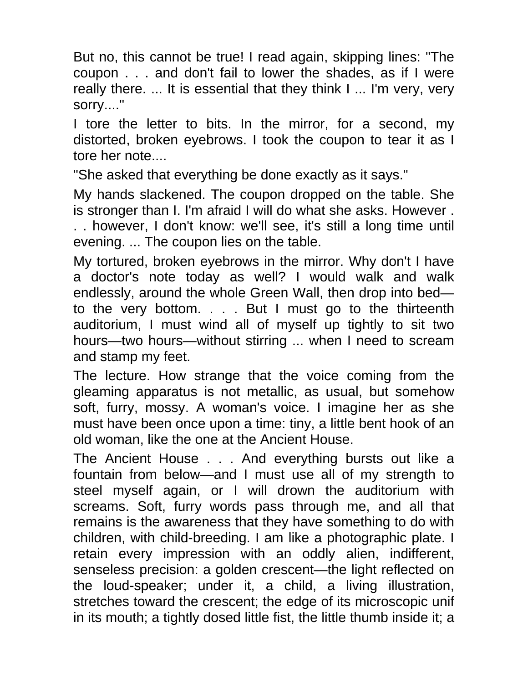But no, this cannot be true! I read again, skipping lines: "The coupon . . . and don't fail to lower the shades, as if I were really there. ... It is essential that they think I ... I'm very, very sorry...."

I tore the letter to bits. In the mirror, for a second, my distorted, broken eyebrows. I took the coupon to tear it as I tore her note....

"She asked that everything be done exactly as it says."

My hands slackened. The coupon dropped on the table. She is stronger than I. I'm afraid I will do what she asks. However . . . however, I don't know: we'll see, it's still a long time until evening. ... The coupon lies on the table.

My tortured, broken eyebrows in the mirror. Why don't I have a doctor's note today as well? I would walk and walk endlessly, around the whole Green Wall, then drop into bed to the very bottom. . . . But I must go to the thirteenth auditorium, I must wind all of myself up tightly to sit two hours—two hours—without stirring ... when I need to scream and stamp my feet.

The lecture. How strange that the voice coming from the gleaming apparatus is not metallic, as usual, but somehow soft, furry, mossy. A woman's voice. I imagine her as she must have been once upon a time: tiny, a little bent hook of an old woman, like the one at the Ancient House.

The Ancient House . . . And everything bursts out like a fountain from below—and I must use all of my strength to steel myself again, or I will drown the auditorium with screams. Soft, furry words pass through me, and all that remains is the awareness that they have something to do with children, with child-breeding. I am like a photographic plate. I retain every impression with an oddly alien, indifferent, senseless precision: a golden crescent—the light reflected on the loud-speaker; under it, a child, a living illustration, stretches toward the crescent; the edge of its microscopic unif in its mouth; a tightly dosed little fist, the little thumb inside it; a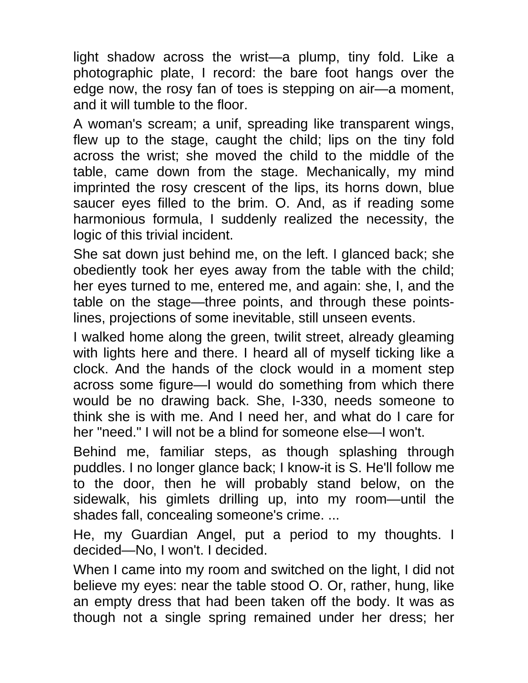light shadow across the wrist—a plump, tiny fold. Like a photographic plate, I record: the bare foot hangs over the edge now, the rosy fan of toes is stepping on air—a moment, and it will tumble to the floor.

A woman's scream; a unif, spreading like transparent wings, flew up to the stage, caught the child; lips on the tiny fold across the wrist; she moved the child to the middle of the table, came down from the stage. Mechanically, my mind imprinted the rosy crescent of the lips, its horns down, blue saucer eyes filled to the brim. O. And, as if reading some harmonious formula, I suddenly realized the necessity, the logic of this trivial incident.

She sat down just behind me, on the left. I glanced back; she obediently took her eyes away from the table with the child; her eyes turned to me, entered me, and again: she, I, and the table on the stage—three points, and through these pointslines, projections of some inevitable, still unseen events.

I walked home along the green, twilit street, already gleaming with lights here and there. I heard all of myself ticking like a clock. And the hands of the clock would in a moment step across some figure—I would do something from which there would be no drawing back. She, I-330, needs someone to think she is with me. And I need her, and what do I care for her "need." I will not be a blind for someone else—I won't.

Behind me, familiar steps, as though splashing through puddles. I no longer glance back; I know-it is S. He'll follow me to the door, then he will probably stand below, on the sidewalk, his gimlets drilling up, into my room—until the shades fall, concealing someone's crime. ...

He, my Guardian Angel, put a period to my thoughts. I decided—No, I won't. I decided.

When I came into my room and switched on the light, I did not believe my eyes: near the table stood O. Or, rather, hung, like an empty dress that had been taken off the body. It was as though not a single spring remained under her dress; her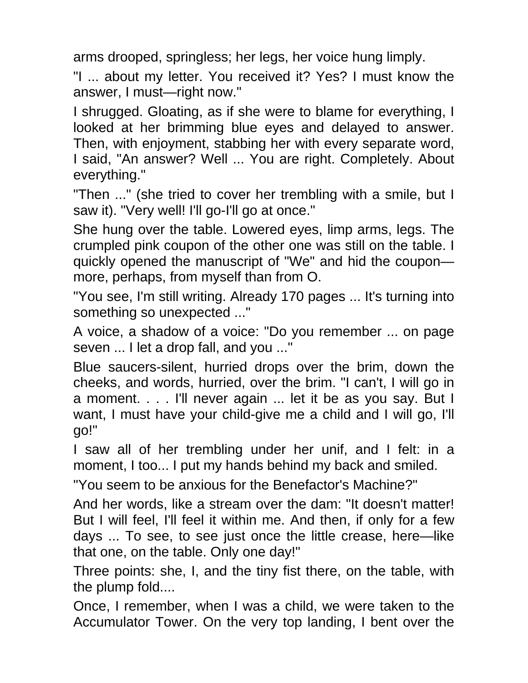arms drooped, springless; her legs, her voice hung limply.

"I ... about my letter. You received it? Yes? I must know the answer, I must—right now."

I shrugged. Gloating, as if she were to blame for everything, I looked at her brimming blue eyes and delayed to answer. Then, with enjoyment, stabbing her with every separate word, I said, "An answer? Well ... You are right. Completely. About everything."

"Then ..." (she tried to cover her trembling with a smile, but I saw it). "Very well! I'll go-I'll go at once."

She hung over the table. Lowered eyes, limp arms, legs. The crumpled pink coupon of the other one was still on the table. I quickly opened the manuscript of "We" and hid the coupon more, perhaps, from myself than from O.

"You see, I'm still writing. Already 170 pages ... It's turning into something so unexpected ..."

A voice, a shadow of a voice: "Do you remember ... on page seven ... I let a drop fall, and you ..."

Blue saucers-silent, hurried drops over the brim, down the cheeks, and words, hurried, over the brim. "I can't, I will go in a moment. . . . I'll never again ... let it be as you say. But I want, I must have your child-give me a child and I will go, I'll go!"

I saw all of her trembling under her unif, and I felt: in a moment, I too... I put my hands behind my back and smiled.

"You seem to be anxious for the Benefactor's Machine?"

And her words, like a stream over the dam: "It doesn't matter! But I will feel, I'll feel it within me. And then, if only for a few days ... To see, to see just once the little crease, here—like that one, on the table. Only one day!"

Three points: she, I, and the tiny fist there, on the table, with the plump fold....

Once, I remember, when I was a child, we were taken to the Accumulator Tower. On the very top landing, I bent over the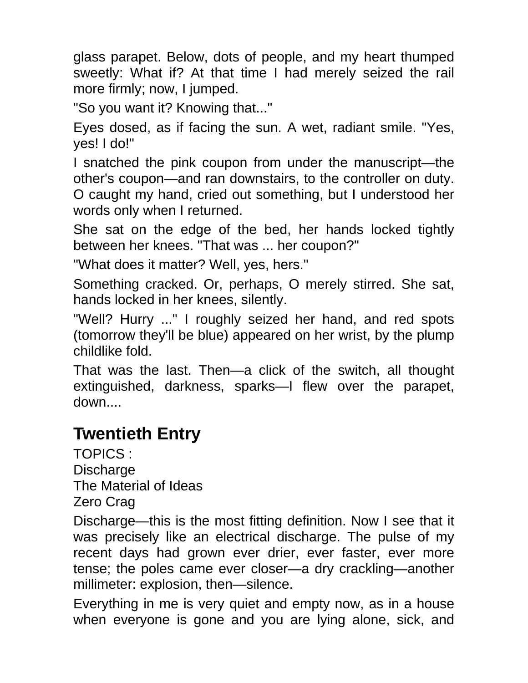glass parapet. Below, dots of people, and my heart thumped sweetly: What if? At that time I had merely seized the rail more firmly; now, I jumped.

"So you want it? Knowing that..."

Eyes dosed, as if facing the sun. A wet, radiant smile. "Yes, yes! I do!"

I snatched the pink coupon from under the manuscript—the other's coupon—and ran downstairs, to the controller on duty. O caught my hand, cried out something, but I understood her words only when I returned.

She sat on the edge of the bed, her hands locked tightly between her knees. "That was ... her coupon?"

"What does it matter? Well, yes, hers."

Something cracked. Or, perhaps, O merely stirred. She sat, hands locked in her knees, silently.

"Well? Hurry ..." I roughly seized her hand, and red spots (tomorrow they'll be blue) appeared on her wrist, by the plump childlike fold.

That was the last. Then—a click of the switch, all thought extinguished, darkness, sparks—I flew over the parapet, down....

#### **Twentieth Entry**

TOPICS : **Discharge** The Material of Ideas Zero Crag

Discharge—this is the most fitting definition. Now I see that it was precisely like an electrical discharge. The pulse of my recent days had grown ever drier, ever faster, ever more tense; the poles came ever closer—a dry crackling—another millimeter: explosion, then—silence.

Everything in me is very quiet and empty now, as in a house when everyone is gone and you are lying alone, sick, and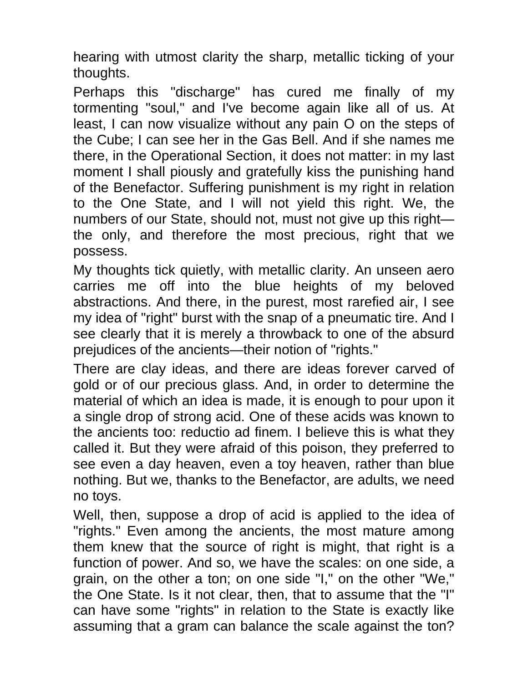hearing with utmost clarity the sharp, metallic ticking of your thoughts.

Perhaps this "discharge" has cured me finally of my tormenting "soul," and I've become again like all of us. At least, I can now visualize without any pain O on the steps of the Cube; I can see her in the Gas Bell. And if she names me there, in the Operational Section, it does not matter: in my last moment I shall piously and gratefully kiss the punishing hand of the Benefactor. Suffering punishment is my right in relation to the One State, and I will not yield this right. We, the numbers of our State, should not, must not give up this right the only, and therefore the most precious, right that we possess.

My thoughts tick quietly, with metallic clarity. An unseen aero carries me off into the blue heights of my beloved abstractions. And there, in the purest, most rarefied air, I see my idea of "right" burst with the snap of a pneumatic tire. And I see clearly that it is merely a throwback to one of the absurd prejudices of the ancients—their notion of "rights."

There are clay ideas, and there are ideas forever carved of gold or of our precious glass. And, in order to determine the material of which an idea is made, it is enough to pour upon it a single drop of strong acid. One of these acids was known to the ancients too: reductio ad finem. I believe this is what they called it. But they were afraid of this poison, they preferred to see even a day heaven, even a toy heaven, rather than blue nothing. But we, thanks to the Benefactor, are adults, we need no toys.

Well, then, suppose a drop of acid is applied to the idea of "rights." Even among the ancients, the most mature among them knew that the source of right is might, that right is a function of power. And so, we have the scales: on one side, a grain, on the other a ton; on one side "I," on the other "We," the One State. Is it not clear, then, that to assume that the "I" can have some "rights" in relation to the State is exactly like assuming that a gram can balance the scale against the ton?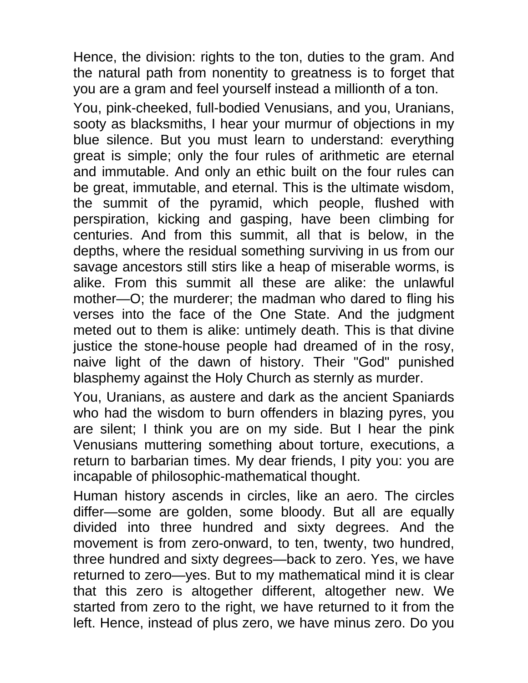Hence, the division: rights to the ton, duties to the gram. And the natural path from nonentity to greatness is to forget that you are a gram and feel yourself instead a millionth of a ton.

You, pink-cheeked, full-bodied Venusians, and you, Uranians, sooty as blacksmiths, I hear your murmur of objections in my blue silence. But you must learn to understand: everything great is simple; only the four rules of arithmetic are eternal and immutable. And only an ethic built on the four rules can be great, immutable, and eternal. This is the ultimate wisdom, the summit of the pyramid, which people, flushed with perspiration, kicking and gasping, have been climbing for centuries. And from this summit, all that is below, in the depths, where the residual something surviving in us from our savage ancestors still stirs like a heap of miserable worms, is alike. From this summit all these are alike: the unlawful mother—O; the murderer; the madman who dared to fling his verses into the face of the One State. And the judgment meted out to them is alike: untimely death. This is that divine justice the stone-house people had dreamed of in the rosy, naive light of the dawn of history. Their "God" punished blasphemy against the Holy Church as sternly as murder.

You, Uranians, as austere and dark as the ancient Spaniards who had the wisdom to burn offenders in blazing pyres, you are silent; I think you are on my side. But I hear the pink Venusians muttering something about torture, executions, a return to barbarian times. My dear friends, I pity you: you are incapable of philosophic-mathematical thought.

Human history ascends in circles, like an aero. The circles differ—some are golden, some bloody. But all are equally divided into three hundred and sixty degrees. And the movement is from zero-onward, to ten, twenty, two hundred, three hundred and sixty degrees—back to zero. Yes, we have returned to zero—yes. But to my mathematical mind it is clear that this zero is altogether different, altogether new. We started from zero to the right, we have returned to it from the left. Hence, instead of plus zero, we have minus zero. Do you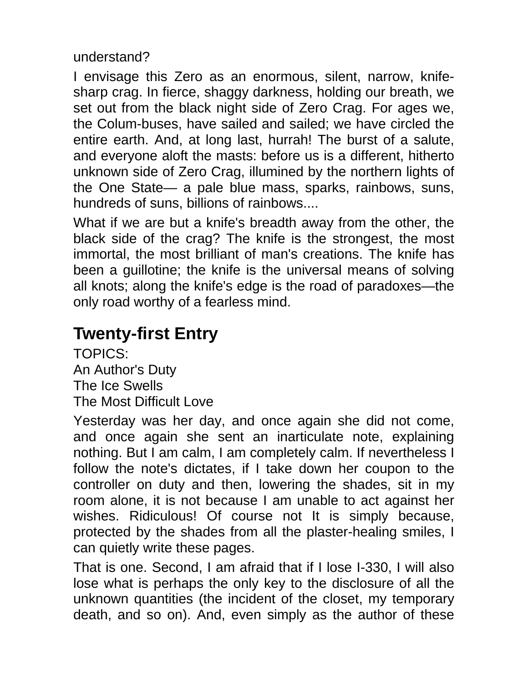understand?

I envisage this Zero as an enormous, silent, narrow, knifesharp crag. In fierce, shaggy darkness, holding our breath, we set out from the black night side of Zero Crag. For ages we, the Colum-buses, have sailed and sailed; we have circled the entire earth. And, at long last, hurrah! The burst of a salute, and everyone aloft the masts: before us is a different, hitherto unknown side of Zero Crag, illumined by the northern lights of the One State— a pale blue mass, sparks, rainbows, suns, hundreds of suns, billions of rainbows....

What if we are but a knife's breadth away from the other, the black side of the crag? The knife is the strongest, the most immortal, the most brilliant of man's creations. The knife has been a guillotine; the knife is the universal means of solving all knots; along the knife's edge is the road of paradoxes—the only road worthy of a fearless mind.

## **Twenty-first Entry**

TOPICS: An Author's Duty The Ice Swells The Most Difficult Love

Yesterday was her day, and once again she did not come, and once again she sent an inarticulate note, explaining nothing. But I am calm, I am completely calm. If nevertheless I follow the note's dictates, if I take down her coupon to the controller on duty and then, lowering the shades, sit in my room alone, it is not because I am unable to act against her wishes. Ridiculous! Of course not It is simply because, protected by the shades from all the plaster-healing smiles, I can quietly write these pages.

That is one. Second, I am afraid that if I lose I-330, I will also lose what is perhaps the only key to the disclosure of all the unknown quantities (the incident of the closet, my temporary death, and so on). And, even simply as the author of these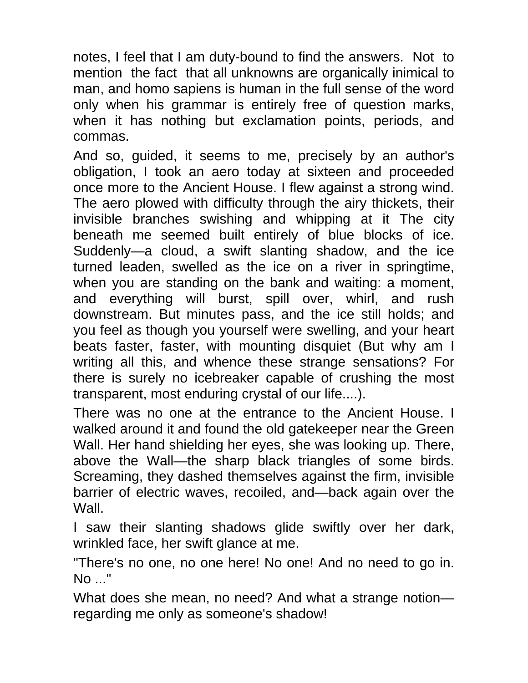notes, I feel that I am duty-bound to find the answers. Not to mention the fact that all unknowns are organically inimical to man, and homo sapiens is human in the full sense of the word only when his grammar is entirely free of question marks, when it has nothing but exclamation points, periods, and commas.

And so, guided, it seems to me, precisely by an author's obligation, I took an aero today at sixteen and proceeded once more to the Ancient House. I flew against a strong wind. The aero plowed with difficulty through the airy thickets, their invisible branches swishing and whipping at it The city beneath me seemed built entirely of blue blocks of ice. Suddenly—a cloud, a swift slanting shadow, and the ice turned leaden, swelled as the ice on a river in springtime, when you are standing on the bank and waiting: a moment, and everything will burst, spill over, whirl, and rush downstream. But minutes pass, and the ice still holds; and you feel as though you yourself were swelling, and your heart beats faster, faster, with mounting disquiet (But why am I writing all this, and whence these strange sensations? For there is surely no icebreaker capable of crushing the most transparent, most enduring crystal of our life....).

There was no one at the entrance to the Ancient House. I walked around it and found the old gatekeeper near the Green Wall. Her hand shielding her eyes, she was looking up. There, above the Wall—the sharp black triangles of some birds. Screaming, they dashed themselves against the firm, invisible barrier of electric waves, recoiled, and—back again over the Wall.

I saw their slanting shadows glide swiftly over her dark, wrinkled face, her swift glance at me.

"There's no one, no one here! No one! And no need to go in. No ..."

What does she mean, no need? And what a strange notion regarding me only as someone's shadow!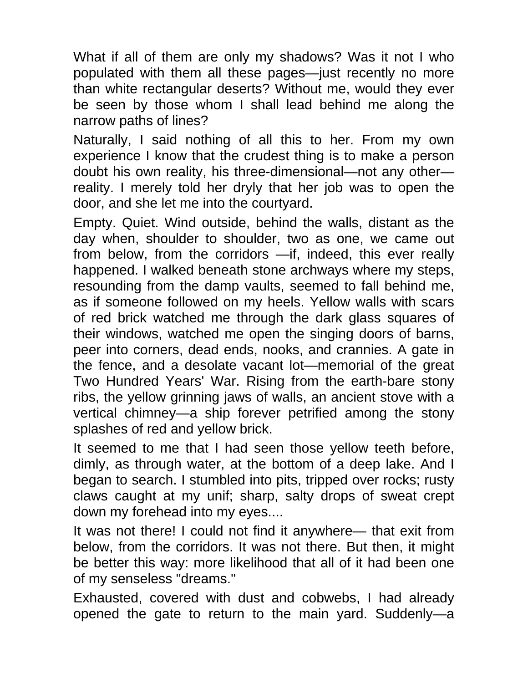What if all of them are only my shadows? Was it not I who populated with them all these pages—just recently no more than white rectangular deserts? Without me, would they ever be seen by those whom I shall lead behind me along the narrow paths of lines?

Naturally, I said nothing of all this to her. From my own experience I know that the crudest thing is to make a person doubt his own reality, his three-dimensional—not any other reality. I merely told her dryly that her job was to open the door, and she let me into the courtyard.

Empty. Quiet. Wind outside, behind the walls, distant as the day when, shoulder to shoulder, two as one, we came out from below, from the corridors —if, indeed, this ever really happened. I walked beneath stone archways where my steps, resounding from the damp vaults, seemed to fall behind me, as if someone followed on my heels. Yellow walls with scars of red brick watched me through the dark glass squares of their windows, watched me open the singing doors of barns, peer into corners, dead ends, nooks, and crannies. A gate in the fence, and a desolate vacant lot—memorial of the great Two Hundred Years' War. Rising from the earth-bare stony ribs, the yellow grinning jaws of walls, an ancient stove with a vertical chimney—a ship forever petrified among the stony splashes of red and yellow brick.

It seemed to me that I had seen those yellow teeth before, dimly, as through water, at the bottom of a deep lake. And I began to search. I stumbled into pits, tripped over rocks; rusty claws caught at my unif; sharp, salty drops of sweat crept down my forehead into my eyes....

It was not there! I could not find it anywhere— that exit from below, from the corridors. It was not there. But then, it might be better this way: more likelihood that all of it had been one of my senseless "dreams."

Exhausted, covered with dust and cobwebs, I had already opened the gate to return to the main yard. Suddenly—a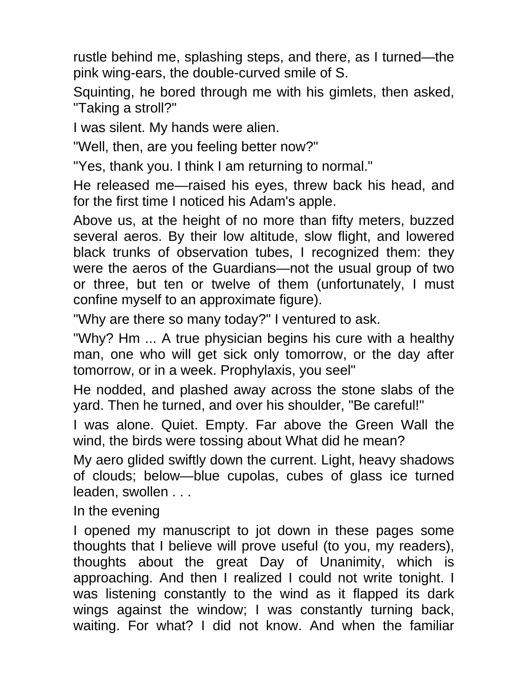rustle behind me, splashing steps, and there, as I turned—the pink wing-ears, the double-curved smile of S.

Squinting, he bored through me with his gimlets, then asked, "Taking a stroll?"

I was silent. My hands were alien.

"Well, then, are you feeling better now?"

"Yes, thank you. I think I am returning to normal."

He released me—raised his eyes, threw back his head, and for the first time I noticed his Adam's apple.

Above us, at the height of no more than fifty meters, buzzed several aeros. By their low altitude, slow flight, and lowered black trunks of observation tubes, I recognized them: they were the aeros of the Guardians—not the usual group of two or three, but ten or twelve of them (unfortunately, I must confine myself to an approximate figure).

"Why are there so many today?" I ventured to ask.

"Why? Hm ... A true physician begins his cure with a healthy man, one who will get sick only tomorrow, or the day after tomorrow, or in a week. Prophylaxis, you seel"

He nodded, and plashed away across the stone slabs of the yard. Then he turned, and over his shoulder, "Be careful!"

I was alone. Quiet. Empty. Far above the Green Wall the wind, the birds were tossing about What did he mean?

My aero glided swiftly down the current. Light, heavy shadows of clouds; below—blue cupolas, cubes of glass ice turned leaden, swollen . . .

In the evening

I opened my manuscript to jot down in these pages some thoughts that I believe will prove useful (to you, my readers), thoughts about the great Day of Unanimity, which is approaching. And then I realized I could not write tonight. I was listening constantly to the wind as it flapped its dark wings against the window; I was constantly turning back, waiting. For what? I did not know. And when the familiar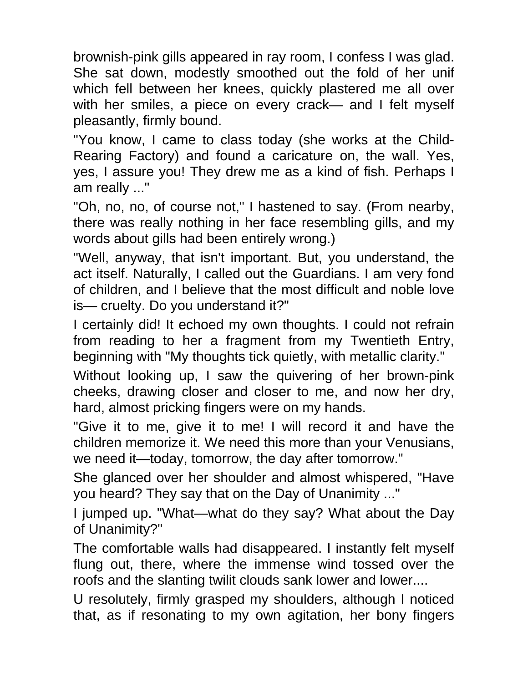brownish-pink gills appeared in ray room, I confess I was glad. She sat down, modestly smoothed out the fold of her unif which fell between her knees, quickly plastered me all over with her smiles, a piece on every crack— and I felt myself pleasantly, firmly bound.

"You know, I came to class today (she works at the Child-Rearing Factory) and found a caricature on, the wall. Yes, yes, I assure you! They drew me as a kind of fish. Perhaps I am really ..."

"Oh, no, no, of course not," I hastened to say. (From nearby, there was really nothing in her face resembling gills, and my words about gills had been entirely wrong.)

"Well, anyway, that isn't important. But, you understand, the act itself. Naturally, I called out the Guardians. I am very fond of children, and I believe that the most difficult and noble love is— cruelty. Do you understand it?"

I certainly did! It echoed my own thoughts. I could not refrain from reading to her a fragment from my Twentieth Entry, beginning with "My thoughts tick quietly, with metallic clarity."

Without looking up, I saw the quivering of her brown-pink cheeks, drawing closer and closer to me, and now her dry, hard, almost pricking fingers were on my hands.

"Give it to me, give it to me! I will record it and have the children memorize it. We need this more than your Venusians, we need it—today, tomorrow, the day after tomorrow."

She glanced over her shoulder and almost whispered, "Have you heard? They say that on the Day of Unanimity ..."

I jumped up. "What—what do they say? What about the Day of Unanimity?"

The comfortable walls had disappeared. I instantly felt myself flung out, there, where the immense wind tossed over the roofs and the slanting twilit clouds sank lower and lower....

U resolutely, firmly grasped my shoulders, although I noticed that, as if resonating to my own agitation, her bony fingers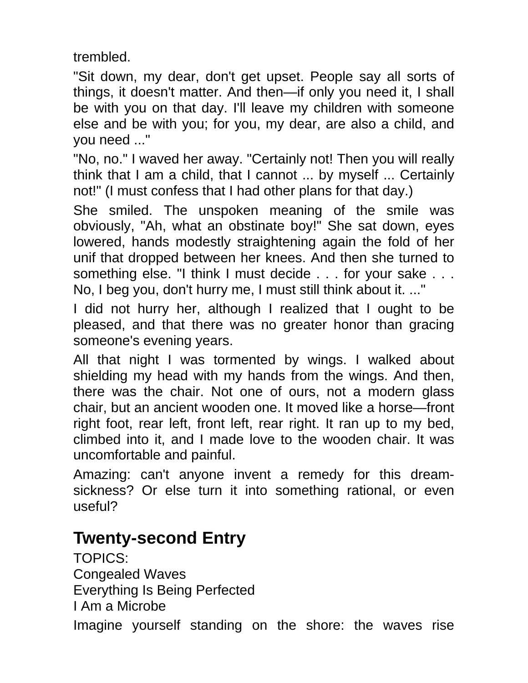trembled.

"Sit down, my dear, don't get upset. People say all sorts of things, it doesn't matter. And then—if only you need it, I shall be with you on that day. I'll leave my children with someone else and be with you; for you, my dear, are also a child, and you need ..."

"No, no." I waved her away. "Certainly not! Then you will really think that I am a child, that I cannot ... by myself ... Certainly not!" (I must confess that I had other plans for that day.)

She smiled. The unspoken meaning of the smile was obviously, "Ah, what an obstinate boy!" She sat down, eyes lowered, hands modestly straightening again the fold of her unif that dropped between her knees. And then she turned to something else. "I think I must decide . . . for your sake . . . No, I beg you, don't hurry me, I must still think about it. ..."

I did not hurry her, although I realized that I ought to be pleased, and that there was no greater honor than gracing someone's evening years.

All that night I was tormented by wings. I walked about shielding my head with my hands from the wings. And then, there was the chair. Not one of ours, not a modern glass chair, but an ancient wooden one. It moved like a horse—front right foot, rear left, front left, rear right. It ran up to my bed, climbed into it, and I made love to the wooden chair. It was uncomfortable and painful.

Amazing: can't anyone invent a remedy for this dreamsickness? Or else turn it into something rational, or even useful?

#### **Twenty-second Entry**

TOPICS: Congealed Waves Everything Is Being Perfected I Am a Microbe Imagine yourself standing on the shore: the waves rise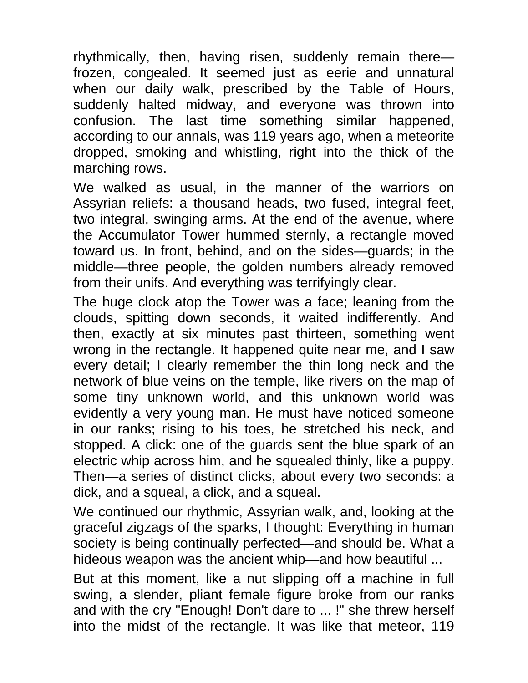rhythmically, then, having risen, suddenly remain there frozen, congealed. It seemed just as eerie and unnatural when our daily walk, prescribed by the Table of Hours, suddenly halted midway, and everyone was thrown into confusion. The last time something similar happened, according to our annals, was 119 years ago, when a meteorite dropped, smoking and whistling, right into the thick of the marching rows.

We walked as usual, in the manner of the warriors on Assyrian reliefs: a thousand heads, two fused, integral feet, two integral, swinging arms. At the end of the avenue, where the Accumulator Tower hummed sternly, a rectangle moved toward us. In front, behind, and on the sides—guards; in the middle—three people, the golden numbers already removed from their unifs. And everything was terrifyingly clear.

The huge clock atop the Tower was a face; leaning from the clouds, spitting down seconds, it waited indifferently. And then, exactly at six minutes past thirteen, something went wrong in the rectangle. It happened quite near me, and I saw every detail; I clearly remember the thin long neck and the network of blue veins on the temple, like rivers on the map of some tiny unknown world, and this unknown world was evidently a very young man. He must have noticed someone in our ranks; rising to his toes, he stretched his neck, and stopped. A click: one of the guards sent the blue spark of an electric whip across him, and he squealed thinly, like a puppy. Then—a series of distinct clicks, about every two seconds: a dick, and a squeal, a click, and a squeal.

We continued our rhythmic, Assyrian walk, and, looking at the graceful zigzags of the sparks, I thought: Everything in human society is being continually perfected—and should be. What a hideous weapon was the ancient whip—and how beautiful ...

But at this moment, like a nut slipping off a machine in full swing, a slender, pliant female figure broke from our ranks and with the cry "Enough! Don't dare to ... !" she threw herself into the midst of the rectangle. It was like that meteor, 119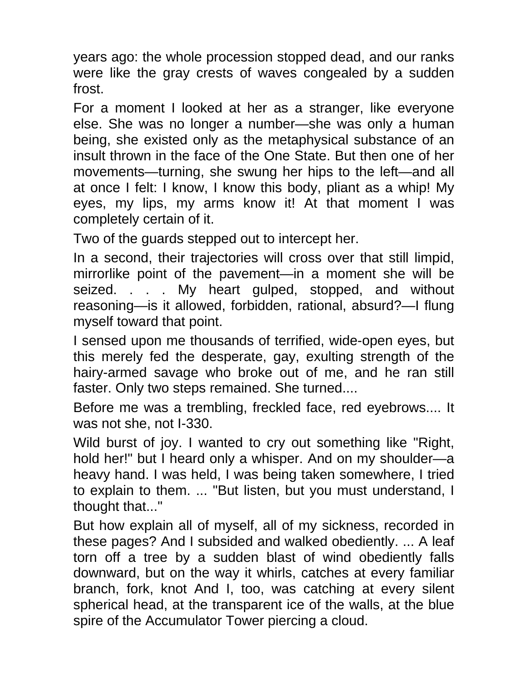years ago: the whole procession stopped dead, and our ranks were like the gray crests of waves congealed by a sudden frost.

For a moment I looked at her as a stranger, like everyone else. She was no longer a number—she was only a human being, she existed only as the metaphysical substance of an insult thrown in the face of the One State. But then one of her movements—turning, she swung her hips to the left—and all at once I felt: I know, I know this body, pliant as a whip! My eyes, my lips, my arms know it! At that moment I was completely certain of it.

Two of the guards stepped out to intercept her.

In a second, their trajectories will cross over that still limpid, mirrorlike point of the pavement—in a moment she will be seized. . . . My heart gulped, stopped, and without reasoning—is it allowed, forbidden, rational, absurd?—I flung myself toward that point.

I sensed upon me thousands of terrified, wide-open eyes, but this merely fed the desperate, gay, exulting strength of the hairy-armed savage who broke out of me, and he ran still faster. Only two steps remained. She turned....

Before me was a trembling, freckled face, red eyebrows.... It was not she, not I-330.

Wild burst of joy. I wanted to cry out something like "Right, hold her!" but I heard only a whisper. And on my shoulder—a heavy hand. I was held, I was being taken somewhere, I tried to explain to them. ... "But listen, but you must understand, I thought that..."

But how explain all of myself, all of my sickness, recorded in these pages? And I subsided and walked obediently. ... A leaf torn off a tree by a sudden blast of wind obediently falls downward, but on the way it whirls, catches at every familiar branch, fork, knot And I, too, was catching at every silent spherical head, at the transparent ice of the walls, at the blue spire of the Accumulator Tower piercing a cloud.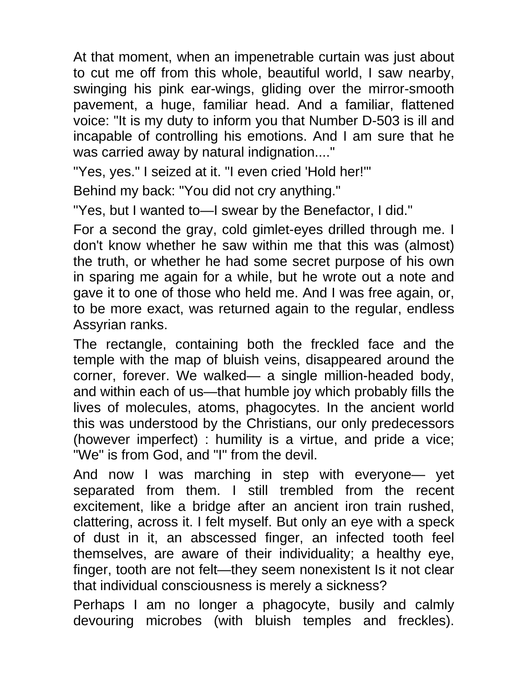At that moment, when an impenetrable curtain was just about to cut me off from this whole, beautiful world, I saw nearby, swinging his pink ear-wings, gliding over the mirror-smooth pavement, a huge, familiar head. And a familiar, flattened voice: "It is my duty to inform you that Number D-503 is ill and incapable of controlling his emotions. And I am sure that he was carried away by natural indignation...."

"Yes, yes." I seized at it. "I even cried 'Hold her!'"

Behind my back: "You did not cry anything."

"Yes, but I wanted to—I swear by the Benefactor, I did."

For a second the gray, cold gimlet-eyes drilled through me. I don't know whether he saw within me that this was (almost) the truth, or whether he had some secret purpose of his own in sparing me again for a while, but he wrote out a note and gave it to one of those who held me. And I was free again, or, to be more exact, was returned again to the regular, endless Assyrian ranks.

The rectangle, containing both the freckled face and the temple with the map of bluish veins, disappeared around the corner, forever. We walked— a single million-headed body, and within each of us—that humble joy which probably fills the lives of molecules, atoms, phagocytes. In the ancient world this was understood by the Christians, our only predecessors (however imperfect) : humility is a virtue, and pride a vice; "We" is from God, and "I" from the devil.

And now I was marching in step with everyone— yet separated from them. I still trembled from the recent excitement, like a bridge after an ancient iron train rushed, clattering, across it. I felt myself. But only an eye with a speck of dust in it, an abscessed finger, an infected tooth feel themselves, are aware of their individuality; a healthy eye, finger, tooth are not felt—they seem nonexistent Is it not clear that individual consciousness is merely a sickness?

Perhaps I am no longer a phagocyte, busily and calmly devouring microbes (with bluish temples and freckles).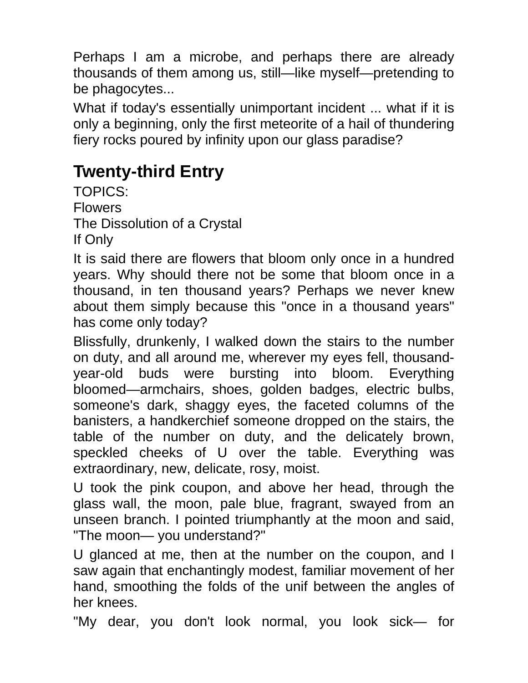Perhaps I am a microbe, and perhaps there are already thousands of them among us, still—like myself—pretending to be phagocytes...

What if today's essentially unimportant incident ... what if it is only a beginning, only the first meteorite of a hail of thundering fiery rocks poured by infinity upon our glass paradise?

## **Twenty-third Entry**

TOPICS: Flowers The Dissolution of a Crystal If Only

It is said there are flowers that bloom only once in a hundred years. Why should there not be some that bloom once in a thousand, in ten thousand years? Perhaps we never knew about them simply because this "once in a thousand years" has come only today?

Blissfully, drunkenly, I walked down the stairs to the number on duty, and all around me, wherever my eyes fell, thousandyear-old buds were bursting into bloom. Everything bloomed—armchairs, shoes, golden badges, electric bulbs, someone's dark, shaggy eyes, the faceted columns of the banisters, a handkerchief someone dropped on the stairs, the table of the number on duty, and the delicately brown, speckled cheeks of U over the table. Everything was extraordinary, new, delicate, rosy, moist.

U took the pink coupon, and above her head, through the glass wall, the moon, pale blue, fragrant, swayed from an unseen branch. I pointed triumphantly at the moon and said, "The moon— you understand?"

U glanced at me, then at the number on the coupon, and I saw again that enchantingly modest, familiar movement of her hand, smoothing the folds of the unif between the angles of her knees.

"My dear, you don't look normal, you look sick— for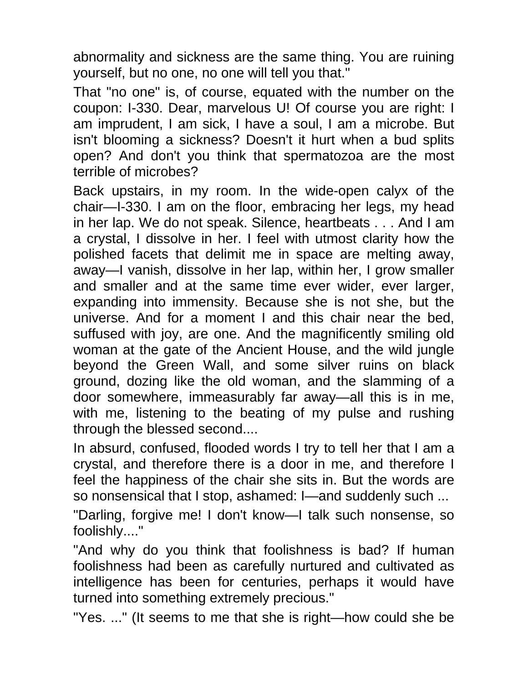abnormality and sickness are the same thing. You are ruining yourself, but no one, no one will tell you that."

That "no one" is, of course, equated with the number on the coupon: I-330. Dear, marvelous U! Of course you are right: I am imprudent, I am sick, I have a soul, I am a microbe. But isn't blooming a sickness? Doesn't it hurt when a bud splits open? And don't you think that spermatozoa are the most terrible of microbes?

Back upstairs, in my room. In the wide-open calyx of the chair—I-330. I am on the floor, embracing her legs, my head in her lap. We do not speak. Silence, heartbeats . . . And I am a crystal, I dissolve in her. I feel with utmost clarity how the polished facets that delimit me in space are melting away, away—I vanish, dissolve in her lap, within her, I grow smaller and smaller and at the same time ever wider, ever larger, expanding into immensity. Because she is not she, but the universe. And for a moment I and this chair near the bed, suffused with joy, are one. And the magnificently smiling old woman at the gate of the Ancient House, and the wild jungle beyond the Green Wall, and some silver ruins on black ground, dozing like the old woman, and the slamming of a door somewhere, immeasurably far away—all this is in me, with me, listening to the beating of my pulse and rushing through the blessed second....

In absurd, confused, flooded words I try to tell her that I am a crystal, and therefore there is a door in me, and therefore I feel the happiness of the chair she sits in. But the words are so nonsensical that I stop, ashamed: I—and suddenly such ...

"Darling, forgive me! I don't know—I talk such nonsense, so foolishly...."

"And why do you think that foolishness is bad? If human foolishness had been as carefully nurtured and cultivated as intelligence has been for centuries, perhaps it would have turned into something extremely precious."

"Yes. ..." (It seems to me that she is right—how could she be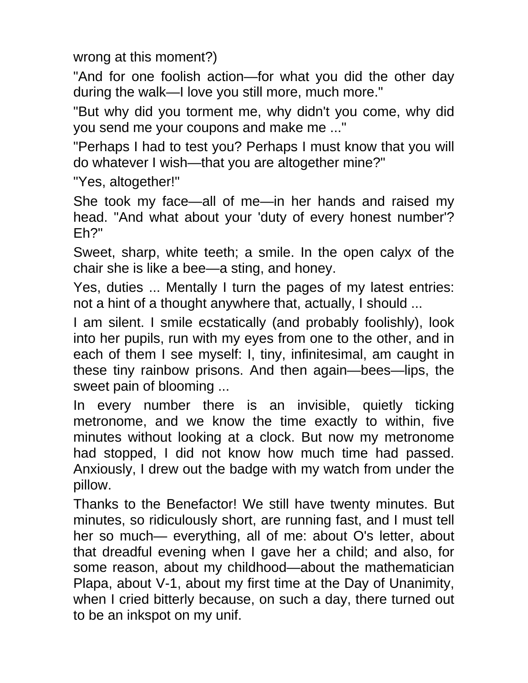wrong at this moment?)

"And for one foolish action—for what you did the other day during the walk—I love you still more, much more."

"But why did you torment me, why didn't you come, why did you send me your coupons and make me ..."

"Perhaps I had to test you? Perhaps I must know that you will do whatever I wish—that you are altogether mine?"

"Yes, altogether!"

She took my face—all of me—in her hands and raised my head. "And what about your 'duty of every honest number'? Eh?"

Sweet, sharp, white teeth; a smile. In the open calyx of the chair she is like a bee—a sting, and honey.

Yes, duties ... Mentally I turn the pages of my latest entries: not a hint of a thought anywhere that, actually, I should ...

I am silent. I smile ecstatically (and probably foolishly), look into her pupils, run with my eyes from one to the other, and in each of them I see myself: I, tiny, infinitesimal, am caught in these tiny rainbow prisons. And then again—bees—lips, the sweet pain of blooming ...

In every number there is an invisible, quietly ticking metronome, and we know the time exactly to within, five minutes without looking at a clock. But now my metronome had stopped, I did not know how much time had passed. Anxiously, I drew out the badge with my watch from under the pillow.

Thanks to the Benefactor! We still have twenty minutes. But minutes, so ridiculously short, are running fast, and I must tell her so much— everything, all of me: about O's letter, about that dreadful evening when I gave her a child; and also, for some reason, about my childhood—about the mathematician Plapa, about V-1, about my first time at the Day of Unanimity, when I cried bitterly because, on such a day, there turned out to be an inkspot on my unif.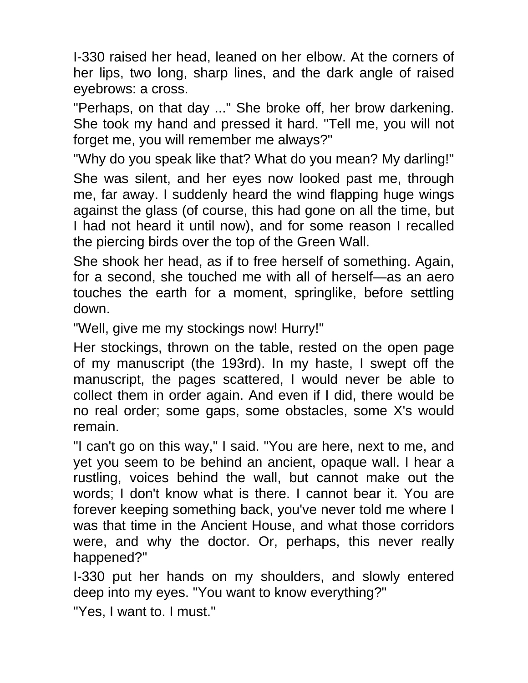I-330 raised her head, leaned on her elbow. At the corners of her lips, two long, sharp lines, and the dark angle of raised eyebrows: a cross.

"Perhaps, on that day ..." She broke off, her brow darkening. She took my hand and pressed it hard. "Tell me, you will not forget me, you will remember me always?"

"Why do you speak like that? What do you mean? My darling!" She was silent, and her eyes now looked past me, through me, far away. I suddenly heard the wind flapping huge wings against the glass (of course, this had gone on all the time, but I had not heard it until now), and for some reason I recalled the piercing birds over the top of the Green Wall.

She shook her head, as if to free herself of something. Again, for a second, she touched me with all of herself—as an aero touches the earth for a moment, springlike, before settling down.

"Well, give me my stockings now! Hurry!"

Her stockings, thrown on the table, rested on the open page of my manuscript (the 193rd). In my haste, I swept off the manuscript, the pages scattered, I would never be able to collect them in order again. And even if I did, there would be no real order; some gaps, some obstacles, some X's would remain.

"I can't go on this way," I said. "You are here, next to me, and yet you seem to be behind an ancient, opaque wall. I hear a rustling, voices behind the wall, but cannot make out the words; I don't know what is there. I cannot bear it. You are forever keeping something back, you've never told me where I was that time in the Ancient House, and what those corridors were, and why the doctor. Or, perhaps, this never really happened?"

I-330 put her hands on my shoulders, and slowly entered deep into my eyes. "You want to know everything?"

"Yes, I want to. I must."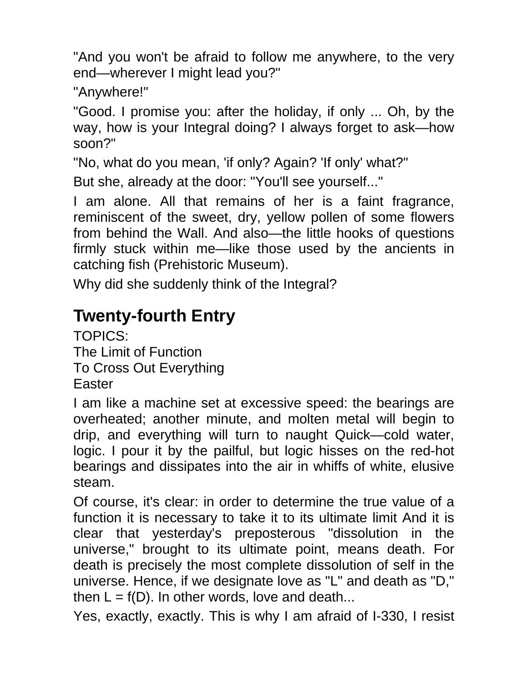"And you won't be afraid to follow me anywhere, to the very end—wherever I might lead you?"

"Anywhere!"

"Good. I promise you: after the holiday, if only ... Oh, by the way, how is your Integral doing? I always forget to ask—how soon?"

"No, what do you mean, 'if only? Again? 'If only' what?"

But she, already at the door: "You'll see yourself..."

I am alone. All that remains of her is a faint fragrance, reminiscent of the sweet, dry, yellow pollen of some flowers from behind the Wall. And also—the little hooks of questions firmly stuck within me—like those used by the ancients in catching fish (Prehistoric Museum).

Why did she suddenly think of the Integral?

# **Twenty-fourth Entry**

TOPICS:

The Limit of Function To Cross Out Everything Easter

I am like a machine set at excessive speed: the bearings are overheated; another minute, and molten metal will begin to drip, and everything will turn to naught Quick—cold water, logic. I pour it by the pailful, but logic hisses on the red-hot bearings and dissipates into the air in whiffs of white, elusive steam.

Of course, it's clear: in order to determine the true value of a function it is necessary to take it to its ultimate limit And it is clear that yesterday's preposterous "dissolution in the universe," brought to its ultimate point, means death. For death is precisely the most complete dissolution of self in the universe. Hence, if we designate love as "L" and death as "D," then  $L = f(D)$ . In other words, love and death...

Yes, exactly, exactly. This is why I am afraid of I-330, I resist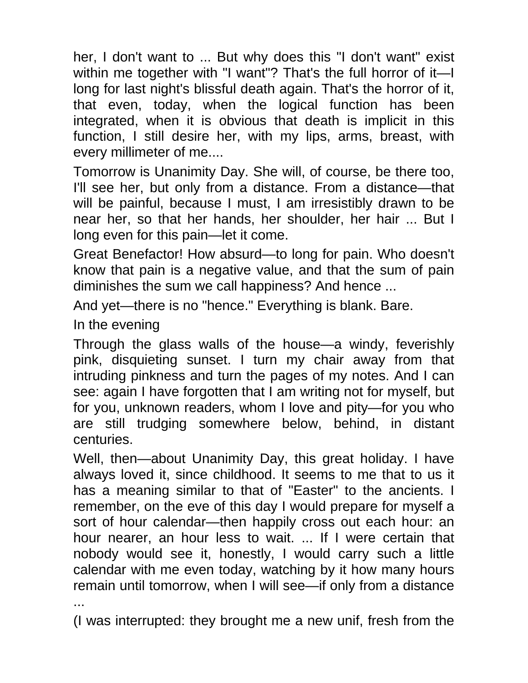her, I don't want to ... But why does this "I don't want" exist within me together with "I want"? That's the full horror of it—I long for last night's blissful death again. That's the horror of it, that even, today, when the logical function has been integrated, when it is obvious that death is implicit in this function, I still desire her, with my lips, arms, breast, with every millimeter of me....

Tomorrow is Unanimity Day. She will, of course, be there too, I'll see her, but only from a distance. From a distance—that will be painful, because I must, I am irresistibly drawn to be near her, so that her hands, her shoulder, her hair ... But I long even for this pain—let it come.

Great Benefactor! How absurd—to long for pain. Who doesn't know that pain is a negative value, and that the sum of pain diminishes the sum we call happiness? And hence ...

And yet—there is no "hence." Everything is blank. Bare.

In the evening

Through the glass walls of the house—a windy, feverishly pink, disquieting sunset. I turn my chair away from that intruding pinkness and turn the pages of my notes. And I can see: again I have forgotten that I am writing not for myself, but for you, unknown readers, whom I love and pity—for you who are still trudging somewhere below, behind, in distant centuries.

Well, then—about Unanimity Day, this great holiday. I have always loved it, since childhood. It seems to me that to us it has a meaning similar to that of "Easter" to the ancients. I remember, on the eve of this day I would prepare for myself a sort of hour calendar—then happily cross out each hour: an hour nearer, an hour less to wait. ... If I were certain that nobody would see it, honestly, I would carry such a little calendar with me even today, watching by it how many hours remain until tomorrow, when I will see—if only from a distance ...

(I was interrupted: they brought me a new unif, fresh from the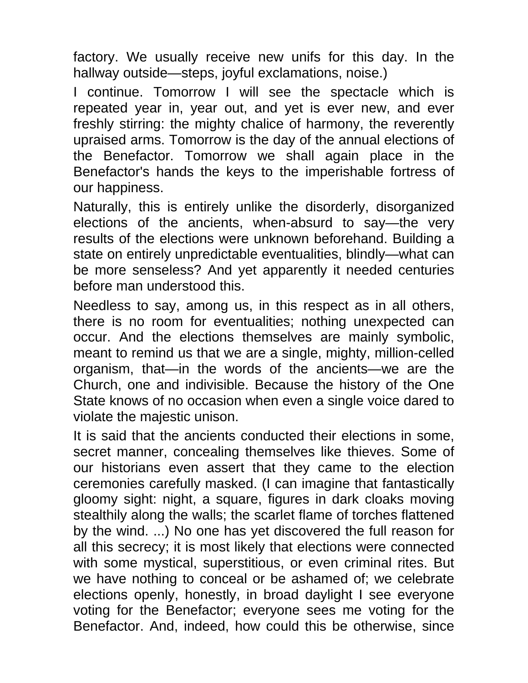factory. We usually receive new unifs for this day. In the hallway outside—steps, joyful exclamations, noise.)

I continue. Tomorrow I will see the spectacle which is repeated year in, year out, and yet is ever new, and ever freshly stirring: the mighty chalice of harmony, the reverently upraised arms. Tomorrow is the day of the annual elections of the Benefactor. Tomorrow we shall again place in the Benefactor's hands the keys to the imperishable fortress of our happiness.

Naturally, this is entirely unlike the disorderly, disorganized elections of the ancients, when-absurd to say—the very results of the elections were unknown beforehand. Building a state on entirely unpredictable eventualities, blindly—what can be more senseless? And yet apparently it needed centuries before man understood this.

Needless to say, among us, in this respect as in all others, there is no room for eventualities; nothing unexpected can occur. And the elections themselves are mainly symbolic, meant to remind us that we are a single, mighty, million-celled organism, that—in the words of the ancients—we are the Church, one and indivisible. Because the history of the One State knows of no occasion when even a single voice dared to violate the majestic unison.

It is said that the ancients conducted their elections in some, secret manner, concealing themselves like thieves. Some of our historians even assert that they came to the election ceremonies carefully masked. (I can imagine that fantastically gloomy sight: night, a square, figures in dark cloaks moving stealthily along the walls; the scarlet flame of torches flattened by the wind. ...) No one has yet discovered the full reason for all this secrecy; it is most likely that elections were connected with some mystical, superstitious, or even criminal rites. But we have nothing to conceal or be ashamed of; we celebrate elections openly, honestly, in broad daylight I see everyone voting for the Benefactor; everyone sees me voting for the Benefactor. And, indeed, how could this be otherwise, since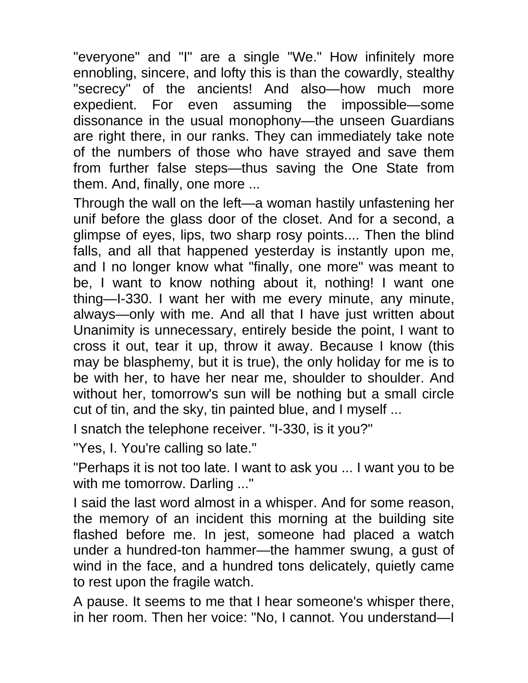"everyone" and "I" are a single "We." How infinitely more ennobling, sincere, and lofty this is than the cowardly, stealthy "secrecy" of the ancients! And also—how much more expedient. For even assuming the impossible—some dissonance in the usual monophony—the unseen Guardians are right there, in our ranks. They can immediately take note of the numbers of those who have strayed and save them from further false steps—thus saving the One State from them. And, finally, one more ...

Through the wall on the left—a woman hastily unfastening her unif before the glass door of the closet. And for a second, a glimpse of eyes, lips, two sharp rosy points.... Then the blind falls, and all that happened yesterday is instantly upon me, and I no longer know what "finally, one more" was meant to be, I want to know nothing about it, nothing! I want one thing—I-330. I want her with me every minute, any minute, always—only with me. And all that I have just written about Unanimity is unnecessary, entirely beside the point, I want to cross it out, tear it up, throw it away. Because I know (this may be blasphemy, but it is true), the only holiday for me is to be with her, to have her near me, shoulder to shoulder. And without her, tomorrow's sun will be nothing but a small circle cut of tin, and the sky, tin painted blue, and I myself ...

I snatch the telephone receiver. "I-330, is it you?"

"Yes, I. You're calling so late."

"Perhaps it is not too late. I want to ask you ... I want you to be with me tomorrow. Darling ..."

I said the last word almost in a whisper. And for some reason, the memory of an incident this morning at the building site flashed before me. In jest, someone had placed a watch under a hundred-ton hammer—the hammer swung, a gust of wind in the face, and a hundred tons delicately, quietly came to rest upon the fragile watch.

A pause. It seems to me that I hear someone's whisper there, in her room. Then her voice: "No, I cannot. You understand—I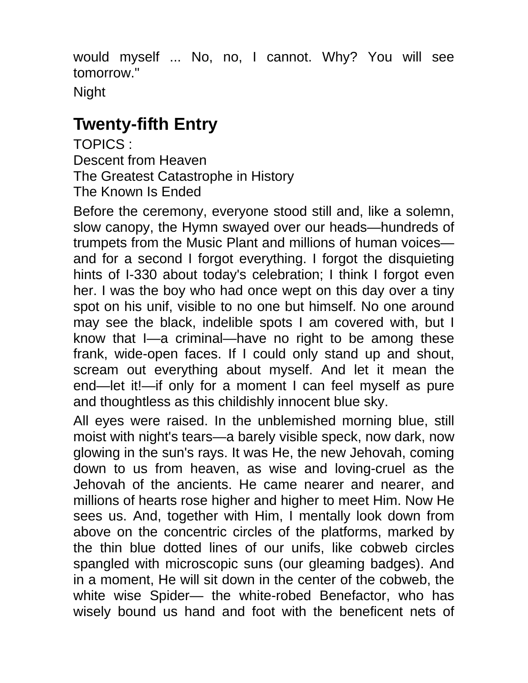would myself ... No, no, I cannot. Why? You will see tomorrow."

Night

## **Twenty-fifth Entry**

TOPICS : Descent from Heaven The Greatest Catastrophe in History The Known Is Ended

Before the ceremony, everyone stood still and, like a solemn, slow canopy, the Hymn swayed over our heads—hundreds of trumpets from the Music Plant and millions of human voices and for a second I forgot everything. I forgot the disquieting hints of I-330 about today's celebration; I think I forgot even her. I was the boy who had once wept on this day over a tiny spot on his unif, visible to no one but himself. No one around may see the black, indelible spots I am covered with, but I know that I—a criminal—have no right to be among these frank, wide-open faces. If I could only stand up and shout, scream out everything about myself. And let it mean the end—let it!—if only for a moment I can feel myself as pure and thoughtless as this childishly innocent blue sky.

All eyes were raised. In the unblemished morning blue, still moist with night's tears—a barely visible speck, now dark, now glowing in the sun's rays. It was He, the new Jehovah, coming down to us from heaven, as wise and loving-cruel as the Jehovah of the ancients. He came nearer and nearer, and millions of hearts rose higher and higher to meet Him. Now He sees us. And, together with Him, I mentally look down from above on the concentric circles of the platforms, marked by the thin blue dotted lines of our unifs, like cobweb circles spangled with microscopic suns (our gleaming badges). And in a moment, He will sit down in the center of the cobweb, the white wise Spider— the white-robed Benefactor, who has wisely bound us hand and foot with the beneficent nets of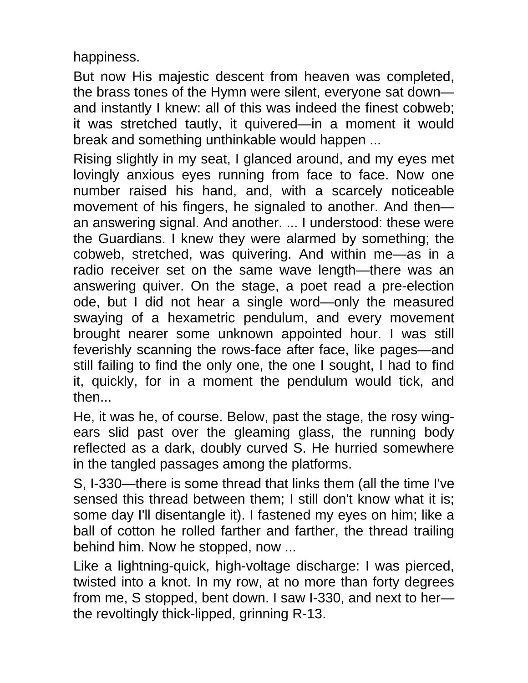happiness.

But now His majestic descent from heaven was completed, the brass tones of the Hymn were silent, everyone sat down and instantly I knew: all of this was indeed the finest cobweb; it was stretched tautly, it quivered—in a moment it would break and something unthinkable would happen ...

Rising slightly in my seat, I glanced around, and my eyes met lovingly anxious eyes running from face to face. Now one number raised his hand, and, with a scarcely noticeable movement of his fingers, he signaled to another. And then an answering signal. And another. ... I understood: these were the Guardians. I knew they were alarmed by something; the cobweb, stretched, was quivering. And within me—as in a radio receiver set on the same wave length—there was an answering quiver. On the stage, a poet read a pre-election ode, but I did not hear a single word—only the measured swaying of a hexametric pendulum, and every movement brought nearer some unknown appointed hour. I was still feverishly scanning the rows-face after face, like pages—and still failing to find the only one, the one I sought, I had to find it, quickly, for in a moment the pendulum would tick, and then...

He, it was he, of course. Below, past the stage, the rosy wingears slid past over the gleaming glass, the running body reflected as a dark, doubly curved S. He hurried somewhere in the tangled passages among the platforms.

S, I-330—there is some thread that links them (all the time I've sensed this thread between them; I still don't know what it is; some day I'll disentangle it). I fastened my eyes on him; like a ball of cotton he rolled farther and farther, the thread trailing behind him. Now he stopped, now ...

Like a lightning-quick, high-voltage discharge: I was pierced, twisted into a knot. In my row, at no more than forty degrees from me, S stopped, bent down. I saw I-330, and next to her the revoltingly thick-lipped, grinning R-13.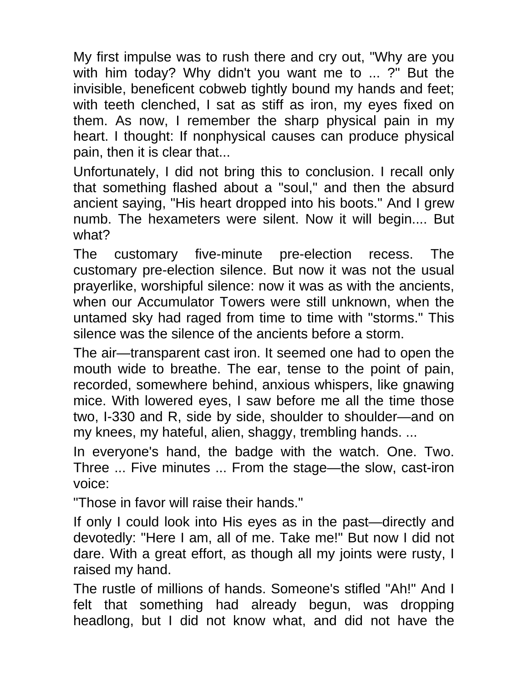My first impulse was to rush there and cry out, "Why are you with him today? Why didn't you want me to ... ?" But the invisible, beneficent cobweb tightly bound my hands and feet; with teeth clenched, I sat as stiff as iron, my eyes fixed on them. As now, I remember the sharp physical pain in my heart. I thought: If nonphysical causes can produce physical pain, then it is clear that...

Unfortunately, I did not bring this to conclusion. I recall only that something flashed about a "soul," and then the absurd ancient saying, "His heart dropped into his boots." And I grew numb. The hexameters were silent. Now it will begin.... But what?

The customary five-minute pre-election recess. The customary pre-election silence. But now it was not the usual prayerlike, worshipful silence: now it was as with the ancients, when our Accumulator Towers were still unknown, when the untamed sky had raged from time to time with "storms." This silence was the silence of the ancients before a storm.

The air—transparent cast iron. It seemed one had to open the mouth wide to breathe. The ear, tense to the point of pain, recorded, somewhere behind, anxious whispers, like gnawing mice. With lowered eyes, I saw before me all the time those two, I-330 and R, side by side, shoulder to shoulder—and on my knees, my hateful, alien, shaggy, trembling hands. ...

In everyone's hand, the badge with the watch. One. Two. Three ... Five minutes ... From the stage—the slow, cast-iron voice:

"Those in favor will raise their hands."

If only I could look into His eyes as in the past—directly and devotedly: "Here I am, all of me. Take me!" But now I did not dare. With a great effort, as though all my joints were rusty, I raised my hand.

The rustle of millions of hands. Someone's stifled "Ah!" And I felt that something had already begun, was dropping headlong, but I did not know what, and did not have the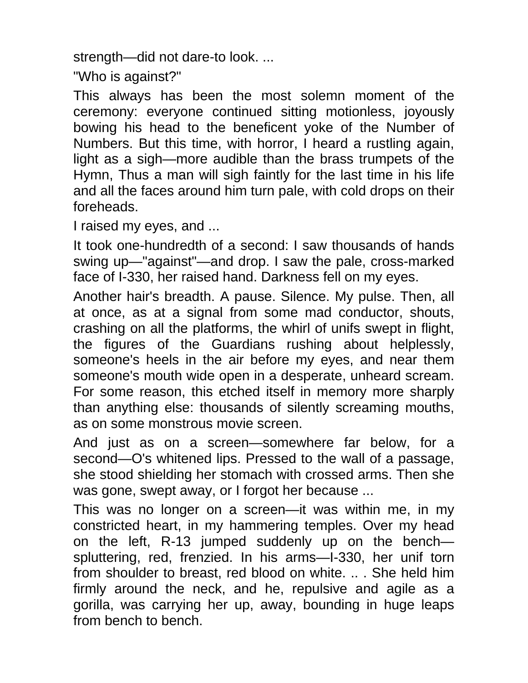strength—did not dare-to look. ...

"Who is against?"

This always has been the most solemn moment of the ceremony: everyone continued sitting motionless, joyously bowing his head to the beneficent yoke of the Number of Numbers. But this time, with horror, I heard a rustling again, light as a sigh—more audible than the brass trumpets of the Hymn, Thus a man will sigh faintly for the last time in his life and all the faces around him turn pale, with cold drops on their foreheads.

I raised my eyes, and ...

It took one-hundredth of a second: I saw thousands of hands swing up—"against"—and drop. I saw the pale, cross-marked face of I-330, her raised hand. Darkness fell on my eyes.

Another hair's breadth. A pause. Silence. My pulse. Then, all at once, as at a signal from some mad conductor, shouts, crashing on all the platforms, the whirl of unifs swept in flight, the figures of the Guardians rushing about helplessly, someone's heels in the air before my eyes, and near them someone's mouth wide open in a desperate, unheard scream. For some reason, this etched itself in memory more sharply than anything else: thousands of silently screaming mouths, as on some monstrous movie screen.

And just as on a screen—somewhere far below, for a second—O's whitened lips. Pressed to the wall of a passage, she stood shielding her stomach with crossed arms. Then she was gone, swept away, or I forgot her because ...

This was no longer on a screen—it was within me, in my constricted heart, in my hammering temples. Over my head on the left, R-13 jumped suddenly up on the bench spluttering, red, frenzied. In his arms—I-330, her unif torn from shoulder to breast, red blood on white. .. . She held him firmly around the neck, and he, repulsive and agile as a gorilla, was carrying her up, away, bounding in huge leaps from bench to bench.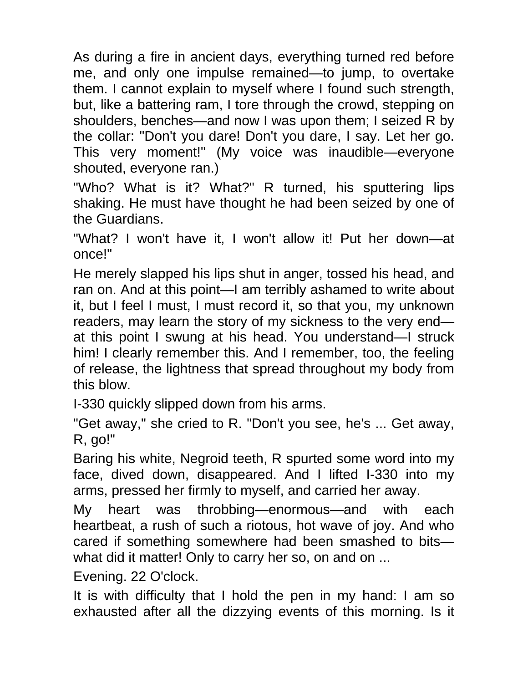As during a fire in ancient days, everything turned red before me, and only one impulse remained—to jump, to overtake them. I cannot explain to myself where I found such strength, but, like a battering ram, I tore through the crowd, stepping on shoulders, benches—and now I was upon them; I seized R by the collar: "Don't you dare! Don't you dare, I say. Let her go. This very moment!" (My voice was inaudible—everyone shouted, everyone ran.)

"Who? What is it? What?" R turned, his sputtering lips shaking. He must have thought he had been seized by one of the Guardians.

"What? I won't have it, I won't allow it! Put her down—at once!"

He merely slapped his lips shut in anger, tossed his head, and ran on. And at this point—I am terribly ashamed to write about it, but I feel I must, I must record it, so that you, my unknown readers, may learn the story of my sickness to the very end at this point I swung at his head. You understand—I struck him! I clearly remember this. And I remember, too, the feeling of release, the lightness that spread throughout my body from this blow.

I-330 quickly slipped down from his arms.

"Get away," she cried to R. "Don't you see, he's ... Get away, R, go!"

Baring his white, Negroid teeth, R spurted some word into my face, dived down, disappeared. And I lifted I-330 into my arms, pressed her firmly to myself, and carried her away.

My heart was throbbing—enormous—and with each heartbeat, a rush of such a riotous, hot wave of joy. And who cared if something somewhere had been smashed to bits what did it matter! Only to carry her so, on and on ...

Evening. 22 O'clock.

It is with difficulty that I hold the pen in my hand: I am so exhausted after all the dizzying events of this morning. Is it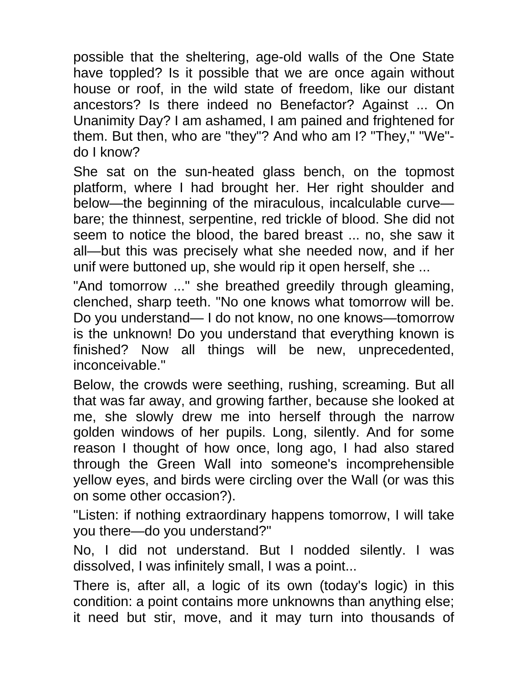possible that the sheltering, age-old walls of the One State have toppled? Is it possible that we are once again without house or roof, in the wild state of freedom, like our distant ancestors? Is there indeed no Benefactor? Against ... On Unanimity Day? I am ashamed, I am pained and frightened for them. But then, who are "they"? And who am I? "They," "We" do I know?

She sat on the sun-heated glass bench, on the topmost platform, where I had brought her. Her right shoulder and below—the beginning of the miraculous, incalculable curve bare; the thinnest, serpentine, red trickle of blood. She did not seem to notice the blood, the bared breast ... no, she saw it all—but this was precisely what she needed now, and if her unif were buttoned up, she would rip it open herself, she ...

"And tomorrow ..." she breathed greedily through gleaming, clenched, sharp teeth. "No one knows what tomorrow will be. Do you understand— I do not know, no one knows—tomorrow is the unknown! Do you understand that everything known is finished? Now all things will be new, unprecedented, inconceivable."

Below, the crowds were seething, rushing, screaming. But all that was far away, and growing farther, because she looked at me, she slowly drew me into herself through the narrow golden windows of her pupils. Long, silently. And for some reason I thought of how once, long ago, I had also stared through the Green Wall into someone's incomprehensible yellow eyes, and birds were circling over the Wall (or was this on some other occasion?).

"Listen: if nothing extraordinary happens tomorrow, I will take you there—do you understand?"

No, I did not understand. But I nodded silently. I was dissolved, I was infinitely small, I was a point...

There is, after all, a logic of its own (today's logic) in this condition: a point contains more unknowns than anything else; it need but stir, move, and it may turn into thousands of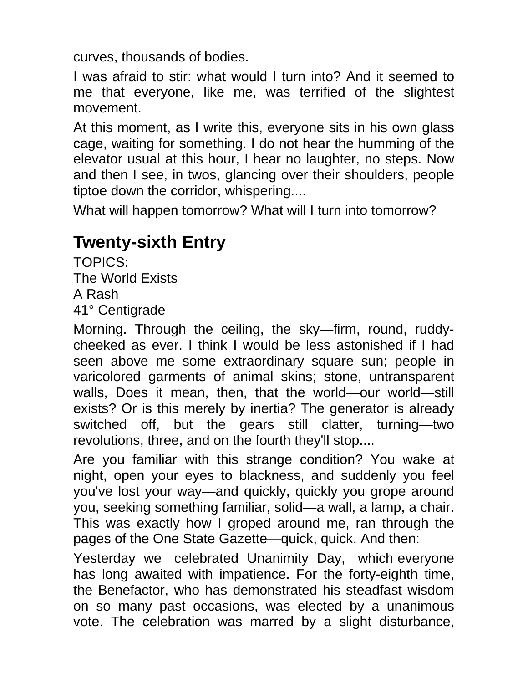curves, thousands of bodies.

I was afraid to stir: what would I turn into? And it seemed to me that everyone, like me, was terrified of the slightest movement.

At this moment, as I write this, everyone sits in his own glass cage, waiting for something. I do not hear the humming of the elevator usual at this hour, I hear no laughter, no steps. Now and then I see, in twos, glancing over their shoulders, people tiptoe down the corridor, whispering....

What will happen tomorrow? What will I turn into tomorrow?

### **Twenty-sixth Entry**

TOPICS: The World Exists A Rash 41° Centigrade

Morning. Through the ceiling, the sky—firm, round, ruddycheeked as ever. I think I would be less astonished if I had seen above me some extraordinary square sun; people in varicolored garments of animal skins; stone, untransparent walls, Does it mean, then, that the world—our world—still exists? Or is this merely by inertia? The generator is already switched off, but the gears still clatter, turning—two revolutions, three, and on the fourth they'll stop....

Are you familiar with this strange condition? You wake at night, open your eyes to blackness, and suddenly you feel you've lost your way—and quickly, quickly you grope around you, seeking something familiar, solid—a wall, a lamp, a chair. This was exactly how I groped around me, ran through the pages of the One State Gazette—quick, quick. And then:

Yesterday we celebrated Unanimity Day, which everyone has long awaited with impatience. For the forty-eighth time, the Benefactor, who has demonstrated his steadfast wisdom on so many past occasions, was elected by a unanimous vote. The celebration was marred by a slight disturbance,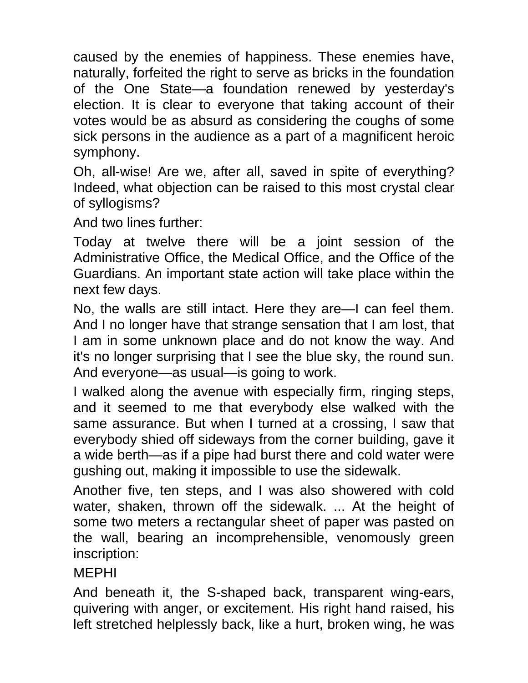caused by the enemies of happiness. These enemies have, naturally, forfeited the right to serve as bricks in the foundation of the One State—a foundation renewed by yesterday's election. It is clear to everyone that taking account of their votes would be as absurd as considering the coughs of some sick persons in the audience as a part of a magnificent heroic symphony.

Oh, all-wise! Are we, after all, saved in spite of everything? Indeed, what objection can be raised to this most crystal clear of syllogisms?

And two lines further:

Today at twelve there will be a joint session of the Administrative Office, the Medical Office, and the Office of the Guardians. An important state action will take place within the next few days.

No, the walls are still intact. Here they are—I can feel them. And I no longer have that strange sensation that I am lost, that I am in some unknown place and do not know the way. And it's no longer surprising that I see the blue sky, the round sun. And everyone—as usual—is going to work.

I walked along the avenue with especially firm, ringing steps, and it seemed to me that everybody else walked with the same assurance. But when I turned at a crossing, I saw that everybody shied off sideways from the corner building, gave it a wide berth—as if a pipe had burst there and cold water were gushing out, making it impossible to use the sidewalk.

Another five, ten steps, and I was also showered with cold water, shaken, thrown off the sidewalk. ... At the height of some two meters a rectangular sheet of paper was pasted on the wall, bearing an incomprehensible, venomously green inscription:

MEPHI

And beneath it, the S-shaped back, transparent wing-ears, quivering with anger, or excitement. His right hand raised, his left stretched helplessly back, like a hurt, broken wing, he was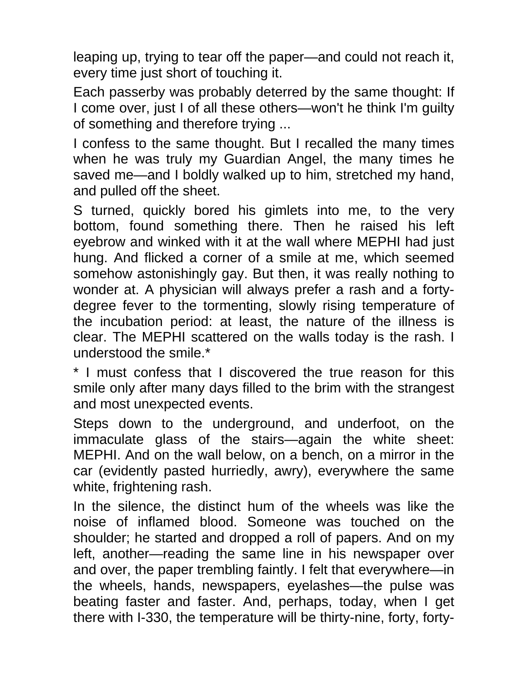leaping up, trying to tear off the paper—and could not reach it, every time just short of touching it.

Each passerby was probably deterred by the same thought: If I come over, just I of all these others—won't he think I'm guilty of something and therefore trying ...

I confess to the same thought. But I recalled the many times when he was truly my Guardian Angel, the many times he saved me—and I boldly walked up to him, stretched my hand, and pulled off the sheet.

S turned, quickly bored his gimlets into me, to the very bottom, found something there. Then he raised his left eyebrow and winked with it at the wall where MEPHI had just hung. And flicked a corner of a smile at me, which seemed somehow astonishingly gay. But then, it was really nothing to wonder at. A physician will always prefer a rash and a fortydegree fever to the tormenting, slowly rising temperature of the incubation period: at least, the nature of the illness is clear. The MEPHI scattered on the walls today is the rash. I understood the smile.\*

\* I must confess that I discovered the true reason for this smile only after many days filled to the brim with the strangest and most unexpected events.

Steps down to the underground, and underfoot, on the immaculate glass of the stairs—again the white sheet: MEPHI. And on the wall below, on a bench, on a mirror in the car (evidently pasted hurriedly, awry), everywhere the same white, frightening rash.

In the silence, the distinct hum of the wheels was like the noise of inflamed blood. Someone was touched on the shoulder; he started and dropped a roll of papers. And on my left, another—reading the same line in his newspaper over and over, the paper trembling faintly. I felt that everywhere—in the wheels, hands, newspapers, eyelashes—the pulse was beating faster and faster. And, perhaps, today, when I get there with I-330, the temperature will be thirty-nine, forty, forty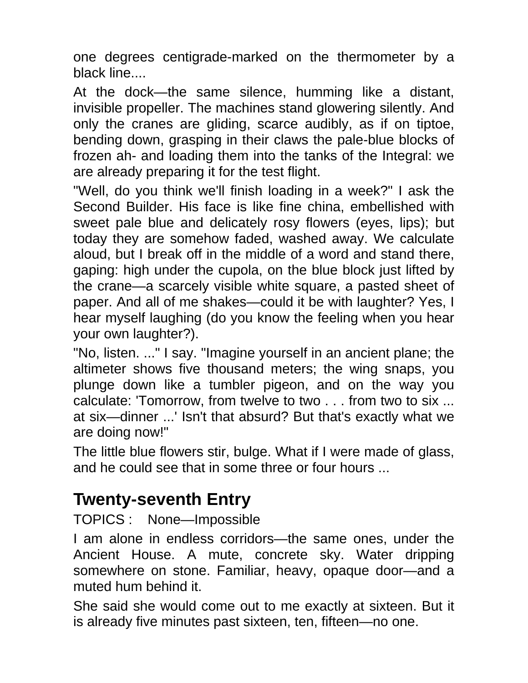one degrees centigrade-marked on the thermometer by a black line....

At the dock—the same silence, humming like a distant, invisible propeller. The machines stand glowering silently. And only the cranes are gliding, scarce audibly, as if on tiptoe, bending down, grasping in their claws the pale-blue blocks of frozen ah- and loading them into the tanks of the Integral: we are already preparing it for the test flight.

"Well, do you think we'll finish loading in a week?" I ask the Second Builder. His face is like fine china, embellished with sweet pale blue and delicately rosy flowers (eyes, lips); but today they are somehow faded, washed away. We calculate aloud, but I break off in the middle of a word and stand there, gaping: high under the cupola, on the blue block just lifted by the crane—a scarcely visible white square, a pasted sheet of paper. And all of me shakes—could it be with laughter? Yes, I hear myself laughing (do you know the feeling when you hear your own laughter?).

"No, listen. ..." I say. "Imagine yourself in an ancient plane; the altimeter shows five thousand meters; the wing snaps, you plunge down like a tumbler pigeon, and on the way you calculate: 'Tomorrow, from twelve to two . . . from two to six ... at six—dinner ...' Isn't that absurd? But that's exactly what we are doing now!"

The little blue flowers stir, bulge. What if I were made of glass, and he could see that in some three or four hours ...

## **Twenty-seventh Entry**

#### TOPICS : None—Impossible

I am alone in endless corridors—the same ones, under the Ancient House. A mute, concrete sky. Water dripping somewhere on stone. Familiar, heavy, opaque door—and a muted hum behind it.

She said she would come out to me exactly at sixteen. But it is already five minutes past sixteen, ten, fifteen—no one.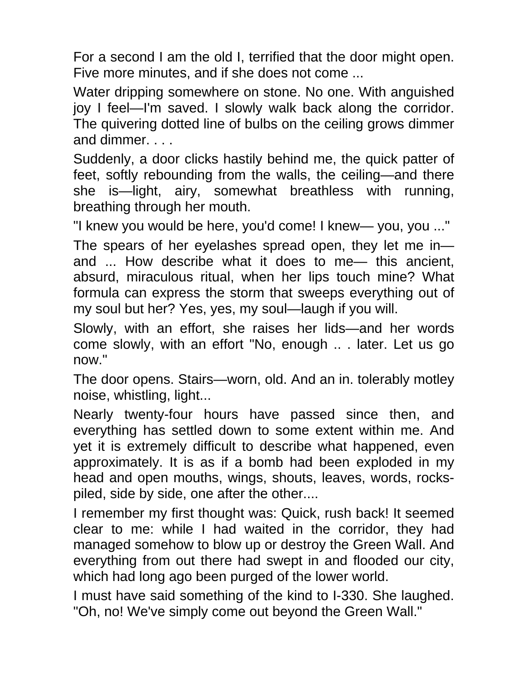For a second I am the old I, terrified that the door might open. Five more minutes, and if she does not come ...

Water dripping somewhere on stone. No one. With anguished joy I feel—I'm saved. I slowly walk back along the corridor. The quivering dotted line of bulbs on the ceiling grows dimmer and dimmer. . . .

Suddenly, a door clicks hastily behind me, the quick patter of feet, softly rebounding from the walls, the ceiling—and there she is—light, airy, somewhat breathless with running, breathing through her mouth.

"I knew you would be here, you'd come! I knew— you, you ..."

The spears of her eyelashes spread open, they let me in and ... How describe what it does to me— this ancient, absurd, miraculous ritual, when her lips touch mine? What formula can express the storm that sweeps everything out of my soul but her? Yes, yes, my soul—laugh if you will.

Slowly, with an effort, she raises her lids—and her words come slowly, with an effort "No, enough .. . later. Let us go now."

The door opens. Stairs—worn, old. And an in. tolerably motley noise, whistling, light...

Nearly twenty-four hours have passed since then, and everything has settled down to some extent within me. And yet it is extremely difficult to describe what happened, even approximately. It is as if a bomb had been exploded in my head and open mouths, wings, shouts, leaves, words, rockspiled, side by side, one after the other....

I remember my first thought was: Quick, rush back! It seemed clear to me: while I had waited in the corridor, they had managed somehow to blow up or destroy the Green Wall. And everything from out there had swept in and flooded our city, which had long ago been purged of the lower world.

I must have said something of the kind to I-330. She laughed. "Oh, no! We've simply come out beyond the Green Wall."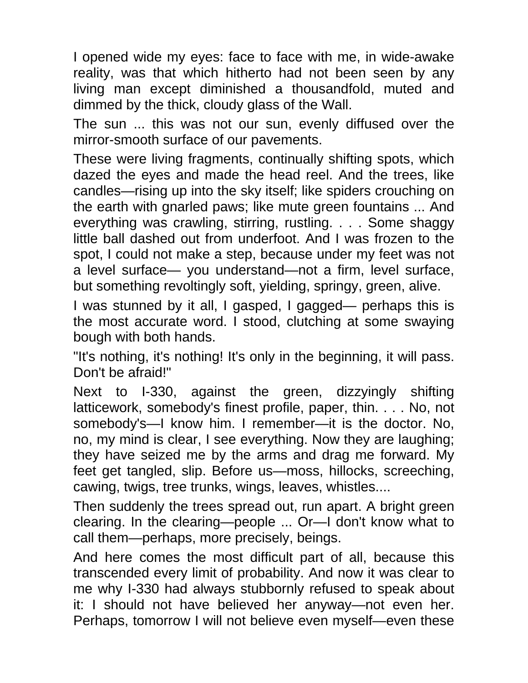I opened wide my eyes: face to face with me, in wide-awake reality, was that which hitherto had not been seen by any living man except diminished a thousandfold, muted and dimmed by the thick, cloudy glass of the Wall.

The sun ... this was not our sun, evenly diffused over the mirror-smooth surface of our pavements.

These were living fragments, continually shifting spots, which dazed the eyes and made the head reel. And the trees, like candles—rising up into the sky itself; like spiders crouching on the earth with gnarled paws; like mute green fountains ... And everything was crawling, stirring, rustling. . . . Some shaggy little ball dashed out from underfoot. And I was frozen to the spot, I could not make a step, because under my feet was not a level surface— you understand—not a firm, level surface, but something revoltingly soft, yielding, springy, green, alive.

I was stunned by it all, I gasped, I gagged— perhaps this is the most accurate word. I stood, clutching at some swaying bough with both hands.

"It's nothing, it's nothing! It's only in the beginning, it will pass. Don't be afraid!"

Next to I-330, against the green, dizzyingly shifting latticework, somebody's finest profile, paper, thin. . . . No, not somebody's—I know him. I remember—it is the doctor. No, no, my mind is clear, I see everything. Now they are laughing; they have seized me by the arms and drag me forward. My feet get tangled, slip. Before us—moss, hillocks, screeching, cawing, twigs, tree trunks, wings, leaves, whistles....

Then suddenly the trees spread out, run apart. A bright green clearing. In the clearing—people ... Or—I don't know what to call them—perhaps, more precisely, beings.

And here comes the most difficult part of all, because this transcended every limit of probability. And now it was clear to me why I-330 had always stubbornly refused to speak about it: I should not have believed her anyway—not even her. Perhaps, tomorrow I will not believe even myself—even these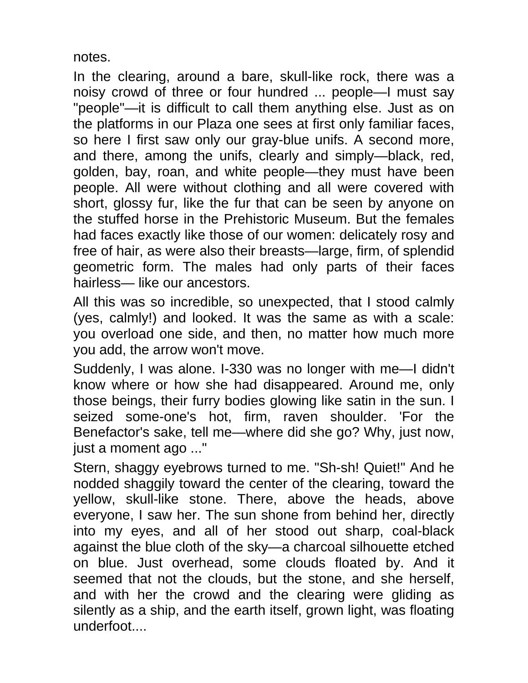notes.

In the clearing, around a bare, skull-like rock, there was a noisy crowd of three or four hundred ... people—I must say "people"—it is difficult to call them anything else. Just as on the platforms in our Plaza one sees at first only familiar faces, so here I first saw only our gray-blue unifs. A second more, and there, among the unifs, clearly and simply—black, red, golden, bay, roan, and white people—they must have been people. All were without clothing and all were covered with short, glossy fur, like the fur that can be seen by anyone on the stuffed horse in the Prehistoric Museum. But the females had faces exactly like those of our women: delicately rosy and free of hair, as were also their breasts—large, firm, of splendid geometric form. The males had only parts of their faces hairless— like our ancestors.

All this was so incredible, so unexpected, that I stood calmly (yes, calmly!) and looked. It was the same as with a scale: you overload one side, and then, no matter how much more you add, the arrow won't move.

Suddenly, I was alone. I-330 was no longer with me—I didn't know where or how she had disappeared. Around me, only those beings, their furry bodies glowing like satin in the sun. I seized some-one's hot, firm, raven shoulder. 'For the Benefactor's sake, tell me—where did she go? Why, just now, just a moment ago ..."

Stern, shaggy eyebrows turned to me. "Sh-sh! Quiet!" And he nodded shaggily toward the center of the clearing, toward the yellow, skull-like stone. There, above the heads, above everyone, I saw her. The sun shone from behind her, directly into my eyes, and all of her stood out sharp, coal-black against the blue cloth of the sky—a charcoal silhouette etched on blue. Just overhead, some clouds floated by. And it seemed that not the clouds, but the stone, and she herself, and with her the crowd and the clearing were gliding as silently as a ship, and the earth itself, grown light, was floating underfoot....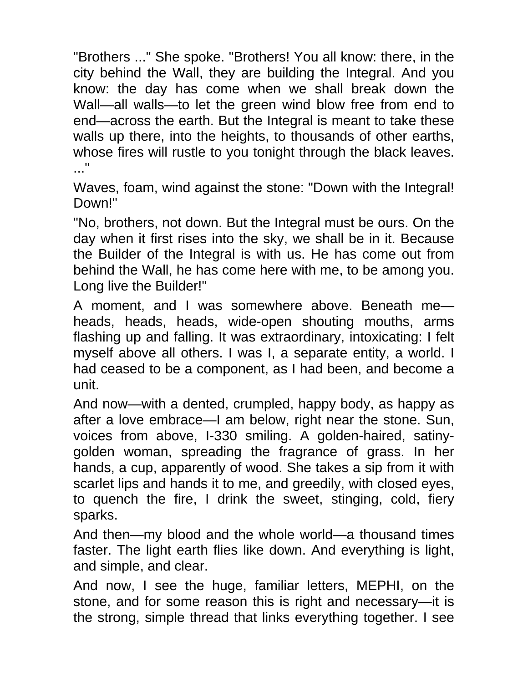"Brothers ..." She spoke. "Brothers! You all know: there, in the city behind the Wall, they are building the Integral. And you know: the day has come when we shall break down the Wall—all walls—to let the green wind blow free from end to end—across the earth. But the Integral is meant to take these walls up there, into the heights, to thousands of other earths, whose fires will rustle to you tonight through the black leaves. ..."

Waves, foam, wind against the stone: "Down with the Integral! Down!"

"No, brothers, not down. But the Integral must be ours. On the day when it first rises into the sky, we shall be in it. Because the Builder of the Integral is with us. He has come out from behind the Wall, he has come here with me, to be among you. Long live the Builder!"

A moment, and I was somewhere above. Beneath me heads, heads, heads, wide-open shouting mouths, arms flashing up and falling. It was extraordinary, intoxicating: I felt myself above all others. I was I, a separate entity, a world. I had ceased to be a component, as I had been, and become a unit.

And now—with a dented, crumpled, happy body, as happy as after a love embrace—I am below, right near the stone. Sun, voices from above, I-330 smiling. A golden-haired, satinygolden woman, spreading the fragrance of grass. In her hands, a cup, apparently of wood. She takes a sip from it with scarlet lips and hands it to me, and greedily, with closed eyes, to quench the fire, I drink the sweet, stinging, cold, fiery sparks.

And then—my blood and the whole world—a thousand times faster. The light earth flies like down. And everything is light, and simple, and clear.

And now, I see the huge, familiar letters, MEPHI, on the stone, and for some reason this is right and necessary—it is the strong, simple thread that links everything together. I see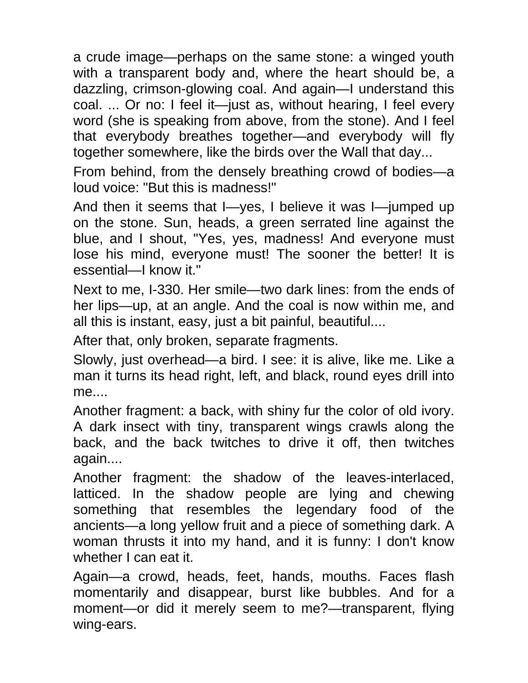a crude image—perhaps on the same stone: a winged youth with a transparent body and, where the heart should be, a dazzling, crimson-glowing coal. And again—I understand this coal. ... Or no: I feel it—just as, without hearing, I feel every word (she is speaking from above, from the stone). And I feel that everybody breathes together—and everybody will fly together somewhere, like the birds over the Wall that day...

From behind, from the densely breathing crowd of bodies—a loud voice: "But this is madness!"

And then it seems that I—yes, I believe it was I—jumped up on the stone. Sun, heads, a green serrated line against the blue, and I shout, "Yes, yes, madness! And everyone must lose his mind, everyone must! The sooner the better! It is essential—I know it."

Next to me, I-330. Her smile—two dark lines: from the ends of her lips—up, at an angle. And the coal is now within me, and all this is instant, easy, just a bit painful, beautiful....

After that, only broken, separate fragments.

Slowly, just overhead—a bird. I see: it is alive, like me. Like a man it turns its head right, left, and black, round eyes drill into me....

Another fragment: a back, with shiny fur the color of old ivory. A dark insect with tiny, transparent wings crawls along the back, and the back twitches to drive it off, then twitches again....

Another fragment: the shadow of the leaves-interlaced, latticed. In the shadow people are lying and chewing something that resembles the legendary food of the ancients—a long yellow fruit and a piece of something dark. A woman thrusts it into my hand, and it is funny: I don't know whether I can eat it.

Again—a crowd, heads, feet, hands, mouths. Faces flash momentarily and disappear, burst like bubbles. And for a moment—or did it merely seem to me?—transparent, flying wing-ears.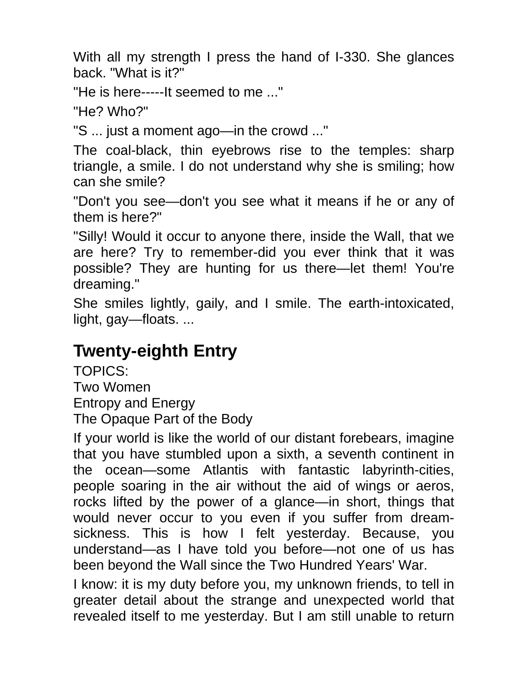With all my strength I press the hand of I-330. She glances back. "What is it?"

"He is here-----It seemed to me ..."

"He? Who?"

"S ... just a moment ago—in the crowd ..."

The coal-black, thin eyebrows rise to the temples: sharp triangle, a smile. I do not understand why she is smiling; how can she smile?

"Don't you see—don't you see what it means if he or any of them is here?"

"Silly! Would it occur to anyone there, inside the Wall, that we are here? Try to remember-did you ever think that it was possible? They are hunting for us there—let them! You're dreaming."

She smiles lightly, gaily, and I smile. The earth-intoxicated, light, gay—floats. ...

### **Twenty-eighth Entry**

TOPICS: Two Women Entropy and Energy The Opaque Part of the Body

If your world is like the world of our distant forebears, imagine that you have stumbled upon a sixth, a seventh continent in the ocean—some Atlantis with fantastic labyrinth-cities, people soaring in the air without the aid of wings or aeros, rocks lifted by the power of a glance—in short, things that would never occur to you even if you suffer from dreamsickness. This is how I felt yesterday. Because, you understand—as I have told you before—not one of us has been beyond the Wall since the Two Hundred Years' War.

I know: it is my duty before you, my unknown friends, to tell in greater detail about the strange and unexpected world that revealed itself to me yesterday. But I am still unable to return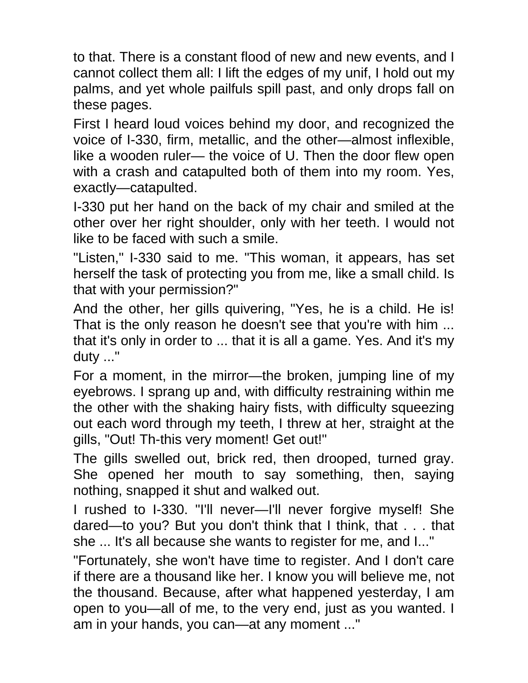to that. There is a constant flood of new and new events, and I cannot collect them all: I lift the edges of my unif, I hold out my palms, and yet whole pailfuls spill past, and only drops fall on these pages.

First I heard loud voices behind my door, and recognized the voice of I-330, firm, metallic, and the other—almost inflexible, like a wooden ruler— the voice of U. Then the door flew open with a crash and catapulted both of them into my room. Yes, exactly—catapulted.

I-330 put her hand on the back of my chair and smiled at the other over her right shoulder, only with her teeth. I would not like to be faced with such a smile.

"Listen," I-330 said to me. "This woman, it appears, has set herself the task of protecting you from me, like a small child. Is that with your permission?"

And the other, her gills quivering, "Yes, he is a child. He is! That is the only reason he doesn't see that you're with him ... that it's only in order to ... that it is all a game. Yes. And it's my duty ..."

For a moment, in the mirror—the broken, jumping line of my eyebrows. I sprang up and, with difficulty restraining within me the other with the shaking hairy fists, with difficulty squeezing out each word through my teeth, I threw at her, straight at the gills, "Out! Th-this very moment! Get out!"

The gills swelled out, brick red, then drooped, turned gray. She opened her mouth to say something, then, saying nothing, snapped it shut and walked out.

I rushed to I-330. "I'll never—I'll never forgive myself! She dared—to you? But you don't think that I think, that . . . that she ... It's all because she wants to register for me, and I..."

"Fortunately, she won't have time to register. And I don't care if there are a thousand like her. I know you will believe me, not the thousand. Because, after what happened yesterday, I am open to you—all of me, to the very end, just as you wanted. I am in your hands, you can—at any moment ..."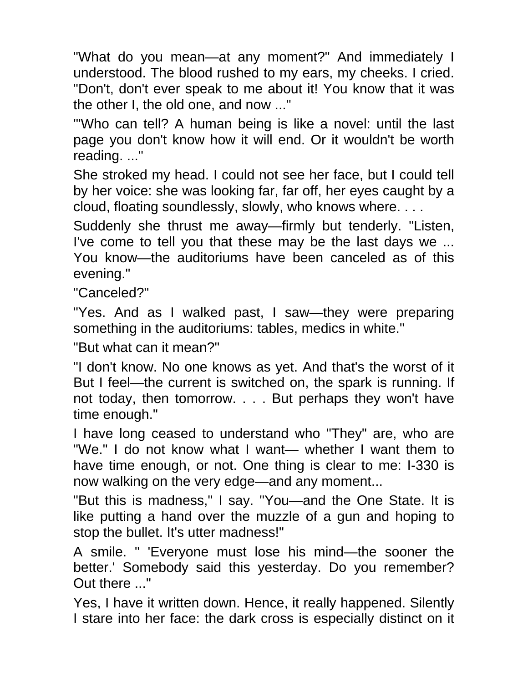"What do you mean—at any moment?" And immediately I understood. The blood rushed to my ears, my cheeks. I cried. "Don't, don't ever speak to me about it! You know that it was the other I, the old one, and now ..."

'"Who can tell? A human being is like a novel: until the last page you don't know how it will end. Or it wouldn't be worth reading. ..."

She stroked my head. I could not see her face, but I could tell by her voice: she was looking far, far off, her eyes caught by a cloud, floating soundlessly, slowly, who knows where. . . .

Suddenly she thrust me away—firmly but tenderly. "Listen, I've come to tell you that these may be the last days we ... You know—the auditoriums have been canceled as of this evening."

"Canceled?"

"Yes. And as I walked past, I saw—they were preparing something in the auditoriums: tables, medics in white."

"But what can it mean?"

"I don't know. No one knows as yet. And that's the worst of it But I feel—the current is switched on, the spark is running. If not today, then tomorrow. . . . But perhaps they won't have time enough."

I have long ceased to understand who "They" are, who are "We." I do not know what I want— whether I want them to have time enough, or not. One thing is clear to me: I-330 is now walking on the very edge—and any moment...

"But this is madness," I say. "You—and the One State. It is like putting a hand over the muzzle of a gun and hoping to stop the bullet. It's utter madness!"

A smile. " 'Everyone must lose his mind—the sooner the better.' Somebody said this yesterday. Do you remember? Out there ..."

Yes, I have it written down. Hence, it really happened. Silently I stare into her face: the dark cross is especially distinct on it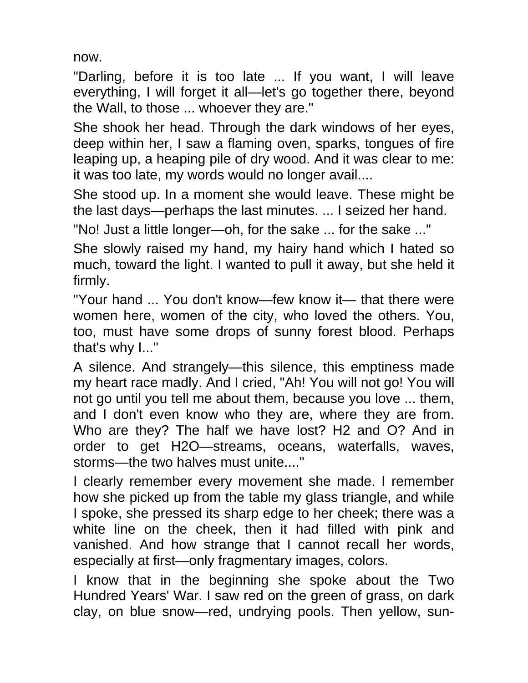now.

"Darling, before it is too late ... If you want, I will leave everything, I will forget it all—let's go together there, beyond the Wall, to those ... whoever they are."

She shook her head. Through the dark windows of her eyes, deep within her, I saw a flaming oven, sparks, tongues of fire leaping up, a heaping pile of dry wood. And it was clear to me: it was too late, my words would no longer avail....

She stood up. In a moment she would leave. These might be the last days—perhaps the last minutes. ... I seized her hand.

"No! Just a little longer—oh, for the sake ... for the sake ..."

She slowly raised my hand, my hairy hand which I hated so much, toward the light. I wanted to pull it away, but she held it firmly.

"Your hand ... You don't know—few know it— that there were women here, women of the city, who loved the others. You, too, must have some drops of sunny forest blood. Perhaps that's why I..."

A silence. And strangely—this silence, this emptiness made my heart race madly. And I cried, "Ah! You will not go! You will not go until you tell me about them, because you love ... them, and I don't even know who they are, where they are from. Who are they? The half we have lost? H2 and O? And in order to get H2O—streams, oceans, waterfalls, waves, storms—the two halves must unite...."

I clearly remember every movement she made. I remember how she picked up from the table my glass triangle, and while I spoke, she pressed its sharp edge to her cheek; there was a white line on the cheek, then it had filled with pink and vanished. And how strange that I cannot recall her words, especially at first—only fragmentary images, colors.

I know that in the beginning she spoke about the Two Hundred Years' War. I saw red on the green of grass, on dark clay, on blue snow—red, undrying pools. Then yellow, sun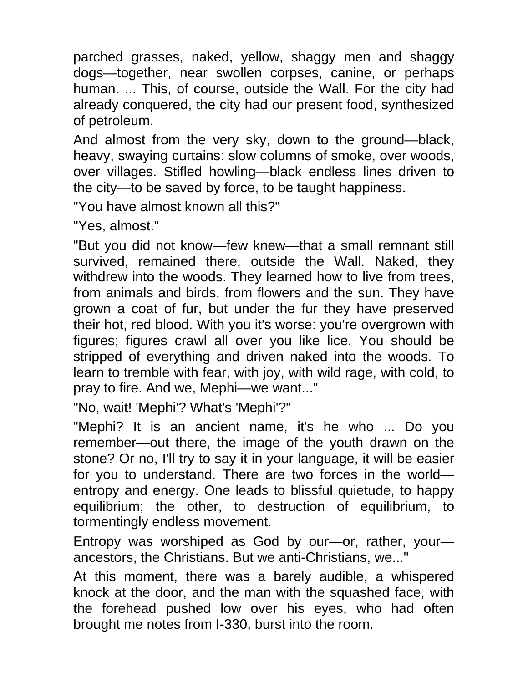parched grasses, naked, yellow, shaggy men and shaggy dogs—together, near swollen corpses, canine, or perhaps human. ... This, of course, outside the Wall. For the city had already conquered, the city had our present food, synthesized of petroleum.

And almost from the very sky, down to the ground—black, heavy, swaying curtains: slow columns of smoke, over woods, over villages. Stifled howling—black endless lines driven to the city—to be saved by force, to be taught happiness.

"You have almost known all this?"

"Yes, almost."

"But you did not know—few knew—that a small remnant still survived, remained there, outside the Wall. Naked, they withdrew into the woods. They learned how to live from trees, from animals and birds, from flowers and the sun. They have grown a coat of fur, but under the fur they have preserved their hot, red blood. With you it's worse: you're overgrown with figures; figures crawl all over you like lice. You should be stripped of everything and driven naked into the woods. To learn to tremble with fear, with joy, with wild rage, with cold, to pray to fire. And we, Mephi—we want..."

"No, wait! 'Mephi'? What's 'Mephi'?"

"Mephi? It is an ancient name, it's he who ... Do you remember—out there, the image of the youth drawn on the stone? Or no, I'll try to say it in your language, it will be easier for you to understand. There are two forces in the world entropy and energy. One leads to blissful quietude, to happy equilibrium; the other, to destruction of equilibrium, to tormentingly endless movement.

Entropy was worshiped as God by our—or, rather, your ancestors, the Christians. But we anti-Christians, we..."

At this moment, there was a barely audible, a whispered knock at the door, and the man with the squashed face, with the forehead pushed low over his eyes, who had often brought me notes from I-330, burst into the room.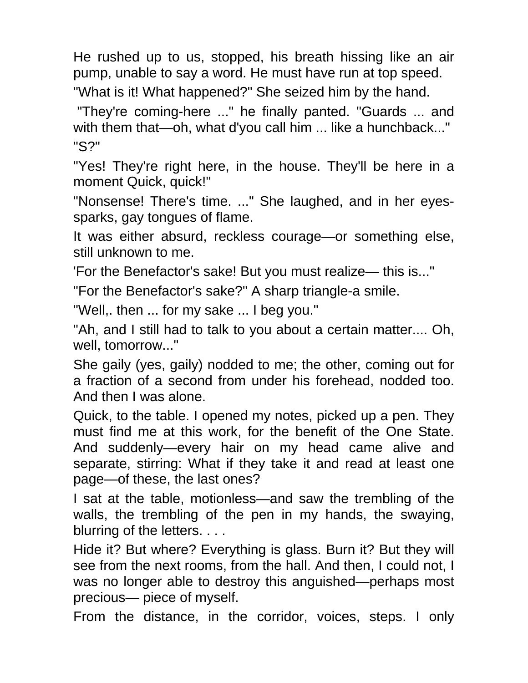He rushed up to us, stopped, his breath hissing like an air pump, unable to say a word. He must have run at top speed. "What is it! What happened?" She seized him by the hand.

 "They're coming-here ..." he finally panted. "Guards ... and with them that—oh, what d'you call him ... like a hunchback..." "S?"

"Yes! They're right here, in the house. They'll be here in a moment Quick, quick!"

"Nonsense! There's time. ..." She laughed, and in her eyessparks, gay tongues of flame.

It was either absurd, reckless courage—or something else, still unknown to me.

'For the Benefactor's sake! But you must realize— this is..."

"For the Benefactor's sake?" A sharp triangle-a smile.

"Well,. then ... for my sake ... I beg you."

"Ah, and I still had to talk to you about a certain matter.... Oh, well, tomorrow..."

She gaily (yes, gaily) nodded to me; the other, coming out for a fraction of a second from under his forehead, nodded too. And then I was alone.

Quick, to the table. I opened my notes, picked up a pen. They must find me at this work, for the benefit of the One State. And suddenly—every hair on my head came alive and separate, stirring: What if they take it and read at least one page—of these, the last ones?

I sat at the table, motionless—and saw the trembling of the walls, the trembling of the pen in my hands, the swaying, blurring of the letters. . . .

Hide it? But where? Everything is glass. Burn it? But they will see from the next rooms, from the hall. And then, I could not, I was no longer able to destroy this anguished—perhaps most precious— piece of myself.

From the distance, in the corridor, voices, steps. I only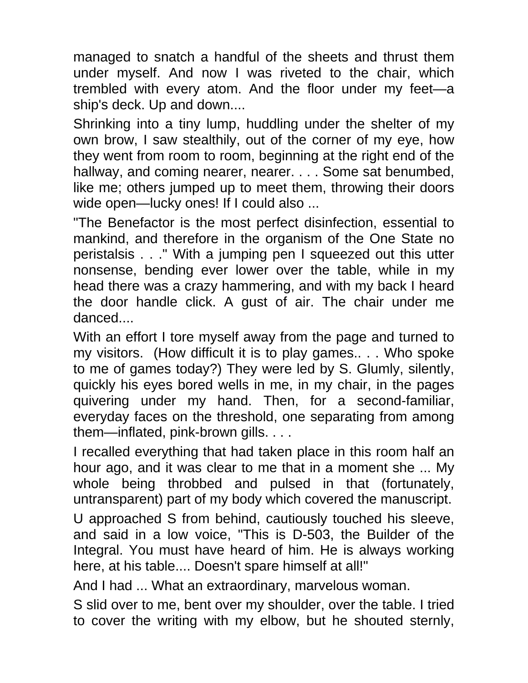managed to snatch a handful of the sheets and thrust them under myself. And now I was riveted to the chair, which trembled with every atom. And the floor under my feet—a ship's deck. Up and down....

Shrinking into a tiny lump, huddling under the shelter of my own brow, I saw stealthily, out of the corner of my eye, how they went from room to room, beginning at the right end of the hallway, and coming nearer, nearer. . . . Some sat benumbed, like me; others jumped up to meet them, throwing their doors wide open—lucky ones! If I could also ...

"The Benefactor is the most perfect disinfection, essential to mankind, and therefore in the organism of the One State no peristalsis . . ." With a jumping pen I squeezed out this utter nonsense, bending ever lower over the table, while in my head there was a crazy hammering, and with my back I heard the door handle click. A gust of air. The chair under me danced....

With an effort I tore myself away from the page and turned to my visitors. (How difficult it is to play games.. . . Who spoke to me of games today?) They were led by S. Glumly, silently, quickly his eyes bored wells in me, in my chair, in the pages quivering under my hand. Then, for a second-familiar, everyday faces on the threshold, one separating from among them—inflated, pink-brown gills. . . .

I recalled everything that had taken place in this room half an hour ago, and it was clear to me that in a moment she ... My whole being throbbed and pulsed in that (fortunately, untransparent) part of my body which covered the manuscript.

U approached S from behind, cautiously touched his sleeve, and said in a low voice, "This is D-503, the Builder of the Integral. You must have heard of him. He is always working here, at his table.... Doesn't spare himself at all!"

And I had ... What an extraordinary, marvelous woman.

S slid over to me, bent over my shoulder, over the table. I tried to cover the writing with my elbow, but he shouted sternly,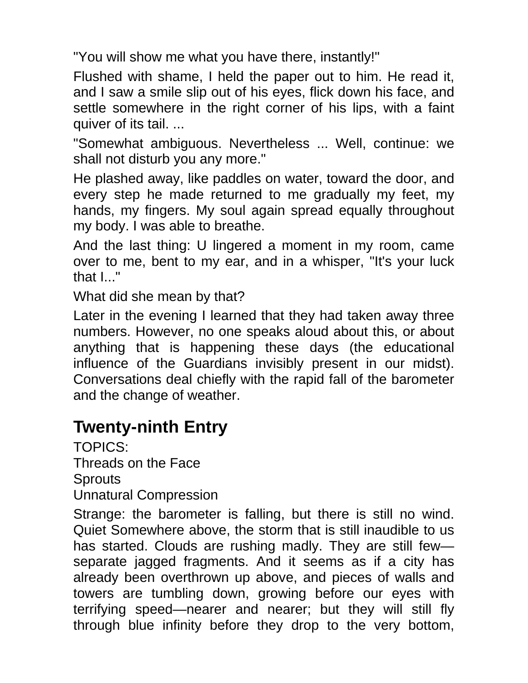"You will show me what you have there, instantly!"

Flushed with shame, I held the paper out to him. He read it, and I saw a smile slip out of his eyes, flick down his face, and settle somewhere in the right corner of his lips, with a faint quiver of its tail. ...

"Somewhat ambiguous. Nevertheless ... Well, continue: we shall not disturb you any more."

He plashed away, like paddles on water, toward the door, and every step he made returned to me gradually my feet, my hands, my fingers. My soul again spread equally throughout my body. I was able to breathe.

And the last thing: U lingered a moment in my room, came over to me, bent to my ear, and in a whisper, "It's your luck that I..."

What did she mean by that?

Later in the evening I learned that they had taken away three numbers. However, no one speaks aloud about this, or about anything that is happening these days (the educational influence of the Guardians invisibly present in our midst). Conversations deal chiefly with the rapid fall of the barometer and the change of weather.

### **Twenty-ninth Entry**

TOPICS:

Threads on the Face

**Sprouts** 

Unnatural Compression

Strange: the barometer is falling, but there is still no wind. Quiet Somewhere above, the storm that is still inaudible to us has started. Clouds are rushing madly. They are still few separate jagged fragments. And it seems as if a city has already been overthrown up above, and pieces of walls and towers are tumbling down, growing before our eyes with terrifying speed—nearer and nearer; but they will still fly through blue infinity before they drop to the very bottom,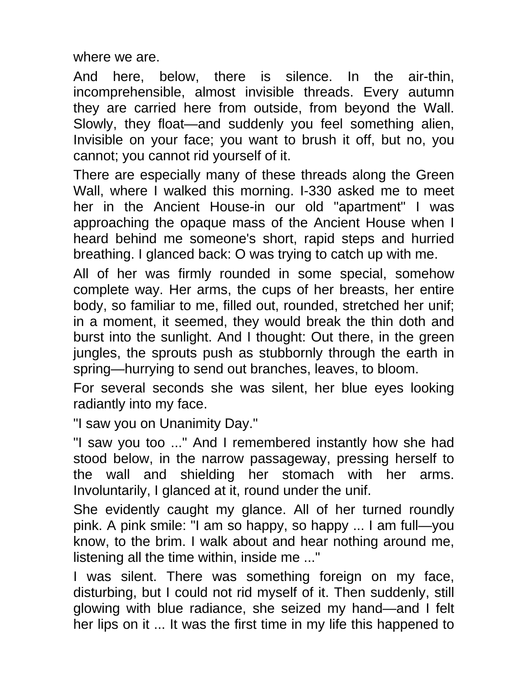where we are.

And here, below, there is silence. In the air-thin, incomprehensible, almost invisible threads. Every autumn they are carried here from outside, from beyond the Wall. Slowly, they float—and suddenly you feel something alien, Invisible on your face; you want to brush it off, but no, you cannot; you cannot rid yourself of it.

There are especially many of these threads along the Green Wall, where I walked this morning. I-330 asked me to meet her in the Ancient House-in our old "apartment" I was approaching the opaque mass of the Ancient House when I heard behind me someone's short, rapid steps and hurried breathing. I glanced back: O was trying to catch up with me.

All of her was firmly rounded in some special, somehow complete way. Her arms, the cups of her breasts, her entire body, so familiar to me, filled out, rounded, stretched her unif; in a moment, it seemed, they would break the thin doth and burst into the sunlight. And I thought: Out there, in the green jungles, the sprouts push as stubbornly through the earth in spring—hurrying to send out branches, leaves, to bloom.

For several seconds she was silent, her blue eyes looking radiantly into my face.

"I saw you on Unanimity Day."

"I saw you too ..." And I remembered instantly how she had stood below, in the narrow passageway, pressing herself to the wall and shielding her stomach with her arms. Involuntarily, I glanced at it, round under the unif.

She evidently caught my glance. All of her turned roundly pink. A pink smile: "I am so happy, so happy ... I am full—you know, to the brim. I walk about and hear nothing around me, listening all the time within, inside me ..."

I was silent. There was something foreign on my face, disturbing, but I could not rid myself of it. Then suddenly, still glowing with blue radiance, she seized my hand—and I felt her lips on it ... It was the first time in my life this happened to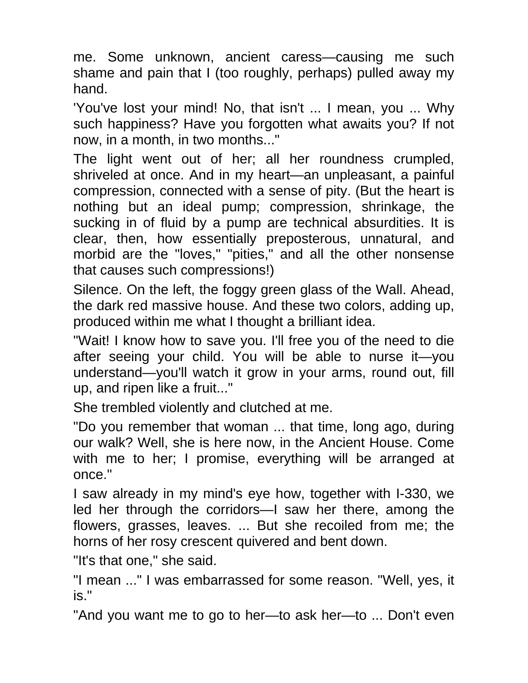me. Some unknown, ancient caress—causing me such shame and pain that I (too roughly, perhaps) pulled away my hand.

'You've lost your mind! No, that isn't ... I mean, you ... Why such happiness? Have you forgotten what awaits you? If not now, in a month, in two months..."

The light went out of her; all her roundness crumpled, shriveled at once. And in my heart—an unpleasant, a painful compression, connected with a sense of pity. (But the heart is nothing but an ideal pump; compression, shrinkage, the sucking in of fluid by a pump are technical absurdities. It is clear, then, how essentially preposterous, unnatural, and morbid are the "loves," "pities," and all the other nonsense that causes such compressions!)

Silence. On the left, the foggy green glass of the Wall. Ahead, the dark red massive house. And these two colors, adding up, produced within me what I thought a brilliant idea.

"Wait! I know how to save you. I'll free you of the need to die after seeing your child. You will be able to nurse it—you understand—you'll watch it grow in your arms, round out, fill up, and ripen like a fruit..."

She trembled violently and clutched at me.

"Do you remember that woman ... that time, long ago, during our walk? Well, she is here now, in the Ancient House. Come with me to her; I promise, everything will be arranged at once."

I saw already in my mind's eye how, together with I-330, we led her through the corridors—I saw her there, among the flowers, grasses, leaves. ... But she recoiled from me; the horns of her rosy crescent quivered and bent down.

"It's that one," she said.

"I mean ..." I was embarrassed for some reason. "Well, yes, it is."

"And you want me to go to her—to ask her—to ... Don't even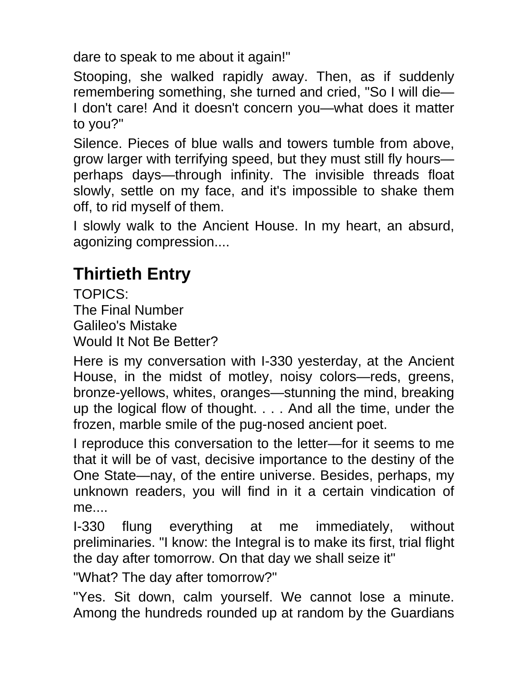dare to speak to me about it again!"

Stooping, she walked rapidly away. Then, as if suddenly remembering something, she turned and cried, "So I will die— I don't care! And it doesn't concern you—what does it matter to you?"

Silence. Pieces of blue walls and towers tumble from above, grow larger with terrifying speed, but they must still fly hours perhaps days—through infinity. The invisible threads float slowly, settle on my face, and it's impossible to shake them off, to rid myself of them.

I slowly walk to the Ancient House. In my heart, an absurd, agonizing compression....

# **Thirtieth Entry**

TOPICS:

The Final Number

Galileo's Mistake

Would It Not Be Better?

Here is my conversation with I-330 yesterday, at the Ancient House, in the midst of motley, noisy colors—reds, greens, bronze-yellows, whites, oranges—stunning the mind, breaking up the logical flow of thought. . . . And all the time, under the frozen, marble smile of the pug-nosed ancient poet.

I reproduce this conversation to the letter—for it seems to me that it will be of vast, decisive importance to the destiny of the One State—nay, of the entire universe. Besides, perhaps, my unknown readers, you will find in it a certain vindication of me....

I-330 flung everything at me immediately, without preliminaries. "I know: the Integral is to make its first, trial flight the day after tomorrow. On that day we shall seize it"

"What? The day after tomorrow?"

"Yes. Sit down, calm yourself. We cannot lose a minute. Among the hundreds rounded up at random by the Guardians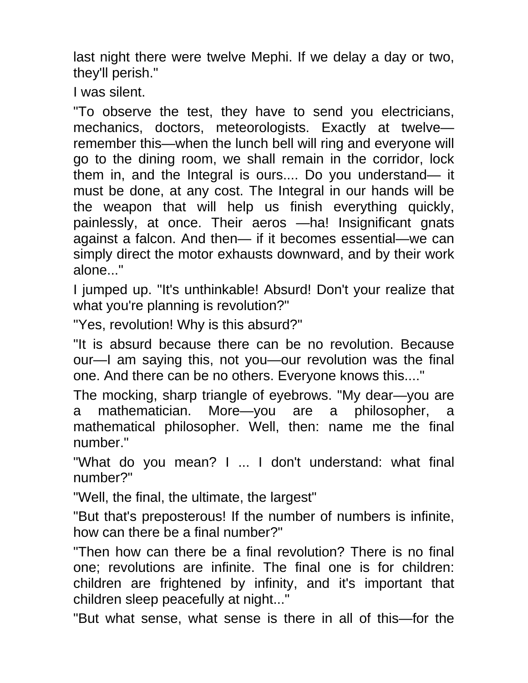last night there were twelve Mephi. If we delay a day or two, they'll perish."

I was silent.

"To observe the test, they have to send you electricians, mechanics, doctors, meteorologists. Exactly at twelve remember this—when the lunch bell will ring and everyone will go to the dining room, we shall remain in the corridor, lock them in, and the Integral is ours.... Do you understand— it must be done, at any cost. The Integral in our hands will be the weapon that will help us finish everything quickly, painlessly, at once. Their aeros —ha! Insignificant gnats against a falcon. And then— if it becomes essential—we can simply direct the motor exhausts downward, and by their work alone..."

I jumped up. "It's unthinkable! Absurd! Don't your realize that what you're planning is revolution?"

"Yes, revolution! Why is this absurd?"

"It is absurd because there can be no revolution. Because our—I am saying this, not you—our revolution was the final one. And there can be no others. Everyone knows this...."

The mocking, sharp triangle of eyebrows. "My dear—you are a mathematician. More—you are a philosopher, a mathematical philosopher. Well, then: name me the final number."

"What do you mean? I ... I don't understand: what final number?"

"Well, the final, the ultimate, the largest"

"But that's preposterous! If the number of numbers is infinite, how can there be a final number?"

"Then how can there be a final revolution? There is no final one; revolutions are infinite. The final one is for children: children are frightened by infinity, and it's important that children sleep peacefully at night..."

"But what sense, what sense is there in all of this—for the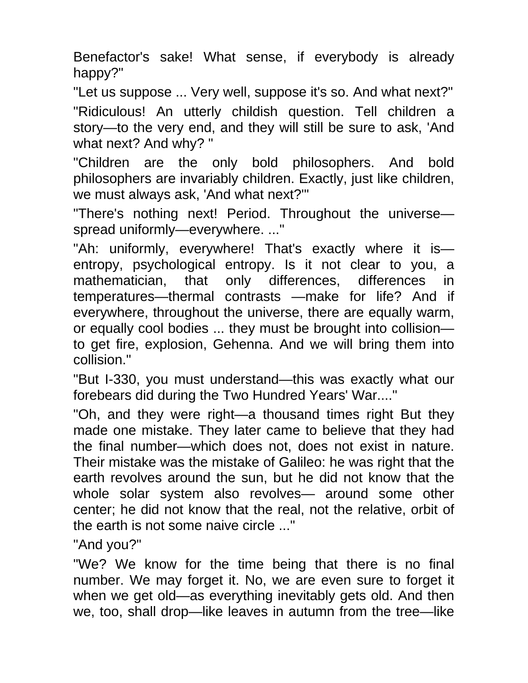Benefactor's sake! What sense, if everybody is already happy?"

"Let us suppose ... Very well, suppose it's so. And what next?"

"Ridiculous! An utterly childish question. Tell children a story—to the very end, and they will still be sure to ask, 'And what next? And why? "

"Children are the only bold philosophers. And bold philosophers are invariably children. Exactly, just like children, we must always ask, 'And what next?'"

"There's nothing next! Period. Throughout the universe spread uniformly—everywhere. ..."

"Ah: uniformly, everywhere! That's exactly where it is entropy, psychological entropy. Is it not clear to you, a mathematician, that only differences, differences in temperatures—thermal contrasts —make for life? And if everywhere, throughout the universe, there are equally warm, or equally cool bodies ... they must be brought into collision to get fire, explosion, Gehenna. And we will bring them into collision."

"But I-330, you must understand—this was exactly what our forebears did during the Two Hundred Years' War...."

"Oh, and they were right—a thousand times right But they made one mistake. They later came to believe that they had the final number—which does not, does not exist in nature. Their mistake was the mistake of Galileo: he was right that the earth revolves around the sun, but he did not know that the whole solar system also revolves— around some other center; he did not know that the real, not the relative, orbit of the earth is not some naive circle ..."

"And you?"

"We? We know for the time being that there is no final number. We may forget it. No, we are even sure to forget it when we get old—as everything inevitably gets old. And then we, too, shall drop—like leaves in autumn from the tree—like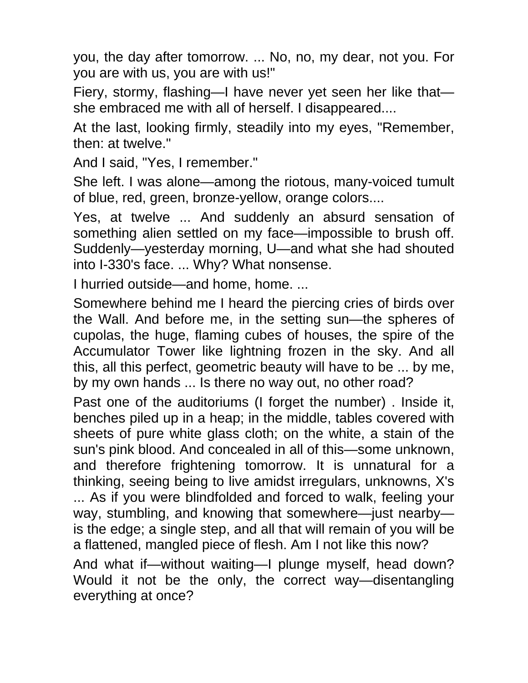you, the day after tomorrow. ... No, no, my dear, not you. For you are with us, you are with us!"

Fiery, stormy, flashing—I have never yet seen her like that she embraced me with all of herself. I disappeared....

At the last, looking firmly, steadily into my eyes, "Remember, then: at twelve."

And I said, "Yes, I remember."

She left. I was alone—among the riotous, many-voiced tumult of blue, red, green, bronze-yellow, orange colors....

Yes, at twelve ... And suddenly an absurd sensation of something alien settled on my face—impossible to brush off. Suddenly—yesterday morning, U—and what she had shouted into I-330's face. ... Why? What nonsense.

I hurried outside—and home, home. ...

Somewhere behind me I heard the piercing cries of birds over the Wall. And before me, in the setting sun—the spheres of cupolas, the huge, flaming cubes of houses, the spire of the Accumulator Tower like lightning frozen in the sky. And all this, all this perfect, geometric beauty will have to be ... by me, by my own hands ... Is there no way out, no other road?

Past one of the auditoriums (I forget the number) . Inside it, benches piled up in a heap; in the middle, tables covered with sheets of pure white glass cloth; on the white, a stain of the sun's pink blood. And concealed in all of this—some unknown, and therefore frightening tomorrow. It is unnatural for a thinking, seeing being to live amidst irregulars, unknowns, X's ... As if you were blindfolded and forced to walk, feeling your way, stumbling, and knowing that somewhere—just nearby is the edge; a single step, and all that will remain of you will be a flattened, mangled piece of flesh. Am I not like this now?

And what if—without waiting—I plunge myself, head down? Would it not be the only, the correct way—disentangling everything at once?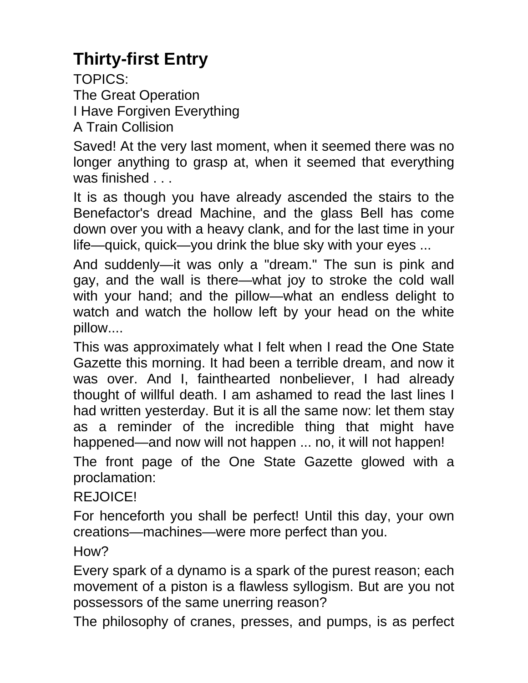# **Thirty-first Entry**

TOPICS: The Great Operation I Have Forgiven Everything A Train Collision

Saved! At the very last moment, when it seemed there was no longer anything to grasp at, when it seemed that everything was finished . . .

It is as though you have already ascended the stairs to the Benefactor's dread Machine, and the glass Bell has come down over you with a heavy clank, and for the last time in your life—quick, quick—you drink the blue sky with your eyes ...

And suddenly—it was only a "dream." The sun is pink and gay, and the wall is there—what joy to stroke the cold wall with your hand; and the pillow—what an endless delight to watch and watch the hollow left by your head on the white pillow....

This was approximately what I felt when I read the One State Gazette this morning. It had been a terrible dream, and now it was over. And I, fainthearted nonbeliever, I had already thought of willful death. I am ashamed to read the last lines I had written yesterday. But it is all the same now: let them stay as a reminder of the incredible thing that might have happened—and now will not happen ... no, it will not happen!

The front page of the One State Gazette glowed with a proclamation:

REJOICE!

For henceforth you shall be perfect! Until this day, your own creations—machines—were more perfect than you.

How?

Every spark of a dynamo is a spark of the purest reason; each movement of a piston is a flawless syllogism. But are you not possessors of the same unerring reason?

The philosophy of cranes, presses, and pumps, is as perfect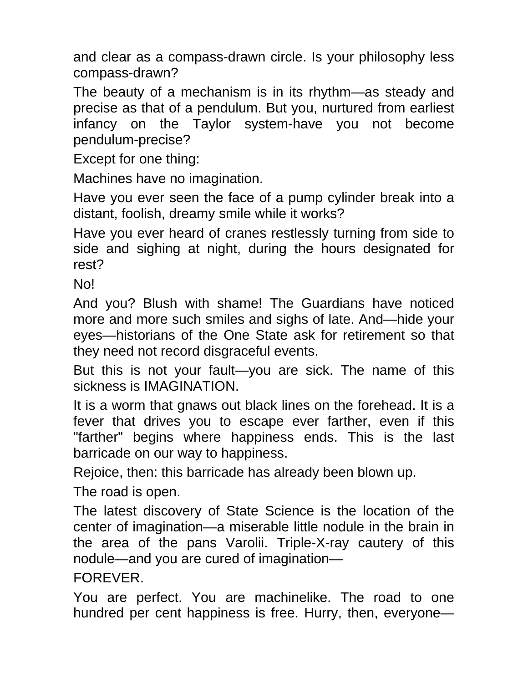and clear as a compass-drawn circle. Is your philosophy less compass-drawn?

The beauty of a mechanism is in its rhythm—as steady and precise as that of a pendulum. But you, nurtured from earliest infancy on the Taylor system-have you not become pendulum-precise?

Except for one thing:

Machines have no imagination.

Have you ever seen the face of a pump cylinder break into a distant, foolish, dreamy smile while it works?

Have you ever heard of cranes restlessly turning from side to side and sighing at night, during the hours designated for rest?

No!

And you? Blush with shame! The Guardians have noticed more and more such smiles and sighs of late. And—hide your eyes—historians of the One State ask for retirement so that they need not record disgraceful events.

But this is not your fault—you are sick. The name of this sickness is IMAGINATION.

It is a worm that gnaws out black lines on the forehead. It is a fever that drives you to escape ever farther, even if this "farther" begins where happiness ends. This is the last barricade on our way to happiness.

Rejoice, then: this barricade has already been blown up.

The road is open.

The latest discovery of State Science is the location of the center of imagination—a miserable little nodule in the brain in the area of the pans Varolii. Triple-X-ray cautery of this nodule—and you are cured of imagination—

FOREVER.

You are perfect. You are machinelike. The road to one hundred per cent happiness is free. Hurry, then, everyone—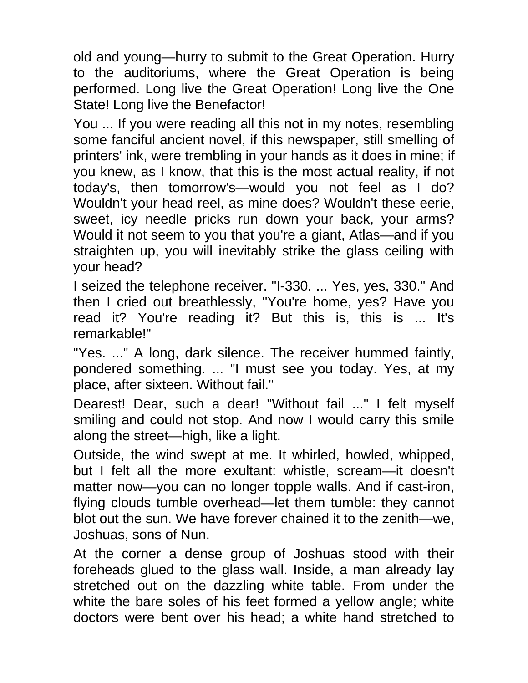old and young—hurry to submit to the Great Operation. Hurry to the auditoriums, where the Great Operation is being performed. Long live the Great Operation! Long live the One State! Long live the Benefactor!

You ... If you were reading all this not in my notes, resembling some fanciful ancient novel, if this newspaper, still smelling of printers' ink, were trembling in your hands as it does in mine; if you knew, as I know, that this is the most actual reality, if not today's, then tomorrow's—would you not feel as I do? Wouldn't your head reel, as mine does? Wouldn't these eerie, sweet, icy needle pricks run down your back, your arms? Would it not seem to you that you're a giant, Atlas—and if you straighten up, you will inevitably strike the glass ceiling with your head?

I seized the telephone receiver. "I-330. ... Yes, yes, 330." And then I cried out breathlessly, "You're home, yes? Have you read it? You're reading it? But this is, this is ... It's remarkable!"

"Yes. ..." A long, dark silence. The receiver hummed faintly, pondered something. ... "I must see you today. Yes, at my place, after sixteen. Without fail."

Dearest! Dear, such a dear! "Without fail ..." I felt myself smiling and could not stop. And now I would carry this smile along the street—high, like a light.

Outside, the wind swept at me. It whirled, howled, whipped, but I felt all the more exultant: whistle, scream—it doesn't matter now—you can no longer topple walls. And if cast-iron, flying clouds tumble overhead—let them tumble: they cannot blot out the sun. We have forever chained it to the zenith—we, Joshuas, sons of Nun.

At the corner a dense group of Joshuas stood with their foreheads glued to the glass wall. Inside, a man already lay stretched out on the dazzling white table. From under the white the bare soles of his feet formed a yellow angle; white doctors were bent over his head; a white hand stretched to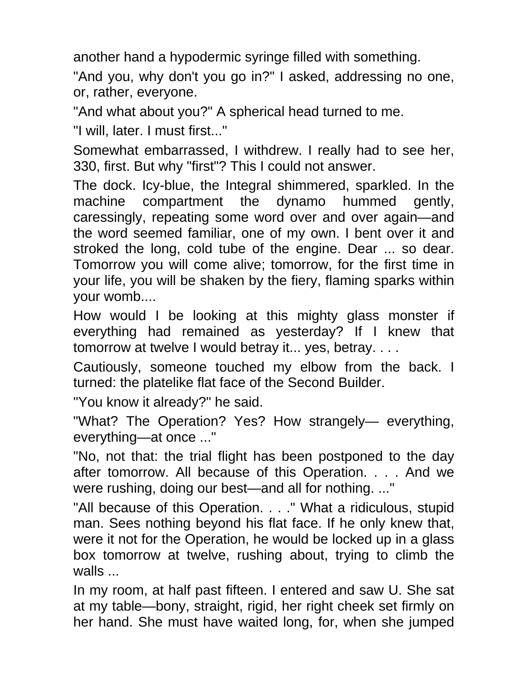another hand a hypodermic syringe filled with something.

"And you, why don't you go in?" I asked, addressing no one, or, rather, everyone.

"And what about you?" A spherical head turned to me.

"I will, later. I must first..."

Somewhat embarrassed, I withdrew. I really had to see her, 330, first. But why "first"? This I could not answer.

The dock. Icy-blue, the Integral shimmered, sparkled. In the machine compartment the dynamo hummed gently, caressingly, repeating some word over and over again—and the word seemed familiar, one of my own. I bent over it and stroked the long, cold tube of the engine. Dear ... so dear. Tomorrow you will come alive; tomorrow, for the first time in your life, you will be shaken by the fiery, flaming sparks within your womb....

How would I be looking at this mighty glass monster if everything had remained as yesterday? If I knew that tomorrow at twelve I would betray it... yes, betray. . . .

Cautiously, someone touched my elbow from the back. I turned: the platelike flat face of the Second Builder.

"You know it already?" he said.

"What? The Operation? Yes? How strangely— everything, everything—at once ..."

"No, not that: the trial flight has been postponed to the day after tomorrow. All because of this Operation. . . . And we were rushing, doing our best—and all for nothing. ..."

"All because of this Operation. . . ." What a ridiculous, stupid man. Sees nothing beyond his flat face. If he only knew that, were it not for the Operation, he would be locked up in a glass box tomorrow at twelve, rushing about, trying to climb the walls ...

In my room, at half past fifteen. I entered and saw U. She sat at my table—bony, straight, rigid, her right cheek set firmly on her hand. She must have waited long, for, when she jumped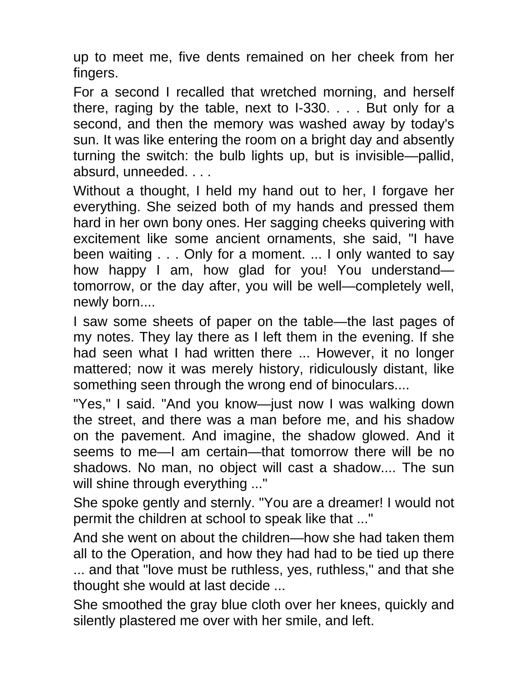up to meet me, five dents remained on her cheek from her fingers.

For a second I recalled that wretched morning, and herself there, raging by the table, next to I-330. . . . But only for a second, and then the memory was washed away by today's sun. It was like entering the room on a bright day and absently turning the switch: the bulb lights up, but is invisible—pallid, absurd, unneeded. . . .

Without a thought, I held my hand out to her, I forgave her everything. She seized both of my hands and pressed them hard in her own bony ones. Her sagging cheeks quivering with excitement like some ancient ornaments, she said, "I have been waiting . . . Only for a moment. ... I only wanted to say how happy I am, how glad for you! You understand tomorrow, or the day after, you will be well—completely well, newly born....

I saw some sheets of paper on the table—the last pages of my notes. They lay there as I left them in the evening. If she had seen what I had written there ... However, it no longer mattered; now it was merely history, ridiculously distant, like something seen through the wrong end of binoculars....

"Yes," I said. "And you know—just now I was walking down the street, and there was a man before me, and his shadow on the pavement. And imagine, the shadow glowed. And it seems to me—I am certain—that tomorrow there will be no shadows. No man, no object will cast a shadow.... The sun will shine through everything ..."

She spoke gently and sternly. "You are a dreamer! I would not permit the children at school to speak like that ..."

And she went on about the children—how she had taken them all to the Operation, and how they had had to be tied up there ... and that "love must be ruthless, yes, ruthless," and that she thought she would at last decide ...

She smoothed the gray blue cloth over her knees, quickly and silently plastered me over with her smile, and left.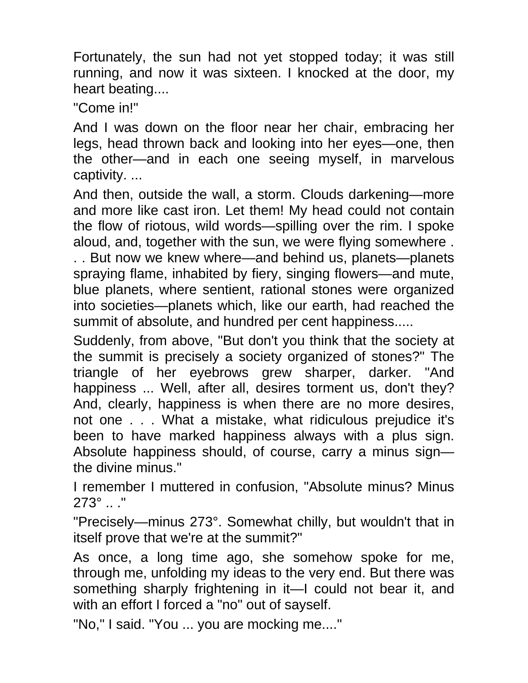Fortunately, the sun had not yet stopped today; it was still running, and now it was sixteen. I knocked at the door, my heart beating....

"Come in!"

And I was down on the floor near her chair, embracing her legs, head thrown back and looking into her eyes—one, then the other—and in each one seeing myself, in marvelous captivity. ...

And then, outside the wall, a storm. Clouds darkening—more and more like cast iron. Let them! My head could not contain the flow of riotous, wild words—spilling over the rim. I spoke aloud, and, together with the sun, we were flying somewhere . . . But now we knew where—and behind us, planets—planets spraying flame, inhabited by fiery, singing flowers—and mute, blue planets, where sentient, rational stones were organized into societies—planets which, like our earth, had reached the summit of absolute, and hundred per cent happiness.....

Suddenly, from above, "But don't you think that the society at the summit is precisely a society organized of stones?" The triangle of her eyebrows grew sharper, darker. "And happiness ... Well, after all, desires torment us, don't they? And, clearly, happiness is when there are no more desires, not one . . . What a mistake, what ridiculous prejudice it's been to have marked happiness always with a plus sign. Absolute happiness should, of course, carry a minus sign the divine minus."

I remember I muttered in confusion, "Absolute minus? Minus 273° .. ."

"Precisely—minus 273°. Somewhat chilly, but wouldn't that in itself prove that we're at the summit?"

As once, a long time ago, she somehow spoke for me, through me, unfolding my ideas to the very end. But there was something sharply frightening in it—I could not bear it, and with an effort I forced a "no" out of sayself.

"No," I said. "You ... you are mocking me...."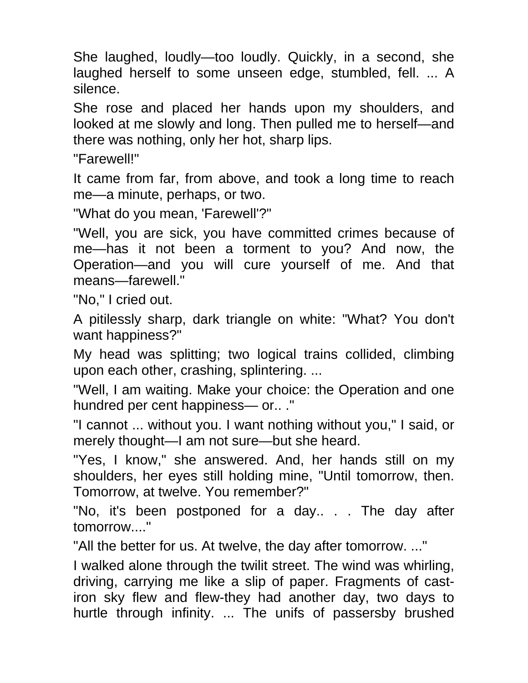She laughed, loudly—too loudly. Quickly, in a second, she laughed herself to some unseen edge, stumbled, fell. ... A silence.

She rose and placed her hands upon my shoulders, and looked at me slowly and long. Then pulled me to herself—and there was nothing, only her hot, sharp lips.

"Farewell!"

It came from far, from above, and took a long time to reach me—a minute, perhaps, or two.

"What do you mean, 'Farewell'?"

"Well, you are sick, you have committed crimes because of me—has it not been a torment to you? And now, the Operation—and you will cure yourself of me. And that means—farewell."

"No," I cried out.

A pitilessly sharp, dark triangle on white: "What? You don't want happiness?"

My head was splitting; two logical trains collided, climbing upon each other, crashing, splintering. ...

"Well, I am waiting. Make your choice: the Operation and one hundred per cent happiness— or.. ."

"I cannot ... without you. I want nothing without you," I said, or merely thought—I am not sure—but she heard.

"Yes, I know," she answered. And, her hands still on my shoulders, her eyes still holding mine, "Until tomorrow, then. Tomorrow, at twelve. You remember?"

"No, it's been postponed for a day.. . . The day after tomorrow...."

"All the better for us. At twelve, the day after tomorrow. ..."

I walked alone through the twilit street. The wind was whirling, driving, carrying me like a slip of paper. Fragments of castiron sky flew and flew-they had another day, two days to hurtle through infinity. ... The unifs of passersby brushed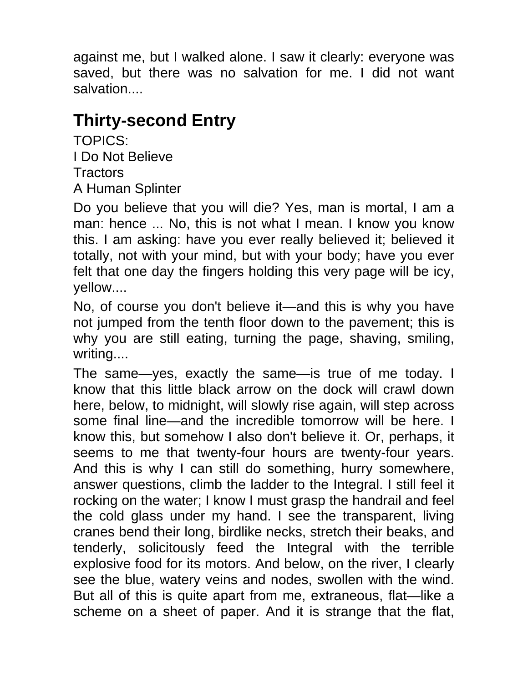against me, but I walked alone. I saw it clearly: everyone was saved, but there was no salvation for me. I did not want salvation....

### **Thirty-second Entry**

TOPICS: I Do Not Believe **Tractors** A Human Splinter

Do you believe that you will die? Yes, man is mortal, I am a man: hence ... No, this is not what I mean. I know you know this. I am asking: have you ever really believed it; believed it totally, not with your mind, but with your body; have you ever felt that one day the fingers holding this very page will be icy, yellow....

No, of course you don't believe it—and this is why you have not jumped from the tenth floor down to the pavement; this is why you are still eating, turning the page, shaving, smiling, writing....

The same—yes, exactly the same—is true of me today. I know that this little black arrow on the dock will crawl down here, below, to midnight, will slowly rise again, will step across some final line—and the incredible tomorrow will be here. I know this, but somehow I also don't believe it. Or, perhaps, it seems to me that twenty-four hours are twenty-four years. And this is why I can still do something, hurry somewhere, answer questions, climb the ladder to the Integral. I still feel it rocking on the water; I know I must grasp the handrail and feel the cold glass under my hand. I see the transparent, living cranes bend their long, birdlike necks, stretch their beaks, and tenderly, solicitously feed the Integral with the terrible explosive food for its motors. And below, on the river, I clearly see the blue, watery veins and nodes, swollen with the wind. But all of this is quite apart from me, extraneous, flat—like a scheme on a sheet of paper. And it is strange that the flat,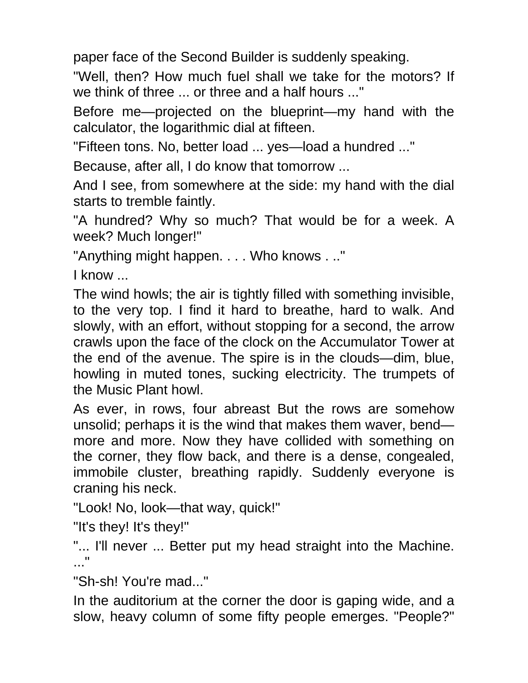paper face of the Second Builder is suddenly speaking.

"Well, then? How much fuel shall we take for the motors? If we think of three ... or three and a half hours ..."

Before me—projected on the blueprint—my hand with the calculator, the logarithmic dial at fifteen.

"Fifteen tons. No, better load ... yes—load a hundred ..."

Because, after all, I do know that tomorrow ...

And I see, from somewhere at the side: my hand with the dial starts to tremble faintly.

"A hundred? Why so much? That would be for a week. A week? Much longer!"

"Anything might happen. . . . Who knows . .."

I know ...

The wind howls; the air is tightly filled with something invisible, to the very top. I find it hard to breathe, hard to walk. And slowly, with an effort, without stopping for a second, the arrow crawls upon the face of the clock on the Accumulator Tower at the end of the avenue. The spire is in the clouds—dim, blue, howling in muted tones, sucking electricity. The trumpets of the Music Plant howl.

As ever, in rows, four abreast But the rows are somehow unsolid; perhaps it is the wind that makes them waver, bend more and more. Now they have collided with something on the corner, they flow back, and there is a dense, congealed, immobile cluster, breathing rapidly. Suddenly everyone is craning his neck.

"Look! No, look—that way, quick!"

"It's they! It's they!"

"... I'll never ... Better put my head straight into the Machine. ..."

"Sh-sh! You're mad..."

In the auditorium at the corner the door is gaping wide, and a slow, heavy column of some fifty people emerges. "People?"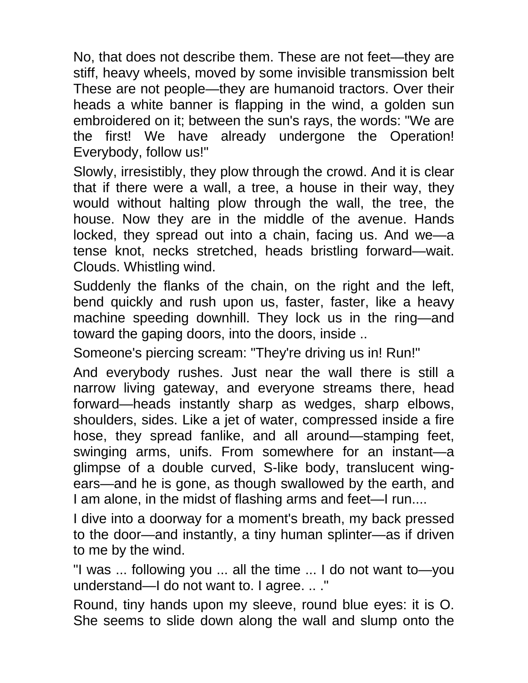No, that does not describe them. These are not feet—they are stiff, heavy wheels, moved by some invisible transmission belt These are not people—they are humanoid tractors. Over their heads a white banner is flapping in the wind, a golden sun embroidered on it; between the sun's rays, the words: "We are the first! We have already undergone the Operation! Everybody, follow us!"

Slowly, irresistibly, they plow through the crowd. And it is clear that if there were a wall, a tree, a house in their way, they would without halting plow through the wall, the tree, the house. Now they are in the middle of the avenue. Hands locked, they spread out into a chain, facing us. And we—a tense knot, necks stretched, heads bristling forward—wait. Clouds. Whistling wind.

Suddenly the flanks of the chain, on the right and the left, bend quickly and rush upon us, faster, faster, like a heavy machine speeding downhill. They lock us in the ring—and toward the gaping doors, into the doors, inside ..

Someone's piercing scream: "They're driving us in! Run!"

And everybody rushes. Just near the wall there is still a narrow living gateway, and everyone streams there, head forward—heads instantly sharp as wedges, sharp elbows, shoulders, sides. Like a jet of water, compressed inside a fire hose, they spread fanlike, and all around—stamping feet, swinging arms, unifs. From somewhere for an instant—a glimpse of a double curved, S-like body, translucent wingears—and he is gone, as though swallowed by the earth, and I am alone, in the midst of flashing arms and feet—I run....

I dive into a doorway for a moment's breath, my back pressed to the door—and instantly, a tiny human splinter—as if driven to me by the wind.

"I was ... following you ... all the time ... I do not want to—you understand—I do not want to. I agree. .. ."

Round, tiny hands upon my sleeve, round blue eyes: it is O. She seems to slide down along the wall and slump onto the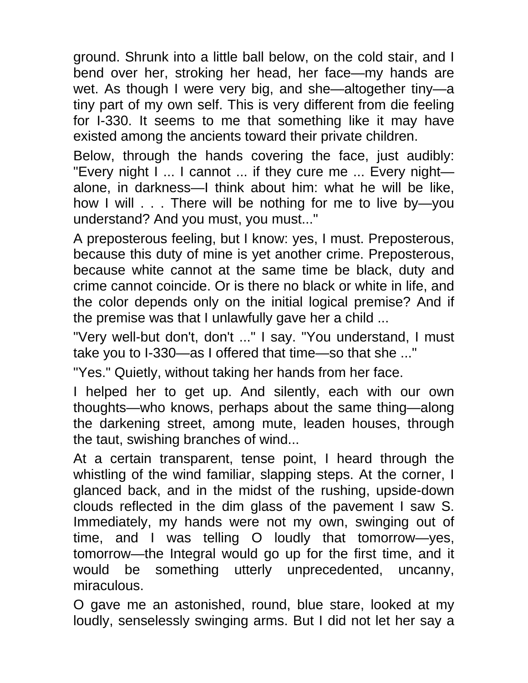ground. Shrunk into a little ball below, on the cold stair, and I bend over her, stroking her head, her face—my hands are wet. As though I were very big, and she—altogether tiny—a tiny part of my own self. This is very different from die feeling for I-330. It seems to me that something like it may have existed among the ancients toward their private children.

Below, through the hands covering the face, just audibly: "Every night I ... I cannot ... if they cure me ... Every night alone, in darkness—I think about him: what he will be like, how I will . . . There will be nothing for me to live by—you understand? And you must, you must..."

A preposterous feeling, but I know: yes, I must. Preposterous, because this duty of mine is yet another crime. Preposterous, because white cannot at the same time be black, duty and crime cannot coincide. Or is there no black or white in life, and the color depends only on the initial logical premise? And if the premise was that I unlawfully gave her a child ...

"Very well-but don't, don't ..." I say. "You understand, I must take you to I-330—as I offered that time—so that she ..."

"Yes." Quietly, without taking her hands from her face.

I helped her to get up. And silently, each with our own thoughts—who knows, perhaps about the same thing—along the darkening street, among mute, leaden houses, through the taut, swishing branches of wind...

At a certain transparent, tense point, I heard through the whistling of the wind familiar, slapping steps. At the corner, I glanced back, and in the midst of the rushing, upside-down clouds reflected in the dim glass of the pavement I saw S. Immediately, my hands were not my own, swinging out of time, and I was telling O loudly that tomorrow—yes, tomorrow—the Integral would go up for the first time, and it would be something utterly unprecedented, uncanny, miraculous.

O gave me an astonished, round, blue stare, looked at my loudly, senselessly swinging arms. But I did not let her say a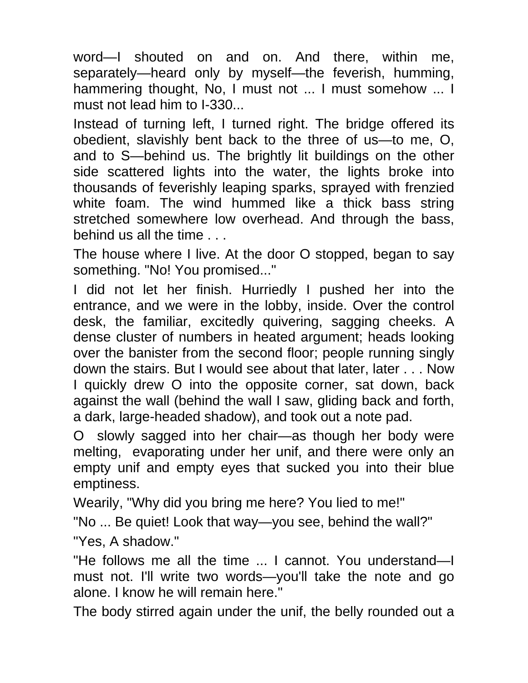word—I shouted on and on. And there, within me, separately—heard only by myself—the feverish, humming, hammering thought, No, I must not ... I must somehow ... I must not lead him to I-330...

Instead of turning left, I turned right. The bridge offered its obedient, slavishly bent back to the three of us—to me, O, and to S—behind us. The brightly lit buildings on the other side scattered lights into the water, the lights broke into thousands of feverishly leaping sparks, sprayed with frenzied white foam. The wind hummed like a thick bass string stretched somewhere low overhead. And through the bass, behind us all the time . . .

The house where I live. At the door O stopped, began to say something. "No! You promised..."

I did not let her finish. Hurriedly I pushed her into the entrance, and we were in the lobby, inside. Over the control desk, the familiar, excitedly quivering, sagging cheeks. A dense cluster of numbers in heated argument; heads looking over the banister from the second floor; people running singly down the stairs. But I would see about that later, later . . . Now I quickly drew O into the opposite corner, sat down, back against the wall (behind the wall I saw, gliding back and forth, a dark, large-headed shadow), and took out a note pad.

O slowly sagged into her chair—as though her body were melting, evaporating under her unif, and there were only an empty unif and empty eyes that sucked you into their blue emptiness.

Wearily, "Why did you bring me here? You lied to me!"

"No ... Be quiet! Look that way—you see, behind the wall?"

"Yes, A shadow."

"He follows me all the time ... I cannot. You understand—I must not. I'll write two words—you'll take the note and go alone. I know he will remain here."

The body stirred again under the unif, the belly rounded out a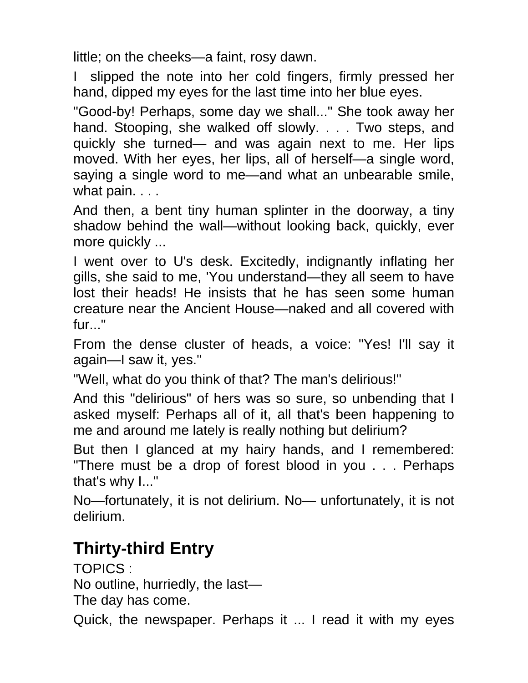little; on the cheeks—a faint, rosy dawn.

slipped the note into her cold fingers, firmly pressed her hand, dipped my eyes for the last time into her blue eyes.

"Good-by! Perhaps, some day we shall..." She took away her hand. Stooping, she walked off slowly. . . . Two steps, and quickly she turned— and was again next to me. Her lips moved. With her eyes, her lips, all of herself—a single word, saying a single word to me—and what an unbearable smile, what pain. . . .

And then, a bent tiny human splinter in the doorway, a tiny shadow behind the wall—without looking back, quickly, ever more quickly ...

I went over to U's desk. Excitedly, indignantly inflating her gills, she said to me, 'You understand—they all seem to have lost their heads! He insists that he has seen some human creature near the Ancient House—naked and all covered with fur..."

From the dense cluster of heads, a voice: "Yes! I'll say it again—I saw it, yes."

"Well, what do you think of that? The man's delirious!"

And this "delirious" of hers was so sure, so unbending that I asked myself: Perhaps all of it, all that's been happening to me and around me lately is really nothing but delirium?

But then I glanced at my hairy hands, and I remembered: "There must be a drop of forest blood in you . . . Perhaps that's why I..."

No—fortunately, it is not delirium. No— unfortunately, it is not delirium.

### **Thirty-third Entry**

TOPICS :

No outline, hurriedly, the last—

The day has come.

Quick, the newspaper. Perhaps it ... I read it with my eyes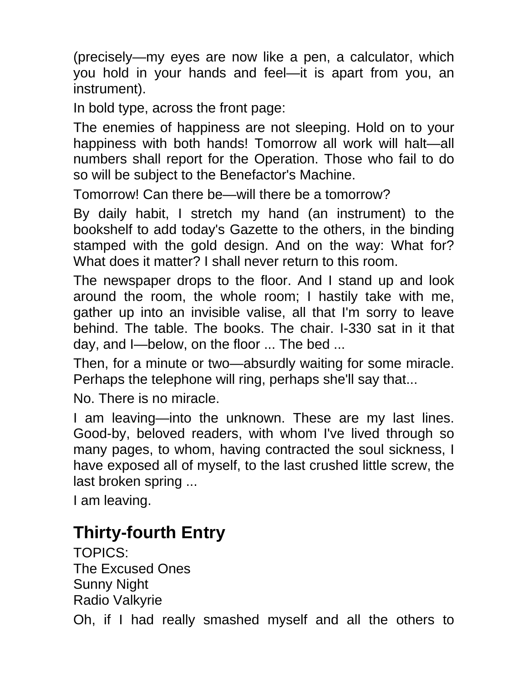(precisely—my eyes are now like a pen, a calculator, which you hold in your hands and feel—it is apart from you, an instrument).

In bold type, across the front page:

The enemies of happiness are not sleeping. Hold on to your happiness with both hands! Tomorrow all work will halt—all numbers shall report for the Operation. Those who fail to do so will be subject to the Benefactor's Machine.

Tomorrow! Can there be—will there be a tomorrow?

By daily habit, I stretch my hand (an instrument) to the bookshelf to add today's Gazette to the others, in the binding stamped with the gold design. And on the way: What for? What does it matter? I shall never return to this room.

The newspaper drops to the floor. And I stand up and look around the room, the whole room; I hastily take with me, gather up into an invisible valise, all that I'm sorry to leave behind. The table. The books. The chair. I-330 sat in it that day, and I—below, on the floor ... The bed ...

Then, for a minute or two—absurdly waiting for some miracle. Perhaps the telephone will ring, perhaps she'll say that...

No. There is no miracle.

I am leaving—into the unknown. These are my last lines. Good-by, beloved readers, with whom I've lived through so many pages, to whom, having contracted the soul sickness, I have exposed all of myself, to the last crushed little screw, the last broken spring ...

I am leaving.

### **Thirty-fourth Entry**

TOPICS: The Excused Ones Sunny Night Radio Valkyrie Oh, if I had really smashed myself and all the others to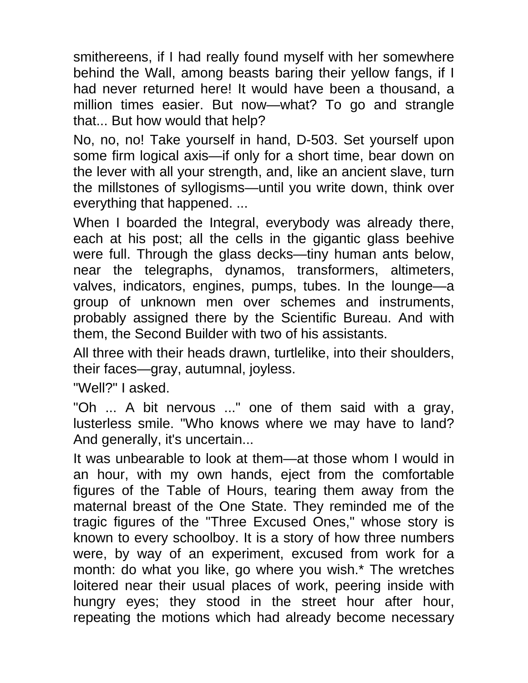smithereens, if I had really found myself with her somewhere behind the Wall, among beasts baring their yellow fangs, if I had never returned here! It would have been a thousand, a million times easier. But now—what? To go and strangle that... But how would that help?

No, no, no! Take yourself in hand, D-503. Set yourself upon some firm logical axis—if only for a short time, bear down on the lever with all your strength, and, like an ancient slave, turn the millstones of syllogisms—until you write down, think over everything that happened. ...

When I boarded the Integral, everybody was already there, each at his post; all the cells in the gigantic glass beehive were full. Through the glass decks—tiny human ants below, near the telegraphs, dynamos, transformers, altimeters, valves, indicators, engines, pumps, tubes. In the lounge—a group of unknown men over schemes and instruments, probably assigned there by the Scientific Bureau. And with them, the Second Builder with two of his assistants.

All three with their heads drawn, turtlelike, into their shoulders, their faces—gray, autumnal, joyless.

"Well?" I asked.

"Oh ... A bit nervous ..." one of them said with a gray, lusterless smile. "Who knows where we may have to land? And generally, it's uncertain...

It was unbearable to look at them—at those whom I would in an hour, with my own hands, eject from the comfortable figures of the Table of Hours, tearing them away from the maternal breast of the One State. They reminded me of the tragic figures of the "Three Excused Ones," whose story is known to every schoolboy. It is a story of how three numbers were, by way of an experiment, excused from work for a month: do what you like, go where you wish.\* The wretches loitered near their usual places of work, peering inside with hungry eyes; they stood in the street hour after hour, repeating the motions which had already become necessary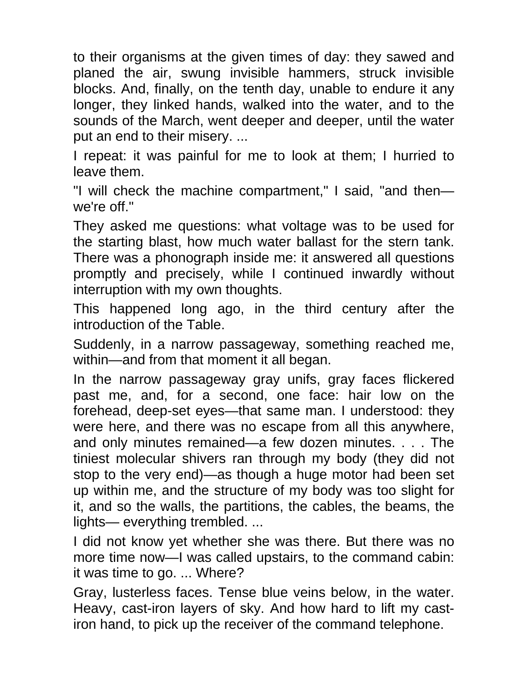to their organisms at the given times of day: they sawed and planed the air, swung invisible hammers, struck invisible blocks. And, finally, on the tenth day, unable to endure it any longer, they linked hands, walked into the water, and to the sounds of the March, went deeper and deeper, until the water put an end to their misery. ...

I repeat: it was painful for me to look at them; I hurried to leave them.

"I will check the machine compartment," I said, "and then we're off."

They asked me questions: what voltage was to be used for the starting blast, how much water ballast for the stern tank. There was a phonograph inside me: it answered all questions promptly and precisely, while I continued inwardly without interruption with my own thoughts.

This happened long ago, in the third century after the introduction of the Table.

Suddenly, in a narrow passageway, something reached me, within—and from that moment it all began.

In the narrow passageway gray unifs, gray faces flickered past me, and, for a second, one face: hair low on the forehead, deep-set eyes—that same man. I understood: they were here, and there was no escape from all this anywhere, and only minutes remained—a few dozen minutes. . . . The tiniest molecular shivers ran through my body (they did not stop to the very end)—as though a huge motor had been set up within me, and the structure of my body was too slight for it, and so the walls, the partitions, the cables, the beams, the lights— everything trembled. ...

I did not know yet whether she was there. But there was no more time now—I was called upstairs, to the command cabin: it was time to go. ... Where?

Gray, lusterless faces. Tense blue veins below, in the water. Heavy, cast-iron layers of sky. And how hard to lift my castiron hand, to pick up the receiver of the command telephone.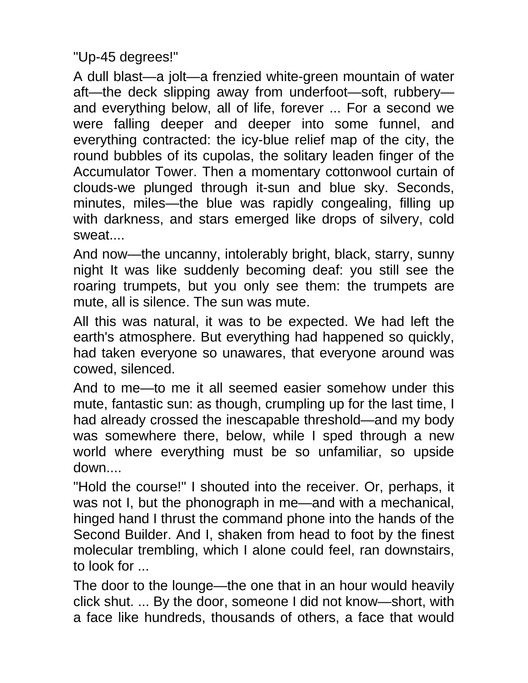"Up-45 degrees!"

A dull blast—a jolt—a frenzied white-green mountain of water aft—the deck slipping away from underfoot—soft, rubbery and everything below, all of life, forever ... For a second we were falling deeper and deeper into some funnel, and everything contracted: the icy-blue relief map of the city, the round bubbles of its cupolas, the solitary leaden finger of the Accumulator Tower. Then a momentary cottonwool curtain of clouds-we plunged through it-sun and blue sky. Seconds, minutes, miles—the blue was rapidly congealing, filling up with darkness, and stars emerged like drops of silvery, cold sweat....

And now—the uncanny, intolerably bright, black, starry, sunny night It was like suddenly becoming deaf: you still see the roaring trumpets, but you only see them: the trumpets are mute, all is silence. The sun was mute.

All this was natural, it was to be expected. We had left the earth's atmosphere. But everything had happened so quickly, had taken everyone so unawares, that everyone around was cowed, silenced.

And to me—to me it all seemed easier somehow under this mute, fantastic sun: as though, crumpling up for the last time, I had already crossed the inescapable threshold—and my body was somewhere there, below, while I sped through a new world where everything must be so unfamiliar, so upside down....

"Hold the course!" I shouted into the receiver. Or, perhaps, it was not I, but the phonograph in me—and with a mechanical, hinged hand I thrust the command phone into the hands of the Second Builder. And I, shaken from head to foot by the finest molecular trembling, which I alone could feel, ran downstairs, to look for ...

The door to the lounge—the one that in an hour would heavily click shut. ... By the door, someone I did not know—short, with a face like hundreds, thousands of others, a face that would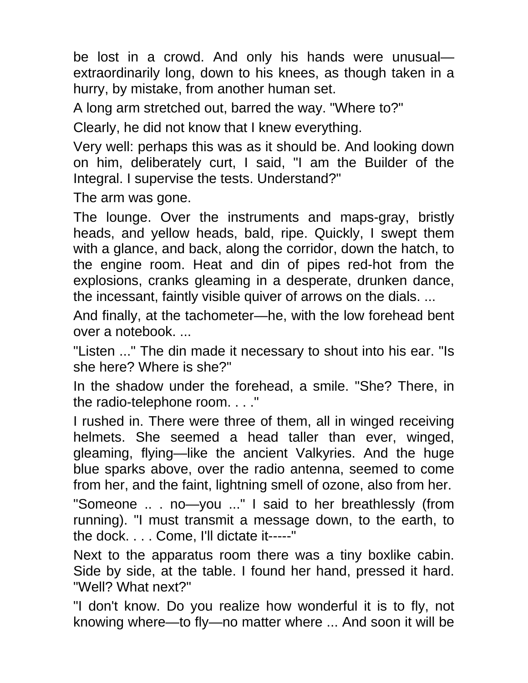be lost in a crowd. And only his hands were unusual extraordinarily long, down to his knees, as though taken in a hurry, by mistake, from another human set.

A long arm stretched out, barred the way. "Where to?"

Clearly, he did not know that I knew everything.

Very well: perhaps this was as it should be. And looking down on him, deliberately curt, I said, "I am the Builder of the Integral. I supervise the tests. Understand?"

The arm was gone.

The lounge. Over the instruments and maps-gray, bristly heads, and yellow heads, bald, ripe. Quickly, I swept them with a glance, and back, along the corridor, down the hatch, to the engine room. Heat and din of pipes red-hot from the explosions, cranks gleaming in a desperate, drunken dance, the incessant, faintly visible quiver of arrows on the dials. ...

And finally, at the tachometer—he, with the low forehead bent over a notebook. ...

"Listen ..." The din made it necessary to shout into his ear. "Is she here? Where is she?"

In the shadow under the forehead, a smile. "She? There, in the radio-telephone room. . . ."

I rushed in. There were three of them, all in winged receiving helmets. She seemed a head taller than ever, winged, gleaming, flying—like the ancient Valkyries. And the huge blue sparks above, over the radio antenna, seemed to come from her, and the faint, lightning smell of ozone, also from her.

"Someone .. . no—you ..." I said to her breathlessly (from running). "I must transmit a message down, to the earth, to the dock. . . . Come, I'll dictate it-----"

Next to the apparatus room there was a tiny boxlike cabin. Side by side, at the table. I found her hand, pressed it hard. "Well? What next?"

"I don't know. Do you realize how wonderful it is to fly, not knowing where—to fly—no matter where ... And soon it will be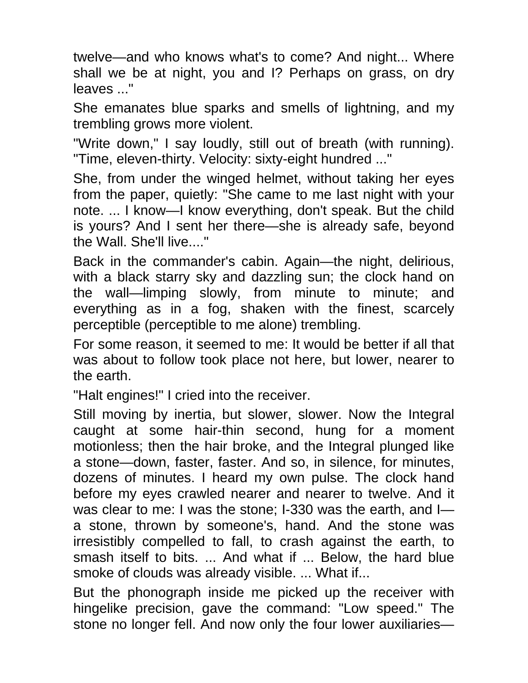twelve—and who knows what's to come? And night... Where shall we be at night, you and I? Perhaps on grass, on dry leaves ..."

She emanates blue sparks and smells of lightning, and my trembling grows more violent.

"Write down," I say loudly, still out of breath (with running). "Time, eleven-thirty. Velocity: sixty-eight hundred ..."

She, from under the winged helmet, without taking her eyes from the paper, quietly: "She came to me last night with your note. ... I know—I know everything, don't speak. But the child is yours? And I sent her there—she is already safe, beyond the Wall. She'll live...."

Back in the commander's cabin. Again—the night, delirious, with a black starry sky and dazzling sun; the clock hand on the wall—limping slowly, from minute to minute; and everything as in a fog, shaken with the finest, scarcely perceptible (perceptible to me alone) trembling.

For some reason, it seemed to me: It would be better if all that was about to follow took place not here, but lower, nearer to the earth.

"Halt engines!" I cried into the receiver.

Still moving by inertia, but slower, slower. Now the Integral caught at some hair-thin second, hung for a moment motionless; then the hair broke, and the Integral plunged like a stone—down, faster, faster. And so, in silence, for minutes, dozens of minutes. I heard my own pulse. The clock hand before my eyes crawled nearer and nearer to twelve. And it was clear to me: I was the stone; I-330 was the earth, and I a stone, thrown by someone's, hand. And the stone was irresistibly compelled to fall, to crash against the earth, to smash itself to bits. ... And what if ... Below, the hard blue smoke of clouds was already visible. ... What if...

But the phonograph inside me picked up the receiver with hingelike precision, gave the command: "Low speed." The stone no longer fell. And now only the four lower auxiliaries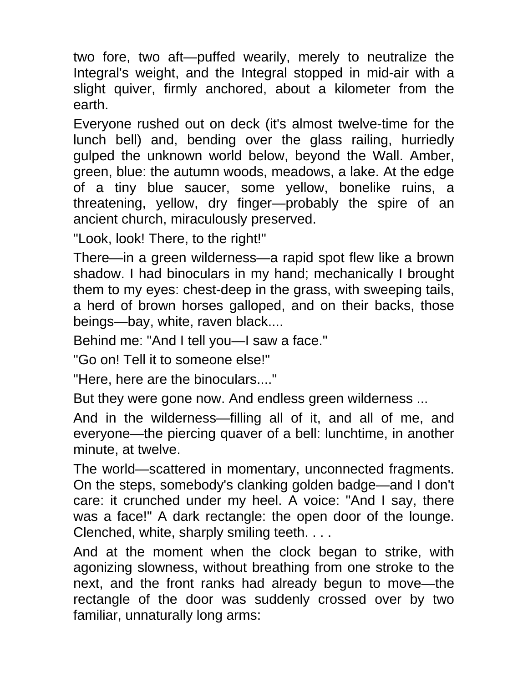two fore, two aft—puffed wearily, merely to neutralize the Integral's weight, and the Integral stopped in mid-air with a slight quiver, firmly anchored, about a kilometer from the earth.

Everyone rushed out on deck (it's almost twelve-time for the lunch bell) and, bending over the glass railing, hurriedly gulped the unknown world below, beyond the Wall. Amber, green, blue: the autumn woods, meadows, a lake. At the edge of a tiny blue saucer, some yellow, bonelike ruins, a threatening, yellow, dry finger—probably the spire of an ancient church, miraculously preserved.

"Look, look! There, to the right!"

There—in a green wilderness—a rapid spot flew like a brown shadow. I had binoculars in my hand; mechanically I brought them to my eyes: chest-deep in the grass, with sweeping tails, a herd of brown horses galloped, and on their backs, those beings—bay, white, raven black....

Behind me: "And I tell you—I saw a face."

"Go on! Tell it to someone else!"

"Here, here are the binoculars...."

But they were gone now. And endless green wilderness ...

And in the wilderness—filling all of it, and all of me, and everyone—the piercing quaver of a bell: lunchtime, in another minute, at twelve.

The world—scattered in momentary, unconnected fragments. On the steps, somebody's clanking golden badge—and I don't care: it crunched under my heel. A voice: "And I say, there was a face!" A dark rectangle: the open door of the lounge. Clenched, white, sharply smiling teeth. . . .

And at the moment when the clock began to strike, with agonizing slowness, without breathing from one stroke to the next, and the front ranks had already begun to move—the rectangle of the door was suddenly crossed over by two familiar, unnaturally long arms: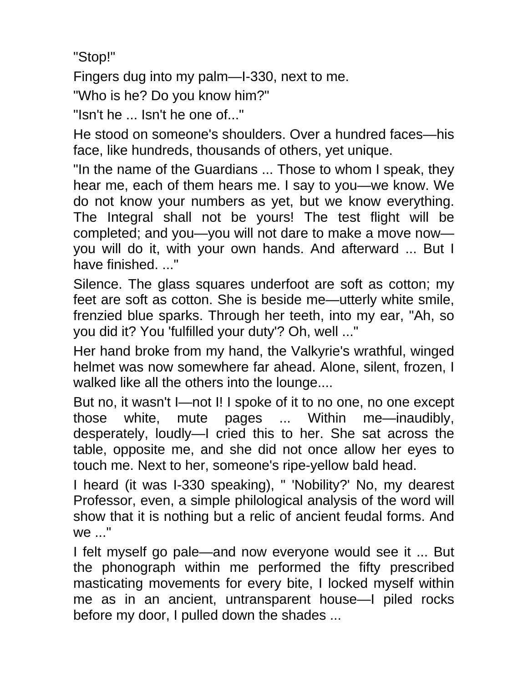"Stop!"

Fingers dug into my palm—I-330, next to me.

"Who is he? Do you know him?"

"Isn't he ... Isn't he one of..."

He stood on someone's shoulders. Over a hundred faces—his face, like hundreds, thousands of others, yet unique.

"In the name of the Guardians ... Those to whom I speak, they hear me, each of them hears me. I say to you—we know. We do not know your numbers as yet, but we know everything. The Integral shall not be yours! The test flight will be completed; and you—you will not dare to make a move now you will do it, with your own hands. And afterward ... But I have finished. ..."

Silence. The glass squares underfoot are soft as cotton; my feet are soft as cotton. She is beside me—utterly white smile, frenzied blue sparks. Through her teeth, into my ear, "Ah, so you did it? You 'fulfilled your duty'? Oh, well ..."

Her hand broke from my hand, the Valkyrie's wrathful, winged helmet was now somewhere far ahead. Alone, silent, frozen, I walked like all the others into the lounge....

But no, it wasn't I—not I! I spoke of it to no one, no one except those white, mute pages ... Within me—inaudibly, desperately, loudly—I cried this to her. She sat across the table, opposite me, and she did not once allow her eyes to touch me. Next to her, someone's ripe-yellow bald head.

I heard (it was I-330 speaking), " 'Nobility?' No, my dearest Professor, even, a simple philological analysis of the word will show that it is nothing but a relic of ancient feudal forms. And  $we$ ."

I felt myself go pale—and now everyone would see it ... But the phonograph within me performed the fifty prescribed masticating movements for every bite, I locked myself within me as in an ancient, untransparent house—I piled rocks before my door, I pulled down the shades ...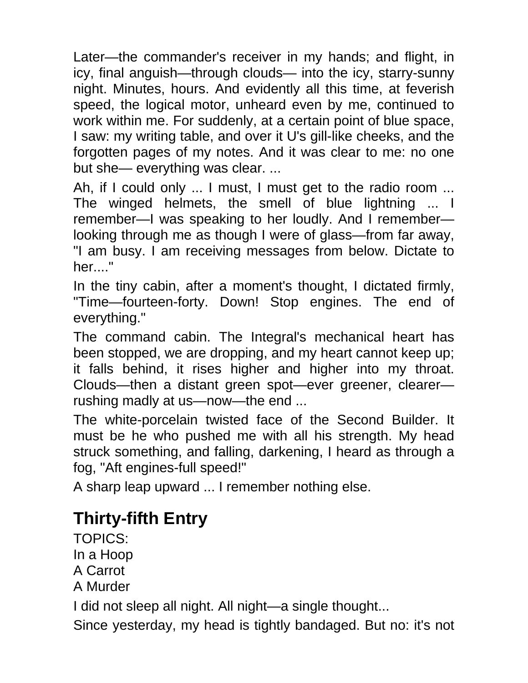Later—the commander's receiver in my hands; and flight, in icy, final anguish—through clouds— into the icy, starry-sunny night. Minutes, hours. And evidently all this time, at feverish speed, the logical motor, unheard even by me, continued to work within me. For suddenly, at a certain point of blue space, I saw: my writing table, and over it U's gill-like cheeks, and the forgotten pages of my notes. And it was clear to me: no one but she— everything was clear. ...

Ah, if I could only ... I must, I must get to the radio room ... The winged helmets, the smell of blue lightning ... I remember—I was speaking to her loudly. And I remember looking through me as though I were of glass—from far away, "I am busy. I am receiving messages from below. Dictate to her...."

In the tiny cabin, after a moment's thought, I dictated firmly, "Time—fourteen-forty. Down! Stop engines. The end of everything."

The command cabin. The Integral's mechanical heart has been stopped, we are dropping, and my heart cannot keep up; it falls behind, it rises higher and higher into my throat. Clouds—then a distant green spot—ever greener, clearer rushing madly at us—now—the end ...

The white-porcelain twisted face of the Second Builder. It must be he who pushed me with all his strength. My head struck something, and falling, darkening, I heard as through a fog, "Aft engines-full speed!"

A sharp leap upward ... I remember nothing else.

# **Thirty-fifth Entry**

TOPICS: In a Hoop A Carrot A Murder I did not sleep all night. All night—a single thought...

Since yesterday, my head is tightly bandaged. But no: it's not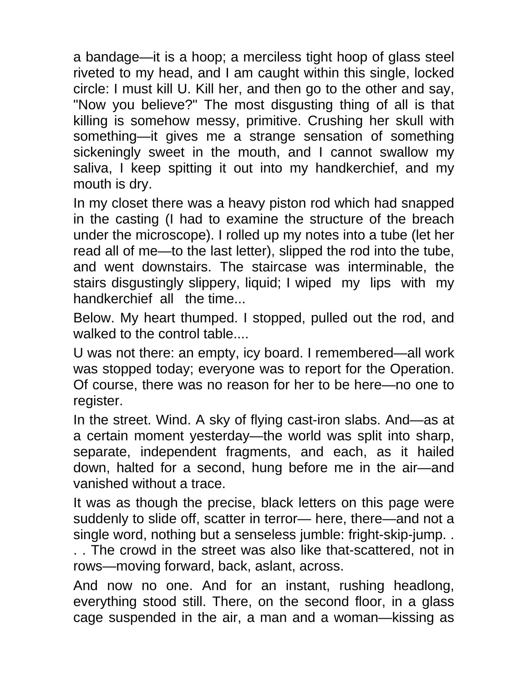a bandage—it is a hoop; a merciless tight hoop of glass steel riveted to my head, and I am caught within this single, locked circle: I must kill U. Kill her, and then go to the other and say, "Now you believe?" The most disgusting thing of all is that killing is somehow messy, primitive. Crushing her skull with something—it gives me a strange sensation of something sickeningly sweet in the mouth, and I cannot swallow my saliva, I keep spitting it out into my handkerchief, and my mouth is dry.

In my closet there was a heavy piston rod which had snapped in the casting (I had to examine the structure of the breach under the microscope). I rolled up my notes into a tube (let her read all of me—to the last letter), slipped the rod into the tube, and went downstairs. The staircase was interminable, the stairs disgustingly slippery, liquid; I wiped my lips with my handkerchief all the time...

Below. My heart thumped. I stopped, pulled out the rod, and walked to the control table....

U was not there: an empty, icy board. I remembered—all work was stopped today; everyone was to report for the Operation. Of course, there was no reason for her to be here—no one to register.

In the street. Wind. A sky of flying cast-iron slabs. And—as at a certain moment yesterday—the world was split into sharp, separate, independent fragments, and each, as it hailed down, halted for a second, hung before me in the air—and vanished without a trace.

It was as though the precise, black letters on this page were suddenly to slide off, scatter in terror— here, there—and not a single word, nothing but a senseless jumble: fright-skip-jump. .

. . The crowd in the street was also like that-scattered, not in rows—moving forward, back, aslant, across.

And now no one. And for an instant, rushing headlong, everything stood still. There, on the second floor, in a glass cage suspended in the air, a man and a woman—kissing as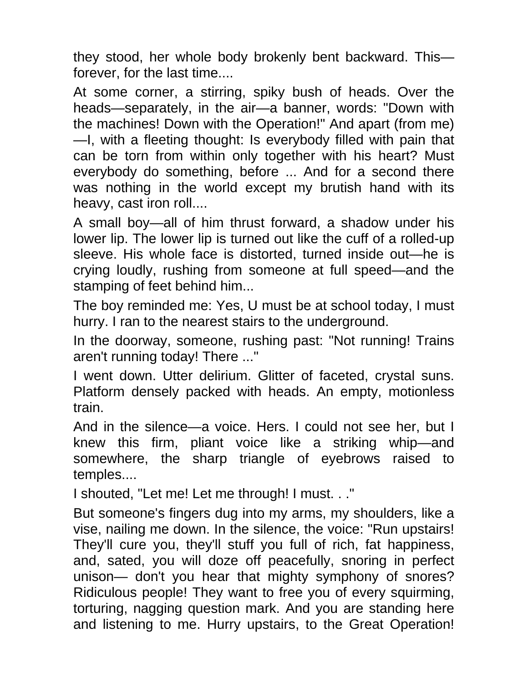they stood, her whole body brokenly bent backward. This forever, for the last time....

At some corner, a stirring, spiky bush of heads. Over the heads—separately, in the air—a banner, words: "Down with the machines! Down with the Operation!" And apart (from me) —I, with a fleeting thought: Is everybody filled with pain that can be torn from within only together with his heart? Must everybody do something, before ... And for a second there was nothing in the world except my brutish hand with its heavy, cast iron roll....

A small boy—all of him thrust forward, a shadow under his lower lip. The lower lip is turned out like the cuff of a rolled-up sleeve. His whole face is distorted, turned inside out—he is crying loudly, rushing from someone at full speed—and the stamping of feet behind him...

The boy reminded me: Yes, U must be at school today, I must hurry. I ran to the nearest stairs to the underground.

In the doorway, someone, rushing past: "Not running! Trains aren't running today! There ..."

I went down. Utter delirium. Glitter of faceted, crystal suns. Platform densely packed with heads. An empty, motionless train.

And in the silence—a voice. Hers. I could not see her, but I knew this firm, pliant voice like a striking whip—and somewhere, the sharp triangle of eyebrows raised to temples....

I shouted, "Let me! Let me through! I must. . ."

But someone's fingers dug into my arms, my shoulders, like a vise, nailing me down. In the silence, the voice: "Run upstairs! They'll cure you, they'll stuff you full of rich, fat happiness, and, sated, you will doze off peacefully, snoring in perfect unison— don't you hear that mighty symphony of snores? Ridiculous people! They want to free you of every squirming, torturing, nagging question mark. And you are standing here and listening to me. Hurry upstairs, to the Great Operation!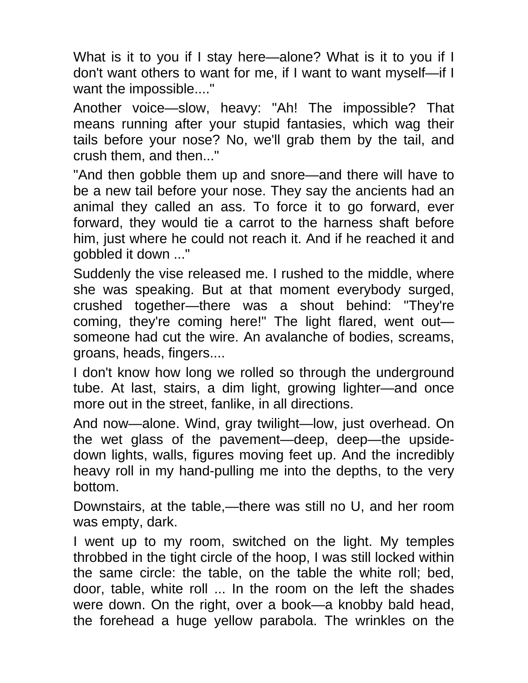What is it to you if I stay here—alone? What is it to you if I don't want others to want for me, if I want to want myself—if I want the impossible...."

Another voice—slow, heavy: "Ah! The impossible? That means running after your stupid fantasies, which wag their tails before your nose? No, we'll grab them by the tail, and crush them, and then..."

"And then gobble them up and snore—and there will have to be a new tail before your nose. They say the ancients had an animal they called an ass. To force it to go forward, ever forward, they would tie a carrot to the harness shaft before him, just where he could not reach it. And if he reached it and gobbled it down ..."

Suddenly the vise released me. I rushed to the middle, where she was speaking. But at that moment everybody surged, crushed together—there was a shout behind: "They're coming, they're coming here!" The light flared, went out someone had cut the wire. An avalanche of bodies, screams, groans, heads, fingers....

I don't know how long we rolled so through the underground tube. At last, stairs, a dim light, growing lighter—and once more out in the street, fanlike, in all directions.

And now—alone. Wind, gray twilight—low, just overhead. On the wet glass of the pavement—deep, deep—the upsidedown lights, walls, figures moving feet up. And the incredibly heavy roll in my hand-pulling me into the depths, to the very bottom.

Downstairs, at the table,—there was still no U, and her room was empty, dark.

I went up to my room, switched on the light. My temples throbbed in the tight circle of the hoop, I was still locked within the same circle: the table, on the table the white roll; bed, door, table, white roll ... In the room on the left the shades were down. On the right, over a book—a knobby bald head, the forehead a huge yellow parabola. The wrinkles on the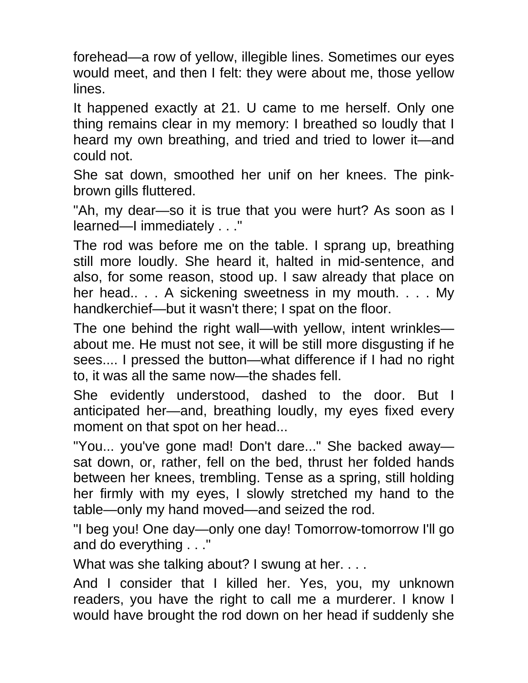forehead—a row of yellow, illegible lines. Sometimes our eyes would meet, and then I felt: they were about me, those yellow lines.

It happened exactly at 21. U came to me herself. Only one thing remains clear in my memory: I breathed so loudly that I heard my own breathing, and tried and tried to lower it—and could not.

She sat down, smoothed her unif on her knees. The pinkbrown gills fluttered.

"Ah, my dear—so it is true that you were hurt? As soon as I learned—I immediately . . ."

The rod was before me on the table. I sprang up, breathing still more loudly. She heard it, halted in mid-sentence, and also, for some reason, stood up. I saw already that place on her head... A sickening sweetness in my mouth... My handkerchief—but it wasn't there; I spat on the floor.

The one behind the right wall—with yellow, intent wrinkles about me. He must not see, it will be still more disgusting if he sees.... I pressed the button—what difference if I had no right to, it was all the same now—the shades fell.

She evidently understood, dashed to the door. But I anticipated her—and, breathing loudly, my eyes fixed every moment on that spot on her head...

"You... you've gone mad! Don't dare..." She backed away sat down, or, rather, fell on the bed, thrust her folded hands between her knees, trembling. Tense as a spring, still holding her firmly with my eyes, I slowly stretched my hand to the table—only my hand moved—and seized the rod.

"I beg you! One day—only one day! Tomorrow-tomorrow I'll go and do everything . . ."

What was she talking about? I swung at her. . . .

And I consider that I killed her. Yes, you, my unknown readers, you have the right to call me a murderer. I know I would have brought the rod down on her head if suddenly she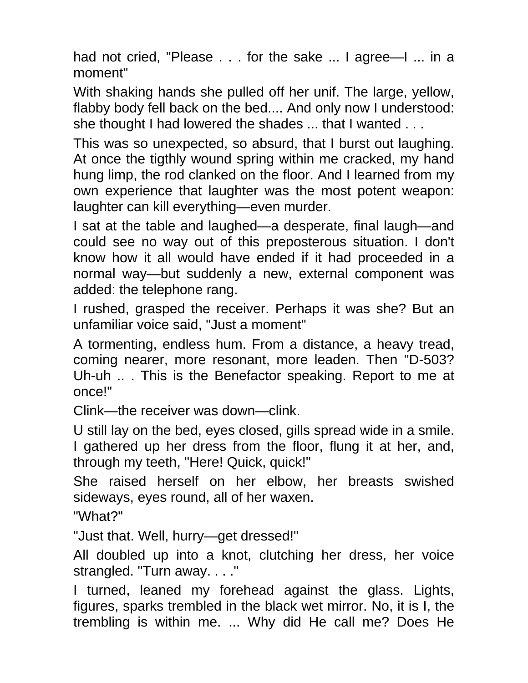had not cried, "Please . . . for the sake ... I agree—I ... in a moment"

With shaking hands she pulled off her unif. The large, yellow, flabby body fell back on the bed.... And only now I understood: she thought I had lowered the shades ... that I wanted . . .

This was so unexpected, so absurd, that I burst out laughing. At once the tigthly wound spring within me cracked, my hand hung limp, the rod clanked on the floor. And I learned from my own experience that laughter was the most potent weapon: laughter can kill everything—even murder.

I sat at the table and laughed—a desperate, final laugh—and could see no way out of this preposterous situation. I don't know how it all would have ended if it had proceeded in a normal way—but suddenly a new, external component was added: the telephone rang.

I rushed, grasped the receiver. Perhaps it was she? But an unfamiliar voice said, "Just a moment"

A tormenting, endless hum. From a distance, a heavy tread, coming nearer, more resonant, more leaden. Then "D-503? Uh-uh .. . This is the Benefactor speaking. Report to me at once!"

Clink—the receiver was down—clink.

U still lay on the bed, eyes closed, gills spread wide in a smile. I gathered up her dress from the floor, flung it at her, and, through my teeth, "Here! Quick, quick!"

She raised herself on her elbow, her breasts swished sideways, eyes round, all of her waxen.

"What?"

"Just that. Well, hurry—get dressed!"

All doubled up into a knot, clutching her dress, her voice strangled. "Turn away. . . ."

I turned, leaned my forehead against the glass. Lights, figures, sparks trembled in the black wet mirror. No, it is I, the trembling is within me. ... Why did He call me? Does He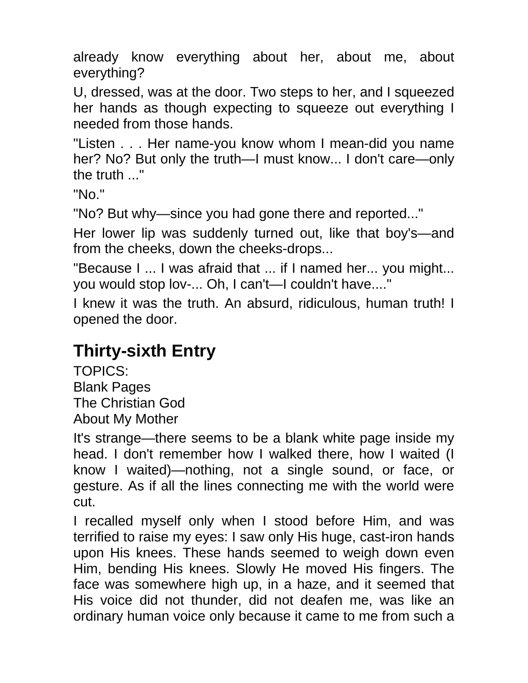already know everything about her, about me, about everything?

U, dressed, was at the door. Two steps to her, and I squeezed her hands as though expecting to squeeze out everything I needed from those hands.

"Listen . . . Her name-you know whom I mean-did you name her? No? But only the truth—I must know... I don't care—only the truth ..."

"No."

"No? But why—since you had gone there and reported..."

Her lower lip was suddenly turned out, like that boy's—and from the cheeks, down the cheeks-drops...

"Because I ... I was afraid that ... if I named her... you might... you would stop lov-... Oh, I can't—I couldn't have...."

I knew it was the truth. An absurd, ridiculous, human truth! I opened the door.

## **Thirty-sixth Entry**

TOPICS: Blank Pages The Christian God About My Mother

It's strange—there seems to be a blank white page inside my head. I don't remember how I walked there, how I waited (I know I waited)—nothing, not a single sound, or face, or gesture. As if all the lines connecting me with the world were cut.

I recalled myself only when I stood before Him, and was terrified to raise my eyes: I saw only His huge, cast-iron hands upon His knees. These hands seemed to weigh down even Him, bending His knees. Slowly He moved His fingers. The face was somewhere high up, in a haze, and it seemed that His voice did not thunder, did not deafen me, was like an ordinary human voice only because it came to me from such a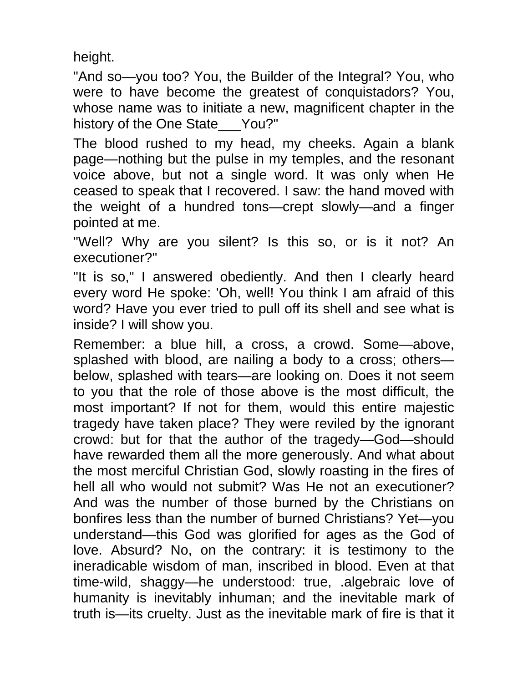height.

"And so—you too? You, the Builder of the Integral? You, who were to have become the greatest of conquistadors? You, whose name was to initiate a new, magnificent chapter in the history of the One State You?"

The blood rushed to my head, my cheeks. Again a blank page—nothing but the pulse in my temples, and the resonant voice above, but not a single word. It was only when He ceased to speak that I recovered. I saw: the hand moved with the weight of a hundred tons—crept slowly—and a finger pointed at me.

"Well? Why are you silent? Is this so, or is it not? An executioner?"

"It is so," I answered obediently. And then I clearly heard every word He spoke: 'Oh, well! You think I am afraid of this word? Have you ever tried to pull off its shell and see what is inside? I will show you.

Remember: a blue hill, a cross, a crowd. Some—above, splashed with blood, are nailing a body to a cross; others below, splashed with tears—are looking on. Does it not seem to you that the role of those above is the most difficult, the most important? If not for them, would this entire majestic tragedy have taken place? They were reviled by the ignorant crowd: but for that the author of the tragedy—God—should have rewarded them all the more generously. And what about the most merciful Christian God, slowly roasting in the fires of hell all who would not submit? Was He not an executioner? And was the number of those burned by the Christians on bonfires less than the number of burned Christians? Yet—you understand—this God was glorified for ages as the God of love. Absurd? No, on the contrary: it is testimony to the ineradicable wisdom of man, inscribed in blood. Even at that time-wild, shaggy—he understood: true, .algebraic love of humanity is inevitably inhuman; and the inevitable mark of truth is—its cruelty. Just as the inevitable mark of fire is that it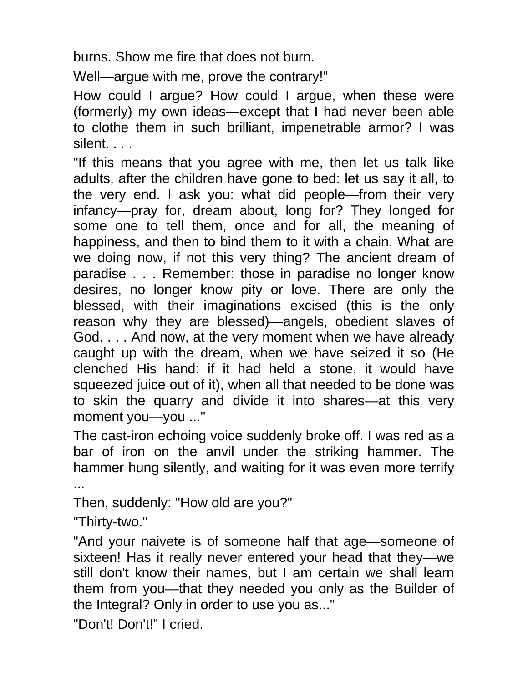burns. Show me fire that does not burn.

Well—argue with me, prove the contrary!"

How could I argue? How could I argue, when these were (formerly) my own ideas—except that I had never been able to clothe them in such brilliant, impenetrable armor? I was silent. . . .

"If this means that you agree with me, then let us talk like adults, after the children have gone to bed: let us say it all, to the very end. I ask you: what did people—from their very infancy—pray for, dream about, long for? They longed for some one to tell them, once and for all, the meaning of happiness, and then to bind them to it with a chain. What are we doing now, if not this very thing? The ancient dream of paradise . . . Remember: those in paradise no longer know desires, no longer know pity or love. There are only the blessed, with their imaginations excised (this is the only reason why they are blessed)—angels, obedient slaves of God. . . . And now, at the very moment when we have already caught up with the dream, when we have seized it so (He clenched His hand: if it had held a stone, it would have squeezed juice out of it), when all that needed to be done was to skin the quarry and divide it into shares—at this very moment you—you ..."

The cast-iron echoing voice suddenly broke off. I was red as a bar of iron on the anvil under the striking hammer. The hammer hung silently, and waiting for it was even more terrify ...

Then, suddenly: "How old are you?"

"Thirty-two."

"And your naivete is of someone half that age—someone of sixteen! Has it really never entered your head that they—we still don't know their names, but I am certain we shall learn them from you—that they needed you only as the Builder of the Integral? Only in order to use you as..."

"Don't! Don't!" I cried.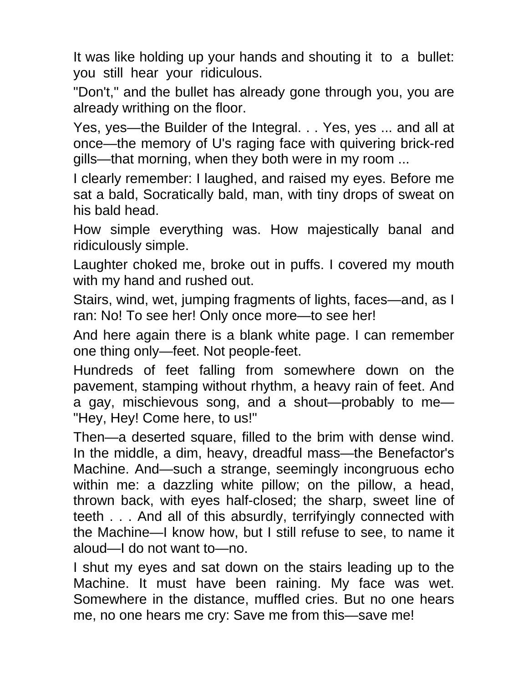It was like holding up your hands and shouting it to a bullet: you still hear your ridiculous.

"Don't," and the bullet has already gone through you, you are already writhing on the floor.

Yes, yes—the Builder of the Integral. . . Yes, yes ... and all at once—the memory of U's raging face with quivering brick-red gills—that morning, when they both were in my room ...

I clearly remember: I laughed, and raised my eyes. Before me sat a bald, Socratically bald, man, with tiny drops of sweat on his bald head.

How simple everything was. How majestically banal and ridiculously simple.

Laughter choked me, broke out in puffs. I covered my mouth with my hand and rushed out.

Stairs, wind, wet, jumping fragments of lights, faces—and, as I ran: No! To see her! Only once more—to see her!

And here again there is a blank white page. I can remember one thing only—feet. Not people-feet.

Hundreds of feet falling from somewhere down on the pavement, stamping without rhythm, a heavy rain of feet. And a gay, mischievous song, and a shout—probably to me— "Hey, Hey! Come here, to us!"

Then—a deserted square, filled to the brim with dense wind. In the middle, a dim, heavy, dreadful mass—the Benefactor's Machine. And—such a strange, seemingly incongruous echo within me: a dazzling white pillow; on the pillow, a head, thrown back, with eyes half-closed; the sharp, sweet line of teeth . . . And all of this absurdly, terrifyingly connected with the Machine—I know how, but I still refuse to see, to name it aloud—I do not want to—no.

I shut my eyes and sat down on the stairs leading up to the Machine. It must have been raining. My face was wet. Somewhere in the distance, muffled cries. But no one hears me, no one hears me cry: Save me from this—save me!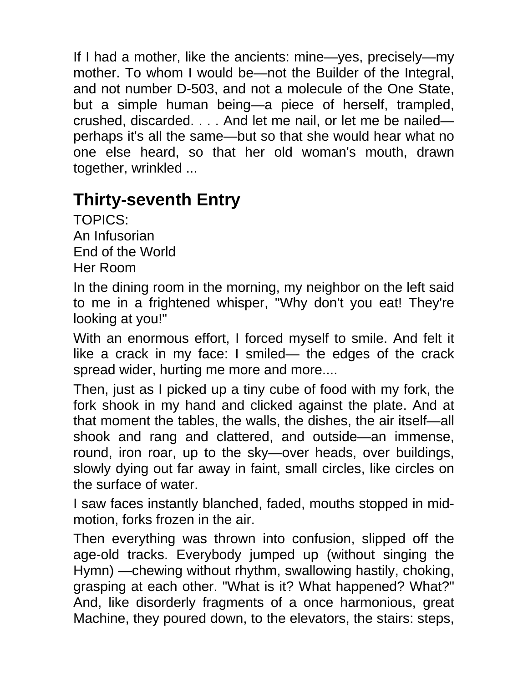If I had a mother, like the ancients: mine—yes, precisely—my mother. To whom I would be—not the Builder of the Integral, and not number D-503, and not a molecule of the One State, but a simple human being—a piece of herself, trampled, crushed, discarded. . . . And let me nail, or let me be nailed perhaps it's all the same—but so that she would hear what no one else heard, so that her old woman's mouth, drawn together, wrinkled ...

# **Thirty-seventh Entry**

TOPICS: An Infusorian End of the World Her Room

In the dining room in the morning, my neighbor on the left said to me in a frightened whisper, "Why don't you eat! They're looking at you!"

With an enormous effort, I forced myself to smile. And felt it like a crack in my face: I smiled— the edges of the crack spread wider, hurting me more and more....

Then, just as I picked up a tiny cube of food with my fork, the fork shook in my hand and clicked against the plate. And at that moment the tables, the walls, the dishes, the air itself—all shook and rang and clattered, and outside—an immense, round, iron roar, up to the sky—over heads, over buildings, slowly dying out far away in faint, small circles, like circles on the surface of water.

I saw faces instantly blanched, faded, mouths stopped in midmotion, forks frozen in the air.

Then everything was thrown into confusion, slipped off the age-old tracks. Everybody jumped up (without singing the Hymn) —chewing without rhythm, swallowing hastily, choking, grasping at each other. "What is it? What happened? What?" And, like disorderly fragments of a once harmonious, great Machine, they poured down, to the elevators, the stairs: steps,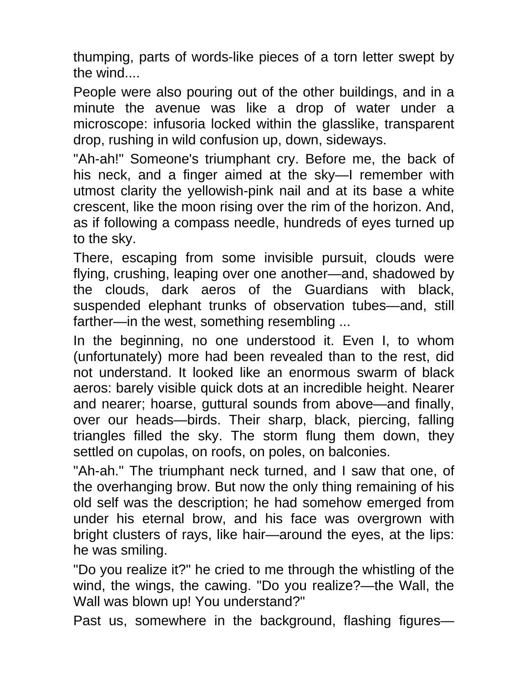thumping, parts of words-like pieces of a torn letter swept by the wind....

People were also pouring out of the other buildings, and in a minute the avenue was like a drop of water under a microscope: infusoria locked within the glasslike, transparent drop, rushing in wild confusion up, down, sideways.

"Ah-ah!" Someone's triumphant cry. Before me, the back of his neck, and a finger aimed at the sky—I remember with utmost clarity the yellowish-pink nail and at its base a white crescent, like the moon rising over the rim of the horizon. And, as if following a compass needle, hundreds of eyes turned up to the sky.

There, escaping from some invisible pursuit, clouds were flying, crushing, leaping over one another—and, shadowed by the clouds, dark aeros of the Guardians with black, suspended elephant trunks of observation tubes—and, still farther—in the west, something resembling ...

In the beginning, no one understood it. Even I, to whom (unfortunately) more had been revealed than to the rest, did not understand. It looked like an enormous swarm of black aeros: barely visible quick dots at an incredible height. Nearer and nearer; hoarse, guttural sounds from above—and finally, over our heads—birds. Their sharp, black, piercing, falling triangles filled the sky. The storm flung them down, they settled on cupolas, on roofs, on poles, on balconies.

"Ah-ah." The triumphant neck turned, and I saw that one, of the overhanging brow. But now the only thing remaining of his old self was the description; he had somehow emerged from under his eternal brow, and his face was overgrown with bright clusters of rays, like hair—around the eyes, at the lips: he was smiling.

"Do you realize it?" he cried to me through the whistling of the wind, the wings, the cawing. "Do you realize?—the Wall, the Wall was blown up! You understand?"

Past us, somewhere in the background, flashing figures—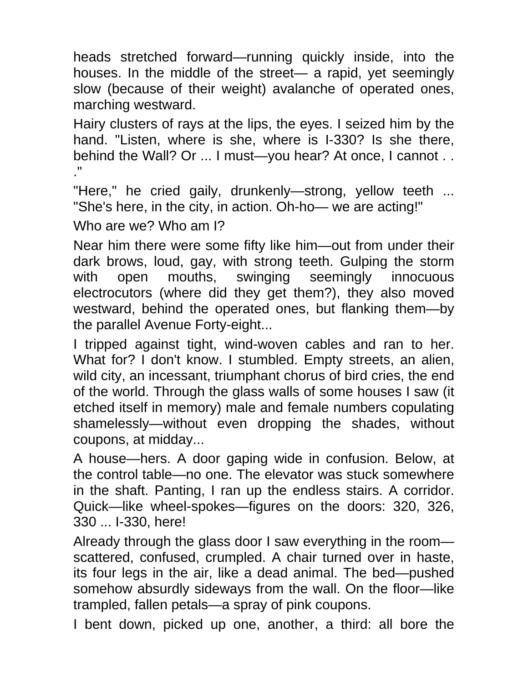heads stretched forward—running quickly inside, into the houses. In the middle of the street— a rapid, yet seemingly slow (because of their weight) avalanche of operated ones, marching westward.

Hairy clusters of rays at the lips, the eyes. I seized him by the hand. "Listen, where is she, where is I-330? Is she there, behind the Wall? Or ... I must—you hear? At once, I cannot . .  $\,$   $\,$   $\,$ 

"Here," he cried gaily, drunkenly—strong, yellow teeth ... "She's here, in the city, in action. Oh-ho— we are acting!"

Who are we? Who am I?

Near him there were some fifty like him—out from under their dark brows, loud, gay, with strong teeth. Gulping the storm with open mouths, swinging seemingly innocuous electrocutors (where did they get them?), they also moved westward, behind the operated ones, but flanking them—by the parallel Avenue Forty-eight...

I tripped against tight, wind-woven cables and ran to her. What for? I don't know. I stumbled. Empty streets, an alien, wild city, an incessant, triumphant chorus of bird cries, the end of the world. Through the glass walls of some houses I saw (it etched itself in memory) male and female numbers copulating shamelessly—without even dropping the shades, without coupons, at midday...

A house—hers. A door gaping wide in confusion. Below, at the control table—no one. The elevator was stuck somewhere in the shaft. Panting, I ran up the endless stairs. A corridor. Quick—like wheel-spokes—figures on the doors: 320, 326, 330 ... I-330, here!

Already through the glass door I saw everything in the room scattered, confused, crumpled. A chair turned over in haste, its four legs in the air, like a dead animal. The bed—pushed somehow absurdly sideways from the wall. On the floor—like trampled, fallen petals—a spray of pink coupons.

I bent down, picked up one, another, a third: all bore the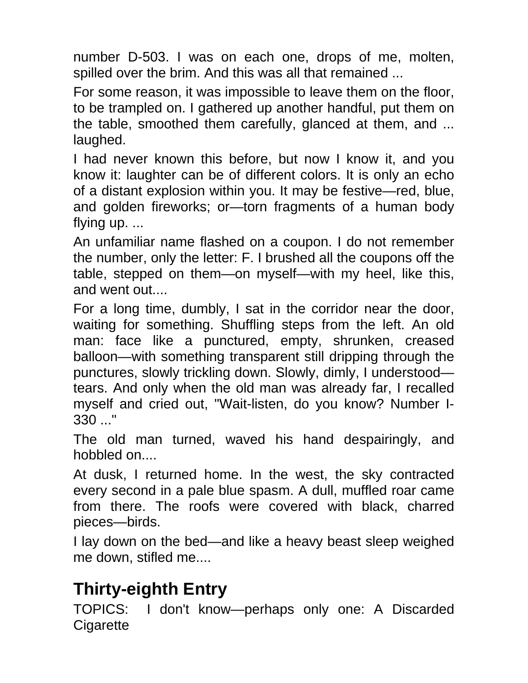number D-503. I was on each one, drops of me, molten, spilled over the brim. And this was all that remained ...

For some reason, it was impossible to leave them on the floor, to be trampled on. I gathered up another handful, put them on the table, smoothed them carefully, glanced at them, and ... laughed.

I had never known this before, but now I know it, and you know it: laughter can be of different colors. It is only an echo of a distant explosion within you. It may be festive—red, blue, and golden fireworks; or—torn fragments of a human body flying up. ...

An unfamiliar name flashed on a coupon. I do not remember the number, only the letter: F. I brushed all the coupons off the table, stepped on them—on myself—with my heel, like this, and went out....

For a long time, dumbly, I sat in the corridor near the door, waiting for something. Shuffling steps from the left. An old man: face like a punctured, empty, shrunken, creased balloon—with something transparent still dripping through the punctures, slowly trickling down. Slowly, dimly, I understood tears. And only when the old man was already far, I recalled myself and cried out, "Wait-listen, do you know? Number I-330 ..."

The old man turned, waved his hand despairingly, and hobbled on....

At dusk, I returned home. In the west, the sky contracted every second in a pale blue spasm. A dull, muffled roar came from there. The roofs were covered with black, charred pieces—birds.

I lay down on the bed—and like a heavy beast sleep weighed me down, stifled me....

### **Thirty-eighth Entry**

TOPICS: I don't know—perhaps only one: A Discarded **Cigarette**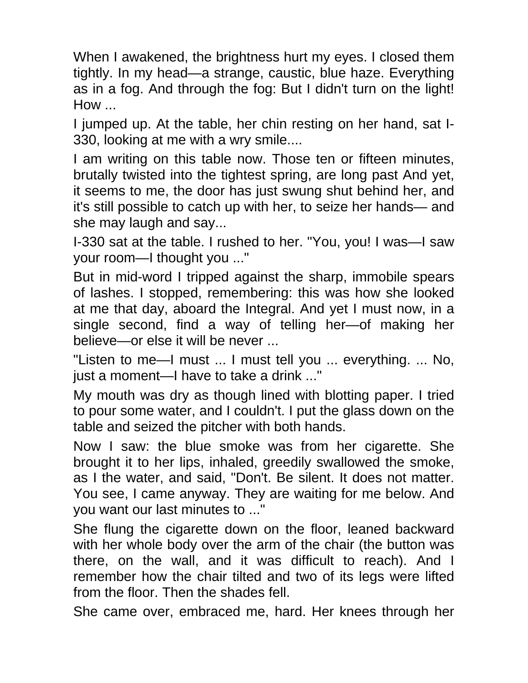When I awakened, the brightness hurt my eyes. I closed them tightly. In my head—a strange, caustic, blue haze. Everything as in a fog. And through the fog: But I didn't turn on the light! How ...

I jumped up. At the table, her chin resting on her hand, sat I-330, looking at me with a wry smile....

I am writing on this table now. Those ten or fifteen minutes, brutally twisted into the tightest spring, are long past And yet, it seems to me, the door has just swung shut behind her, and it's still possible to catch up with her, to seize her hands— and she may laugh and say...

I-330 sat at the table. I rushed to her. "You, you! I was—I saw your room—I thought you ..."

But in mid-word I tripped against the sharp, immobile spears of lashes. I stopped, remembering: this was how she looked at me that day, aboard the Integral. And yet I must now, in a single second, find a way of telling her—of making her believe—or else it will be never ...

"Listen to me—I must ... I must tell you ... everything. ... No, just a moment—I have to take a drink ..."

My mouth was dry as though lined with blotting paper. I tried to pour some water, and I couldn't. I put the glass down on the table and seized the pitcher with both hands.

Now I saw: the blue smoke was from her cigarette. She brought it to her lips, inhaled, greedily swallowed the smoke, as I the water, and said, "Don't. Be silent. It does not matter. You see, I came anyway. They are waiting for me below. And you want our last minutes to ..."

She flung the cigarette down on the floor, leaned backward with her whole body over the arm of the chair (the button was there, on the wall, and it was difficult to reach). And I remember how the chair tilted and two of its legs were lifted from the floor. Then the shades fell.

She came over, embraced me, hard. Her knees through her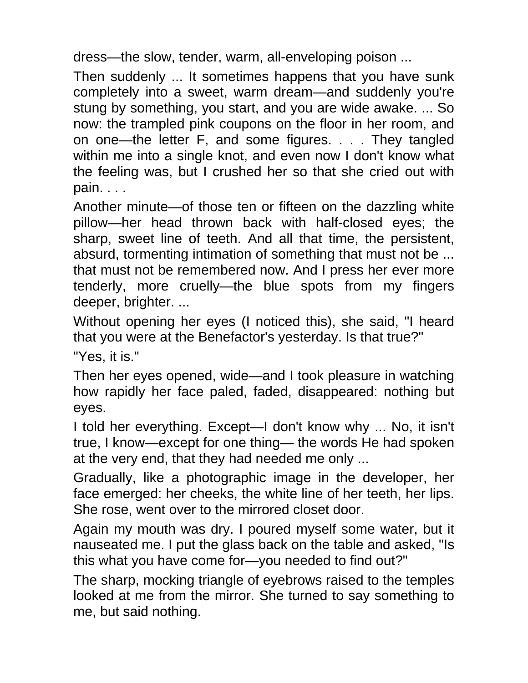dress—the slow, tender, warm, all-enveloping poison ...

Then suddenly ... It sometimes happens that you have sunk completely into a sweet, warm dream—and suddenly you're stung by something, you start, and you are wide awake. ... So now: the trampled pink coupons on the floor in her room, and on one—the letter F, and some figures. . . . They tangled within me into a single knot, and even now I don't know what the feeling was, but I crushed her so that she cried out with pain. . . .

Another minute—of those ten or fifteen on the dazzling white pillow—her head thrown back with half-closed eyes; the sharp, sweet line of teeth. And all that time, the persistent, absurd, tormenting intimation of something that must not be ... that must not be remembered now. And I press her ever more tenderly, more cruelly—the blue spots from my fingers deeper, brighter. ...

Without opening her eyes (I noticed this), she said, "I heard that you were at the Benefactor's yesterday. Is that true?"

"Yes, it is."

Then her eyes opened, wide—and I took pleasure in watching how rapidly her face paled, faded, disappeared: nothing but eyes.

I told her everything. Except—I don't know why ... No, it isn't true, I know—except for one thing— the words He had spoken at the very end, that they had needed me only ...

Gradually, like a photographic image in the developer, her face emerged: her cheeks, the white line of her teeth, her lips. She rose, went over to the mirrored closet door.

Again my mouth was dry. I poured myself some water, but it nauseated me. I put the glass back on the table and asked, "Is this what you have come for—you needed to find out?"

The sharp, mocking triangle of eyebrows raised to the temples looked at me from the mirror. She turned to say something to me, but said nothing.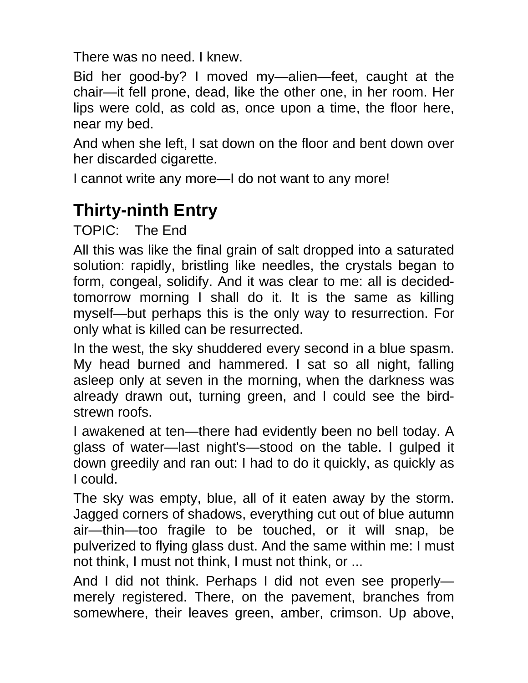There was no need. I knew.

Bid her good-by? I moved my—alien—feet, caught at the chair—it fell prone, dead, like the other one, in her room. Her lips were cold, as cold as, once upon a time, the floor here, near my bed.

And when she left, I sat down on the floor and bent down over her discarded cigarette.

I cannot write any more—I do not want to any more!

# **Thirty-ninth Entry**

TOPIC: The End

All this was like the final grain of salt dropped into a saturated solution: rapidly, bristling like needles, the crystals began to form, congeal, solidify. And it was clear to me: all is decidedtomorrow morning I shall do it. It is the same as killing myself—but perhaps this is the only way to resurrection. For only what is killed can be resurrected.

In the west, the sky shuddered every second in a blue spasm. My head burned and hammered. I sat so all night, falling asleep only at seven in the morning, when the darkness was already drawn out, turning green, and I could see the birdstrewn roofs.

I awakened at ten—there had evidently been no bell today. A glass of water—last night's—stood on the table. I gulped it down greedily and ran out: I had to do it quickly, as quickly as I could.

The sky was empty, blue, all of it eaten away by the storm. Jagged corners of shadows, everything cut out of blue autumn air—thin—too fragile to be touched, or it will snap, be pulverized to flying glass dust. And the same within me: I must not think, I must not think, I must not think, or ...

And I did not think. Perhaps I did not even see properly merely registered. There, on the pavement, branches from somewhere, their leaves green, amber, crimson. Up above,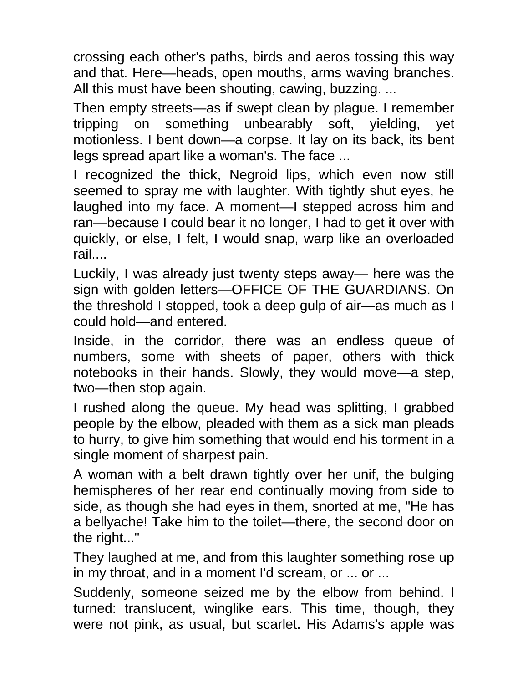crossing each other's paths, birds and aeros tossing this way and that. Here—heads, open mouths, arms waving branches. All this must have been shouting, cawing, buzzing. ...

Then empty streets—as if swept clean by plague. I remember tripping on something unbearably soft, yielding, yet motionless. I bent down—a corpse. It lay on its back, its bent legs spread apart like a woman's. The face ...

I recognized the thick, Negroid lips, which even now still seemed to spray me with laughter. With tightly shut eyes, he laughed into my face. A moment—I stepped across him and ran—because I could bear it no longer, I had to get it over with quickly, or else, I felt, I would snap, warp like an overloaded rail....

Luckily, I was already just twenty steps away— here was the sign with golden letters—OFFICE OF THE GUARDIANS. On the threshold I stopped, took a deep gulp of air—as much as I could hold—and entered.

Inside, in the corridor, there was an endless queue of numbers, some with sheets of paper, others with thick notebooks in their hands. Slowly, they would move—a step, two—then stop again.

I rushed along the queue. My head was splitting, I grabbed people by the elbow, pleaded with them as a sick man pleads to hurry, to give him something that would end his torment in a single moment of sharpest pain.

A woman with a belt drawn tightly over her unif, the bulging hemispheres of her rear end continually moving from side to side, as though she had eyes in them, snorted at me, "He has a bellyache! Take him to the toilet—there, the second door on the right..."

They laughed at me, and from this laughter something rose up in my throat, and in a moment I'd scream, or ... or ...

Suddenly, someone seized me by the elbow from behind. I turned: translucent, winglike ears. This time, though, they were not pink, as usual, but scarlet. His Adams's apple was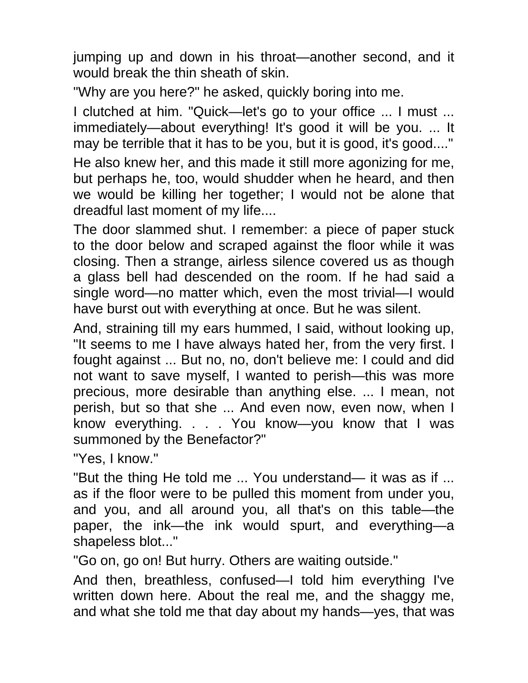jumping up and down in his throat—another second, and it would break the thin sheath of skin.

"Why are you here?" he asked, quickly boring into me.

I clutched at him. "Quick—let's go to your office ... I must ... immediately—about everything! It's good it will be you. ... It may be terrible that it has to be you, but it is good, it's good...."

He also knew her, and this made it still more agonizing for me, but perhaps he, too, would shudder when he heard, and then we would be killing her together; I would not be alone that dreadful last moment of my life....

The door slammed shut. I remember: a piece of paper stuck to the door below and scraped against the floor while it was closing. Then a strange, airless silence covered us as though a glass bell had descended on the room. If he had said a single word—no matter which, even the most trivial—I would have burst out with everything at once. But he was silent.

And, straining till my ears hummed, I said, without looking up, "It seems to me I have always hated her, from the very first. I fought against ... But no, no, don't believe me: I could and did not want to save myself, I wanted to perish—this was more precious, more desirable than anything else. ... I mean, not perish, but so that she ... And even now, even now, when I know everything. . . . You know—you know that I was summoned by the Benefactor?"

"Yes, I know."

"But the thing He told me ... You understand— it was as if ... as if the floor were to be pulled this moment from under you, and you, and all around you, all that's on this table—the paper, the ink—the ink would spurt, and everything—a shapeless blot..."

"Go on, go on! But hurry. Others are waiting outside."

And then, breathless, confused—I told him everything I've written down here. About the real me, and the shaggy me, and what she told me that day about my hands—yes, that was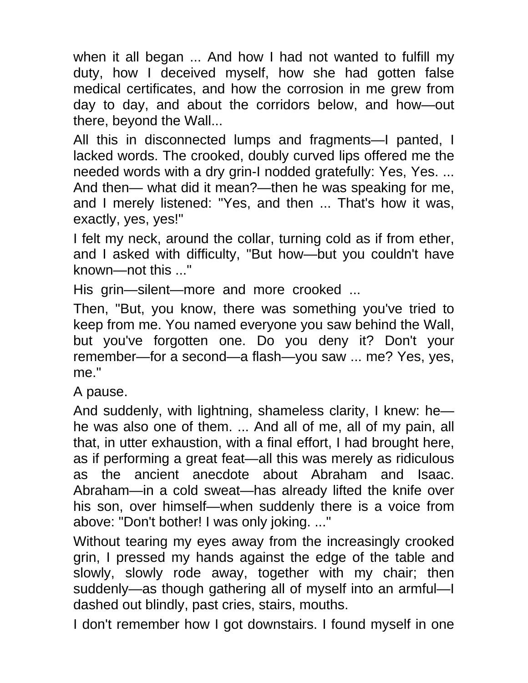when it all began ... And how I had not wanted to fulfill my duty, how I deceived myself, how she had gotten false medical certificates, and how the corrosion in me grew from day to day, and about the corridors below, and how—out there, beyond the Wall...

All this in disconnected lumps and fragments—I panted, I lacked words. The crooked, doubly curved lips offered me the needed words with a dry grin-I nodded gratefully: Yes, Yes. ... And then— what did it mean?—then he was speaking for me, and I merely listened: "Yes, and then ... That's how it was, exactly, yes, yes!"

I felt my neck, around the collar, turning cold as if from ether, and I asked with difficulty, "But how—but you couldn't have known—not this ..."

His grin—silent—more and more crooked ...

Then, "But, you know, there was something you've tried to keep from me. You named everyone you saw behind the Wall, but you've forgotten one. Do you deny it? Don't your remember—for a second—a flash—you saw ... me? Yes, yes, me."

A pause.

And suddenly, with lightning, shameless clarity, I knew: he he was also one of them. ... And all of me, all of my pain, all that, in utter exhaustion, with a final effort, I had brought here, as if performing a great feat—all this was merely as ridiculous as the ancient anecdote about Abraham and Isaac. Abraham—in a cold sweat—has already lifted the knife over his son, over himself—when suddenly there is a voice from above: "Don't bother! I was only joking. ..."

Without tearing my eyes away from the increasingly crooked grin, I pressed my hands against the edge of the table and slowly, slowly rode away, together with my chair; then suddenly—as though gathering all of myself into an armful—I dashed out blindly, past cries, stairs, mouths.

I don't remember how I got downstairs. I found myself in one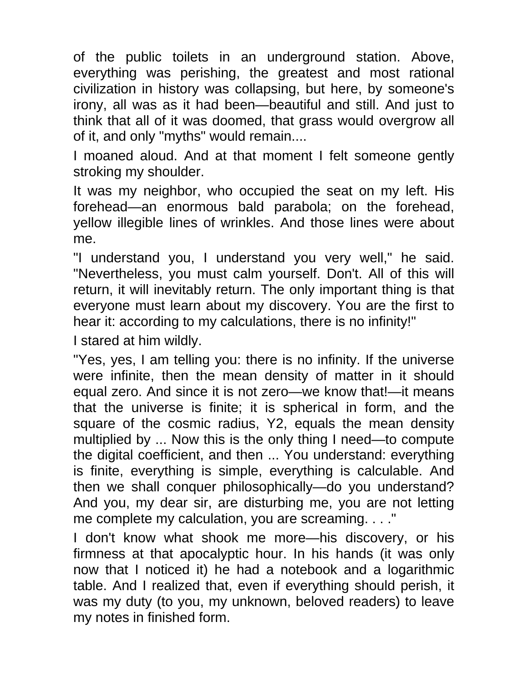of the public toilets in an underground station. Above, everything was perishing, the greatest and most rational civilization in history was collapsing, but here, by someone's irony, all was as it had been—beautiful and still. And just to think that all of it was doomed, that grass would overgrow all of it, and only "myths" would remain....

I moaned aloud. And at that moment I felt someone gently stroking my shoulder.

It was my neighbor, who occupied the seat on my left. His forehead—an enormous bald parabola; on the forehead, yellow illegible lines of wrinkles. And those lines were about me.

"I understand you, I understand you very well," he said. "Nevertheless, you must calm yourself. Don't. All of this will return, it will inevitably return. The only important thing is that everyone must learn about my discovery. You are the first to hear it: according to my calculations, there is no infinity!"

I stared at him wildly.

"Yes, yes, I am telling you: there is no infinity. If the universe were infinite, then the mean density of matter in it should equal zero. And since it is not zero—we know that!—it means that the universe is finite; it is spherical in form, and the square of the cosmic radius, Y2, equals the mean density multiplied by ... Now this is the only thing I need—to compute the digital coefficient, and then ... You understand: everything is finite, everything is simple, everything is calculable. And then we shall conquer philosophically—do you understand? And you, my dear sir, are disturbing me, you are not letting me complete my calculation, you are screaming. . . ."

I don't know what shook me more—his discovery, or his firmness at that apocalyptic hour. In his hands (it was only now that I noticed it) he had a notebook and a logarithmic table. And I realized that, even if everything should perish, it was my duty (to you, my unknown, beloved readers) to leave my notes in finished form.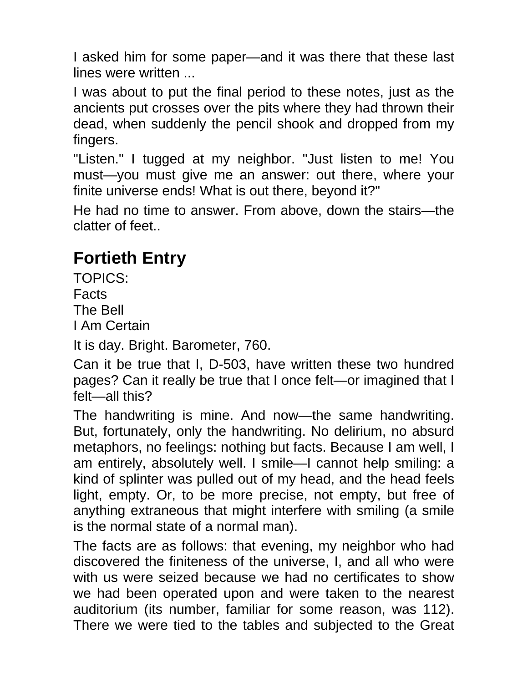I asked him for some paper—and it was there that these last lines were written ...

I was about to put the final period to these notes, just as the ancients put crosses over the pits where they had thrown their dead, when suddenly the pencil shook and dropped from my fingers.

"Listen." I tugged at my neighbor. "Just listen to me! You must—you must give me an answer: out there, where your finite universe ends! What is out there, beyond it?"

He had no time to answer. From above, down the stairs—the clatter of feet..

## **Fortieth Entry**

TOPICS: Facts The Bell I Am Certain

It is day. Bright. Barometer, 760.

Can it be true that I, D-503, have written these two hundred pages? Can it really be true that I once felt—or imagined that I felt—all this?

The handwriting is mine. And now—the same handwriting. But, fortunately, only the handwriting. No delirium, no absurd metaphors, no feelings: nothing but facts. Because I am well, I am entirely, absolutely well. I smile—I cannot help smiling: a kind of splinter was pulled out of my head, and the head feels light, empty. Or, to be more precise, not empty, but free of anything extraneous that might interfere with smiling (a smile is the normal state of a normal man).

The facts are as follows: that evening, my neighbor who had discovered the finiteness of the universe, I, and all who were with us were seized because we had no certificates to show we had been operated upon and were taken to the nearest auditorium (its number, familiar for some reason, was 112). There we were tied to the tables and subjected to the Great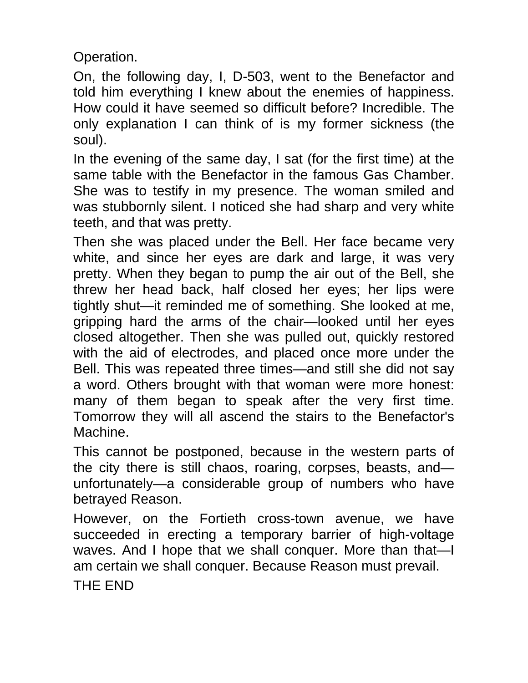Operation.

On, the following day, I, D-503, went to the Benefactor and told him everything I knew about the enemies of happiness. How could it have seemed so difficult before? Incredible. The only explanation I can think of is my former sickness (the soul).

In the evening of the same day, I sat (for the first time) at the same table with the Benefactor in the famous Gas Chamber. She was to testify in my presence. The woman smiled and was stubbornly silent. I noticed she had sharp and very white teeth, and that was pretty.

Then she was placed under the Bell. Her face became very white, and since her eyes are dark and large, it was very pretty. When they began to pump the air out of the Bell, she threw her head back, half closed her eyes; her lips were tightly shut—it reminded me of something. She looked at me, gripping hard the arms of the chair—looked until her eyes closed altogether. Then she was pulled out, quickly restored with the aid of electrodes, and placed once more under the Bell. This was repeated three times—and still she did not say a word. Others brought with that woman were more honest: many of them began to speak after the very first time. Tomorrow they will all ascend the stairs to the Benefactor's Machine.

This cannot be postponed, because in the western parts of the city there is still chaos, roaring, corpses, beasts, and unfortunately—a considerable group of numbers who have betrayed Reason.

However, on the Fortieth cross-town avenue, we have succeeded in erecting a temporary barrier of high-voltage waves. And I hope that we shall conquer. More than that—I am certain we shall conquer. Because Reason must prevail.

THE END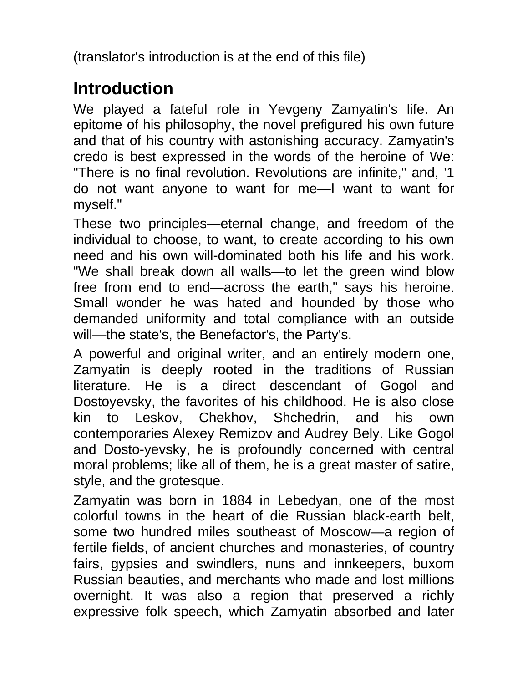(translator's introduction is at the end of this file)

## **Introduction**

We played a fateful role in Yevgeny Zamyatin's life. An epitome of his philosophy, the novel prefigured his own future and that of his country with astonishing accuracy. Zamyatin's credo is best expressed in the words of the heroine of We: "There is no final revolution. Revolutions are infinite," and, '1 do not want anyone to want for me—I want to want for myself."

These two principles—eternal change, and freedom of the individual to choose, to want, to create according to his own need and his own will-dominated both his life and his work. "We shall break down all walls—to let the green wind blow free from end to end—across the earth," says his heroine. Small wonder he was hated and hounded by those who demanded uniformity and total compliance with an outside will—the state's, the Benefactor's, the Party's.

A powerful and original writer, and an entirely modern one, Zamyatin is deeply rooted in the traditions of Russian literature. He is a direct descendant of Gogol and Dostoyevsky, the favorites of his childhood. He is also close kin to Leskov, Chekhov, Shchedrin, and his own contemporaries Alexey Remizov and Audrey Bely. Like Gogol and Dosto-yevsky, he is profoundly concerned with central moral problems; like all of them, he is a great master of satire, style, and the grotesque.

Zamyatin was born in 1884 in Lebedyan, one of the most colorful towns in the heart of die Russian black-earth belt, some two hundred miles southeast of Moscow—a region of fertile fields, of ancient churches and monasteries, of country fairs, gypsies and swindlers, nuns and innkeepers, buxom Russian beauties, and merchants who made and lost millions overnight. It was also a region that preserved a richly expressive folk speech, which Zamyatin absorbed and later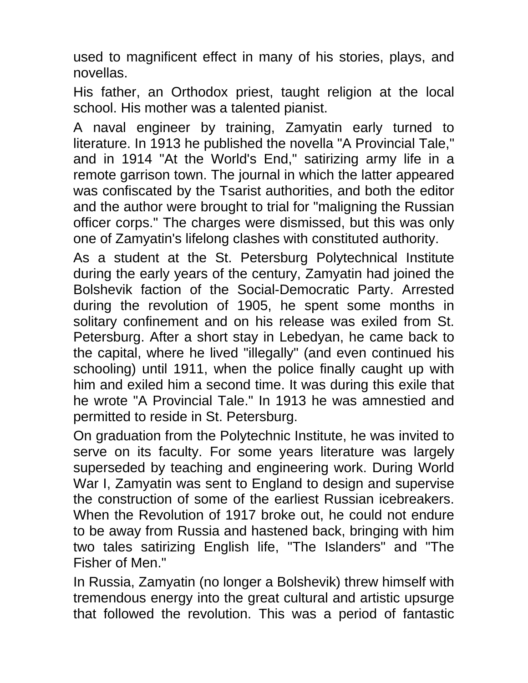used to magnificent effect in many of his stories, plays, and novellas.

His father, an Orthodox priest, taught religion at the local school. His mother was a talented pianist.

A naval engineer by training, Zamyatin early turned to literature. In 1913 he published the novella "A Provincial Tale," and in 1914 "At the World's End," satirizing army life in a remote garrison town. The journal in which the latter appeared was confiscated by the Tsarist authorities, and both the editor and the author were brought to trial for "maligning the Russian officer corps." The charges were dismissed, but this was only one of Zamyatin's lifelong clashes with constituted authority.

As a student at the St. Petersburg Polytechnical Institute during the early years of the century, Zamyatin had joined the Bolshevik faction of the Social-Democratic Party. Arrested during the revolution of 1905, he spent some months in solitary confinement and on his release was exiled from St. Petersburg. After a short stay in Lebedyan, he came back to the capital, where he lived "illegally" (and even continued his schooling) until 1911, when the police finally caught up with him and exiled him a second time. It was during this exile that he wrote "A Provincial Tale." In 1913 he was amnestied and permitted to reside in St. Petersburg.

On graduation from the Polytechnic Institute, he was invited to serve on its faculty. For some years literature was largely superseded by teaching and engineering work. During World War I, Zamyatin was sent to England to design and supervise the construction of some of the earliest Russian icebreakers. When the Revolution of 1917 broke out, he could not endure to be away from Russia and hastened back, bringing with him two tales satirizing English life, "The Islanders" and "The Fisher of Men."

In Russia, Zamyatin (no longer a Bolshevik) threw himself with tremendous energy into the great cultural and artistic upsurge that followed the revolution. This was a period of fantastic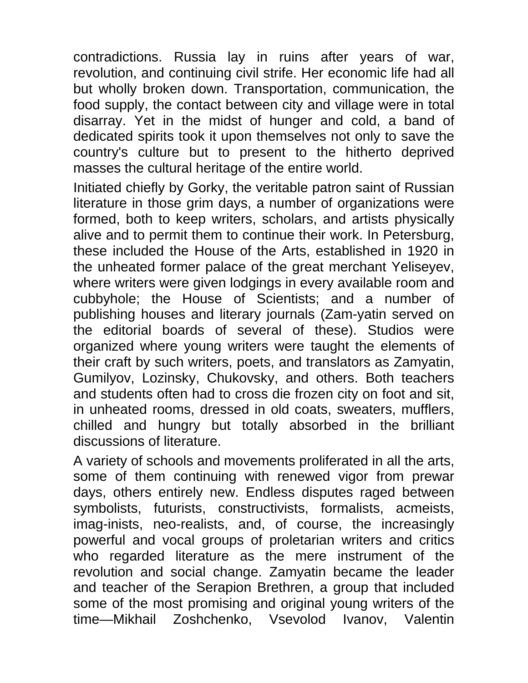contradictions. Russia lay in ruins after years of war, revolution, and continuing civil strife. Her economic life had all but wholly broken down. Transportation, communication, the food supply, the contact between city and village were in total disarray. Yet in the midst of hunger and cold, a band of dedicated spirits took it upon themselves not only to save the country's culture but to present to the hitherto deprived masses the cultural heritage of the entire world.

Initiated chiefly by Gorky, the veritable patron saint of Russian literature in those grim days, a number of organizations were formed, both to keep writers, scholars, and artists physically alive and to permit them to continue their work. In Petersburg, these included the House of the Arts, established in 1920 in the unheated former palace of the great merchant Yeliseyev, where writers were given lodgings in every available room and cubbyhole; the House of Scientists; and a number of publishing houses and literary journals (Zam-yatin served on the editorial boards of several of these). Studios were organized where young writers were taught the elements of their craft by such writers, poets, and translators as Zamyatin, Gumilyov, Lozinsky, Chukovsky, and others. Both teachers and students often had to cross die frozen city on foot and sit, in unheated rooms, dressed in old coats, sweaters, mufflers, chilled and hungry but totally absorbed in the brilliant discussions of literature.

A variety of schools and movements proliferated in all the arts, some of them continuing with renewed vigor from prewar days, others entirely new. Endless disputes raged between symbolists, futurists, constructivists, formalists, acmeists, imag-inists, neo-realists, and, of course, the increasingly powerful and vocal groups of proletarian writers and critics who regarded literature as the mere instrument of the revolution and social change. Zamyatin became the leader and teacher of the Serapion Brethren, a group that included some of the most promising and original young writers of the time—Mikhail Zoshchenko, Vsevolod Ivanov, Valentin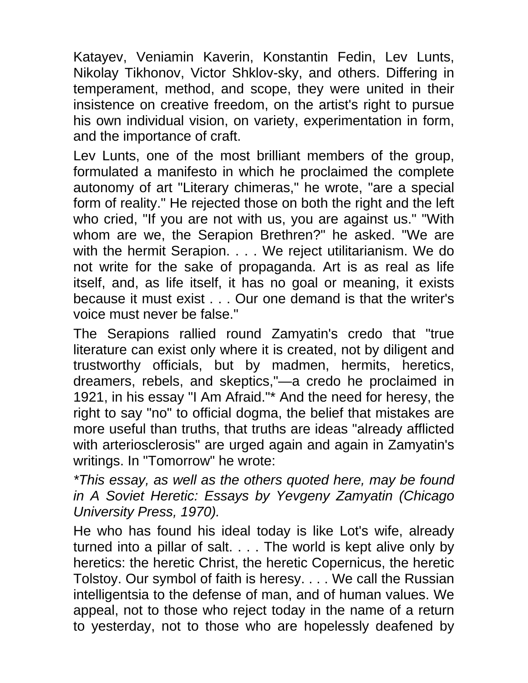Katayev, Veniamin Kaverin, Konstantin Fedin, Lev Lunts, Nikolay Tikhonov, Victor Shklov-sky, and others. Differing in temperament, method, and scope, they were united in their insistence on creative freedom, on the artist's right to pursue his own individual vision, on variety, experimentation in form, and the importance of craft.

Lev Lunts, one of the most brilliant members of the group, formulated a manifesto in which he proclaimed the complete autonomy of art "Literary chimeras," he wrote, "are a special form of reality." He rejected those on both the right and the left who cried, "If you are not with us, you are against us." "With whom are we, the Serapion Brethren?" he asked. "We are with the hermit Serapion. . . . We reject utilitarianism. We do not write for the sake of propaganda. Art is as real as life itself, and, as life itself, it has no goal or meaning, it exists because it must exist . . . Our one demand is that the writer's voice must never be false."

The Serapions rallied round Zamyatin's credo that "true literature can exist only where it is created, not by diligent and trustworthy officials, but by madmen, hermits, heretics, dreamers, rebels, and skeptics,"—a credo he proclaimed in 1921, in his essay "I Am Afraid."\* And the need for heresy, the right to say "no" to official dogma, the belief that mistakes are more useful than truths, that truths are ideas "already afflicted with arteriosclerosis" are urged again and again in Zamyatin's writings. In "Tomorrow" he wrote:

*\*This essay, as well as the others quoted here, may be found in A Soviet Heretic: Essays by Yevgeny Zamyatin (Chicago University Press, 1970).* 

He who has found his ideal today is like Lot's wife, already turned into a pillar of salt. . . . The world is kept alive only by heretics: the heretic Christ, the heretic Copernicus, the heretic Tolstoy. Our symbol of faith is heresy. . . . We call the Russian intelligentsia to the defense of man, and of human values. We appeal, not to those who reject today in the name of a return to yesterday, not to those who are hopelessly deafened by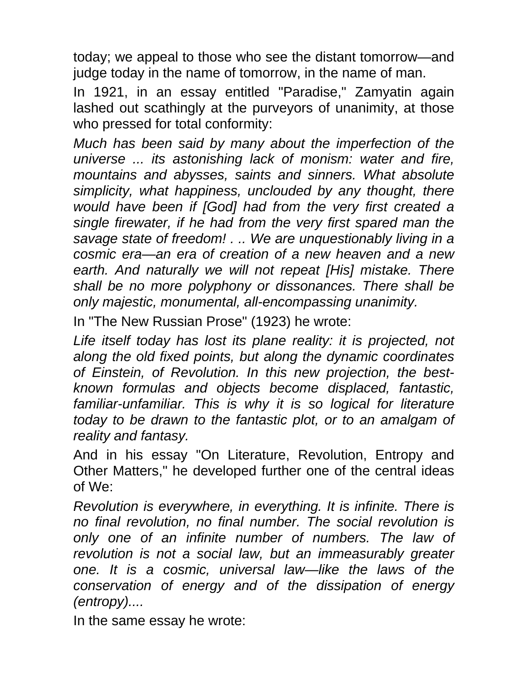today; we appeal to those who see the distant tomorrow—and judge today in the name of tomorrow, in the name of man.

In 1921, in an essay entitled "Paradise," Zamyatin again lashed out scathingly at the purveyors of unanimity, at those who pressed for total conformity:

*Much has been said by many about the imperfection of the universe ... its astonishing lack of monism: water and fire, mountains and abysses, saints and sinners. What absolute simplicity, what happiness, unclouded by any thought, there would have been if [God] had from the very first created a single firewater, if he had from the very first spared man the savage state of freedom! . .. We are unquestionably living in a cosmic era—an era of creation of a new heaven and a new earth. And naturally we will not repeat [His] mistake. There shall be no more polyphony or dissonances. There shall be only majestic, monumental, all-encompassing unanimity.* 

In "The New Russian Prose" (1923) he wrote:

Life itself today has lost its plane reality: it is projected, not *along the old fixed points, but along the dynamic coordinates of Einstein, of Revolution. In this new projection, the bestknown formulas and objects become displaced, fantastic, familiar-unfamiliar. This is why it is so logical for literature today to be drawn to the fantastic plot, or to an amalgam of reality and fantasy.* 

And in his essay "On Literature, Revolution, Entropy and Other Matters," he developed further one of the central ideas of We:

*Revolution is everywhere, in everything. It is infinite. There is no final revolution, no final number. The social revolution is only one of an infinite number of numbers. The law of revolution is not a social law, but an immeasurably greater one. It is a cosmic, universal law—like the laws of the conservation of energy and of the dissipation of energy (entropy)....* 

In the same essay he wrote: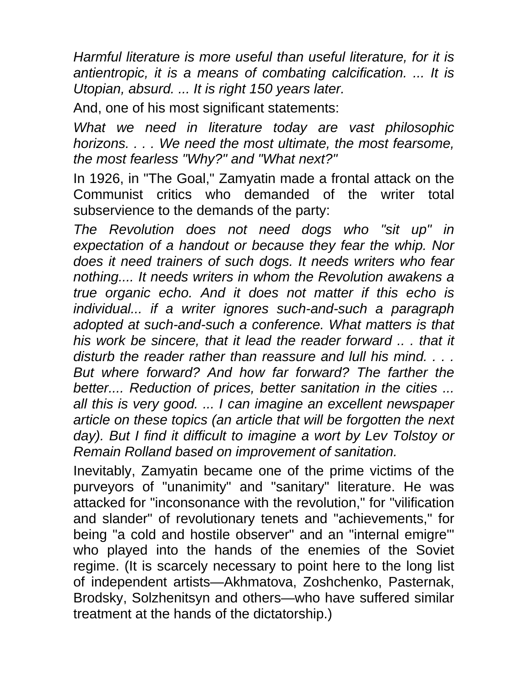*Harmful literature is more useful than useful literature, for it is antientropic, it is a means of combating calcification. ... It is Utopian, absurd. ... It is right 150 years later.* 

And, one of his most significant statements:

*What we need in literature today are vast philosophic horizons. . . . We need the most ultimate, the most fearsome, the most fearless "Why?" and "What next?"* 

In 1926, in "The Goal," Zamyatin made a frontal attack on the Communist critics who demanded of the writer total subservience to the demands of the party:

*The Revolution does not need dogs who "sit up" in expectation of a handout or because they fear the whip. Nor does it need trainers of such dogs. It needs writers who fear nothing.... It needs writers in whom the Revolution awakens a true organic echo. And it does not matter if this echo is individual... if a writer ignores such-and-such a paragraph adopted at such-and-such a conference. What matters is that*  his work be sincere, that it lead the reader forward ... that it *disturb the reader rather than reassure and lull his mind. . . . But where forward? And how far forward? The farther the better.... Reduction of prices, better sanitation in the cities ... all this is very good. ... I can imagine an excellent newspaper article on these topics (an article that will be forgotten the next*  day). But I find it difficult to imagine a wort by Lev Tolstoy or *Remain Rolland based on improvement of sanitation.* 

Inevitably, Zamyatin became one of the prime victims of the purveyors of "unanimity" and "sanitary" literature. He was attacked for "inconsonance with the revolution," for "vilification and slander" of revolutionary tenets and "achievements," for being "a cold and hostile observer" and an "internal emigre'" who played into the hands of the enemies of the Soviet regime. (It is scarcely necessary to point here to the long list of independent artists—Akhmatova, Zoshchenko, Pasternak, Brodsky, Solzhenitsyn and others—who have suffered similar treatment at the hands of the dictatorship.)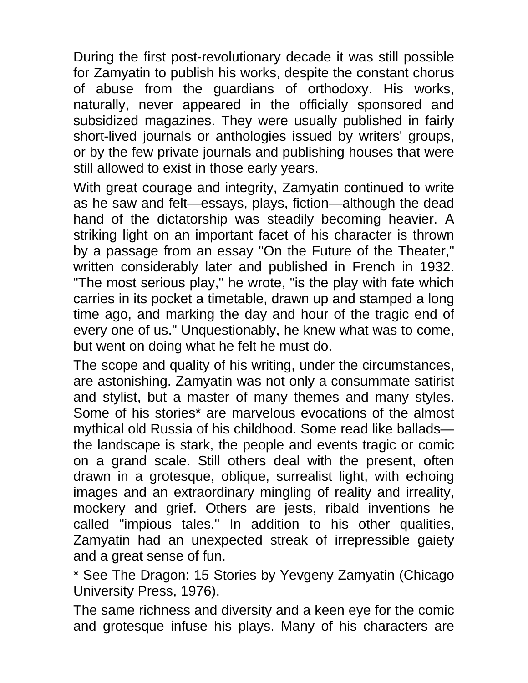During the first post-revolutionary decade it was still possible for Zamyatin to publish his works, despite the constant chorus of abuse from the guardians of orthodoxy. His works, naturally, never appeared in the officially sponsored and subsidized magazines. They were usually published in fairly short-lived journals or anthologies issued by writers' groups, or by the few private journals and publishing houses that were still allowed to exist in those early years.

With great courage and integrity, Zamyatin continued to write as he saw and felt—essays, plays, fiction—although the dead hand of the dictatorship was steadily becoming heavier. A striking light on an important facet of his character is thrown by a passage from an essay "On the Future of the Theater," written considerably later and published in French in 1932. "The most serious play," he wrote, "is the play with fate which carries in its pocket a timetable, drawn up and stamped a long time ago, and marking the day and hour of the tragic end of every one of us." Unquestionably, he knew what was to come, but went on doing what he felt he must do.

The scope and quality of his writing, under the circumstances, are astonishing. Zamyatin was not only a consummate satirist and stylist, but a master of many themes and many styles. Some of his stories\* are marvelous evocations of the almost mythical old Russia of his childhood. Some read like ballads the landscape is stark, the people and events tragic or comic on a grand scale. Still others deal with the present, often drawn in a grotesque, oblique, surrealist light, with echoing images and an extraordinary mingling of reality and irreality, mockery and grief. Others are jests, ribald inventions he called "impious tales." In addition to his other qualities, Zamyatin had an unexpected streak of irrepressible gaiety and a great sense of fun.

\* See The Dragon: 15 Stories by Yevgeny Zamyatin (Chicago University Press, 1976).

The same richness and diversity and a keen eye for the comic and grotesque infuse his plays. Many of his characters are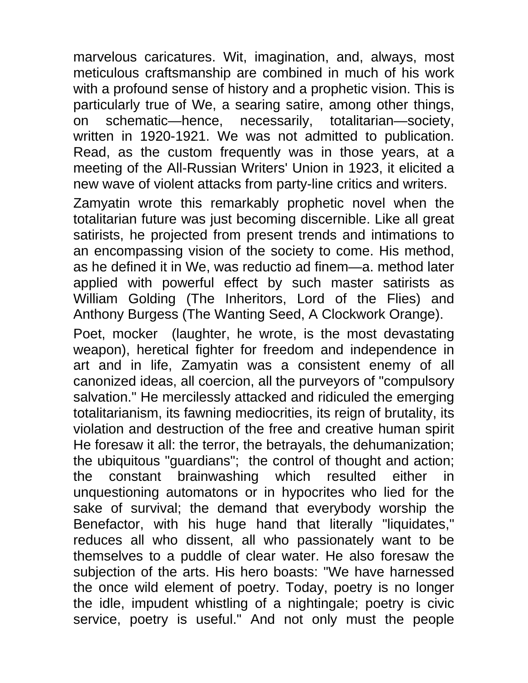marvelous caricatures. Wit, imagination, and, always, most meticulous craftsmanship are combined in much of his work with a profound sense of history and a prophetic vision. This is particularly true of We, a searing satire, among other things, on schematic—hence, necessarily, totalitarian—society, written in 1920-1921. We was not admitted to publication. Read, as the custom frequently was in those years, at a meeting of the All-Russian Writers' Union in 1923, it elicited a new wave of violent attacks from party-line critics and writers.

Zamyatin wrote this remarkably prophetic novel when the totalitarian future was just becoming discernible. Like all great satirists, he projected from present trends and intimations to an encompassing vision of the society to come. His method, as he defined it in We, was reductio ad finem—a. method later applied with powerful effect by such master satirists as William Golding (The Inheritors, Lord of the Flies) and Anthony Burgess (The Wanting Seed, A Clockwork Orange).

Poet, mocker (laughter, he wrote, is the most devastating weapon), heretical fighter for freedom and independence in art and in life, Zamyatin was a consistent enemy of all canonized ideas, all coercion, all the purveyors of "compulsory salvation." He mercilessly attacked and ridiculed the emerging totalitarianism, its fawning mediocrities, its reign of brutality, its violation and destruction of the free and creative human spirit He foresaw it all: the terror, the betrayals, the dehumanization; the ubiquitous "guardians"; the control of thought and action; the constant brainwashing which resulted either in unquestioning automatons or in hypocrites who lied for the sake of survival; the demand that everybody worship the Benefactor, with his huge hand that literally "liquidates," reduces all who dissent, all who passionately want to be themselves to a puddle of clear water. He also foresaw the subjection of the arts. His hero boasts: "We have harnessed the once wild element of poetry. Today, poetry is no longer the idle, impudent whistling of a nightingale; poetry is civic service, poetry is useful." And not only must the people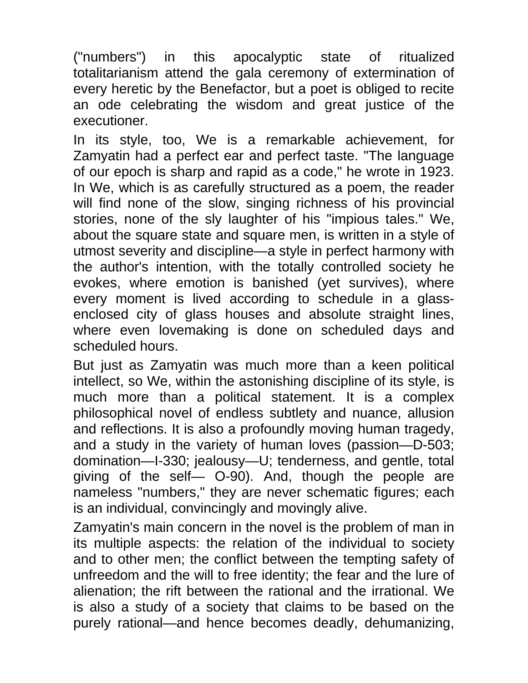("numbers") in this apocalyptic state of ritualized totalitarianism attend the gala ceremony of extermination of every heretic by the Benefactor, but a poet is obliged to recite an ode celebrating the wisdom and great justice of the executioner.

In its style, too, We is a remarkable achievement, for Zamyatin had a perfect ear and perfect taste. "The language of our epoch is sharp and rapid as a code," he wrote in 1923. In We, which is as carefully structured as a poem, the reader will find none of the slow, singing richness of his provincial stories, none of the sly laughter of his "impious tales." We, about the square state and square men, is written in a style of utmost severity and discipline—a style in perfect harmony with the author's intention, with the totally controlled society he evokes, where emotion is banished (yet survives), where every moment is lived according to schedule in a glassenclosed city of glass houses and absolute straight lines, where even lovemaking is done on scheduled days and scheduled hours.

But just as Zamyatin was much more than a keen political intellect, so We, within the astonishing discipline of its style, is much more than a political statement. It is a complex philosophical novel of endless subtlety and nuance, allusion and reflections. It is also a profoundly moving human tragedy, and a study in the variety of human loves (passion—D-503; domination—I-330; jealousy—U; tenderness, and gentle, total giving of the self— O-90). And, though the people are nameless "numbers," they are never schematic figures; each is an individual, convincingly and movingly alive.

Zamyatin's main concern in the novel is the problem of man in its multiple aspects: the relation of the individual to society and to other men; the conflict between the tempting safety of unfreedom and the will to free identity; the fear and the lure of alienation; the rift between the rational and the irrational. We is also a study of a society that claims to be based on the purely rational—and hence becomes deadly, dehumanizing,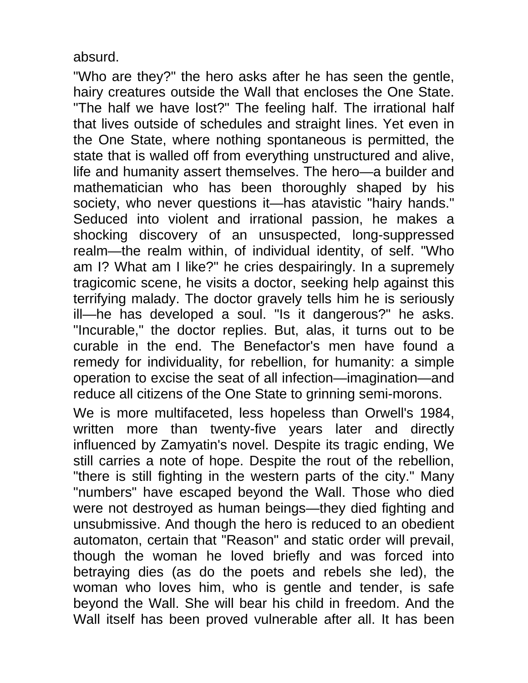absurd.

"Who are they?" the hero asks after he has seen the gentle, hairy creatures outside the Wall that encloses the One State. "The half we have lost?" The feeling half. The irrational half that lives outside of schedules and straight lines. Yet even in the One State, where nothing spontaneous is permitted, the state that is walled off from everything unstructured and alive, life and humanity assert themselves. The hero—a builder and mathematician who has been thoroughly shaped by his society, who never questions it—has atavistic "hairy hands." Seduced into violent and irrational passion, he makes a shocking discovery of an unsuspected, long-suppressed realm—the realm within, of individual identity, of self. "Who am I? What am I like?" he cries despairingly. In a supremely tragicomic scene, he visits a doctor, seeking help against this terrifying malady. The doctor gravely tells him he is seriously ill—he has developed a soul. "Is it dangerous?" he asks. "Incurable," the doctor replies. But, alas, it turns out to be curable in the end. The Benefactor's men have found a remedy for individuality, for rebellion, for humanity: a simple operation to excise the seat of all infection—imagination—and reduce all citizens of the One State to grinning semi-morons.

We is more multifaceted, less hopeless than Orwell's 1984, written more than twenty-five years later and directly influenced by Zamyatin's novel. Despite its tragic ending, We still carries a note of hope. Despite the rout of the rebellion, "there is still fighting in the western parts of the city." Many "numbers" have escaped beyond the Wall. Those who died were not destroyed as human beings—they died fighting and unsubmissive. And though the hero is reduced to an obedient automaton, certain that "Reason" and static order will prevail, though the woman he loved briefly and was forced into betraying dies (as do the poets and rebels she led), the woman who loves him, who is gentle and tender, is safe beyond the Wall. She will bear his child in freedom. And the Wall itself has been proved vulnerable after all. It has been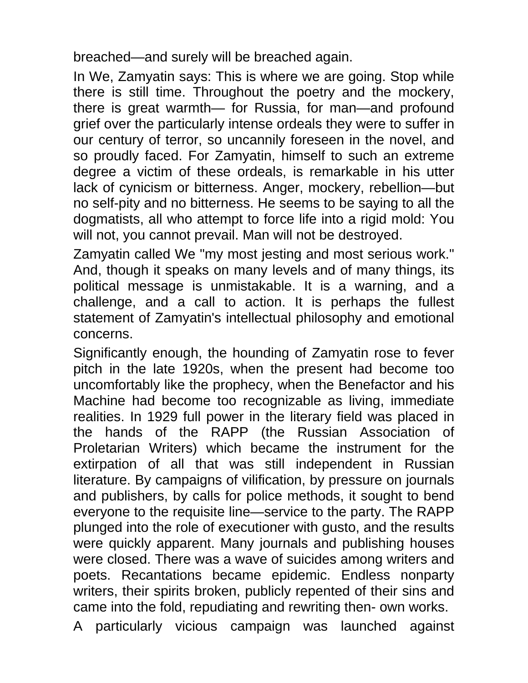breached—and surely will be breached again.

In We, Zamyatin says: This is where we are going. Stop while there is still time. Throughout the poetry and the mockery, there is great warmth— for Russia, for man—and profound grief over the particularly intense ordeals they were to suffer in our century of terror, so uncannily foreseen in the novel, and so proudly faced. For Zamyatin, himself to such an extreme degree a victim of these ordeals, is remarkable in his utter lack of cynicism or bitterness. Anger, mockery, rebellion—but no self-pity and no bitterness. He seems to be saying to all the dogmatists, all who attempt to force life into a rigid mold: You will not, you cannot prevail. Man will not be destroyed.

Zamyatin called We "my most jesting and most serious work." And, though it speaks on many levels and of many things, its political message is unmistakable. It is a warning, and a challenge, and a call to action. It is perhaps the fullest statement of Zamyatin's intellectual philosophy and emotional concerns.

Significantly enough, the hounding of Zamyatin rose to fever pitch in the late 1920s, when the present had become too uncomfortably like the prophecy, when the Benefactor and his Machine had become too recognizable as living, immediate realities. In 1929 full power in the literary field was placed in the hands of the RAPP (the Russian Association of Proletarian Writers) which became the instrument for the extirpation of all that was still independent in Russian literature. By campaigns of vilification, by pressure on journals and publishers, by calls for police methods, it sought to bend everyone to the requisite line—service to the party. The RAPP plunged into the role of executioner with gusto, and the results were quickly apparent. Many journals and publishing houses were closed. There was a wave of suicides among writers and poets. Recantations became epidemic. Endless nonparty writers, their spirits broken, publicly repented of their sins and came into the fold, repudiating and rewriting then- own works.

A particularly vicious campaign was launched against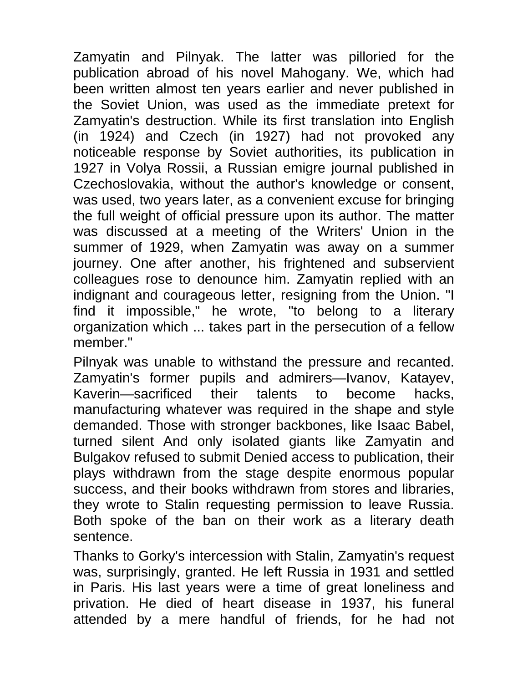Zamyatin and Pilnyak. The latter was pilloried for the publication abroad of his novel Mahogany. We, which had been written almost ten years earlier and never published in the Soviet Union, was used as the immediate pretext for Zamyatin's destruction. While its first translation into English (in 1924) and Czech (in 1927) had not provoked any noticeable response by Soviet authorities, its publication in 1927 in Volya Rossii, a Russian emigre journal published in Czechoslovakia, without the author's knowledge or consent, was used, two years later, as a convenient excuse for bringing the full weight of official pressure upon its author. The matter was discussed at a meeting of the Writers' Union in the summer of 1929, when Zamyatin was away on a summer journey. One after another, his frightened and subservient colleagues rose to denounce him. Zamyatin replied with an indignant and courageous letter, resigning from the Union. "I find it impossible," he wrote, "to belong to a literary organization which ... takes part in the persecution of a fellow member."

Pilnyak was unable to withstand the pressure and recanted. Zamyatin's former pupils and admirers—Ivanov, Katayev, Kaverin—sacrificed their talents to become hacks, manufacturing whatever was required in the shape and style demanded. Those with stronger backbones, like Isaac Babel, turned silent And only isolated giants like Zamyatin and Bulgakov refused to submit Denied access to publication, their plays withdrawn from the stage despite enormous popular success, and their books withdrawn from stores and libraries, they wrote to Stalin requesting permission to leave Russia. Both spoke of the ban on their work as a literary death sentence.

Thanks to Gorky's intercession with Stalin, Zamyatin's request was, surprisingly, granted. He left Russia in 1931 and settled in Paris. His last years were a time of great loneliness and privation. He died of heart disease in 1937, his funeral attended by a mere handful of friends, for he had not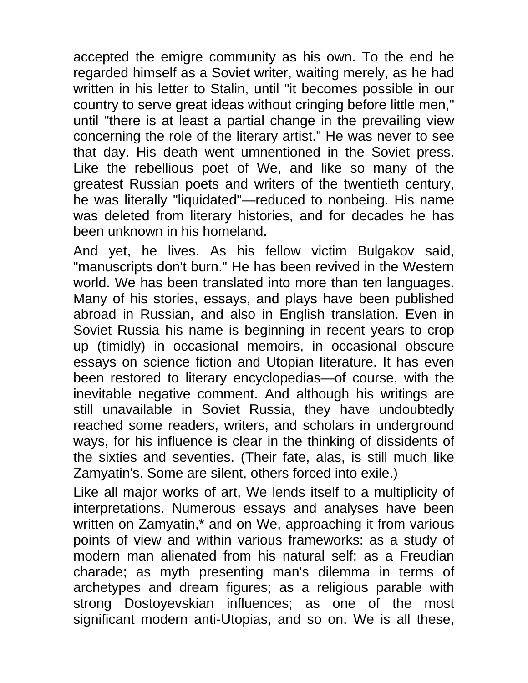accepted the emigre community as his own. To the end he regarded himself as a Soviet writer, waiting merely, as he had written in his letter to Stalin, until "it becomes possible in our country to serve great ideas without cringing before little men," until "there is at least a partial change in the prevailing view concerning the role of the literary artist." He was never to see that day. His death went umnentioned in the Soviet press. Like the rebellious poet of We, and like so many of the greatest Russian poets and writers of the twentieth century, he was literally "liquidated"—reduced to nonbeing. His name was deleted from literary histories, and for decades he has been unknown in his homeland.

And yet, he lives. As his fellow victim Bulgakov said, "manuscripts don't burn." He has been revived in the Western world. We has been translated into more than ten languages. Many of his stories, essays, and plays have been published abroad in Russian, and also in English translation. Even in Soviet Russia his name is beginning in recent years to crop up (timidly) in occasional memoirs, in occasional obscure essays on science fiction and Utopian literature. It has even been restored to literary encyclopedias—of course, with the inevitable negative comment. And although his writings are still unavailable in Soviet Russia, they have undoubtedly reached some readers, writers, and scholars in underground ways, for his influence is clear in the thinking of dissidents of the sixties and seventies. (Their fate, alas, is still much like Zamyatin's. Some are silent, others forced into exile.)

Like all major works of art, We lends itself to a multiplicity of interpretations. Numerous essays and analyses have been written on Zamyatin,<sup>\*</sup> and on We, approaching it from various points of view and within various frameworks: as a study of modern man alienated from his natural self; as a Freudian charade; as myth presenting man's dilemma in terms of archetypes and dream figures; as a religious parable with strong Dostoyevskian influences; as one of the most significant modern anti-Utopias, and so on. We is all these,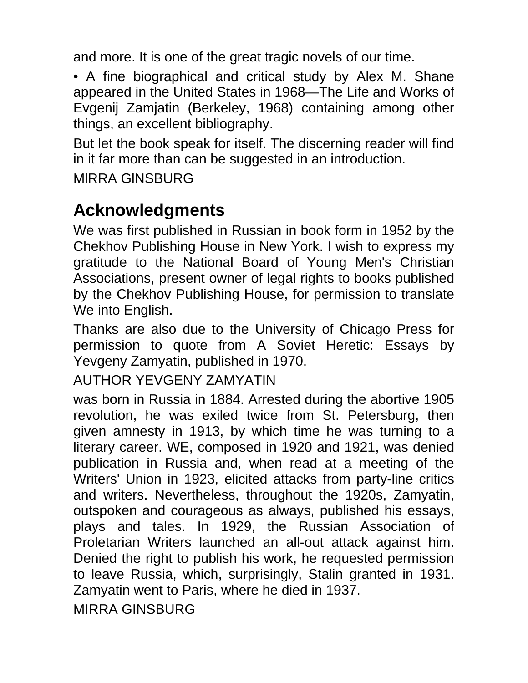and more. It is one of the great tragic novels of our time.

• A fine biographical and critical study by Alex M. Shane appeared in the United States in 1968—The Life and Works of Evgenij Zamjatin (Berkeley, 1968) containing among other things, an excellent bibliography.

But let the book speak for itself. The discerning reader will find in it far more than can be suggested in an introduction.

MlRRA GlNSBURG

## **Acknowledgments**

We was first published in Russian in book form in 1952 by the Chekhov Publishing House in New York. I wish to express my gratitude to the National Board of Young Men's Christian Associations, present owner of legal rights to books published by the Chekhov Publishing House, for permission to translate We into English.

Thanks are also due to the University of Chicago Press for permission to quote from A Soviet Heretic: Essays by Yevgeny Zamyatin, published in 1970.

AUTHOR YEVGENY ZAMYATIN

was born in Russia in 1884. Arrested during the abortive 1905 revolution, he was exiled twice from St. Petersburg, then given amnesty in 1913, by which time he was turning to a literary career. WE, composed in 1920 and 1921, was denied publication in Russia and, when read at a meeting of the Writers' Union in 1923, elicited attacks from party-line critics and writers. Nevertheless, throughout the 1920s, Zamyatin, outspoken and courageous as always, published his essays, plays and tales. In 1929, the Russian Association of Proletarian Writers launched an all-out attack against him. Denied the right to publish his work, he requested permission to leave Russia, which, surprisingly, Stalin granted in 1931. Zamyatin went to Paris, where he died in 1937.

MIRRA GINSBURG